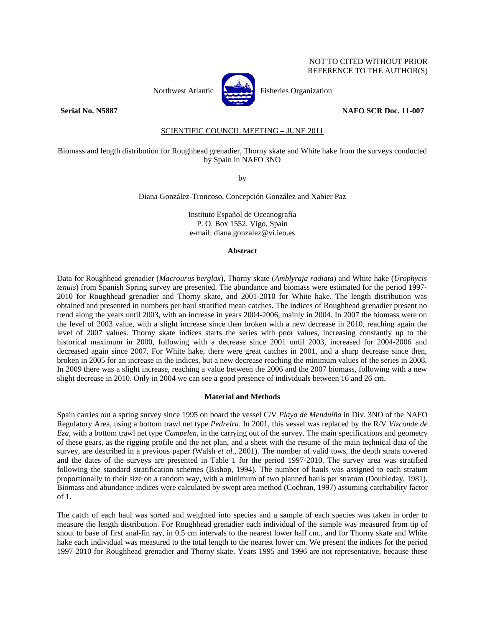## NOT TO CITED WITHOUT PRIOR REFERENCE TO THE AUTHOR(S)



Northwest Atlantic **Northusia** Fisheries Organization

## **Serial No. N5887 NAFO SCR Doc. 11-007**

# SCIENTIFIC COUNCIL MEETING – JUNE 2011

## Biomass and length distribution for Roughhead grenadier, Thorny skate and White hake from the surveys conducted by Spain in NAFO 3NO

by

Diana González-Troncoso, Concepción González and Xabier Paz

Instituto Español de Oceanografía P. O. Box 1552. Vigo, Spain e-mail: diana.gonzalez@vi.ieo.es

#### **Abstract**

Data for Roughhead grenadier (*Macrourus berglax*), Thorny skate (*Amblyraja radiata*) and White hake (*Urophycis tenuis*) from Spanish Spring survey are presented. The abundance and biomass were estimated for the period 1997- 2010 for Roughhead grenadier and Thorny skate, and 2001-2010 for White hake. The length distribution was obtained and presented in numbers per haul stratified mean catches. The indices of Roughhead grenadier present no trend along the years until 2003, with an increase in years 2004-2006, mainly in 2004. In 2007 the biomass were on the level of 2003 value, with a slight increase since then broken with a new decrease in 2010, reaching again the level of 2007 values. Thorny skate indices starts the series with poor values, increasing constantly up to the historical maximum in 2000, following with a decrease since 2001 until 2003, increased for 2004-2006 and decreased again since 2007. For White hake, there were great catches in 2001, and a sharp decrease since then, broken in 2005 for an increase in the indices, but a new decrease reaching the minimum values of the series in 2008. In 2009 there was a slight increase, reaching a value between the 2006 and the 2007 biomass, following with a new slight decrease in 2010. Only in 2004 we can see a good presence of individuals between 16 and 26 cm.

## **Material and Methods**

Spain carries out a spring survey since 1995 on board the vessel C/V *Playa de Menduíña* in Div. 3NO of the NAFO Regulatory Area, using a bottom trawl net type *Pedreira*. In 2001, this vessel was replaced by the R/V *Vizconde de Eza*, with a bottom trawl net type *Campelen*, in the carrying out of the survey. The main specifications and geometry of these gears, as the rigging profile and the net plan, and a sheet with the resume of the main technical data of the survey, are described in a previous paper (Walsh *et al.*, 2001). The number of valid tows, the depth strata covered and the dates of the surveys are presented in Table 1 for the period 1997-2010. The survey area was stratified following the standard stratification schemes (Bishop, 1994). The number of hauls was assigned to each stratum proportionally to their size on a random way, with a minimum of two planned hauls per stratum (Doubleday, 1981). Biomass and abundance indices were calculated by swept area method (Cochran, 1997) assuming catchability factor of 1.

The catch of each haul was sorted and weighted into species and a sample of each species was taken in order to measure the length distribution. For Roughhead grenadier each individual of the sample was measured from tip of snout to base of first anal-fin ray, in 0.5 cm intervals to the nearest lower half cm., and for Thorny skate and White hake each individual was measured to the total length to the nearest lower cm. We present the indices for the period 1997-2010 for Roughhead grenadier and Thorny skate. Years 1995 and 1996 are not representative, because these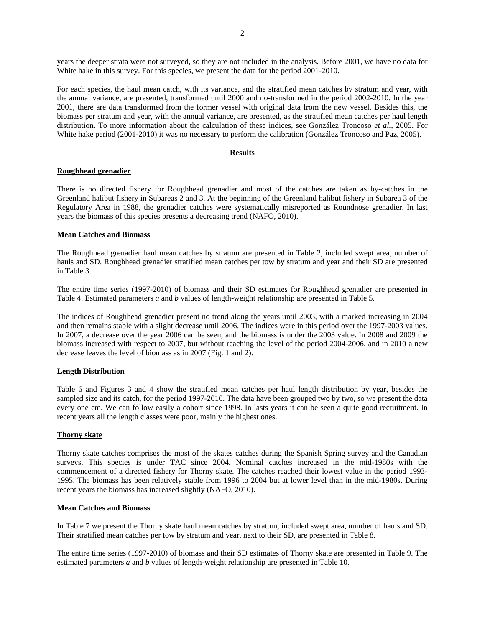years the deeper strata were not surveyed, so they are not included in the analysis. Before 2001, we have no data for White hake in this survey. For this species, we present the data for the period 2001-2010.

For each species, the haul mean catch, with its variance, and the stratified mean catches by stratum and year, with the annual variance, are presented, transformed until 2000 and no-transformed in the period 2002-2010. In the year 2001, there are data transformed from the former vessel with original data from the new vessel. Besides this, the biomass per stratum and year, with the annual variance, are presented, as the stratified mean catches per haul length distribution. To more information about the calculation of these indices, see González Troncoso *et al.*, 2005. For White hake period (2001-2010) it was no necessary to perform the calibration (González Troncoso and Paz, 2005).

## **Results**

## **Roughhead grenadier**

There is no directed fishery for Roughhead grenadier and most of the catches are taken as by-catches in the Greenland halibut fishery in Subareas 2 and 3. At the beginning of the Greenland halibut fishery in Subarea 3 of the Regulatory Area in 1988, the grenadier catches were systematically misreported as Roundnose grenadier. In last years the biomass of this species presents a decreasing trend (NAFO, 2010).

## **Mean Catches and Biomass**

The Roughhead grenadier haul mean catches by stratum are presented in Table 2, included swept area, number of hauls and SD. Roughhead grenadier stratified mean catches per tow by stratum and year and their SD are presented in Table 3.

The entire time series (1997-2010) of biomass and their SD estimates for Roughhead grenadier are presented in Table 4. Estimated parameters *a* and *b* values of length-weight relationship are presented in Table 5.

The indices of Roughhead grenadier present no trend along the years until 2003, with a marked increasing in 2004 and then remains stable with a slight decrease until 2006. The indices were in this period over the 1997-2003 values. In 2007, a decrease over the year 2006 can be seen, and the biomass is under the 2003 value. In 2008 and 2009 the biomass increased with respect to 2007, but without reaching the level of the period 2004-2006, and in 2010 a new decrease leaves the level of biomass as in 2007 (Fig. 1 and 2).

## **Length Distribution**

Table 6 and Figures 3 and 4 show the stratified mean catches per haul length distribution by year, besides the sampled size and its catch, for the period 1997-2010. The data have been grouped two by two**,** so we present the data every one cm. We can follow easily a cohort since 1998. In lasts years it can be seen a quite good recruitment. In recent years all the length classes were poor, mainly the highest ones.

## **Thorny skate**

Thorny skate catches comprises the most of the skates catches during the Spanish Spring survey and the Canadian surveys. This species is under TAC since 2004. Nominal catches increased in the mid-1980s with the commencement of a directed fishery for Thorny skate. The catches reached their lowest value in the period 1993- 1995. The biomass has been relatively stable from 1996 to 2004 but at lower level than in the mid-1980s. During recent years the biomass has increased slightly (NAFO, 2010).

## **Mean Catches and Biomass**

In Table 7 we present the Thorny skate haul mean catches by stratum, included swept area, number of hauls and SD. Their stratified mean catches per tow by stratum and year, next to their SD, are presented in Table 8.

The entire time series (1997-2010) of biomass and their SD estimates of Thorny skate are presented in Table 9. The estimated parameters *a* and *b* values of length-weight relationship are presented in Table 10.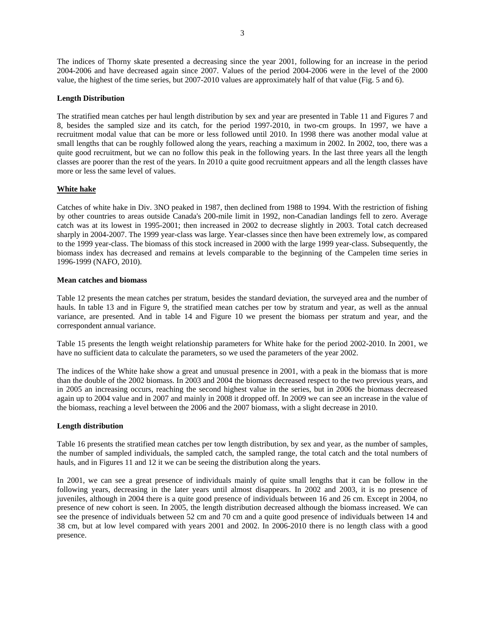The indices of Thorny skate presented a decreasing since the year 2001, following for an increase in the period 2004-2006 and have decreased again since 2007. Values of the period 2004-2006 were in the level of the 2000 value, the highest of the time series, but 2007-2010 values are approximately half of that value (Fig. 5 and 6).

## **Length Distribution**

The stratified mean catches per haul length distribution by sex and year are presented in Table 11 and Figures 7 and 8, besides the sampled size and its catch, for the period 1997-2010, in two-cm groups. In 1997, we have a recruitment modal value that can be more or less followed until 2010. In 1998 there was another modal value at small lengths that can be roughly followed along the years, reaching a maximum in 2002. In 2002, too, there was a quite good recruitment, but we can no follow this peak in the following years. In the last three years all the length classes are poorer than the rest of the years. In 2010 a quite good recruitment appears and all the length classes have more or less the same level of values.

## **White hake**

Catches of white hake in Div. 3NO peaked in 1987, then declined from 1988 to 1994. With the restriction of fishing by other countries to areas outside Canada's 200-mile limit in 1992, non-Canadian landings fell to zero. Average catch was at its lowest in 1995-2001; then increased in 2002 to decrease slightly in 2003. Total catch decreased sharply in 2004-2007. The 1999 year-class was large. Year-classes since then have been extremely low, as compared to the 1999 year-class. The biomass of this stock increased in 2000 with the large 1999 year-class. Subsequently, the biomass index has decreased and remains at levels comparable to the beginning of the Campelen time series in 1996-1999 (NAFO, 2010).

## **Mean catches and biomass**

Table 12 presents the mean catches per stratum, besides the standard deviation, the surveyed area and the number of hauls. In table 13 and in Figure 9, the stratified mean catches per tow by stratum and year, as well as the annual variance, are presented. And in table 14 and Figure 10 we present the biomass per stratum and year, and the correspondent annual variance.

Table 15 presents the length weight relationship parameters for White hake for the period 2002-2010. In 2001, we have no sufficient data to calculate the parameters, so we used the parameters of the year 2002.

The indices of the White hake show a great and unusual presence in 2001, with a peak in the biomass that is more than the double of the 2002 biomass. In 2003 and 2004 the biomass decreased respect to the two previous years, and in 2005 an increasing occurs, reaching the second highest value in the series, but in 2006 the biomass decreased again up to 2004 value and in 2007 and mainly in 2008 it dropped off. In 2009 we can see an increase in the value of the biomass, reaching a level between the 2006 and the 2007 biomass, with a slight decrease in 2010.

## **Length distribution**

Table 16 presents the stratified mean catches per tow length distribution, by sex and year, as the number of samples, the number of sampled individuals, the sampled catch, the sampled range, the total catch and the total numbers of hauls, and in Figures 11 and 12 it we can be seeing the distribution along the years.

In 2001, we can see a great presence of individuals mainly of quite small lengths that it can be follow in the following years, decreasing in the later years until almost disappears. In 2002 and 2003, it is no presence of juveniles, although in 2004 there is a quite good presence of individuals between 16 and 26 cm. Except in 2004, no presence of new cohort is seen. In 2005, the length distribution decreased although the biomass increased. We can see the presence of individuals between 52 cm and 70 cm and a quite good presence of individuals between 14 and 38 cm, but at low level compared with years 2001 and 2002. In 2006-2010 there is no length class with a good presence.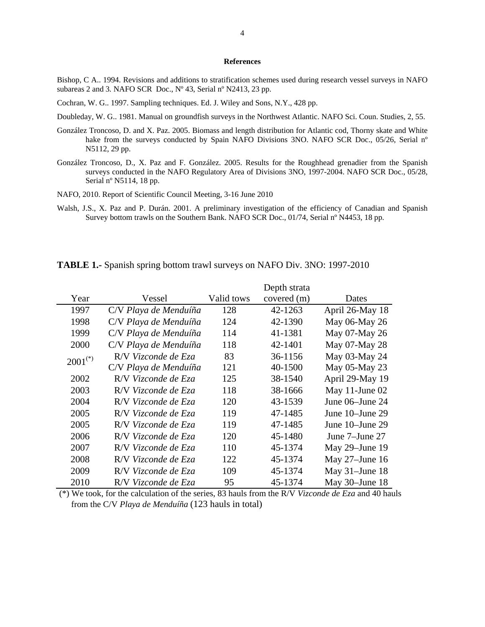#### **References**

Bishop, C A.. 1994. Revisions and additions to stratification schemes used during research vessel surveys in NAFO subareas 2 and 3*.* NAFO SCR Doc., Nº 43, Serial nº N2413, 23 pp.

Cochran, W. G.. 1997. Sampling techniques. Ed. J. Wiley and Sons, N.Y., 428 pp.

- Doubleday, W. G.. 1981. Manual on groundfish surveys in the Northwest Atlantic. NAFO Sci. Coun. Studies, 2, 55.
- González Troncoso, D. and X. Paz. 2005. Biomass and length distribution for Atlantic cod, Thorny skate and White hake from the surveys conducted by Spain NAFO Divisions 3NO. NAFO SCR Doc., 05/26, Serial n° N5112, 29 pp.
- González Troncoso, D., X. Paz and F. González. 2005. Results for the Roughhead grenadier from the Spanish surveys conducted in the NAFO Regulatory Area of Divisions 3NO, 1997-2004. NAFO SCR Doc., 05/28, Serial nº N5114, 18 pp.
- NAFO, 2010. Report of Scientific Council Meeting, 3-16 June 2010
- Walsh, J.S., X. Paz and P. Durán. 2001. A preliminary investigation of the efficiency of Canadian and Spanish Survey bottom trawls on the Southern Bank. NAFO SCR Doc., 01/74, Serial nº N4453, 18 pp.

|                       |                       |            | Depth strata |                    |
|-----------------------|-----------------------|------------|--------------|--------------------|
| Year                  | Vessel                | Valid tows | covered (m)  | Dates              |
| 1997                  | C/V Playa de Menduíña | 128        | 42-1263      | April 26-May 18    |
| 1998                  | C/V Playa de Menduíña | 124        | 42-1390      | May 06-May 26      |
| 1999                  | C/V Playa de Menduíña | 114        | 41-1381      | May 07-May 26      |
| 2000                  | C/V Playa de Menduíña | 118        | 42-1401      | May 07-May 28      |
| $2001$ <sup>(*)</sup> | R/V Vizconde de Eza   | 83         | 36-1156      | May 03-May 24      |
|                       | C/V Playa de Menduíña | 121        | 40-1500      | May 05-May 23      |
| 2002                  | R/V Vizconde de Eza   | 125        | 38-1540      | April 29-May 19    |
| 2003                  | R/V Vizconde de Eza   | 118        | 38-1666      | May 11-June 02     |
| 2004                  | R/V Vizconde de Eza   | 120        | 43-1539      | June $06$ –June 24 |
| 2005                  | R/V Vizconde de Eza   | 119        | 47-1485      | June 10–June 29    |
| 2005                  | R/V Vizconde de Eza   | 119        | 47-1485      | June 10–June 29    |
| 2006                  | R/V Vizconde de Eza   | 120        | 45-1480      | June 7–June 27     |
| 2007                  | R/V Vizconde de Eza   | 110        | 45-1374      | May 29–June 19     |
| 2008                  | R/V Vizconde de Eza   | 122        | 45-1374      | May 27-June 16     |
| 2009                  | R/V Vizconde de Eza   | 109        | 45-1374      | May 31-June 18     |
| 2010                  | R/V Vizconde de Eza   | 95         | 45-1374      | May 30-June 18     |

**TABLE 1.-** Spanish spring bottom trawl surveys on NAFO Div. 3NO: 1997-2010

 (\*) We took, for the calculation of the series, 83 hauls from the R/V *Vizconde de Eza* and 40 hauls from the C/V *Playa de Menduíña* (123 hauls in total)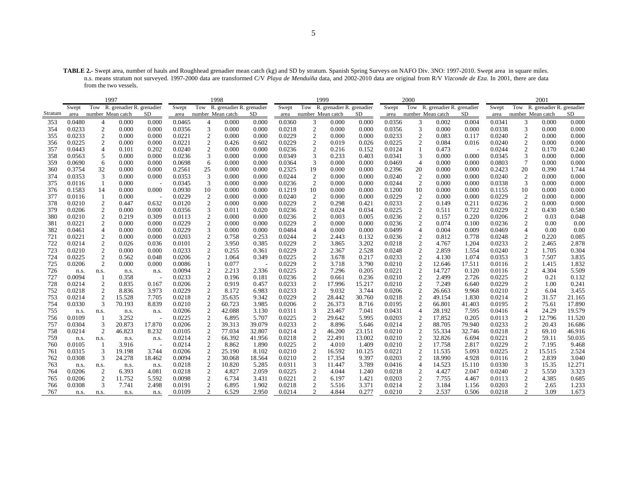**TABLE 2.-** Swept area, number of hauls and Roughhead grenadier mean catch (kg) and SD by stratum. Spanish Spring Surveys on NAFO Div. 3NO: 1997-2010. Swept area in square miles. n.s. means stratum not surveyed. 1997-2000 data are transformed C/V *Playa de Menduíña* data, and 2002-2010 data are original from R/V *Vizconde de Eza*. In 2001, there are data from the two vessels.

|         |        |                         | 1997                          |                |        |                   | 1998                      |        |        |                        | 1999                      |        |        | 2000              |                               |        |        |                   | 2001                          |        |
|---------|--------|-------------------------|-------------------------------|----------------|--------|-------------------|---------------------------|--------|--------|------------------------|---------------------------|--------|--------|-------------------|-------------------------------|--------|--------|-------------------|-------------------------------|--------|
|         | Swept  |                         | Tow R. grenadier R. grenadier |                | Swept  | Tow               | R. grenadier R. grenadier |        | Swept  | Tow                    | R. grenadier R. grenadier |        | Swept  |                   | Tow R. grenadier R. grenadier |        | Swept  |                   | Tow R. grenadier R. grenadier |        |
| Stratum | area   |                         | number Mean catch             | SD             | area   | number Mean catch |                           | SD.    | area   |                        | number Mean catch         | SD.    | area   | number Mean catch |                               | SD.    | area   | number Mean catch |                               | SD     |
| 353     | 0.0480 | 4                       | 0.000                         | 0.000          | 0.0465 | 4                 | 0.000                     | 0.000  | 0.0360 | 3                      | 0.000                     | 0.000  | 0.0356 | 3                 | 0.002                         | 0.004  | 0.0341 | 3                 | 0.000                         | 0.000  |
| 354     | 0.0233 | $\overline{2}$          | 0.000                         | 0.000          | 0.0356 | 3                 | 0.000                     | 0.000  | 0.0218 | $\boldsymbol{2}$       | 0.000                     | 0.000  | 0.0356 | 3                 | 0.000                         | 0.000  | 0.0338 | 3                 | 0.000                         | 0.000  |
| 355     | 0.0233 | $\sqrt{2}$              | 0.000                         | 0.000          | 0.0221 | $\overline{c}$    | 0.000                     | 0.000  | 0.0229 | $\boldsymbol{2}$       | 0.000                     | 0.000  | 0.0233 | 2                 | 0.083                         | 0.117  | 0.0240 | $\mathfrak{2}$    | 0.000                         | 0.000  |
| 356     | 0.0225 | $\boldsymbol{2}$        | 0.000                         | 0.000          | 0.0221 | $\boldsymbol{2}$  | 0.426                     | 0.602  | 0.0229 | 2                      | 0.019                     | 0.026  | 0.0225 | $\overline{c}$    | 0.084                         | 0.016  | 0.0240 | 2                 | 0.000                         | 0.000  |
| 357     | 0.0443 | $\overline{4}$          | 0.101                         | 0.202          | 0.0240 | 2                 | 0.000                     | 0.000  | 0.0236 | 2                      | 0.216                     | 0.152  | 0.0124 |                   | 0.473                         |        | 0.0244 | 2                 | 0.170                         | 0.240  |
| 358     | 0.0563 | 5                       | 0.000                         | 0.000          | 0.0236 | 3                 | 0.000                     | 0.000  | 0.0349 | 3                      | 0.233                     | 0.403  | 0.0341 | 3                 | 0.000                         | 0.000  | 0.0345 | 3                 | 0.000                         | 0.000  |
| 359     | 0.0690 | 6                       | 0.000                         | 0.000          | 0.0698 | 6                 | 0.000                     | 0.000  | 0.0364 | 3                      | 0.000                     | 0.000  | 0.0469 | $\overline{4}$    | 0.000                         | 0.000  | 0.0803 | 7                 | 0.000                         | 0.000  |
| 360     | 0.3754 | 32                      | 0.000                         | 0.000          | 0.2561 | 25                | 0.000                     | 0.000  | 0.2325 | 19                     | 0.000                     | 0.000  | 0.2396 | 20                | 0.000                         | 0.000  | 0.2423 | 20                | 0.390                         | 1.744  |
| 374     | 0.0353 | 3                       | 0.000                         | 0.000          | 0.0353 | 3                 | 0.000                     | 0.000  | 0.0244 | $\boldsymbol{2}$       | 0.000                     | 0.000  | 0.0240 | $\overline{2}$    | 0.000                         | 0.000  | 0.0240 | $\overline{c}$    | 0.000                         | 0.000  |
| 375     | 0.0116 | 1                       | 0.000                         |                | 0.0345 | 3                 | 0.000                     | 0.000  | 0.0236 | 2                      | 0.000                     | 0.000  | 0.0244 | $\overline{c}$    | 0.000                         | 0.000  | 0.0338 | 3                 | 0.000                         | 0.000  |
| 376     | 0.1583 | 14                      | 0.000                         | 0.000          | 0.0930 | 10                | 0.000                     | 0.000  | 0.1219 | 10                     | 0.000                     | 0.000  | 0.1200 | 10                | 0.000                         | 0.000  | 0.1155 | 10                | 0.000                         | 0.000  |
| 377     | 0.0116 | 1                       | 0.000                         | $\overline{a}$ | 0.0229 | $\sqrt{2}$        | 0.000                     | 0.000  | 0.0240 | $\overline{c}$         | 0.000                     | 0.000  | 0.0229 | $\overline{c}$    | 0.000                         | 0.000  | 0.0229 | $\boldsymbol{2}$  | 0.000                         | 0.000  |
| 378     | 0.0210 | $\overline{2}$          | 0.447                         | 0.632          | 0.0120 | $\overline{c}$    | 0.000                     | 0.000  | 0.0229 | $\boldsymbol{2}$       | 0.298                     | 0.421  | 0.0233 | $\overline{2}$    | 0.149                         | 0.211  | 0.0236 | $\boldsymbol{2}$  | 0.000                         | 0.000  |
| 379     | 0.0206 | $\overline{2}$          | 0.000                         | 0.000          | 0.0356 | 3                 | 0.011                     | 0.020  | 0.0236 | $\overline{2}$         | 0.024                     | 0.034  | 0.0225 | $\overline{c}$    | 0.511                         | 0.722  | 0.0229 | 2                 | 0.430                         | 0.580  |
| 380     | 0.0210 | 2                       | 0.219                         | 0.309          | 0.0113 | $\overline{c}$    | 0.000                     | 0.000  | 0.0236 | 2                      | 0.003                     | 0.005  | 0.0236 | 2                 | 0.157                         | 0.220  | 0.0206 | 2                 | 0.03                          | 0.048  |
| 381     | 0.0221 | $\mathfrak{2}$          | 0.000                         | 0.000          | 0.0229 | 2                 | 0.000                     | 0.000  | 0.0229 | $\mathfrak{2}$         | 0.000                     | 0.000  | 0.0236 | 2                 | 0.074                         | 0.100  | 0.0236 | 2                 | 0.00                          | 0.00   |
| 382     | 0.0461 | $\overline{4}$          | 0.000                         | 0.000          | 0.0229 | 3                 | 0.000                     | 0.000  | 0.0484 | $\overline{4}$         | 0.000                     | 0.000  | 0.0499 | $\overline{4}$    | 0.004                         | 0.009  | 0.0469 | $\overline{4}$    | 0.00                          | 0.00   |
| 721     | 0.0221 | $\overline{\mathbf{c}}$ | 0.000                         | 0.000          | 0.0203 | $\overline{2}$    | 0.758                     | 0.253  | 0.0244 | 2                      | 2.443                     | 0.132  | 0.0236 | $\overline{c}$    | 0.812                         | 0.778  | 0.0248 | $\overline{c}$    | 0.220                         | 0.085  |
| 722     | 0.0214 | 2                       | 0.026                         | 0.036          | 0.0101 | 2                 | 3.950                     | 0.385  | 0.0229 | 2                      | 3.865                     | 3.202  | 0.0218 | 2                 | 4.767                         | 1.204  | 0.0233 | $\mathfrak{2}$    | 2.465                         | 2.878  |
| 723     | 0.0210 | $\boldsymbol{2}$        | 0.000                         | 0.000          | 0.0233 | $\boldsymbol{2}$  | 0.255                     | 0.361  | 0.0229 | $\boldsymbol{2}$       | 2.367                     | 2.528  | 0.0248 | 2                 | 2.859                         | 1.554  | 0.0240 | $\mathfrak{2}$    | 1.705                         | 0.304  |
| 724     | 0.0225 | $\overline{c}$          | 0.562                         | 0.048          | 0.0206 | 2                 | 1.064                     | 0.349  | 0.0225 | $\overline{2}$         | 3.678                     | 0.217  | 0.0233 | $\overline{c}$    | 4.130                         | 1.074  | 0.0353 | 3                 | 7.507                         | 3.835  |
| 725     | 0.0206 | $\sqrt{2}$              | 0.000                         | 0.000          | 0.0086 |                   | 0.077                     |        | 0.0229 | $\boldsymbol{2}$       | 3.718                     | 3.790  | 0.0210 | $\overline{2}$    | 12.646                        | 17.511 | 0.0116 | $\mathfrak{2}$    | 1.415                         | 1.832  |
| 726     | n.s.   | n.s.                    | n.s.                          | n.s.           | 0.0094 | $\overline{c}$    | 2.213                     | 2.336  | 0.0225 | $\boldsymbol{2}$       | 7.296                     | 0.205  | 0.0221 | $\overline{c}$    | 14.727                        | 0.120  | 0.0116 | $\overline{c}$    | 4.304                         | 5.509  |
| 727     | 0.0094 | $\mathbf{1}$            | 0.358                         |                | 0.0233 | 2                 | 0.196                     | 0.181  | 0.0236 | $\overline{2}$         | 0.661                     | 0.236  | 0.0210 | $\overline{c}$    | 2.499                         | 2.726  | 0.0225 | $\overline{c}$    | 0.21                          | 0.132  |
| 728     | 0.0214 | $\overline{2}$          | 0.835                         | 0.167          | 0.0206 | 2                 | 0.919                     | 0.457  | 0.0233 | $\boldsymbol{2}$       | 17.996                    | 15.217 | 0.0210 | 2                 | 7.249                         | 6.640  | 0.0229 | $\boldsymbol{2}$  | 1.00                          | 0.241  |
| 752     | 0.0218 | $\mathfrak{2}$          | 8.836                         | 3.973          | 0.0229 | $\overline{c}$    | 8.172                     | 6.983  | 0.0233 | $\mathfrak{2}$         | 9.032                     | 3.744  | 0.0206 | $\overline{c}$    | 26.663                        | 9.968  | 0.0210 | $\mathfrak{2}$    | 6.04                          | 3.455  |
| 753     | 0.0214 | 2                       | 15.528                        | 7.705          | 0.0218 | 2                 | 35.635                    | 9.342  | 0.0229 | $\overline{c}$         | 28.442                    | 30.760 | 0.0218 | 2                 | 49.154                        | 1.830  | 0.0214 | $\boldsymbol{2}$  | 31.57                         | 21.165 |
| 754     | 0.0330 | 3                       | 70.193                        | 8.839          | 0.0210 | $\overline{2}$    | 60.723                    | 3.985  | 0.0206 | $\boldsymbol{2}$       | 26.373                    | 8.716  | 0.0195 | $\overline{2}$    | 66.801                        | 41.403 | 0.0195 | $\boldsymbol{2}$  | 75.61                         | 17.890 |
| 755     | n.s.   | n.s.                    | n.s.                          | n.s.           | 0.0206 | $\mathfrak{2}$    | 42.088                    | 3.130  | 0.0311 | 3                      | 23.467                    | 7.041  | 0.0431 | $\overline{4}$    | 28.192                        | 7.595  | 0.0416 | $\overline{4}$    | 24.29                         | 19.579 |
| 756     | 0.0109 | -1                      | 3.252                         |                | 0.0225 | $\overline{c}$    | 6.895                     | 5.707  | 0.0225 | $\boldsymbol{2}$       | 29.642                    | 5.995  | 0.0203 | $\overline{2}$    | 17.852                        | 0.205  | 0.0113 | $\mathfrak{2}$    | 12.796                        | 11.520 |
| 757     | 0.0304 | 3                       | 20.873                        | 17.870         | 0.0206 | $\sqrt{2}$        | 39.313                    | 39.079 | 0.0233 | $\overline{c}$         | 8.896                     | 5.646  | 0.0214 | $\overline{2}$    | 88.705                        | 79.940 | 0.0233 | $\overline{c}$    | 20.43                         | 16.686 |
| 758     | 0.0214 | $\overline{c}$          | 46.823                        | 8.232          | 0.0105 | 2                 | 77.034                    | 32.807 | 0.0214 | $\overline{2}$         | 46.200                    | 23.151 | 0.0210 | $\overline{c}$    | 55.334                        | 32.746 | 0.0218 | $\overline{c}$    | 69.10                         | 46.916 |
| 759     | n.s.   | n.s.                    | n.s.                          | n.s.           | 0.0214 | $\overline{2}$    | 66.392                    | 41.956 | 0.0218 | $\overline{c}$         | 22.491                    | 13.002 | 0.0210 | $\overline{c}$    | 32.826                        | 6.694  | 0.0221 | $\overline{c}$    | 59.11                         | 50.035 |
| 760     | 0.0105 |                         | 3.916                         | $\overline{a}$ | 0.0214 | $\overline{2}$    | 8.862                     | 1.890  | 0.0225 | $\boldsymbol{2}$       | 4.010                     | 1.409  | 0.0210 | $\overline{2}$    | 17.758                        | 2.817  | 0.0229 | $\mathfrak{2}$    | 7.195                         | 9.468  |
| 761     | 0.0315 | 3                       | 19.198                        | 3.744          | 0.0206 | $\overline{c}$    | 25.190                    | 8.102  | 0.0210 | $\overline{2}$         | 16.592                    | 10.125 | 0.0221 | $\overline{2}$    | 11.535                        | 5.093  | 0.0225 | $\mathfrak{2}$    | 15.515                        | 2.524  |
| 762     | 0.0308 | 3                       | 24.278                        | 18.462         | 0.0094 | 2                 | 30.068                    | 18.564 | 0.0210 | 2                      | 17.354                    | 9.397  | 0.0203 | 2                 | 18.990                        | 4.928  | 0.0116 | 2                 | 2.839                         | 3.040  |
| 763     | n.s.   | n.s.                    | n.s.                          | n.s.           | 0.0218 | $\mathfrak{2}$    | 10.820                    | 5.285  | 0.0311 | 3                      | 11.447                    | 3.789  | 0.0416 | $\overline{4}$    | 14.523                        | 15.110 | 0.0330 | 3                 | 15.35                         | 12.271 |
| 764     | 0.0206 | 2                       | 6.393                         | 4.081          | 0.0218 | 2                 | 4.827                     | 2.059  | 0.0225 | 2                      | 4.044                     | 1.240  | 0.0218 | $\overline{c}$    | 4.427                         | 2.047  | 0.0240 | 2                 | 5.550                         | 3.323  |
| 765     | 0.0206 | 2                       | 11.752                        | 5.592          | 0.0098 | 2                 | 6.734                     | 3.431  | 0.0221 | 2                      | 6.197                     | 1.421  | 0.0203 | $\overline{c}$    | 7.755                         | 4.467  | 0.0113 | 2                 | 4.385                         | 0.685  |
| 766     | 0.0308 | 3                       | 7.741                         | 2.498          | 0.0191 | $\overline{c}$    | 6.895                     | 1.902  | 0.0218 | $\mathfrak{2}$         | 5.516                     | 3.371  | 0.0214 | $\overline{2}$    | 3.184                         | 1.156  | 0.0203 | 2                 | 2.65                          | 1.233  |
| 767     | n.s.   | n.s.                    | n.s.                          | n.s.           | 0.0109 | 2                 | 6.529                     | 2.950  | 0.0214 | $\mathcal{D}_{\alpha}$ | 4.844                     | 0.277  | 0.0210 | 2                 | 2.537                         | 0.506  | 0.0218 | $\overline{c}$    | 3.09                          | 1.673  |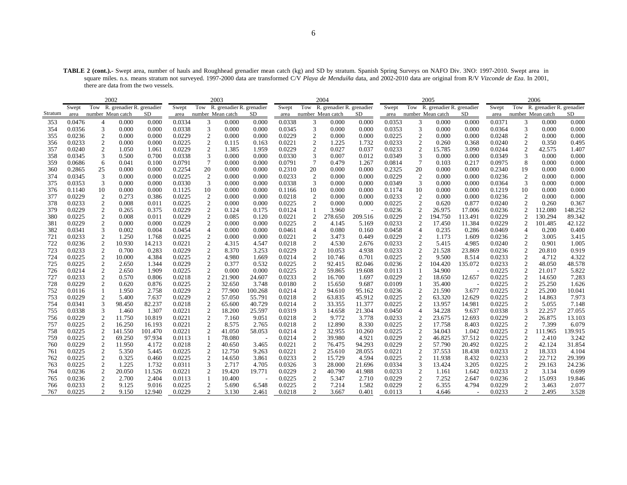**TABLE 2 (cont.).-** Swept area, number of hauls and Roughhead grenadier mean catch (kg) and SD by stratum. Spanish Spring Surveys on NAFO Div. 3NO: 1997-2010. Swept area in square miles. n.s. means stratum not surveyed. 1997-2000 data are transformed C/V *Playa de Menduíña* data, and 2002-2010 data are original from R/V *Vizconde de Eza*. In 2001, there are data from the two vessels.

|         | 2002<br>2003 |                  |                               |         |        |                   |                               |         |        |                  | 2004                          |         |        |                 | 2005                          |         |        |                  | 2006                          |         |
|---------|--------------|------------------|-------------------------------|---------|--------|-------------------|-------------------------------|---------|--------|------------------|-------------------------------|---------|--------|-----------------|-------------------------------|---------|--------|------------------|-------------------------------|---------|
|         | Swept        |                  | Tow R. grenadier R. grenadier |         | Swept  |                   | Tow R. grenadier R. grenadier |         | Swept  |                  | Tow R. grenadier R. grenadier |         | Swept  |                 | Tow R. grenadier R. grenadier |         | Swept  |                  | Tow R. grenadier R. grenadier |         |
| Stratum | area         |                  | number Mean catch             | SD      | area   | number Mean catch |                               | SD      | area   |                  | number Mean catch             | SD      | area   |                 | number Mean catch             | SD      | area   |                  | number Mean catch             | SD      |
| 353     | 0.0476       | $\overline{4}$   | 0.000                         | 0.000   | 0.0334 | 3                 | 0.000                         | 0.000   | 0.0338 | 3                | 0.000                         | 0.000   | 0.0353 | 3               | 0.000                         | 0.000   | 0.0371 | 3                | 0.000                         | 0.000   |
| 354     | 0.0356       | 3                | 0.000                         | 0.000   | 0.0338 | 3                 | 0.000                         | 0.000   | 0.0345 | 3                | 0.000                         | 0.000   | 0.0353 | 3               | 0.000                         | 0.000   | 0.0364 | 3                | 0.000                         | 0.000   |
| 355     | 0.0236       | $\boldsymbol{2}$ | 0.000                         | 0.000   | 0.0229 | $\mathbf{2}$      | 0.000                         | 0.000   | 0.0229 | $\boldsymbol{2}$ | 0.000                         | 0.000   | 0.0225 | $\mathfrak{2}$  | 0.000                         | 0.000   | 0.0248 | $\mathfrak{2}$   | 0.000                         | 0.000   |
| 356     | 0.0233       | $\mathfrak{2}$   | 0.000                         | 0.000   | 0.0225 | $\mathbf{2}$      | 0.115                         | 0.163   | 0.0221 | 2                | 1.225                         | 1.732   | 0.0233 | $\overline{c}$  | 0.260                         | 0.368   | 0.0240 | 2                | 0.350                         | 0.495   |
| 357     | 0.0240       | 2                | 1.050                         | 1.061   | 0.0229 | 2                 | 1.385                         | 1.959   | 0.0229 | 2                | 0.027                         | 0.037   | 0.0233 | 2               | 15.785                        | 3.090   | 0.0244 | 2                | 42.575                        | 1.407   |
| 358     | 0.0345       | 3                | 0.500                         | 0.700   | 0.0338 | 3                 | 0.000                         | 0.000   | 0.0330 | 3                | 0.007                         | 0.012   | 0.0349 | 3               | 0.000                         | 0.000   | 0.0349 | 3                | 0.000                         | 0.000   |
| 359     | 0.0686       | 6                | 0.041                         | 0.100   | 0.0791 | $7\phantom{.0}$   | 0.000                         | 0.000   | 0.0791 | $\overline{7}$   | 0.479                         | 1.267   | 0.0814 | $7\phantom{.0}$ | 0.103                         | 0.217   | 0.0975 | 8                | 0.000                         | 0.000   |
| 360     | 0.2865       | 25               | 0.000                         | 0.000   | 0.2254 | 20                | 0.000                         | 0.000   | 0.2310 | 20               | 0.000                         | 0.000   | 0.2325 | 20              | 0.000                         | 0.000   | 0.2340 | 19               | 0.000                         | 0.000   |
| 374     | 0.0345       | 3                | 0.000                         | 0.000   | 0.0225 | 2                 | 0.000                         | 0.000   | 0.0233 | $\overline{2}$   | 0.000                         | 0.000   | 0.0229 | $\overline{2}$  | 0.000                         | 0.000   | 0.0236 | $\overline{c}$   | 0.000                         | 0.000   |
| 375     | 0.0353       | 3                | 0.000                         | 0.000   | 0.0330 | 3                 | 0.000                         | 0.000   | 0.0338 | 3                | 0.000                         | 0.000   | 0.0349 | 3               | 0.000                         | 0.000   | 0.0364 | 3                | 0.000                         | 0.000   |
| 376     | 0.1140       | 10               | 0.000                         | 0.000   | 0.1125 | 10                | 0.000                         | 0.000   | 0.1166 | 10               | 0.000                         | 0.000   | 0.1174 | 10              | 0.000                         | 0.000   | 0.1219 | 10               | 0.000                         | 0.000   |
| 377     | 0.0229       | 2                | 0.273                         | 0.386   | 0.0225 | 2                 | 0.000                         | 0.000   | 0.0218 | 2                | 0.000                         | 0.000   | 0.0233 | 2               | 0.000                         | 0.000   | 0.0236 | 2                | 0.000                         | 0.000   |
| 378     | 0.0233       | 2                | 0.008                         | 0.011   | 0.0225 | 2                 | 0.000                         | 0.000   | 0.0225 | $\overline{2}$   | 0.000                         | 0.000   | 0.0225 | $\overline{c}$  | 0.620                         | 0.877   | 0.0240 | $\overline{c}$   | 0.260                         | 0.367   |
| 379     | 0.0229       | $\mathfrak{2}$   | 0.265                         | 0.375   | 0.0229 | $\mathfrak{2}$    | 0.124                         | 0.175   | 0.0124 |                  | 3.960                         |         | 0.0236 |                 | 26.975                        | 17.006  | 0.0236 |                  | 112.080                       | 148.252 |
| 380     | 0.0225       | $\overline{c}$   | 0.008                         | 0.011   | 0.0229 | 2                 | 0.085                         | 0.120   | 0.0221 | $\overline{2}$   | 278.650                       | 209.516 | 0.0229 |                 | 194.750                       | 113.491 | 0.0229 | $\overline{c}$   | 130.294                       | 89.342  |
| 381     | 0.0229       | $\mathfrak{2}$   | 0.000                         | 0.000   | 0.0229 | $\overline{2}$    | 0.000                         | 0.000   | 0.0225 | $\overline{2}$   | 4.145                         | 5.169   | 0.0233 | 2               | 17.450                        | 11.384  | 0.0229 | 2                | 101.485                       | 42.122  |
| 382     | 0.0341       | 3                | 0.002                         | 0.004   | 0.0454 | $\overline{4}$    | 0.000                         | 0.000   | 0.0461 | $\overline{4}$   | 0.080                         | 0.160   | 0.0458 | 4               | 0.235                         | 0.286   | 0.0469 | $\overline{4}$   | 0.200                         | 0.400   |
| 721     | 0.0233       | $\overline{2}$   | 1.250                         | 1.768   | 0.0225 | $\overline{c}$    | 0.000                         | 0.000   | 0.0221 | $\overline{2}$   | 3.473                         | 0.449   | 0.0229 | $\overline{2}$  | 1.173                         | 1.609   | 0.0236 | $\overline{c}$   | 3.005                         | 3.415   |
| 722     | 0.0236       | $\boldsymbol{2}$ | 10.930                        | 14.213  | 0.0221 | $\boldsymbol{2}$  | 4.315                         | 4.547   | 0.0218 | $\mathfrak{2}$   | 4.530                         | 2.676   | 0.0233 | $\mathfrak{2}$  | 5.415                         | 4.985   | 0.0240 | $\mathfrak{2}$   | 0.901                         | 1.005   |
| 723     | 0.0233       | $\boldsymbol{2}$ | 0.700                         | 0.283   | 0.0229 | $\sqrt{2}$        | 8.370                         | 3.253   | 0.0229 | $\overline{2}$   | 10.053                        | 4.938   | 0.0233 | $\overline{2}$  | 21.528                        | 23.869  | 0.0236 | $\overline{2}$   | 20.810                        | 0.919   |
| 724     | 0.0225       | $\boldsymbol{2}$ | 10.000                        | 4.384   | 0.0225 | $\boldsymbol{2}$  | 4.980                         | 1.669   | 0.0214 | $\overline{2}$   | 10.746                        | 0.701   | 0.0225 |                 | 9.500                         | 8.514   | 0.0233 | 2                | 4.712                         | 4.322   |
| 725     | 0.0225       | $\boldsymbol{2}$ | 2.650                         | 1.344   | 0.0229 | $\sqrt{2}$        | 0.377                         | 0.532   | 0.0225 | $\overline{2}$   | 92.415                        | 82.046  | 0.0236 |                 | 104.420                       | 135.072 | 0.0233 | $\boldsymbol{2}$ | 48.050                        | 48.578  |
| 726     | 0.0214       | $\boldsymbol{2}$ | 2.650                         | 1.909   | 0.0225 | $\boldsymbol{2}$  | 0.000                         | 0.000   | 0.0225 | $\overline{2}$   | 59.865                        | 19.608  | 0.0113 |                 | 34.900                        |         | 0.0225 | 2                | 21.017                        | 5.822   |
| 727     | 0.0233       | $\overline{2}$   | 0.570                         | 0.806   | 0.0218 | 2                 | 21.900                        | 24.607  | 0.0233 | $\overline{2}$   | 16.700                        | 1.697   | 0.0229 |                 | 18.650                        | 12.657  | 0.0225 | 2                | 14.650                        | 7.283   |
| 728     | 0.0229       | $\mathfrak{2}$   | 0.620                         | 0.876   | 0.0225 | $\mathfrak{2}$    | 32.650                        | 3.748   | 0.0180 | $\overline{c}$   | 15.650                        | 9.687   | 0.0109 |                 | 35.400                        |         | 0.0225 | $\overline{c}$   | 25.250                        | 1.626   |
| 752     | 0.0116       | 1                | 1.950                         | 2.758   | 0.0229 | 2                 | 77.900                        | 100.268 | 0.0214 | $\overline{2}$   | 94.610                        | 95.162  | 0.0236 | 2               | 21.590                        | 3.677   | 0.0225 | $\overline{c}$   | 25.200                        | 10.041  |
| 753     | 0.0229       | 2                | 5.400                         | 7.637   | 0.0229 | 2                 | 57.050                        | 55.791  | 0.0218 | 2                | 63.835                        | 45.912  | 0.0225 | $\overline{2}$  | 63.320                        | 12.629  | 0.0225 | $\overline{c}$   | 14.863                        | 7.973   |
| 754     | 0.0341       | 3                | 98.450                        | 82.237  | 0.0218 | $\overline{2}$    | 65.600                        | 40.729  | 0.0214 | $\overline{c}$   | 33.355                        | 11.377  | 0.0225 | $\overline{2}$  | 13.957                        | 14.981  | 0.0225 | $\mathfrak{2}$   | 5.055                         | 7.148   |
| 755     | 0.0338       | 3                | 1.460                         | 1.307   | 0.0221 | 2                 | 18.200                        | 25.597  | 0.0319 | 3                | 14.658                        | 21.304  | 0.0450 | 4               | 34.228                        | 9.637   | 0.0338 | 3                | 22.257                        | 27.055  |
| 756     | 0.0229       | 2                | 11.750                        | 10.819  | 0.0221 | 2                 | 7.160                         | 9.051   | 0.0218 | 2                | 9.772                         | 3.778   | 0.0233 | $\mathcal{D}$   | 23.675                        | 12.693  | 0.0229 | 2                | 26.875                        | 13.103  |
| 757     | 0.0225       | $\boldsymbol{2}$ | 16.250                        | 16.193  | 0.0221 | $\boldsymbol{2}$  | 8.575                         | 2.765   | 0.0218 | $\overline{2}$   | 12.890                        | 8.330   | 0.0225 |                 | 17.758                        | 8.403   | 0.0225 | 2                | 7.399                         | 6.079   |
| 758     | 0.0225       | $\overline{2}$   | 141.550                       | 101.470 | 0.0221 |                   | 41.050                        | 58.053  | 0.0214 | $\overline{2}$   | 32.955                        | 10.260  | 0.0225 | $\overline{c}$  | 34.043                        | 1.042   | 0.0225 | 2                | 111.965                       | 139.915 |
| 759     | 0.0225       | 2                | 69.250                        | 97.934  | 0.0113 |                   | 78.080                        |         | 0.0214 | $\overline{2}$   | 39.980                        | 4.921   | 0.0229 | $\overline{2}$  | 46.825                        | 37.512  | 0.0225 | 2                | 2.410                         | 3.242   |
| 760     | 0.0229       | $\boldsymbol{2}$ | 11.950                        | 4.172   | 0.0218 | $\overline{2}$    | 40.650                        | 3.465   | 0.0221 | $\overline{c}$   | 76.475                        | 94.293  | 0.0229 |                 | 57.790                        | 20.492  | 0.0225 | $\overline{c}$   | 42.124                        | 31.854  |
| 761     | 0.0225       | $\mathfrak{2}$   | 5.350                         | 5.445   | 0.0225 | $\mathfrak{2}$    | 12.750                        | 9.263   | 0.0221 | $\overline{c}$   | 25.610                        | 28.055  | 0.0221 | 2               | 37.553                        | 18.438  | 0.0233 | $\overline{c}$   | 18.333                        | 4.104   |
| 762     | 0.0225       | 2                | 0.325                         | 0.460   | 0.0225 | 2                 | 14.650                        | 3.861   | 0.0233 | 2                | 15.729                        | 4.594   | 0.0225 | 2               | 11.938                        | 8.432   | 0.0233 | 2                | 22.712                        | 29.399  |
| 763     | 0.0225       | $\overline{2}$   | 1.225                         | 1.732   | 0.0311 | 3                 | 2.717                         | 4.705   | 0.0326 | 3                | 28.000                        | 21.696  | 0.0334 |                 | 13.424                        | 3.205   | 0.0225 | $\mathfrak{2}$   | 29.163                        | 24.236  |
| 764     | 0.0236       | $\overline{2}$   | 20.050                        | 11.526  | 0.0221 | 2                 | 19.420                        | 19.771  | 0.0229 | $\overline{2}$   | 40.790                        | 41.988  | 0.0233 | $\overline{c}$  | 1.161                         | 1.642   | 0.0233 | 2                | 3.134                         | 0.699   |
| 765     | 0.0236       | 2                | 2.700                         | 2.404   | 0.0113 |                   | 10.400                        |         | 0.0225 | 2                | 5.347                         | 2.710   | 0.0229 | 2               | 7.252                         | 2.647   | 0.0236 | 2                | 15.093                        | 19.846  |
| 766     | 0.0233       | $\mathfrak{2}$   | 9.125                         | 9.016   | 0.0225 | $\overline{2}$    | 5.690                         | 6.548   | 0.0225 | 2                | 7.214                         | 1.582   | 0.0229 | $\overline{c}$  | 6.355                         | 4.794   | 0.0229 | 2                | 3.463                         | 2.077   |
| 767     | 0.0225       | $\overline{2}$   | 9.150                         | 12.940  | 0.0229 | 2                 | 3.130                         | 2.461   | 0.0218 | 2                | 3.667                         | 0.401   | 0.0113 |                 | 4.646                         |         | 0.0233 | 2                | 2.495                         | 3.528   |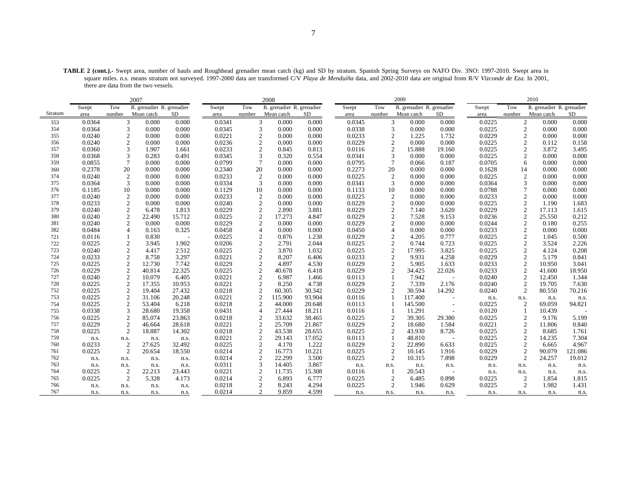**TABLE 2 (cont.).-** Swept area, number of hauls and Roughhead grenadier mean catch (kg) and SD by stratum. Spanish Spring Surveys on NAFO Div. 3NO: 1997-2010. Swept area in square miles. n.s. means stratum not surveyed. 1997-2000 data are transformed C/V *Playa de Menduíña* data, and 2002-2010 data are original from R/V *Vizconde de Eza*. In 2001, there are data from the two vessels.

|         |        |                  | 2007                      |        |        |                 | 2008                      |           |        |                 | 2009                      |        |        |                | 2010                      |         |
|---------|--------|------------------|---------------------------|--------|--------|-----------------|---------------------------|-----------|--------|-----------------|---------------------------|--------|--------|----------------|---------------------------|---------|
|         | Swept  | Tow              | R. grenadier R. grenadier |        | Swept  | Tow             | R. grenadier R. grenadier |           | Swept  | Tow             | R. grenadier R. grenadier |        | Swept  | Tow            | R. grenadier R. grenadier |         |
| Stratum | area   | number           | Mean catch                | SD     | area   | number          | Mean catch                | <b>SD</b> | area   | number          | Mean catch                | SD     | area   | number         | Mean catch                | SD      |
| 353     | 0.0364 | 3                | 0.000                     | 0.000  | 0.0341 | 3               | 0.000                     | 0.000     | 0.0345 | 3               | 0.000                     | 0.000  | 0.0225 | $\overline{2}$ | 0.000                     | 0.000   |
| 354     | 0.0364 | 3                | 0.000                     | 0.000  | 0.0345 | 3               | 0.000                     | 0.000     | 0.0338 | 3               | 0.000                     | 0.000  | 0.0225 | $\overline{2}$ | 0.000                     | 0.000   |
| 355     | 0.0240 | $\mathfrak{2}$   | 0.000                     | 0.000  | 0.0221 | $\overline{2}$  | 0.000                     | 0.000     | 0.0233 | $\overline{2}$  | 1.225                     | 1.732  | 0.0229 | $\overline{2}$ | 0.000                     | 0.000   |
| 356     | 0.0240 | $\overline{c}$   | 0.000                     | 0.000  | 0.0236 | $\overline{c}$  | 0.000                     | 0.000     | 0.0229 | $\overline{2}$  | 0.000                     | 0.000  | 0.0225 | $\overline{2}$ | 0.112                     | 0.158   |
| 357     | 0.0360 | 3                | 1.907                     | 1.661  | 0.0233 | $\mathfrak{2}$  | 0.845                     | 0.813     | 0.0116 | $\overline{2}$  | 15.888                    | 19.160 | 0.0225 | $\overline{2}$ | 3.872                     | 3.495   |
| 358     | 0.0368 | 3                | 0.283                     | 0.491  | 0.0345 | 3               | 0.320                     | 0.554     | 0.0341 | 3               | 0.000                     | 0.000  | 0.0225 | $\sqrt{2}$     | 0.000                     | 0.000   |
| 359     | 0.0855 | $\overline{7}$   | 0.000                     | 0.000  | 0.0799 | $7\phantom{.0}$ | 0.000                     | 0.000     | 0.0795 | $7\phantom{.0}$ | 0.066                     | 0.187  | 0.0705 | 6              | 0.000                     | 0.000   |
| 360     | 0.2378 | 20               | 0.000                     | 0.000  | 0.2340 | 20              | 0.000                     | 0.000     | 0.2273 | 20              | 0.000                     | 0.000  | 0.1628 | 14             | 0.000                     | 0.000   |
| 374     | 0.0240 | $\overline{c}$   | 0.000                     | 0.000  | 0.0233 | $\overline{2}$  | 0.000                     | 0.000     | 0.0225 | $\overline{2}$  | 0.000                     | 0.000  | 0.0225 | $\sqrt{2}$     | 0.000                     | 0.000   |
| 375     | 0.0364 | 3                | 0.000                     | 0.000  | 0.0334 | 3               | 0.000                     | 0.000     | 0.0341 | 3               | 0.000                     | 0.000  | 0.0364 | 3              | 0.000                     | 0.000   |
| 376     | 0.1185 | 10               | 0.000                     | 0.000  | 0.1129 | 10              | 0.000                     | 0.000     | 0.1133 | 10              | 0.000                     | 0.000  | 0.0788 | 7              | 0.000                     | 0.000   |
| 377     | 0.0240 | $\mathfrak{2}$   | 0.000                     | 0.000  | 0.0233 | 2               | 0.000                     | 0.000     | 0.0225 | 2               | 0.000                     | 0.000  | 0.0233 | $\overline{2}$ | 0.000                     | 0.000   |
| 378     | 0.0233 | $\overline{2}$   | 0.000                     | 0.000  | 0.0240 | $\overline{2}$  | 0.000                     | 0.000     | 0.0229 | 2               | 0.000                     | 0.000  | 0.0225 | $\overline{2}$ | 1.190                     | 1.683   |
| 379     | 0.0240 | $\mathfrak{2}$   | 6.478                     | 1.813  | 0.0229 | $\overline{2}$  | 2.890                     | 3.881     | 0.0229 | $\sqrt{2}$      | 7.140                     | 3.620  | 0.0229 | $\sqrt{2}$     | 17.113                    | 1.615   |
| 380     | 0.0240 | $\boldsymbol{2}$ | 22.490                    | 15.712 | 0.0225 | $\sqrt{2}$      | 17.273                    | 4.847     | 0.0229 | $\sqrt{2}$      | 7.528                     | 9.153  | 0.0236 | $\sqrt{2}$     | 25.550                    | 0.212   |
| 381     | 0.0240 | $\overline{c}$   | 0.000                     | 0.000  | 0.0229 | $\mathfrak{2}$  | 0.000                     | 0.000     | 0.0229 | $\overline{2}$  | 0.000                     | 0.000  | 0.0244 | $\overline{2}$ | 0.180                     | 0.255   |
| 382     | 0.0484 |                  | 0.163                     | 0.325  | 0.0458 | 4               | 0.000                     | 0.000     | 0.0450 | $\overline{4}$  | 0.000                     | 0.000  | 0.0233 | $\overline{2}$ | 0.000                     | 0.000   |
| 721     | 0.0116 |                  | 0.830                     |        | 0.0225 | $\overline{c}$  | 0.876                     | 1.238     | 0.0229 | $\sqrt{2}$      | 4.205                     | 0.777  | 0.0225 | $\sqrt{2}$     | 1.045                     | 0.500   |
| 722     | 0.0225 | $\mathfrak{2}$   | 3.945                     | 1.902  | 0.0206 | $\sqrt{2}$      | 2.791                     | 2.044     | 0.0225 | $\overline{2}$  | 0.744                     | 0.723  | 0.0225 | $\overline{2}$ | 3.524                     | 2.226   |
| 723     | 0.0240 | $\mathfrak{2}$   | 4.417                     | 2.512  | 0.0225 | $\mathfrak{2}$  | 3.870                     | 1.032     | 0.0225 | $\overline{2}$  | 17.995                    | 3.825  | 0.0225 | $\overline{2}$ | 4.124                     | 0.208   |
| 724     | 0.0233 | 2                | 8.758                     | 3.297  | 0.0221 | $\mathfrak{2}$  | 8.207                     | 6.406     | 0.0233 | $\overline{2}$  | 9.931                     | 4.258  | 0.0229 | $\overline{2}$ | 5.179                     | 0.841   |
| 725     | 0.0225 | $\overline{2}$   | 12.730                    | 7.742  | 0.0229 | 2               | 4.897                     | 4.530     | 0.0229 | 2               | 5.905                     | 1.633  | 0.0233 | $\overline{2}$ | 10.950                    | 3.041   |
| 726     | 0.0229 | $\mathfrak{2}$   | 40.814                    | 22.325 | 0.0225 | $\mathfrak{2}$  | 40.678                    | 6.418     | 0.0229 | $\overline{2}$  | 34.425                    | 22.026 | 0.0233 | $\overline{2}$ | 41.600                    | 18.950  |
| 727     | 0.0240 | 2                | 10.079                    | 6.405  | 0.0221 | $\overline{2}$  | 6.987                     | 1.466     | 0.0113 |                 | 7.942                     |        | 0.0240 | $\overline{c}$ | 12.450                    | 1.344   |
| 728     | 0.0225 | $\sqrt{2}$       | 17.355                    | 10.953 | 0.0221 | $\mathfrak{2}$  | 8.250                     | 4.738     | 0.0229 | 2               | 7.339                     | 2.176  | 0.0240 | $\overline{2}$ | 19.705                    | 7.630   |
| 752     | 0.0225 | $\mathfrak{2}$   | 19.404                    | 27.432 | 0.0218 | $\sqrt{2}$      | 60.305                    | 30.342    | 0.0229 | $\overline{2}$  | 30.594                    | 14.292 | 0.0240 | $\overline{2}$ | 80.550                    | 70.216  |
| 753     | 0.0225 | $\overline{c}$   | 31.106                    | 20.248 | 0.0221 | 2               | 115.900                   | 93.904    | 0.0116 |                 | 117.400                   |        | n.s.   | n.s.           | n.s.                      | n.s.    |
| 754     | 0.0225 | $\mathfrak{2}$   | 53.404                    | 6.218  | 0.0218 | 2               | 44.000                    | 20.648    | 0.0113 |                 | 145.500                   | ٠      | 0.0225 | $\overline{2}$ | 69.059                    | 94.821  |
| 755     | 0.0338 | 3                | 28.680                    | 19.358 | 0.0431 | $\overline{4}$  | 27.444                    | 18.211    | 0.0116 |                 | 11.291                    |        | 0.0120 |                | 10.439                    |         |
| 756     | 0.0225 | $\mathfrak{2}$   | 85.074                    | 23.863 | 0.0218 | $\overline{2}$  | 33.632                    | 38.465    | 0.0225 | $\overline{2}$  | 39.305                    | 29.380 | 0.0225 | $\overline{2}$ | 9.176                     | 5.199   |
| 757     | 0.0229 | $\mathfrak{2}$   | 46.664                    | 28.618 | 0.0221 | 2               | 25.709                    | 21.867    | 0.0229 | 2               | 18.680                    | 1.584  | 0.0221 | $\overline{2}$ | 11.806                    | 0.840   |
| 758     | 0.0225 | $\overline{2}$   | 18.887                    | 14.302 | 0.0218 | $\overline{2}$  | 43.538                    | 28.655    | 0.0225 | 2               | 43.930                    | 8.726  | 0.0225 | $\overline{2}$ | 8.685                     | 1.761   |
| 759     | n.s.   | n.s.             | n.s.                      | n.s.   | 0.0221 | $\mathfrak{2}$  | 29.143                    | 17.052    | 0.0113 | $\mathbf{1}$    | 48.810                    |        | 0.0225 | $\overline{2}$ | 14.235                    | 7.304   |
| 760     | 0.0233 | $\overline{2}$   | 27.625                    | 32.492 | 0.0225 | $\overline{2}$  | 4.170                     | 1.222     | 0.0229 | $\overline{2}$  | 22.890                    | 6.633  | 0.0225 | $\overline{2}$ | 6.665                     | 4.967   |
| 761     | 0.0225 | $\mathfrak{2}$   | 20.654                    | 18.550 | 0.0214 | $\sqrt{2}$      | 16.773                    | 10.221    | 0.0225 | $\overline{2}$  | 10.145                    | 1.916  | 0.0229 | $\overline{2}$ | 90.079                    | 121.086 |
| 762     | n.s.   | n.s.             | n.s.                      | n.s.   | 0.0214 | $\mathfrak{2}$  | 22.299                    | 3.500     | 0.0225 | $\overline{2}$  | 10.315                    | 7.898  | 0.0229 | $\overline{2}$ | 24.257                    | 19.012  |
| 763     | n.s.   | n.s.             | n.s.                      | n.s.   | 0.0311 | 3               | 14.405                    | 3.867     | n.s.   | n.s.            | n.s.                      | n.s.   | n.s.   | n.s.           | n.s.                      | n.s.    |
| 764     | 0.0225 | 2                | 22.213                    | 23.443 | 0.0221 | 2               | 11.735                    | 15.308    | 0.0116 | -1              | 20.543                    |        | n.s.   | n.s.           | n.s.                      | n.s.    |
| 765     | 0.0225 | 2                | 5.328                     | 4.173  | 0.0214 | 2               | 6.893                     | 6.777     | 0.0225 | $\overline{2}$  | 6.485                     | 0.898  | 0.0225 | $\overline{c}$ | 1.854                     | 1.815   |
| 766     | n.s.   | n.s.             | n.s.                      | n.s.   | 0.0218 | $\overline{c}$  | 8.243                     | 4.294     | 0.0225 | $\overline{2}$  | 1.946                     | 0.629  | 0.0225 | $\overline{2}$ | 1.982                     | 1.431   |
| 767     | n.s.   | n.s.             | n.s.                      | n.s.   | 0.0214 | $\mathfrak{D}$  | 9.859                     | 4.599     | n.s.   | n.s.            | n.s.                      | n.s.   | n.s.   | n.s.           | n.s.                      | n.s.    |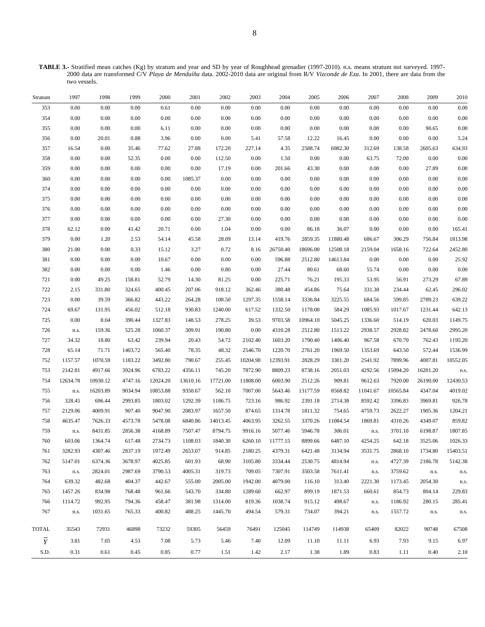**TABLE 3.-** Stratified mean catches (Kg) by stratum and year and SD by year of Roughhead grenadier (1997-2010). n.s. means stratum not surveyed. 1997- 2000 data are transformed C/V *Playa de Menduíña* data. 2002-2010 data are original from R/V *Vizconde de Eza*. In 2001, there are data from the two vessels.

| Stratum        | 1997     | 1998     | 1999    | 2000     | 2001     | 2002     | 2003     | 2004     | 2005     | 2006     | 2007       | 2008     | 2009     | 2010     |
|----------------|----------|----------|---------|----------|----------|----------|----------|----------|----------|----------|------------|----------|----------|----------|
| 353            | 0.00     | $0.00\,$ | 0.00    | 0.61     | 0.00     | 0.00     | $0.00\,$ | 0.00     | 0.00     | $0.00\,$ | 0.00       | 0.00     | 0.00     | $0.00\,$ |
| 354            | $0.00\,$ | 0.00     | 0.00    | 0.00     | 0.00     | 0.00     | 0.00     | 0.00     | $0.00\,$ | $0.00\,$ | 0.00       | 0.00     | 0.00     | $0.00\,$ |
| 355            | $0.00\,$ | 0.00     | 0.00    | 6.11     | 0.00     | 0.00     | 0.00     | 0.00     | 0.00     | 0.00     | 0.00       | $0.00\,$ | 90.65    | $0.00\,$ |
| 356            | 0.00     | 20.01    | 0.88    | 3.96     | 0.00     | $0.00\,$ | 5.41     | 57.58    | 12.22    | 16.45    | 0.00       | $0.00\,$ | $0.00\,$ | 5.24     |
| 357            | 16.54    | 0.00     | 35.46   | 77.62    | 27.88    | 172.20   | 227.14   | 4.35     | 2588.74  | 6982.30  | 312.69     | 138.58   | 2605.63  | 634.93   |
| 358            | 0.00     | 0.00     | 52.35   | 0.00     | 0.00     | 112.50   | 0.00     | 1.50     | $0.00\,$ | $0.00\,$ | 63.75      | 72.00    | $0.00\,$ | $0.00\,$ |
| 359            | $0.00\,$ | 0.00     | 0.00    | 0.00     | 0.00     | 17.19    | 0.00     | 201.66   | 43.30    | $0.00\,$ | 0.00       | 0.00     | 27.89    | 0.00     |
| 360            | $0.00\,$ | 0.00     | 0.00    | 0.00     | 1085.37  | 0.00     | 0.00     | 0.00     | 0.00     | 0.00     | 0.00       | $0.00\,$ | 0.00     | 0.00     |
| 374            | $0.00\,$ | 0.00     | 0.00    | 0.00     | 0.00     | 0.00     | 0.00     | 0.00     | 0.00     | 0.00     | 0.00       | 0.00     | 0.00     | 0.00     |
| 375            | $0.00\,$ | 0.00     | 0.00    | 0.00     | 0.00     | 0.00     | 0.00     | 0.00     | 0.00     | 0.00     | 0.00       | 0.00     | 0.00     | $0.00\,$ |
| 376            | $0.00\,$ | 0.00     | 0.00    | 0.00     | 0.00     | 0.00     | 0.00     | 0.00     | 0.00     | 0.00     | 0.00       | 0.00     | 0.00     | 0.00     |
| 377            | 0.00     | 0.00     | 0.00    | 0.00     | 0.00     | 27.30    | 0.00     | 0.00     | 0.00     | 0.00     | 0.00       | 0.00     | 0.00     | 0.00     |
| 378            | 62.12    | 0.00     | 41.42   | 20.71    | 0.00     | 1.04     | 0.00     | 0.00     | 86.18    | 36.07    | 0.00       | 0.00     | 0.00     | 165.41   |
| 379            | 0.00     | 1.20     | 2.53    | 54.14    | 45.58    | 28.09    | 13.14    | 419.76   | 2859.35  | 11880.48 | 686.67     | 306.29   | 756.84   | 1813.98  |
| 380            | 21.00    | 0.00     | 0.33    | 15.12    | 3.27     | 0.72     | 8.16     | 26750.40 | 18696.00 | 12508.18 | 2159.04    | 1658.16  | 722.64   | 2452.80  |
| 381            | 0.00     | 0.00     | 0.00    | 10.67    | 0.00     | $0.00\,$ | 0.00     | 596.88   | 2512.80  | 14613.84 | 0.00       | 0.00     | $0.00\,$ | 25.92    |
| 382            | $0.00\,$ | 0.00     | 0.00    | 1.46     | 0.00     | 0.80     | 0.00     | 27.44    | 80.61    | 68.60    | 55.74      | 0.00     | 0.00     | $0.00\,$ |
| 721            | $0.00\,$ | 49.25    | 158.81  | 52.79    | 14.30    | 81.25    | $0.00\,$ | 225.71   | 76.21    | 195.33   | 53.95      | 56.91    | 273.29   | 67.89    |
| 722            | 2.15     | 331.80   | 324.65  | 400.45   | 207.06   | 918.12   | 362.46   | 380.48   | 454.86   | 75.64    | 331.38     | 234.44   | 62.45    | 296.02   |
| 723            | 0.00     | 39.59    | 366.82  | 443.22   | 264.28   | 108.50   | 1297.35  | 1558.14  | 3336.84  | 3225.55  | 684.56     | 599.85   | 2789.23  | 639.22   |
| 724            | 69.67    | 131.95   | 456.02  | 512.18   | 930.83   | 1240.00  | 617.52   | 1332.50  | 1178.00  | 584.29   | 1085.93    | 1017.67  | 1231.44  | 642.13   |
| 725            | 0.00     | 8.04     | 390.44  | 1327.83  | 148.53   | 278.25   | 39.53    | 9703.58  | 10964.10 | 5045.25  | 1336.60    | 514.19   | 620.03   | 1149.75  |
| 726            | n.s.     | 159.36   | 525.28  | 1060.37  | 309.91   | 190.80   | 0.00     | 4310.28  | 2512.80  | 1513.22  | 2938.57    | 2928.82  | 2478.60  | 2995.20  |
| 727            | 34.32    | 18.80    | 63.42   | 239.94   | 20.43    | 54.72    | 2102.40  | 1603.20  | 1790.40  | 1406.40  | 967.58     | 670.70   | 762.43   | 1195.20  |
| 728            | 65.14    | 71.71    | 1403.72 | 565.40   | 78.35    | 48.32    | 2546.70  | 1220.70  | 2761.20  | 1969.50  | 1353.69    | 643.50   | 572.44   | 1536.99  |
| 752            | 1157.57  | 1070.59  | 1183.22 | 3492.80  | 790.67   | 255.45   | 10204.90 | 12393.91 | 2828.29  | 3301.20  | 2541.92    | 7899.96  | 4007.81  | 10552.05 |
| 753            | 2142.81  | 4917.66  | 3924.96 | 6783.22  | 4356.11  | 745.20   | 7872.90  | 8809.23  | 8738.16  | 2051.03  | 4292.56    | 15994.20 | 16201.20 | n.s.     |
| 754            | 12634.78 | 10930.12 | 4747.16 | 12024.20 | 13610.16 | 17721.00 | 11808.00 | 6003.90  | 2512.26  | 909.81   | 9612.63    | 7920.00  | 26190.00 | 12430.53 |
| 755            | n.s.     | 16203.89 | 9034.94 | 10853.88 | 9350.67  | 562.10   | 7007.00  | 5643.46  | 13177.59 | 8568.82  | 11041.67   | 10565.84 | 4347.04  | 4019.02  |
| 756            | 328.45   | 696.44   | 2993.85 | 1803.02  | 1292.39  | 1186.75  | 723.16   | 986.92   | 2391.18  | 2714.38  | 8592.42    | 3396.83  | 3969.81  | 926.78   |
| 757            | 2129.06  | 4009.91  | 907.40  | 9047.90  | 2083.97  | 1657.50  | 874.65   | 1314.78  | 1811.32  | 754.65   | 4759.73    | 2622.27  | 1905.36  | 1204.21  |
| 758            | 4635.47  | 7626.33  | 4573.78 | 5478.08  | 6840.86  | 14013.45 | 4063.95  | 3262.55  | 3370.26  | 11084.54 | 1869.81    | 4310.26  | 4349.07  | 859.82   |
| 759            | n.s.     | 8431.85  | 2856.38 | 4168.89  | 7507.47  | 8794.75  | 9916.16  | 5077.46  | 5946.78  | 306.01   | $\rm n.s.$ | 3701.10  | 6198.87  | 1807.85  |
| 760            | 603.06   | 1364.74  | 617.48  | 2734.73  | 1108.03  | 1840.30  | 6260.10  | 11777.15 | 8899.66  | 6487.10  | 4254.25    | 642.18   | 3525.06  | 1026.33  |
| 761            | 3282.93  | 4307.46  | 2837.19 | 1972.49  | 2653.07  | 914.85   | 2180.25  | 4379.31  | 6421.48  | 3134.94  | 3531.75    | 2868.10  | 1734.80  | 15403.51 |
| 762            | 5147.01  | 6374.36  | 3678.97 | 4025.85  | 601.93   | 68.90    | 3105.80  | 3334.44  | 2530.75  | 4814.94  | n.s.       | 4727.39  | 2186.78  | 5142.38  |
| 763            | n.s.     | 2824.01  | 2987.69 | 3790.53  | 4005.31  | 319.73   | 709.05   | 7307.91  | 3503.58  | 7611.41  | n.s.       | 3759.62  | n.s.     | n.s.     |
| 764            | 639.32   | 482.68   | 404.37  | 442.67   | 555.00   | 2005.00  | 1942.00  | 4079.00  | 116.10   | 313.40   | 2221.30    | 1173.45  | 2054.30  | n.s.     |
| 765            | 1457.26  | 834.98   | 768.48  | 961.66   | 543.70   | 334.80   | 1289.60  | 662.97   | 899.19   | 1871.53  | 660.61     | 854.73   | 804.14   | 229.83   |
| 766            | 1114.72  | 992.95   | 794.36  | 458.47   | 381.98   | 1314.00  | 819.36   | 1038.74  | 915.12   | 498.67   | n.s.       | 1186.92  | 280.15   | 285.41   |
| 767            | n.s.     | 1031.65  | 765.33  | 400.82   | 488.25   | 1445.70  | 494.54   | 579.31   | 734.07   | 394.21   | n.s.       | 1557.72  | n.s.     | n.s.     |
| <b>TOTAL</b>   | 35543    | 72931    | 46898   | 73232    | 59305    | 56459    | 76491    | 125045   | 114749   | 114938   | 65409      | 82022    | 90748    | 67508    |
| $\overline{Y}$ | 3.81     | 7.05     | 4.53    | 7.08     | 5.73     | 5.46     | 7.40     | 12.09    | 11.10    | 11.11    | 6.93       | 7.93     | 9.15     | 6.97     |
| S.D.           | 0.31     | 0.61     | 0.45    | 0.85     | 0.77     | 1.51     | 1.42     | 2.17     | 1.38     | 1.89     | 0.83       | 1.11     | 0.40     | 2.10     |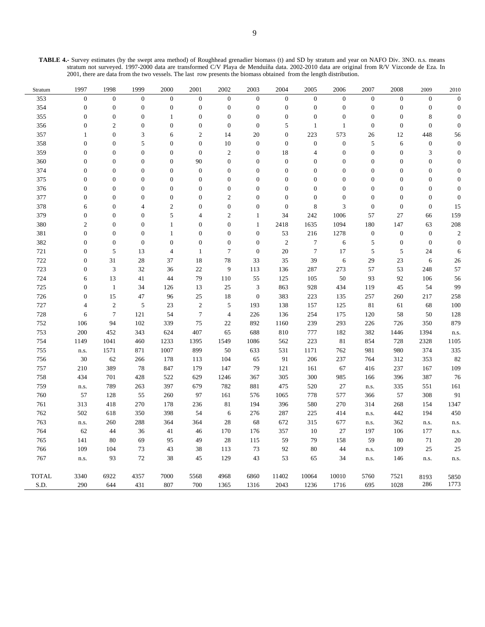**TABLE 4.-** Survey estimates (by the swept area method) of Roughhead grenadier biomass (t) and SD by stratum and year on NAFO Div. 3NO. n.s. means stratum not surveyed. 1997-2000 data are transformed C/V Playa de Menduíña data. 2002-2010 data are original from R/V Vizconde de Eza. In 2001, there are data from the two vessels. The last row presents the biomass obtained from the length distribution.

| Stratum      | 1997               | 1998             | 1999             | 2000             | 2001             | 2002             | 2003             | 2004             | 2005             | 2006             | 2007             | 2008             | 2009             | 2010             |
|--------------|--------------------|------------------|------------------|------------------|------------------|------------------|------------------|------------------|------------------|------------------|------------------|------------------|------------------|------------------|
| 353          | $\boldsymbol{0}$   | $\overline{0}$   | $\boldsymbol{0}$ | $\mathbf{0}$     | $\boldsymbol{0}$ | $\boldsymbol{0}$ | $\mathbf{0}$     | $\boldsymbol{0}$ | $\mathbf{0}$     | $\boldsymbol{0}$ | $\boldsymbol{0}$ | $\boldsymbol{0}$ | $\boldsymbol{0}$ | $\boldsymbol{0}$ |
| 354          | $\boldsymbol{0}$   | $\boldsymbol{0}$ | $\boldsymbol{0}$ | $\boldsymbol{0}$ | $\boldsymbol{0}$ | $\boldsymbol{0}$ | $\boldsymbol{0}$ | $\boldsymbol{0}$ | $\boldsymbol{0}$ | $\boldsymbol{0}$ | $\boldsymbol{0}$ | $\boldsymbol{0}$ | $\boldsymbol{0}$ | $\mathbf{0}$     |
| 355          | $\boldsymbol{0}$   | $\boldsymbol{0}$ | $\boldsymbol{0}$ | $\mathbf{1}$     | $\boldsymbol{0}$ | $\boldsymbol{0}$ | $\boldsymbol{0}$ | $\boldsymbol{0}$ | $\boldsymbol{0}$ | $\boldsymbol{0}$ | $\boldsymbol{0}$ | $\boldsymbol{0}$ | $\,$ 8 $\,$      | $\overline{0}$   |
| 356          | $\boldsymbol{0}$   | $\overline{2}$   | $\boldsymbol{0}$ | $\overline{0}$   | $\boldsymbol{0}$ | $\boldsymbol{0}$ | $\boldsymbol{0}$ | 5                | $\mathbf{1}$     | $\mathbf{1}$     | $\boldsymbol{0}$ | $\boldsymbol{0}$ | $\boldsymbol{0}$ | $\mathbf{0}$     |
| 357          | $\mathbf{1}$       | $\boldsymbol{0}$ | 3                | 6                | $\mathfrak{2}$   | 14               | 20               | $\boldsymbol{0}$ | 223              | 573              | 26               | 12               | 448              | 56               |
| 358          | $\boldsymbol{0}$   | $\boldsymbol{0}$ | 5                | $\overline{0}$   | $\boldsymbol{0}$ | 10               | $\boldsymbol{0}$ | $\boldsymbol{0}$ | $\boldsymbol{0}$ | $\boldsymbol{0}$ | 5                | $\sqrt{6}$       | $\boldsymbol{0}$ | $\overline{0}$   |
| 359          | $\boldsymbol{0}$   | $\boldsymbol{0}$ | $\boldsymbol{0}$ | $\boldsymbol{0}$ | $\boldsymbol{0}$ | $\overline{2}$   | $\boldsymbol{0}$ | 18               | $\overline{4}$   | $\boldsymbol{0}$ | $\boldsymbol{0}$ | $\boldsymbol{0}$ | 3                | $\boldsymbol{0}$ |
| 360          | $\boldsymbol{0}$   | $\boldsymbol{0}$ | $\boldsymbol{0}$ | $\boldsymbol{0}$ | 90               | $\boldsymbol{0}$ | $\boldsymbol{0}$ | $\boldsymbol{0}$ | $\boldsymbol{0}$ | $\boldsymbol{0}$ | $\mathbf{0}$     | $\boldsymbol{0}$ | 0                | $\mathbf{0}$     |
| 374          | $\boldsymbol{0}$   | $\boldsymbol{0}$ | $\boldsymbol{0}$ | $\mathbf{0}$     | $\boldsymbol{0}$ | $\boldsymbol{0}$ | $\boldsymbol{0}$ | $\boldsymbol{0}$ | $\boldsymbol{0}$ | $\boldsymbol{0}$ | $\overline{0}$   | $\boldsymbol{0}$ | $\boldsymbol{0}$ | $\mathbf{0}$     |
| 375          | $\boldsymbol{0}$   | $\boldsymbol{0}$ | $\boldsymbol{0}$ | $\boldsymbol{0}$ | $\boldsymbol{0}$ | $\boldsymbol{0}$ | $\mathbf{0}$     | $\boldsymbol{0}$ | $\mathbf{0}$     | $\boldsymbol{0}$ | $\mathbf{0}$     | $\mathbf{0}$     | $\boldsymbol{0}$ | $\boldsymbol{0}$ |
| 376          | $\boldsymbol{0}$   | $\boldsymbol{0}$ | $\boldsymbol{0}$ | $\boldsymbol{0}$ | $\boldsymbol{0}$ | $\boldsymbol{0}$ | $\boldsymbol{0}$ | $\mathbf{0}$     | $\boldsymbol{0}$ | $\boldsymbol{0}$ | $\boldsymbol{0}$ | $\boldsymbol{0}$ | $\boldsymbol{0}$ | $\overline{0}$   |
| 377          | $\boldsymbol{0}$   | $\boldsymbol{0}$ | $\boldsymbol{0}$ | $\overline{0}$   | $\boldsymbol{0}$ | $\overline{c}$   | $\boldsymbol{0}$ | $\mathbf{0}$     | $\boldsymbol{0}$ | $\boldsymbol{0}$ | $\mathbf{0}$     | $\boldsymbol{0}$ | $\boldsymbol{0}$ | $\overline{0}$   |
| 378          | 6                  | $\boldsymbol{0}$ | $\overline{4}$   | $\mathfrak{2}$   | $\boldsymbol{0}$ | $\boldsymbol{0}$ | $\mathbf{0}$     | $\mathbf{0}$     | 8                | $\mathfrak{Z}$   | $\boldsymbol{0}$ | $\boldsymbol{0}$ | $\boldsymbol{0}$ | 15               |
| 379          | $\boldsymbol{0}$   | $\boldsymbol{0}$ | $\boldsymbol{0}$ | 5                | $\overline{4}$   | $\overline{c}$   | $\mathbf{1}$     | 34               | 242              | 1006             | 57               | $27\,$           | 66               | 159              |
| 380          | $\mathbf{2}$       | $\boldsymbol{0}$ | $\boldsymbol{0}$ | $\mathbf{1}$     | $\boldsymbol{0}$ | $\boldsymbol{0}$ | $\mathbf{1}$     | 2418             | 1635             | 1094             | 180              | 147              | 63               | 208              |
| 381          | $\boldsymbol{0}$   | $\boldsymbol{0}$ | $\boldsymbol{0}$ | $\mathbf{1}$     | $\boldsymbol{0}$ | $\boldsymbol{0}$ | $\boldsymbol{0}$ | 53               | 216              | 1278             | $\boldsymbol{0}$ | $\boldsymbol{0}$ | $\mathbf{0}$     | $\overline{c}$   |
| 382          | $\boldsymbol{0}$   | $\boldsymbol{0}$ | $\boldsymbol{0}$ | $\boldsymbol{0}$ | $\boldsymbol{0}$ | $\boldsymbol{0}$ | $\boldsymbol{0}$ | $\mathfrak{2}$   | $\boldsymbol{7}$ | 6                | $\sqrt{5}$       | $\boldsymbol{0}$ | $\mathbf{0}$     | $\overline{0}$   |
| 721          | $\boldsymbol{0}$   | 5                | 13               | $\overline{4}$   | $\mathbf{1}$     | $\tau$           | $\boldsymbol{0}$ | 20               | $\tau$           | 17               | 5                | 5                | 24               | 6                |
| 722          | $\boldsymbol{0}$   | 31               | 28               | 37               | 18               | 78               | 33               | 35               | 39               | $\sqrt{6}$       | 29               | 23               | $\sqrt{6}$       | 26               |
| 723          | $\boldsymbol{0}$   | 3                | 32               | 36               | 22               | 9                | 113              | 136              | 287              | 273              | 57               | 53               | 248              | 57               |
| 724          | 6                  | 13               | 41               | 44               | 79               | 110              | 55               | 125              | 105              | 50               | 93               | 92               | 106              | 56               |
| 725          | $\boldsymbol{0}$   | $\mathbf{1}$     | 34               | 126              | 13               | 25               | $\mathfrak{Z}$   | 863              | 928              | 434              | 119              | 45               | 54               | 99               |
| 726          | $\boldsymbol{0}$   | 15               | 47               | 96               | 25               | 18               | $\boldsymbol{0}$ | 383              | 223              | 135              | 257              | 260              | 217              | 258              |
| 727          | 4                  | $\sqrt{2}$       | $\sqrt{5}$       | 23               | $\sqrt{2}$       | $\sqrt{5}$       | 193              | 138              | 157              | 125              | 81               | 61               | 68               | 100              |
| 728          | 6                  | $\overline{7}$   | 121              | 54               | $\boldsymbol{7}$ | $\overline{4}$   | 226              | 136              | 254              | 175              | 120              | 58               | 50               | 128              |
| 752          | 106                | 94               | 102              | 339              | 75               | 22               | 892              | 1160             | 239              | 293              | 226              | 726              | 350              | 879              |
| 753          | 200                | 452              | 343              | 624              | 407              | 65               | 688              | 810              | 777              | 182              | 382              | 1446             | 1394             | n.s.             |
| 754          | 1149               | 1041             | 460              | 1233             | 1395             | 1549             | 1086             | 562              | 223              | 81               | 854              | 728              | 2328             | 1105             |
| 755          | n.s.               | 1571             | 871              | 1007             | 899              | 50               | 633              | 531              | 1171             | 762              | 981              | 980              | 374              | 335              |
| 756          | 30                 | 62               | 266              | 178              | 113              | 104              | 65               | 91               | 206              | 237              | 764              | 312              | 353              | 82               |
| 757          | 210                | 389              | 78               | 847              | 179              | 147              | 79               | 121              | 161              | 67               | 416              | 237              | 167              | 109              |
| 758          | 434                | 701              | 428              | 522              | 629              | 1246             | 367              | 305              | 300              | 985              | 166              | 396              | 387              | 76               |
| 759          | n.s.               | 789              | 263              | 397              | 679              | 782              | 881              | 475              | 520              | 27               | n.s.             | 335              | 551              | 161              |
| 760          | 57                 | 128              | 55               | 260              | 97               | 161              | 576              | 1065             | 778              | 577              | 366              | 57               | 308              | 91               |
| 761          | 313                | 418              | 270              | 178              | 236              | 81               | 194              | 396              | 580              | 270              | 314              | 268              | 154              | 1347             |
| 762          | 502                | 618              | 350              | 398              | 54               | 6                | 276              | 287              | 225              | 414              | n.s.             | 442              | 194              | 450              |
| 763          | ${\bf n}.{\bf s}.$ | 260              | 288              | 364              | 364              | 28               | 68               | 672              | 315              | 677              | n.s.             | 362              | n.s.             | n.s.             |
| 764          | 62                 | 44               | 36               | 41               | 46               | 170              | 176              | 357              | 10               | 27               | 197              | 106              | 177              | n.s.             |
| 765          | 141                | 80               | 69               | 95               | 49               | 28               | 115              | 59               | 79               | 158              | 59               | 80               | 71               | 20               |
| 766          | 109                | 104              | 73               | 43               | 38               | 113              | 73               | 92               | 80               | 44               | n.s.             | 109              | 25               | 25               |
| 767          | n.s.               | 93               | $72\,$           | 38               | 45               | 129              | 43               | 53               | 65               | 34               | n.s.             | 146              | n.s.             | n.s.             |
| <b>TOTAL</b> | 3340               | 6922             | 4357             | 7000             | 5568             | 4968             | 6860             | 11402            | 10064            | 10010            | 5760             | 7521             | 8193             | 5850             |
| S.D.         | 290                | 644              | 431              | 807              | 700              | 1365             | 1316             | 2043             | 1236             | 1716             | 695              | 1028             | 286              | 1773             |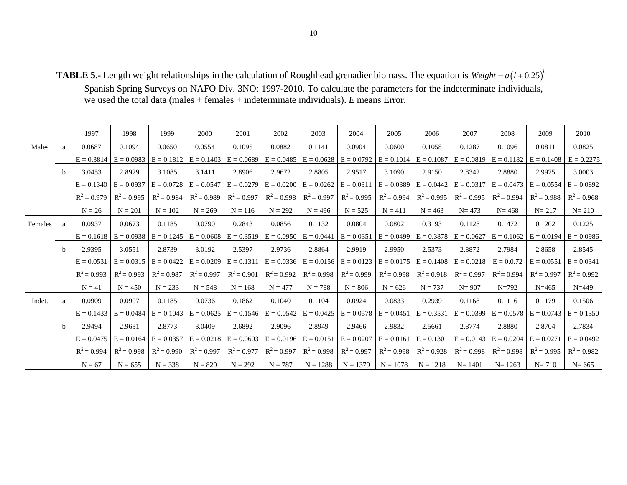**TABLE 5.-** Length weight relationships in the calculation of Roughhead grenadier biomass. The equation is  $Weight = a(1 + 0.25)^{b}$ 

Spanish Spring Surveys on NAFO Div. 3NO: 1997-2010. To calculate the parameters for the indeterminate individuals, we used the total data (males + females + indeterminate individuals). *E* means Error.

|         |              | 1997          | 1998          | 1999          | 2000          | 2001                                   | 2002                      | 2003                      | 2004          | 2005                                   | 2006          | 2007          | 2008          | 2009                      | 2010                      |
|---------|--------------|---------------|---------------|---------------|---------------|----------------------------------------|---------------------------|---------------------------|---------------|----------------------------------------|---------------|---------------|---------------|---------------------------|---------------------------|
| Males   | a            | 0.0687        | 0.1094        | 0.0650        | 0.0554        | 0.1095                                 | 0.0882                    | 0.1141                    | 0.0904        | 0.0600                                 | 0.1058        | 0.1287        | 0.1096        | 0.0811                    | 0.0825                    |
|         |              | $E = 0.3814$  | $E = 0.0983$  | $E = 0.1812$  | $E = 0.1403$  | $E = 0.0689$                           | $E = 0.0485$              | $E = 0.0628$              | $E = 0.0792$  | $E = 0.1014$                           | $E = 0.1087$  | $E = 0.0819$  | $E = 0.1182$  | $E = 0.1408$              | $E = 0.2275$              |
|         | b            | 3.0453        | 2.8929        | 3.1085        | 3.1411        | 2.8906                                 | 2.9672                    | 2.8805                    | 2.9517        | 3.1090                                 | 2.9150        | 2.8342        | 2.8880        | 2.9975                    | 3.0003                    |
|         |              | $E = 0.1340$  | $E = 0.0937$  | $E = 0.0728$  | $E = 0.0547$  | $E = 0.0279$                           |                           | $E = 0.0200$ $E = 0.0262$ |               | $E = 0.0311$ $E = 0.0389$              | $E = 0.0442$  | $E = 0.0317$  | $E = 0.0473$  | $E = 0.0554$ $E = 0.0892$ |                           |
|         |              | $R^2 = 0.979$ | $R^2 = 0.995$ | $R^2 = 0.984$ | $R^2 = 0.989$ | $R^2 = 0.997$                          | $R^2 = 0.998$             | $R^2 = 0.997$             | $R^2 = 0.995$ | $R^2 = 0.994$                          | $R^2 = 0.995$ | $R^2 = 0.995$ | $R^2 = 0.994$ | $R^2 = 0.988$             | $R^2 = 0.968$             |
|         |              | $N = 26$      | $N = 201$     | $N = 102$     | $N = 269$     | $N = 116$                              | $N = 292$                 | $N = 496$                 | $N = 525$     | $N = 411$                              | $N = 463$     | $N = 473$     | $N = 468$     | $N = 217$                 | $N = 210$                 |
| Females | a            | 0.0937        | 0.0673        | 0.1185        | 0.0790        | 0.2843                                 | 0.0856                    | 0.1132                    | 0.0804        | 0.0802                                 | 0.3193        | 0.1128        | 0.1472        | 0.1202                    | 0.1225                    |
|         |              | $E = 0.1618$  | $E = 0.0938$  | $E = 0.1245$  | $E = 0.0608$  | $E = 0.3519$                           | $E = 0.0950$              | $E = 0.0441$              |               | $E = 0.0351$ $E = 0.0499$              | $E = 0.3878$  | $E = 0.0627$  | $E = 0.1062$  | $E = 0.0194$              | $E = 0.0986$              |
|         | <sub>b</sub> | 2.9395        | 3.0551        | 2.8739        | 3.0192        | 2.5397                                 | 2.9736                    | 2.8864                    | 2.9919        | 2.9950                                 | 2.5373        | 2.8872        | 2.7984        | 2.8658                    | 2.8545                    |
|         |              | $E = 0.0531$  | $E = 0.0315$  | $E = 0.0422$  | $E = 0.0209$  | $E = 0.1311$                           |                           | $E = 0.0336$ $E = 0.0156$ |               | $E = 0.0123$ $E = 0.0175$ $E = 0.1408$ |               | $E = 0.0218$  | $E = 0.0.72$  | $E = 0.0551$ $E = 0.0341$ |                           |
|         |              | $R^2 = 0.993$ | $R^2 = 0.993$ | $R^2 = 0.987$ | $R^2 = 0.997$ | $R^2 = 0.901$                          | $R^2 = 0.992$             | $R^2 = 0.998$             | $R^2 = 0.999$ | $R^2 = 0.998$                          | $R^2 = 0.918$ | $R^2 = 0.997$ | $R^2 = 0.994$ | $R^2 = 0.997$             | $R^2 = 0.992$             |
|         |              | $N = 41$      | $N = 450$     | $N = 233$     | $N = 548$     | $N = 168$                              | $N = 477$                 | $N = 788$                 | $N = 806$     | $N = 626$                              | $N = 737$     | $N = 907$     | $N = 792$     | $N = 465$                 | $N = 449$                 |
| Indet.  | $\mathbf{a}$ | 0.0909        | 0.0907        | 0.1185        | 0.0736        | 0.1862                                 | 0.1040                    | 0.1104                    | 0.0924        | 0.0833                                 | 0.2939        | 0.1168        | 0.1116        | 0.1179                    | 0.1506                    |
|         |              | $E = 0.1433$  | $E = 0.0484$  |               |               | $E = 0.1043$ $E = 0.0625$ $E = 0.1546$ | $E = 0.0542$ $E = 0.0425$ |                           |               | $E = 0.0578$ $E = 0.0451$              | $E = 0.3531$  | $E = 0.0399$  | $E = 0.0578$  |                           | $E = 0.0743$ $E = 0.1350$ |
|         | <sub>b</sub> | 2.9494        | 2.9631        | 2.8773        | 3.0409        | 2.6892                                 | 2.9096                    | 2.8949                    | 2.9466        | 2.9832                                 | 2.5661        | 2.8774        | 2.8880        | 2.8704                    | 2.7834                    |
|         |              | $E = 0.0475$  | $E = 0.0164$  |               |               | $E = 0.0357$ $E = 0.0218$ $E = 0.0603$ |                           | $E = 0.0196$ $E = 0.0151$ |               | $E = 0.0207$ $E = 0.0161$              | $E = 0.1301$  | $E = 0.0143$  | $E = 0.0204$  | $E = 0.0271$              | $E = 0.0492$              |
|         |              | $R^2 = 0.994$ | $R^2 = 0.998$ | $R^2 = 0.990$ | $R^2 = 0.997$ | $R^2 = 0.977$                          | $R^2 = 0.997$             | $R^2 = 0.998$             | $R^2 = 0.997$ | $R^2 = 0.998$                          | $R^2 = 0.928$ | $R^2 = 0.998$ | $R^2 = 0.998$ | $R^2 = 0.995$             | $R^2 = 0.982$             |
|         |              | $N = 67$      | $N = 655$     | $N = 338$     | $N = 820$     | $N = 292$                              | $N = 787$                 | $N = 1288$                | $N = 1379$    | $N = 1078$                             | $N = 1218$    | $N = 1401$    | $N = 1263$    | $N = 710$                 | $N = 665$                 |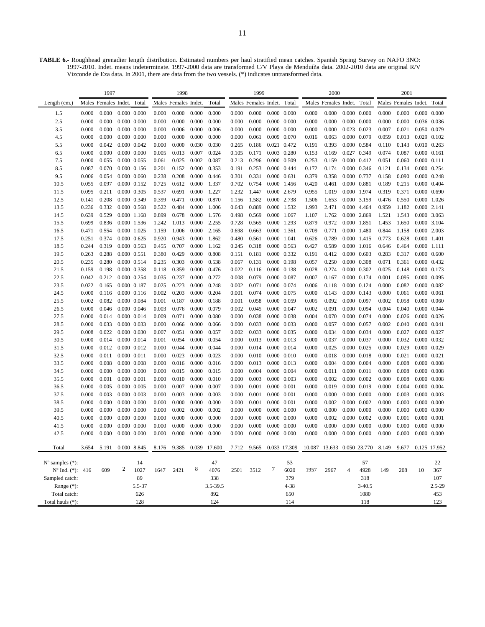**TABLE 6.-** Roughhead grenadier length distribution. Estimated numbers per haul stratified mean catches. Spanish Spring Survey on NAFO 3NO: 1997-2010. Indet. means indeterminate. 1997-2000 data are transformed C/V Playa de Menduíña data. 2002-2010 data are original R/V Vizconde de Eza data. In 2001, there are data from the two vessels. (\*) indicates untransformed data.

|                                                          |       | 1997                       |                  |                 |       | 1998                 |       |            |       | 1999                       |                     |                     |       | 2000                       |                |                     |       | 2001                 |                     |                     |
|----------------------------------------------------------|-------|----------------------------|------------------|-----------------|-------|----------------------|-------|------------|-------|----------------------------|---------------------|---------------------|-------|----------------------------|----------------|---------------------|-------|----------------------|---------------------|---------------------|
| Length $(cm.)$                                           |       | Males Females Indet. Total |                  |                 |       | Males Females Indet. |       | Total      |       | Males Females Indet. Total |                     |                     |       | Males Females Indet.       |                | Total               |       | Males Females Indet. |                     | Total               |
| 1.5                                                      | 0.000 | 0.000                      |                  | $0.000$ $0.000$ | 0.000 | 0.000                | 0.000 | 0.000      | 0.000 | 0.000                      |                     | 0.000 0.000         | 0.000 | 0.000                      |                | $0.000 \quad 0.000$ | 0.000 | 0.000                |                     | $0.000 \quad 0.000$ |
| 2.5                                                      | 0.000 | 0.000                      |                  | $0.000$ $0.000$ | 0.000 | 0.000                | 0.000 | 0.000      | 0.000 | 0.000                      |                     | $0.000 \quad 0.000$ | 0.000 | 0.000                      |                | $0.000 \quad 0.000$ | 0.000 | 0.000                |                     | 0.036 0.036         |
| 3.5                                                      | 0.000 | 0.000                      | $0.000$ $0.000$  |                 | 0.000 | 0.006                | 0.000 | 0.006      | 0.000 | 0.000                      |                     | $0.000 \quad 0.000$ | 0.000 | 0.000                      |                | 0.023 0.023         | 0.007 | 0.021                |                     | 0.050 0.079         |
| 4.5                                                      | 0.000 | 0.000                      | $0.000$ $0.000$  |                 | 0.000 | 0.000                | 0.000 | 0.000      | 0.000 | 0.061                      |                     | 0.009 0.070         | 0.016 | 0.063                      |                | 0.000 0.079         | 0.059 | 0.013                | 0.029 0.102         |                     |
| 5.5                                                      | 0.000 | 0.042                      | 0.000 0.042      |                 | 0.000 | 0.000                | 0.030 | 0.030      | 0.265 | 0.186                      |                     | 0.021 0.472         | 0.191 | 0.393                      |                | 0.000 0.584         | 0.110 | 0.143                | 0.010 0.263         |                     |
| 6.5                                                      | 0.000 | 0.000                      | $0.000$ $0.000$  |                 | 0.005 | 0.013                | 0.007 | 0.024      | 0.105 | 0.171                      |                     | 0.003 0.280         | 0.153 | 0.169                      |                | 0.027 0.349         | 0.074 | 0.087                |                     | $0.000$ $0.161$     |
| 7.5                                                      | 0.000 | 0.055                      | 0.000 0.055      |                 | 0.061 | 0.025                | 0.002 | 0.087      | 0.213 | 0.296                      |                     | 0.000 0.509         | 0.253 | 0.159                      |                | 0.000 0.412         | 0.051 | 0.060                | $0.000$ $0.111$     |                     |
| 8.5                                                      | 0.087 | 0.070                      |                  | 0.000 0.156     | 0.201 | 0.152                | 0.000 | 0.353      | 0.191 | 0.253                      | 0.000 0.444         |                     | 0.172 | 0.174                      |                | 0.000 0.346         | 0.121 | 0.134                |                     | 0.000 0.254         |
| 9.5                                                      | 0.006 | 0.054                      | $0.000$ $0.060$  |                 | 0.238 | 0.208                | 0.000 | 0.446      | 0.301 | 0.331                      | 0.000 0.631         |                     | 0.379 | 0.358                      |                | 0.000 0.737         | 0.158 | 0.090                | 0.000 0.248         |                     |
| 10.5                                                     | 0.055 | 0.097                      |                  | 0.000 0.152     | 0.725 | 0.612                | 0.000 | 1.337      | 0.702 | 0.754                      |                     | 0.000 1.456         | 0.420 | 0.461                      | 0.000 0.881    |                     | 0.189 | 0.215                | 0.000 0.404         |                     |
| 11.5                                                     | 0.095 | 0.211                      | 0.000 0.305      |                 | 0.537 | 0.691                | 0.000 | 1.227      | 1.232 | 1.447                      | 0.000 2.679         |                     | 0.955 | 1.019                      |                | 0.000 1.974         | 0.319 | 0.371                | $0.000 \quad 0.690$ |                     |
| 12.5                                                     | 0.141 | 0.208                      | 0.000 0.349      |                 | 0.399 | 0.471                | 0.000 | 0.870      | 1.156 | 1.582                      |                     | 0.000 2.738         | 1.506 | 1.653                      |                | 0.000 3.159         | 0.476 | 0.550                |                     | 0.000 1.026         |
| 13.5                                                     | 0.236 | 0.332                      | 0.000 0.568      |                 | 0.522 | 0.484                | 0.000 | 1.006      | 0.643 | 0.889                      |                     | 0.000 1.532         | 1.993 | 2.471                      |                | 0.000 4.464         | 0.959 | 1.182                | 0.000 2.141         |                     |
| 14.5                                                     | 0.639 | 0.529                      | 0.000 1.168      |                 | 0.899 | 0.678                | 0.000 | 1.576      | 0.498 | 0.569                      | 0.000 1.067         |                     | 1.107 | 1.762                      |                | 0.000 2.869         | 1.521 | 1.543                |                     | 0.000 3.063         |
| 15.5                                                     | 0.699 | 0.836                      |                  | 0.000 1.536     | 1.242 | 1.013                | 0.000 | 2.255      | 0.728 | 0.565                      | 0.000 1.293         |                     | 0.879 | 0.972                      | 0.000 1.851    |                     | 1.453 | 1.650                | 0.000 3.104         |                     |
| 16.5                                                     | 0.471 | 0.554                      |                  | 0.000 1.025     | 1.159 | 1.006                | 0.000 | 2.165      | 0.698 | 0.663                      | 0.000 1.361         |                     | 0.709 | 0.771                      |                | 0.000 1.480         | 0.844 | 1.158                |                     | 0.000 2.003         |
| 17.5                                                     | 0.251 | 0.374                      | $0.000$ $0.625$  |                 | 0.920 | 0.943                | 0.000 | 1.862      | 0.480 | 0.561                      | 0.000 1.041         |                     | 0.626 | 0.789                      |                | 0.000 1.415         | 0.773 | 0.628                | 0.000 1.401         |                     |
| 18.5                                                     | 0.244 | 0.319                      | 0.000 0.563      |                 | 0.455 | 0.707                | 0.000 | 1.162      | 0.245 | 0.318                      | $0.000 \quad 0.563$ |                     | 0.427 | 0.589                      |                | 0.000 1.016         | 0.646 | 0.464                | 0.000 1.111         |                     |
| 19.5                                                     | 0.263 | 0.288                      | 0.000 0.551      |                 | 0.380 | 0.429                | 0.000 | 0.808      | 0.151 | 0.181                      |                     | 0.000 0.332         | 0.191 | 0.412                      |                | $0.000 \quad 0.603$ | 0.283 | 0.317                | $0.000 \quad 0.600$ |                     |
| 20.5                                                     | 0.235 | 0.280                      | 0.000 0.514      |                 | 0.235 | 0.303                | 0.000 | 0.538      | 0.067 | 0.131                      |                     | 0.000 0.198         | 0.057 | 0.250                      |                | 0.000 0.308         | 0.071 | 0.361                |                     | 0.000 0.432         |
| 21.5                                                     | 0.159 | 0.198                      | 0.000 0.358      |                 | 0.118 | 0.359                | 0.000 | 0.476      | 0.022 | 0.116                      |                     | 0.000 0.138         | 0.028 | 0.274                      |                | 0.000 0.302         | 0.025 | 0.148                | 0.000 0.173         |                     |
| 22.5                                                     | 0.042 | 0.212                      | 0.000 0.254      |                 | 0.035 | 0.237                | 0.000 | 0.272      | 0.008 | 0.079                      | 0.000 0.087         |                     | 0.007 | 0.167                      |                | 0.000 0.174         | 0.001 | 0.095                |                     | 0.000 0.095         |
| 23.5                                                     | 0.022 | 0.165                      | 0.000 0.187      |                 | 0.025 | 0.223                | 0.000 | 0.248      | 0.002 | 0.071                      |                     | 0.000 0.074         | 0.006 | 0.118                      |                | 0.000 0.124         | 0.000 | 0.082                | 0.000 0.082         |                     |
| 24.5                                                     | 0.000 | 0.116                      |                  | $0.000$ $0.116$ | 0.002 | 0.203                | 0.000 | 0.204      | 0.001 | 0.074                      | 0.000 0.075         |                     | 0.000 | 0.143                      |                | $0.000 \quad 0.143$ | 0.000 | 0.061                |                     | $0.000$ $0.061$     |
| 25.5                                                     | 0.002 | 0.082                      | 0.000 0.084      |                 | 0.001 | 0.187                | 0.000 | 0.188      | 0.001 | 0.058                      | 0.000 0.059         |                     | 0.005 | 0.092                      |                | 0.000 0.097         | 0.002 | 0.058                |                     | $0.000 \quad 0.060$ |
| 26.5                                                     | 0.000 | 0.046                      |                  | 0.000 0.046     | 0.003 | 0.076                | 0.000 | 0.079      | 0.002 | 0.045                      | 0.000 0.047         |                     | 0.002 | 0.091                      |                | 0.000 0.094         | 0.004 | 0.040                | 0.000 0.044         |                     |
| 27.5                                                     | 0.000 | 0.014                      |                  | 0.000 0.014     | 0.009 | 0.071                | 0.000 | 0.080      | 0.000 | 0.038                      | 0.000 0.038         |                     | 0.004 | 0.070                      |                | 0.000 0.074         | 0.000 | 0.026                |                     | $0.000 \quad 0.026$ |
| 28.5                                                     | 0.000 | 0.033                      | 0.000 0.033      |                 | 0.000 | 0.066                | 0.000 | 0.066      | 0.000 | 0.033                      | 0.000 0.033         |                     | 0.000 | 0.057                      |                | 0.000 0.057         | 0.002 | 0.040                |                     | 0.000 0.041         |
| 29.5                                                     | 0.008 | 0.022                      | 0.000 0.030      |                 | 0.007 | 0.051                | 0.000 | 0.057      | 0.002 | 0.033                      | 0.000 0.035         |                     | 0.000 | 0.034                      |                | 0.000 0.034         | 0.000 | 0.027                | 0.000 0.027         |                     |
| 30.5                                                     | 0.000 | 0.014                      | 0.000 0.014      |                 | 0.001 | 0.054                | 0.000 | 0.054      | 0.000 | 0.013                      | $0.000 \quad 0.013$ |                     | 0.000 | 0.037                      |                | 0.000 0.037         | 0.000 | 0.032                |                     | 0.000 0.032         |
| 31.5                                                     | 0.000 | 0.012                      | 0.000 0.012      |                 | 0.000 | 0.044                | 0.000 | 0.044      | 0.000 | 0.014                      | 0.000 0.014         |                     | 0.000 | 0.025                      |                | 0.000 0.025         | 0.000 | 0.029                |                     | 0.000 0.029         |
| 32.5                                                     | 0.000 | 0.011                      | 0.000 0.011      |                 | 0.000 | 0.023                | 0.000 | 0.023      | 0.000 | 0.010                      |                     | 0.000 0.010         | 0.000 | 0.018                      |                | $0.000$ $0.018$     | 0.000 | 0.021                | 0.000 0.021         |                     |
| 33.5                                                     | 0.000 | 0.008                      | $0.000$ $0.008$  |                 | 0.000 | 0.016                | 0.000 | 0.016      | 0.000 | 0.013                      | 0.000 0.013         |                     | 0.000 | 0.004                      |                | $0.000 \quad 0.004$ | 0.000 | 0.008                |                     | $0.000 \quad 0.008$ |
| 34.5                                                     | 0.000 | 0.000                      | $0.000$ $0.000$  |                 | 0.000 | 0.015                | 0.000 | 0.015      | 0.000 | 0.004                      | $0.000 \quad 0.004$ |                     | 0.000 | 0.011                      | 0.000 0.011    |                     | 0.000 | 0.008                |                     | $0.000 \quad 0.008$ |
| 35.5                                                     | 0.000 | 0.001                      | 0.000 0.001      |                 | 0.000 | 0.010                | 0.000 | 0.010      | 0.000 | 0.003                      | 0.000 0.003         |                     | 0.000 | 0.002                      |                | $0.000 \quad 0.002$ | 0.000 | 0.008                |                     | $0.000 \quad 0.008$ |
| 36.5                                                     | 0.000 | 0.005                      | 0.000 0.005      |                 | 0.000 | 0.007                | 0.000 | 0.007      | 0.000 | 0.001                      | 0.000 0.001         |                     | 0.000 | 0.019                      |                | 0.000 0.019         | 0.000 | 0.004                |                     | 0.000 0.004         |
| 37.5                                                     | 0.000 | 0.003                      | 0.000 0.003      |                 | 0.000 | 0.003                | 0.000 | 0.003      | 0.000 | 0.001                      | 0.000 0.001         |                     | 0.000 | 0.000                      |                | $0.000 \quad 0.000$ | 0.000 | 0.003                | 0.000 0.003         |                     |
| 38.5                                                     | 0.000 | 0.000                      | $0.000$ $0.000$  |                 | 0.000 | 0.000                | 0.000 | 0.000      | 0.000 | 0.001                      | 0.000 0.001         |                     | 0.000 | 0.002                      |                | $0.000 \quad 0.002$ | 0.000 | 0.000                |                     | $0.000 \quad 0.000$ |
| 39.5                                                     | 0.000 | 0.000                      | $0.000$ $0.000$  |                 | 0.000 | 0.002                | 0.000 | 0.002      | 0.000 | 0.000                      |                     | $0.000 \quad 0.000$ | 0.000 | 0.000                      |                | $0.000 \quad 0.000$ | 0.000 | 0.000                |                     | $0.000 \quad 0.000$ |
| 40.5                                                     | 0.000 | 0.000                      | $0.000$ $0.000$  | $0.000\ 0.000$  | 0.000 | 0.000<br>0.000       | 0.000 | 0.000      | 0.000 | 0.000                      |                     | $0.000 \quad 0.000$ | 0.000 | 0.002                      |                | $0.000 \quad 0.002$ | 0.000 | 0.001                | $0.000 \quad 0.001$ |                     |
| 41.5                                                     | 0.000 | 0.000                      |                  |                 | 0.000 |                      | 0.000 | 0.000      | 0.000 | 0.000                      |                     | $0.000 \quad 0.000$ | 0.000 | 0.000                      |                | $0.000 \quad 0.000$ | 0.000 | 0.000                |                     | $0.000 \quad 0.000$ |
| 42.5                                                     | 0.000 | 0.000                      | $0.000$ $0.000$  |                 | 0.000 | 0.000                | 0.000 | 0.000      | 0.000 | 0.000                      |                     | $0.000 \quad 0.000$ | 0.000 | 0.000                      |                | $0.000 \quad 0.000$ | 0.000 | 0.000                |                     | $0.000 \quad 0.000$ |
| Total                                                    | 3.654 | 5.191                      | 0.000 8.845      |                 | 8.176 | 9.385                | 0.039 | 17.600     | 7.712 | 9.565                      |                     | 0.033 17.309        |       | 10.087 13.633 0.050 23.770 |                |                     | 8.149 | 9.677                |                     | 0.125 17.952        |
|                                                          |       |                            |                  |                 |       |                      |       |            |       |                            |                     |                     |       |                            |                |                     |       |                      |                     |                     |
| $N^{\circ}$ samples $(*)$ :<br>$N^{\circ}$ Ind. (*): 416 |       | 609                        | $\boldsymbol{2}$ | 14<br>1027      | 1647  | 2421                 | 8     | 47<br>4076 | 2501  | 3512                       | 7                   | 53<br>6020          | 1957  |                            | $\overline{4}$ | 57<br>4928          | 149   | 208                  | 10                  | 22<br>367           |
| Sampled catch:                                           |       |                            |                  | 89              |       |                      |       | 338        |       |                            |                     | 379                 |       | 2967                       |                | 318                 |       |                      |                     | 107                 |
| Range $(*)$ :                                            |       |                            |                  | 5.5-37          |       |                      |       | 3.5-39.5   |       |                            |                     | $4 - 38$            |       |                            |                | $3 - 40.5$          |       |                      |                     | $2.5 - 29$          |
| Total catch:                                             |       |                            |                  | 626             |       |                      |       | 892        |       |                            |                     | 650                 |       |                            |                | 1080                |       |                      |                     | 453                 |
| Total hauls (*):                                         |       |                            |                  | 128             |       |                      |       | 124        |       |                            |                     | 114                 |       |                            |                | 118                 |       |                      |                     | 123                 |
|                                                          |       |                            |                  |                 |       |                      |       |            |       |                            |                     |                     |       |                            |                |                     |       |                      |                     |                     |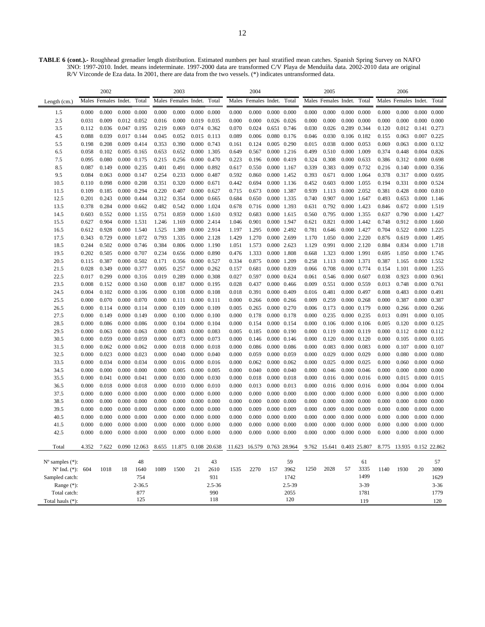**TABLE 6 (cont.).-** Roughhead grenadier length distribution. Estimated numbers per haul stratified mean catches. Spanish Spring Survey on NAFO 3NO: 1997-2010. Indet. means indeterminate. 1997-2000 data are transformed C/V Playa de Menduíña data. 2002-2010 data are original R/V Vizconde de Eza data. In 2001, there are data from the two vessels. (\*) indicates untransformed data.

|                             |       | 2002                 |       |                     |       | 2003                      |       |                     |       | 2004                       |                     |                     |       | 2005                      |                     |                     |       | 2006                      |             |                     |
|-----------------------------|-------|----------------------|-------|---------------------|-------|---------------------------|-------|---------------------|-------|----------------------------|---------------------|---------------------|-------|---------------------------|---------------------|---------------------|-------|---------------------------|-------------|---------------------|
| Length $(cm.)$              |       | Males Females Indet. |       | Total               |       | Males Females Indet.      |       | Total               |       | Males Females Indet.       |                     | Total               |       | Males Females Indet.      |                     | Total               |       | Males Females Indet.      |             | Total               |
| 1.5                         | 0.000 | 0.000                |       | $0.000 \quad 0.000$ | 0.000 | 0.000                     |       | $0.000 \quad 0.000$ | 0.000 | 0.000                      | $0.000 \quad 0.000$ |                     | 0.000 | 0.000                     |                     | $0.000 \quad 0.000$ | 0.000 | 0.000                     | 0.000       | 0.000               |
| 2.5                         | 0.031 | 0.009                |       | 0.012 0.052         | 0.016 | 0.000                     | 0.019 | 0.035               | 0.000 | 0.000                      |                     | 0.026 0.026         | 0.000 | 0.000                     |                     | $0.000 \quad 0.000$ | 0.000 | 0.000                     | 0.000       | 0.000               |
| 3.5                         | 0.112 | 0.036                |       | 0.047 0.195         | 0.219 | 0.069                     |       | 0.074 0.362         | 0.070 | 0.024                      |                     | 0.651 0.746         | 0.030 | 0.026                     | 0.289 0.344         |                     | 0.120 | 0.012                     | 0.141       | 0.273               |
| 4.5                         | 0.088 | 0.039                |       | 0.017 0.144         | 0.045 | 0.052                     |       | 0.015 0.113         | 0.089 | 0.006                      |                     | 0.080 0.176         | 0.046 | 0.030                     |                     | 0.106 0.182         | 0.155 | 0.063                     | 0.007       | 0.225               |
| 5.5                         | 0.198 | 0.208                |       | 0.009 0.414         | 0.353 | 0.390                     |       | 0.000 0.743         | 0.161 | 0.124                      | 0.005 0.290         |                     | 0.015 | 0.038                     |                     | 0.000 0.053         | 0.069 | 0.063                     | 0.000       | 0.132               |
| 6.5                         | 0.058 | 0.102                |       | $0.005$ 0.165       | 0.653 | 0.652                     |       | 0.000 1.305         | 0.649 | 0.567                      |                     | 0.000 1.216         | 0.499 | 0.510                     | 0.000 1.009         |                     | 0.374 | 0.448                     |             | 0.004 0.826         |
| 7.5                         | 0.095 | 0.080                |       | 0.000 0.175         | 0.215 | 0.256                     |       | 0.000 0.470         | 0.223 | 0.196                      | 0.000 0.419         |                     | 0.324 | 0.308                     | 0.000 0.633         |                     | 0.386 | 0.312                     |             | $0.000 \quad 0.698$ |
| 8.5                         | 0.087 | 0.149                |       | 0.000 0.235         | 0.401 | 0.491                     |       | 0.000 0.892         | 0.617 | 0.550                      | 0.000 1.167         |                     | 0.339 | 0.383                     |                     | 0.009 0.732         | 0.216 | 0.140                     | 0.000       | 0.356               |
| 9.5                         | 0.084 | 0.063                |       | 0.000 0.147         | 0.254 | 0.233                     | 0.000 | 0.487               | 0.592 | 0.860                      |                     | 0.000 1.452         | 0.393 | 0.671                     |                     | 0.000 1.064         | 0.378 | 0.317                     | 0.000       | 0.695               |
| 10.5                        | 0.110 | 0.098                |       | $0.000 \quad 0.208$ | 0.351 | 0.320                     |       | $0.000 \quad 0.671$ | 0.442 | 0.694                      | 0.000 1.136         |                     | 0.452 | 0.603                     | 0.000 1.055         |                     | 0.194 | 0.331                     | 0.000       | 0.524               |
| 11.5                        | 0.109 | 0.185                |       | 0.000 0.294         | 0.220 | 0.407                     | 0.000 | 0.627               | 0.715 | 0.673                      | 0.000 1.387         |                     | 0.939 | 1.113                     |                     | 0.000 2.052         | 0.381 | 0.428                     | 0.000       | 0.810               |
| 12.5                        | 0.201 | 0.243                |       | 0.000 0.444         | 0.312 | 0.354                     |       | $0.000 \quad 0.665$ | 0.684 | 0.650                      | 0.000 1.335         |                     | 0.740 | 0.907                     | 0.000 1.647         |                     | 0.493 | 0.653                     |             | 0.000 1.146         |
| 13.5                        | 0.378 | 0.284                |       | $0.000 \quad 0.662$ | 0.482 | 0.542                     | 0.000 | 1.024               | 0.678 | 0.716                      | 0.000 1.393         |                     | 0.631 | 0.792                     | 0.000 1.423         |                     | 0.846 | 0.672                     |             | 0.000 1.519         |
| 14.5                        | 0.603 | 0.552                |       | 0.000 1.155         | 0.751 | 0.859                     |       | 0.000 1.610         | 0.932 | 0.683                      | 0.000 1.615         |                     | 0.560 | 0.795                     | 0.000 1.355         |                     | 0.637 | 0.790                     |             | 0.000 1.427         |
| 15.5                        | 0.627 | 0.904                |       | 0.000 1.531         | 1.246 | 1.169                     |       | 0.000 2.414         | 1.046 | 0.901                      |                     | 0.000 1.947         | 0.621 | 0.821                     |                     | 0.000 1.442         | 0.748 | 0.912                     |             | 0.000 1.660         |
| 16.5                        | 0.612 | 0.928                |       | 0.000 1.540         | 1.525 | 1.389                     | 0.000 | 2.914               | 1.197 | 1.295                      | 0.000 2.492         |                     | 0.781 | 0.646                     |                     | 0.000 1.427         | 0.704 | 0.522                     | 0.000       | 1.225               |
| 17.5                        | 0.343 | 0.729                |       | 0.000 1.072         | 0.793 | 1.335                     |       | 0.000 2.128         | 1.429 | 1.270                      | 0.000 2.699         |                     | 1.170 | 1.050                     | 0.000 2.220         |                     | 0.876 | 0.619                     |             | 0.000 1.495         |
| 18.5                        | 0.244 | 0.502                |       | 0.000 0.746         | 0.384 | 0.806                     |       | 0.000 1.190         | 1.051 | 1.573                      | 0.000 2.623         |                     | 1.129 | 0.991                     |                     | 0.000 2.120         | 0.884 | 0.834                     |             | 0.000 1.718         |
| 19.5                        | 0.202 | 0.505                |       | 0.000 0.707         | 0.234 | 0.656                     |       | 0.000 0.890         | 0.476 | 1.333                      | 0.000 1.808         |                     | 0.668 | 1.323                     | 0.000 1.991         |                     | 0.695 | 1.050                     |             | 0.000 1.745         |
| 20.5                        | 0.115 | 0.387                |       | 0.000 0.502         | 0.171 | 0.356                     |       | 0.000 0.527         | 0.334 | 0.875                      | 0.000 1.209         |                     | 0.258 | 1.113                     | 0.000 1.371         |                     | 0.387 | 1.165                     |             | 0.000 1.552         |
| 21.5                        | 0.028 | 0.349                |       | 0.000 0.377         | 0.005 | 0.257                     |       | $0.000 \quad 0.262$ | 0.157 | 0.681                      | 0.000 0.839         |                     | 0.066 | 0.708                     | 0.000 0.774         |                     | 0.154 | 1.101                     |             | 0.000 1.255         |
| 22.5                        | 0.017 | 0.299                |       | 0.000 0.316         | 0.019 | 0.289                     |       | 0.000 0.308         | 0.027 | 0.597                      | 0.000 0.624         |                     | 0.061 | 0.546                     | $0.000 \quad 0.607$ |                     | 0.038 | 0.923                     | 0.000 0.961 |                     |
| 23.5                        | 0.008 | 0.152                |       | $0.000 \quad 0.160$ | 0.008 | 0.187                     |       | 0.000 0.195         | 0.028 | 0.437                      | $0.000 \quad 0.466$ |                     | 0.009 | 0.551                     |                     | 0.000 0.559         | 0.013 | 0.748                     | 0.000 0.761 |                     |
| 24.5                        | 0.004 | 0.102                |       | $0.000 \quad 0.106$ | 0.000 | 0.108                     |       | $0.000 \quad 0.108$ | 0.018 | 0.391                      | 0.000 0.409         |                     | 0.016 | 0.481                     | 0.000 0.497         |                     | 0.008 | 0.483                     | 0.000 0.491 |                     |
| 25.5                        | 0.000 | 0.070                |       | 0.000 0.070         | 0.000 | 0.111                     |       | $0.000$ $0.111$     | 0.000 | 0.266                      | $0.000 \quad 0.266$ |                     | 0.009 | 0.259                     |                     | 0.000 0.268         | 0.000 | 0.387                     | 0.000       | 0.387               |
| 26.5                        | 0.000 | 0.114                |       | 0.000 0.114         | 0.000 | 0.109                     |       | 0.000 0.109         | 0.005 | 0.265                      | 0.000 0.270         |                     | 0.006 | 0.173                     | 0.000 0.179         |                     | 0.000 | 0.266                     |             | $0.000 \quad 0.266$ |
| 27.5                        | 0.000 | 0.149                |       | 0.000 0.149         | 0.000 | 0.100                     | 0.000 | 0.100               | 0.000 | 0.178                      | 0.000 0.178         |                     | 0.000 | 0.235                     | 0.000 0.235         |                     | 0.013 | 0.091                     | 0.000       | 0.105               |
| 28.5                        | 0.000 | 0.086                |       | $0.000 \quad 0.086$ | 0.000 | 0.104                     |       | 0.000 0.104         | 0.000 | 0.154                      | 0.000 0.154         |                     | 0.000 | 0.106                     |                     | $0.000 \quad 0.106$ | 0.005 | 0.120                     |             | 0.000 0.125         |
| 29.5                        | 0.000 | 0.063                |       | 0.000 0.063         | 0.000 | 0.083                     |       | 0.000 0.083         | 0.005 | 0.185                      | 0.000 0.190         |                     | 0.000 | 0.119                     | 0.000 0.119         |                     | 0.000 | 0.112                     |             | $0.000 \quad 0.112$ |
| 30.5                        | 0.000 | 0.059                |       | 0.000 0.059         | 0.000 | 0.073                     |       | 0.000 0.073         | 0.000 | 0.146                      |                     | $0.000 \quad 0.146$ | 0.000 | 0.120                     |                     | $0.000 \quad 0.120$ | 0.000 | 0.105                     |             | 0.000 0.105         |
| 31.5                        | 0.000 | 0.062                |       | $0.000 \quad 0.062$ | 0.000 | 0.018                     |       | $0.000 \quad 0.018$ | 0.000 | 0.086                      | 0.000 0.086         |                     | 0.000 | 0.083                     | 0.000 0.083         |                     | 0.000 | 0.107                     |             | 0.000 0.107         |
| 32.5                        | 0.000 | 0.023                |       | 0.000 0.023         | 0.000 | 0.040                     |       | $0.000 \quad 0.040$ | 0.000 | 0.059                      | 0.000 0.059         |                     | 0.000 | 0.029                     | 0.000 0.029         |                     | 0.000 | 0.080                     |             | $0.000 \quad 0.080$ |
| 33.5                        | 0.000 | 0.034                |       | 0.000 0.034         | 0.000 | 0.016                     | 0.000 | 0.016               | 0.000 | 0.062                      | 0.000 0.062         |                     | 0.000 | 0.025                     |                     | 0.000 0.025         | 0.000 | 0.060                     | 0.000       | 0.060               |
| 34.5                        | 0.000 | 0.000                |       | $0.000 \quad 0.000$ | 0.000 | 0.005                     |       | 0.000 0.005         | 0.000 | 0.040                      | 0.000 0.040         |                     | 0.000 | 0.046                     |                     | $0.000 \quad 0.046$ | 0.000 | 0.000                     |             | $0.000 \quad 0.000$ |
| 35.5                        | 0.000 | 0.041                |       | 0.000 0.041         | 0.000 | 0.030                     |       | 0.000 0.030         | 0.000 | 0.018                      | 0.000 0.018         |                     | 0.000 | 0.016                     |                     | $0.000$ $0.016$     | 0.000 | 0.015                     |             | 0.000 0.015         |
| 36.5                        | 0.000 | 0.018                | 0.000 | 0.018               | 0.000 | 0.010                     |       | $0.000 \quad 0.010$ | 0.000 | 0.013                      | 0.000 0.013         |                     | 0.000 | 0.016                     |                     | $0.000$ $0.016$     | 0.000 | 0.004                     | 0.000       | 0.004               |
| 37.5                        | 0.000 | 0.000                |       | $0.000 \quad 0.000$ | 0.000 | 0.000                     |       | $0.000 \quad 0.000$ | 0.000 | 0.000                      | $0.000 \quad 0.000$ |                     | 0.000 | 0.000                     | $0.000 \quad 0.000$ |                     | 0.000 | 0.000                     |             | $0.000 \quad 0.000$ |
| 38.5                        | 0.000 | 0.000                |       | $0.000 \quad 0.000$ | 0.000 | 0.000                     |       | $0.000 \quad 0.000$ | 0.000 | 0.000                      | $0.000 \quad 0.000$ |                     | 0.000 | 0.000                     | $0.000 \quad 0.000$ |                     | 0.000 | 0.000                     |             | $0.000 \quad 0.000$ |
| 39.5                        | 0.000 | 0.000                |       | $0.000 \quad 0.000$ | 0.000 | 0.000                     | 0.000 | 0.000               | 0.000 | 0.009                      |                     | 0.000 0.009         | 0.000 | 0.009                     |                     | 0.000 0.009         | 0.000 | 0.000                     | 0.000       | 0.000               |
| 40.5                        | 0.000 | 0.000                |       | $0.000 \quad 0.000$ | 0.000 | 0.000                     |       | $0.000 \quad 0.000$ | 0.000 | 0.000                      | $0.000 \quad 0.000$ |                     | 0.000 | 0.000                     |                     | $0.000 \quad 0.000$ | 0.000 | 0.000                     |             | $0.000 \quad 0.000$ |
| 41.5                        | 0.000 | 0.000                | 0.000 | 0.000               | 0.000 | 0.000                     | 0.000 | 0.000               | 0.000 | 0.000                      | 0.000               | 0.000               | 0.000 | 0.000                     | 0.000               | 0.000               | 0.000 | 0.000                     | 0.000       | 0.000               |
| 42.5                        | 0.000 | 0.000                |       | $0.000 \quad 0.000$ | 0.000 | 0.000                     |       | $0.000 \quad 0.000$ | 0.000 | 0.000                      | $0.000 \quad 0.000$ |                     | 0.000 | 0.000                     | $0.000 \quad 0.000$ |                     | 0.000 | 0.000                     |             | $0.000 \quad 0.000$ |
| Total                       | 4.352 | 7.622                |       | 0.090 12.063        |       | 8.655 11.875 0.108 20.638 |       |                     |       | 11.623 16.579 0.763 28.964 |                     |                     |       | 9.762 15.641 0.403 25.807 |                     |                     |       | 8.775 13.935 0.152 22.862 |             |                     |
|                             |       |                      |       |                     |       |                           |       |                     |       |                            |                     |                     |       |                           |                     |                     |       |                           |             |                     |
| $N^{\circ}$ samples $(*)$ : |       |                      |       | 48                  |       |                           |       | 43                  |       |                            |                     | 59                  | 1250  | 2028                      | 57                  | 61<br>3335          |       |                           |             | 57                  |
| $N^{\circ}$ Ind. (*): 604   |       | 1018                 | 18    | 1640                | 1089  | 1500                      | 21    | 2610                | 1535  | 2270                       | 157                 | 3962                |       |                           |                     | 1499                | 1140  | 1930                      | 20          | 3090                |
| Sampled catch:              |       |                      |       | 754                 |       |                           |       | 931                 |       |                            |                     | 1742                |       |                           |                     |                     |       |                           |             | 1629                |
| Range $(*)$ :               |       |                      |       | $2 - 36.5$          |       |                           |       | 2.5-36              |       |                            |                     | 2.5-39              |       |                           |                     | $3 - 39$            |       |                           |             | $3 - 36$            |
| Total catch:                |       |                      |       | 877<br>125          |       |                           |       | 990<br>118          |       |                            |                     | 2055<br>120         |       |                           |                     | 1781                |       |                           |             | 1779                |
| Total hauls (*):            |       |                      |       |                     |       |                           |       |                     |       |                            |                     |                     |       |                           |                     | 119                 |       |                           |             | 120                 |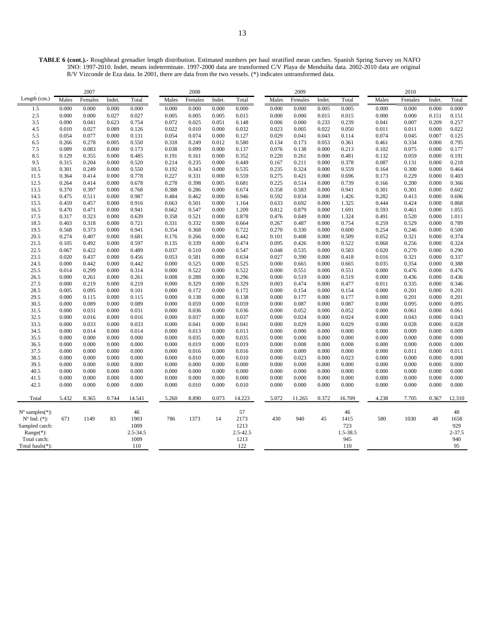**TABLE 6 (cont.).-** Roughhead grenadier length distribution. Estimated numbers per haul stratified mean catches. Spanish Spring Survey on NAFO 3NO: 1997-2010. Indet. means indeterminate. 1997-2000 data are transformed C/V Playa de Menduíña data. 2002-2010 data are original R/V Vizconde de Eza data. In 2001, there are data from the two vessels. (\*) indicates untransformed data.

|                             |                | 2007           |                |                |                | 2008           |                |                |                | 2009           |                |                |                | 2010           |                |                |
|-----------------------------|----------------|----------------|----------------|----------------|----------------|----------------|----------------|----------------|----------------|----------------|----------------|----------------|----------------|----------------|----------------|----------------|
| Length (cm.)                | Males          | Females        | Indet.         | Total          | Males          | Females        | Indet.         | Total          | Males          | Females        | Indet.         | Total          | Males          | Females        | Indet.         | Total          |
| 1.5                         | 0.000          | 0.000          | 0.000          | 0.000          | 0.000          | 0.000          | 0.000          | 0.000          | 0.000          | 0.000          | 0.005          | 0.005          | 0.000          | 0.000          | 0.000          | 0.000          |
| 2.5                         | 0.000          | 0.000          | 0.027          | 0.027          | 0.005          | 0.005          | 0.005          | 0.015          | 0.000          | 0.000          | 0.015          | 0.015          | 0.000          | 0.000          | 0.151          | 0.151          |
| 3.5                         | 0.090          | 0.041          | 0.623          | 0.754          | 0.072          | 0.025          | 0.051          | 0.148          | 0.006          | 0.000          | 0.233          | 0.239          | 0.041          | 0.007          | 0.209          | 0.257          |
| 4.5                         | 0.010          | 0.027          | 0.089          | 0.126          | 0.022          | 0.010          | 0.000          | 0.032          | 0.023          | 0.005          | 0.022          | 0.050          | 0.011          | 0.011          | 0.000          | 0.022          |
| 5.5                         | 0.054          | 0.077          | 0.000          | 0.131          | 0.054          | 0.074          | 0.000          | 0.127          | 0.029          | 0.041          | 0.043          | 0.114          | 0.074          | 0.045          | 0.007          | 0.125          |
| 6.5                         | 0.266          | 0.278          | 0.005          | 0.550          | 0.318          | 0.249          | 0.012          | 0.580          | 0.134          | 0.173          | 0.053          | 0.361          | 0.461          | 0.334          | 0.000          | 0.795          |
| 7.5                         | 0.089          | 0.083          | 0.000          | 0.173          | 0.038          | 0.099          | 0.000          | 0.137          | 0.076          | 0.138          | 0.000          | 0.213          | 0.102          | 0.075          | 0.000          | 0.177          |
| 8.5                         | 0.129          | 0.355          | 0.000          | 0.485          | 0.191          | 0.161          | 0.000          | 0.352          | 0.220          | 0.261          | 0.000          | 0.481          | 0.132          | 0.059          | 0.000          | 0.191          |
| 9.5                         | 0.315          | 0.204          | 0.000          | 0.520          | 0.214          | 0.235          | 0.000          | 0.449          | 0.167          | 0.211          | 0.000          | 0.378          | 0.087          | 0.131          | 0.000          | 0.218          |
| 10.5                        | 0.301          | 0.249          | 0.000          | 0.550          | 0.192          | 0.343          | 0.000          | 0.535          | 0.235          | 0.324          | 0.000          | 0.559          | 0.164          | 0.300          | 0.000          | 0.464          |
| 11.5                        | 0.364          | 0.414          | 0.000          | 0.778          | 0.227          | 0.331          | 0.000          | 0.559          | 0.275          | 0.421          | 0.000          | 0.696          | 0.173          | 0.229          | 0.000          | 0.403          |
| 12.5                        | 0.264          | 0.414          | 0.000          | 0.678          | 0.278          | 0.398          | 0.005          | 0.681          | 0.225          | 0.514          | 0.000          | 0.739          | 0.166          | 0.200          | 0.000          | 0.366          |
| 13.5                        | 0.370          | 0.397          | 0.000          | 0.768          | 0.388          | 0.286          | 0.000          | 0.674          | 0.358          | 0.583          | 0.000          | 0.941          | 0.301          | 0.301          | 0.000          | 0.602          |
| 14.5                        | 0.475          | 0.511          | 0.000          | 0.987          | 0.484          | 0.462          | 0.000          | 0.946          | 0.592          | 0.834          | 0.000          | 1.426          | 0.282          | 0.413          | 0.000          | 0.696          |
| 15.5                        | 0.459          | 0.457          | 0.000          | 0.916          | 0.663          | 0.501          | 0.000          | 1.164          | 0.633          | 0.692          | 0.000          | 1.325          | 0.444          | 0.424          | 0.000          | 0.868          |
| 16.5                        | 0.470          | 0.471          | 0.000          | 0.941          | 0.662          | 0.547          | 0.000          | 1.209          | 0.812          | 0.879          | 0.000          | 1.691          | 0.593          | 0.461          | 0.000          | 1.055          |
| 17.5                        | 0.317          | 0.323          | 0.000          | 0.639          | 0.358          | 0.521          | 0.000          | 0.878          | 0.476          | 0.849          | 0.000          | 1.324          | 0.491          | 0.520          | 0.000          | 1.011          |
| 18.5                        | 0.403          | 0.318          | 0.000          | 0.721          | 0.331          | 0.332          | 0.000          | 0.664          | 0.267          | 0.487          | 0.000          | 0.754          | 0.259          | 0.529          | 0.000          | 0.789          |
| 19.5                        | 0.568          | 0.373          | 0.000          | 0.941          | 0.354          | 0.368          | 0.000          | 0.722          | 0.270          | 0.330          | 0.000          | 0.600          | 0.254          | 0.246          | 0.000          | 0.500          |
| 20.5                        | 0.274          | 0.407          | 0.000          | 0.681          | 0.176          | 0.266          | 0.000          | 0.442          | 0.101          | 0.408          | 0.000          | 0.509          | 0.052          | 0.321          | 0.000          | 0.374          |
| 21.5                        | 0.105          | 0.492          | 0.000          | 0.597          | 0.135          | 0.339          | 0.000          | 0.474          | 0.095          | 0.426          | 0.000          | 0.522          | 0.068          | 0.256          | 0.000          | 0.324          |
| 22.5                        | 0.067          | 0.422          | 0.000          | 0.489          | 0.037          | 0.510          | 0.000          | 0.547          | 0.048          | 0.535          | 0.000          | 0.583          | 0.020          | 0.270          | 0.000          | 0.290          |
| 23.5                        | 0.020          | 0.437          | 0.000          | 0.456          | 0.053          | 0.581          | 0.000          | 0.634          | 0.027          | 0.390          | 0.000          | 0.418          | 0.016          | 0.321          | 0.000          | 0.337          |
| 24.5                        | 0.000          | 0.442          | 0.000          | 0.442          | 0.000          | 0.525          | 0.000          | 0.525          | 0.000          | 0.665          | 0.000          | 0.665          | 0.035          | 0.354          | 0.000          | 0.388          |
| 25.5                        | 0.014          | 0.299          | 0.000          | 0.314          | 0.000          | 0.522          | 0.000          | 0.522          | 0.000          | 0.551          | 0.000          | 0.551          | 0.000          | 0.476          | 0.000          | 0.476          |
| 26.5                        | 0.000          | 0.261          | 0.000          | 0.261          | 0.008          | 0.288          | 0.000          | 0.296          | 0.000          | 0.519          | 0.000          | 0.519          | 0.000          | 0.436          | 0.000          | 0.436          |
| 27.5                        | 0.000          | 0.219          | 0.000          | 0.219          | 0.000          | 0.329          | 0.000          | 0.329          | 0.003          | 0.474          | 0.000          | 0.477          | 0.011          | 0.335          | 0.000          | 0.346          |
| 28.5                        | 0.005          | 0.095          | 0.000          | 0.101          | 0.000          | 0.172          | 0.000          | 0.172          | 0.000          | 0.154          | 0.000          | 0.154          | 0.000          | 0.201          | 0.000          | 0.201          |
| 29.5                        | 0.000          | 0.115          | 0.000          | 0.115          | 0.000          | 0.138          | 0.000          | 0.138          | 0.000          | 0.177          | 0.000          | 0.177          | 0.000          | 0.201          | 0.000          | 0.201          |
| 30.5                        | 0.000          | 0.089          | 0.000          | 0.089          | 0.000          | 0.059          | 0.000          | 0.059          | 0.000          | 0.087          | 0.000          | 0.087          | 0.000          | 0.095          | 0.000          | 0.095          |
| 31.5                        | 0.000          | 0.031          | 0.000          | 0.031          | 0.000          | 0.036          | 0.000          | 0.036          | 0.000          | 0.052          | 0.000          | 0.052          | 0.000          | 0.061          | 0.000          | 0.061          |
| 32.5                        | 0.000          | 0.016          | 0.000          | 0.016          | 0.000          | 0.037          | 0.000          | 0.037          | 0.000          | 0.024          | 0.000          | 0.024          | 0.000          | 0.043          | 0.000          | 0.043          |
| 33.5                        | 0.000          | 0.033          | 0.000          | 0.033          | 0.000          | 0.041          | 0.000          | 0.041          | 0.000          | 0.029          | 0.000          | 0.029          | 0.000          | 0.028          | 0.000          | 0.028          |
| 34.5                        | 0.000          | 0.014          | 0.000          | 0.014          | 0.000          | 0.013          | 0.000          | 0.013          | 0.000          | 0.000          | 0.000          | 0.000          | 0.000          | 0.009          | 0.000          | 0.009          |
| 35.5<br>36.5                | 0.000<br>0.000 | 0.000<br>0.000 | 0.000<br>0.000 | 0.000<br>0.000 | 0.000<br>0.000 | 0.035<br>0.019 | 0.000<br>0.000 | 0.035<br>0.019 | 0.000<br>0.000 | 0.000<br>0.008 | 0.000<br>0.000 | 0.000<br>0.008 | 0.000<br>0.000 | 0.000<br>0.000 | 0.000<br>0.000 | 0.000<br>0.000 |
|                             | 0.000          | 0.000          | 0.000          | 0.000          | 0.000          |                | 0.000          |                |                |                |                |                |                |                | 0.000          |                |
| 37.5<br>38.5                | 0.000          | 0.000          | 0.000          | 0.000          | 0.000          | 0.016<br>0.010 | 0.000          | 0.016<br>0.010 | 0.000<br>0.000 | 0.000<br>0.023 | 0.000<br>0.000 | 0.000<br>0.023 | 0.000<br>0.000 | 0.011<br>0.000 | 0.000          | 0.011<br>0.000 |
| 39.5                        | 0.000          | 0.000          | 0.000          | 0.000          | 0.000          | 0.000          | 0.000          | 0.000          | 0.000          | 0.000          | 0.000          | 0.000          | 0.000          | 0.000          | 0.000          | 0.000          |
| 40.5                        | 0.000          | 0.000          | 0.000          | 0.000          | 0.000          | 0.000          | 0.000          | 0.000          | 0.000          | 0.000          | 0.000          | 0.000          | 0.000          | 0.000          | 0.000          | 0.000          |
| 41.5                        | 0.000          | 0.000          | 0.000          | 0.000          | 0.000          | 0.000          | 0.000          | 0.000          | 0.000          | 0.000          | 0.000          | 0.000          | 0.000          | 0.000          | 0.000          | 0.000          |
| 42.5                        | 0.000          | 0.000          | 0.000          | 0.000          | 0.000          | 0.010          | 0.000          | 0.010          | 0.000          | 0.000          | 0.000          | 0.000          | 0.000          | 0.000          | 0.000          | 0.000          |
|                             |                |                |                |                |                |                |                |                |                |                |                |                |                |                |                |                |
| Total                       | 5.432          | 8.365          | 0.744          | 14.541         | 5.260          | 8.890          | 0.073          | 14.223         | 5.072          | 11.265         | 0.372          | 16.709         | 4.238          | 7.705          | 0.367          | 12.310         |
| $N^{\circ}$ samples $(*)$ : |                |                |                | 46             |                |                |                | 57             |                |                |                | 46             |                |                |                | 48             |
| $N^{o}$ Ind. $(*):$         | 671            | 1149           | 83             | 1903           | 786            | 1373           | 14             | 2173           | 430            | 940            | 45             | 1415           | 580            | 1030           | 48             | 1658           |
| Sampled catch:              |                |                |                | 1009           |                |                |                | 1213           |                |                |                | 723            |                |                |                | 929            |
| Range(*):                   |                |                |                | $2.5 - 34.5$   |                |                |                | $2.5 - 42.5$   |                |                |                | 1.5-38.5       |                |                |                | $2 - 37.5$     |
| Total catch:                |                |                |                | 1009           |                |                |                | 1213           |                |                |                | 945            |                |                |                | 940            |
| Total hauls(*):             |                |                |                | 110            |                |                |                | 122            |                |                |                | 110            |                |                |                | 95             |
|                             |                |                |                |                |                |                |                |                |                |                |                |                |                |                |                |                |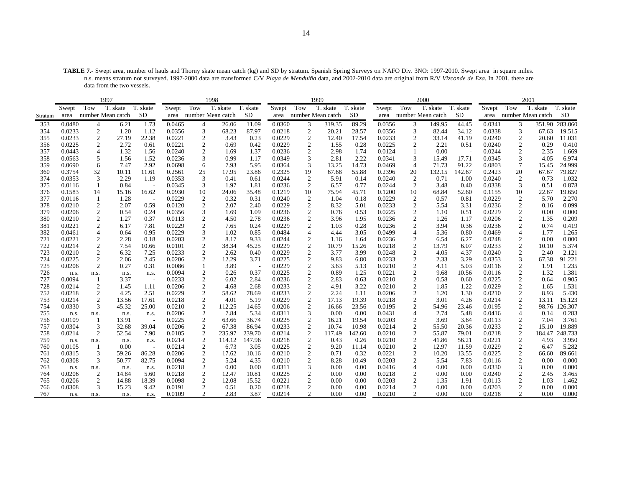**TABLE 7.-** Swept area, number of hauls and Thorny skate mean catch (kg) and SD by stratum. Spanish Spring Surveys on NAFO Div. 3NO: 1997-2010. Swept area in square miles. n.s. means stratum not surveyed. 1997-2000 data are transformed C/V *Playa de Menduíña* data, and 2002-2010 data are original from R/V *Vizconde de Eza*. In 2001, there are data from the two vessels.

| Tow<br>T. skate<br>Tow<br>T. skate<br>Tow<br>T. skate<br>Tow<br>T. skate<br>Tow<br>T. skate<br>Swept<br>T. skate<br>T. skate<br>Swept<br>T. skate<br>T. skate<br>Swept<br>Swept<br>Swept<br>number Mean catch<br><b>SD</b><br>area number Mean catch<br><b>SD</b><br>area number Mean catch<br>SD<br>area number Mean catch<br><b>SD</b><br>area number Mean catch<br>area<br>Stratum<br>351.90 283.060<br>0.0480<br>1.73<br>26.06<br>11.09<br>0.0360<br>319.35<br>89.29<br>0.0356<br>3<br>149.95<br>44.45<br>0.0341<br>3<br>353<br>6.21<br>0.0465<br>3<br>4<br>4<br>$\mathfrak{2}$<br>3<br>$\mathfrak{2}$<br>3<br>3<br>0.0233<br>1.20<br>1.12<br>0.0356<br>68.23<br>87.97<br>0.0218<br>20.21<br>28.57<br>0.0356<br>82.44<br>34.12<br>0.0338<br>354<br>67.63<br>$\mathfrak{2}$<br>$\mathfrak{2}$<br>0.0233<br>22.38<br>0.0221<br>0.23<br>0.0229<br>17.54<br>0.0233<br>$\overline{2}$<br>0.0240<br>$\overline{c}$<br>355<br>27.19<br>2<br>3.43<br>12.40<br>33.14<br>41.19<br>20.60<br>0.0229<br>0.0225<br>$\mathfrak{2}$<br>2.72<br>0.0221<br>$\mathfrak{2}$<br>0.69<br>0.42<br>$\mathfrak{2}$<br>0.28<br>0.0225<br>0.0240<br>$\overline{c}$<br>356<br>0.61<br>1.55<br>$\overline{2}$<br>2.21<br>0.51<br>0.29<br>2<br>0.0443<br>$\overline{4}$<br>1.32<br>1.56<br>0.0240<br>2<br>1.69<br>1.37<br>0.0236<br>2<br>2.98<br>1.74<br>0.0124<br>0.00<br>0.0244<br>2.35<br>357<br>5<br>0.99<br>0.0349<br>3<br>2.81<br>0.0341<br>0.0345<br>3<br>358<br>0.0563<br>1.56<br>1.52<br>0.0236<br>3<br>1.17<br>2.22<br>3<br>15.49<br>17.71<br>4.05<br>0.0690<br>6<br>2.92<br>7.93<br>5.95<br>0.0364<br>3<br>14.73<br>0.0469<br>91.22<br>0.0803<br>7<br>359<br>7.47<br>0.0698<br>13.25<br>$\overline{4}$<br>71.73<br>15.45<br>6<br>20<br>0.3754<br>32<br>11.61<br>17.95<br>23.86<br>0.2325<br>19<br>55.88<br>0.2396<br>20<br>142.67<br>0.2423<br>360<br>10.11<br>0.2561<br>25<br>67.68<br>132.15<br>67.67<br>$\overline{2}$<br>0.0353<br>3<br>2.29<br>0.41<br>0.0244<br>$\overline{c}$<br>5.91<br>0.0240<br>$\overline{c}$<br>0.0240<br>0.73<br>374<br>1.19<br>0.0353<br>3<br>0.61<br>0.14<br>0.71<br>1.00<br>0.84<br>0.0345<br>3<br>1.97<br>1.81<br>0.0236<br>2<br>6.57<br>0.77<br>0.0244<br>2<br>3.48<br>0.0338<br>3<br>0.51<br>375<br>0.0116<br>0.40<br>10<br>10<br>376<br>0.1583<br>14<br>16.62<br>10<br>24.06<br>35.48<br>0.1219<br>45.71<br>0.1200<br>10<br>52.60<br>0.1155<br>15.16<br>0.0930<br>75.94<br>68.84<br>22.67<br>0.0229<br>1.28<br>0.0229<br>0.32<br>0.31<br>0.0240<br>$\overline{c}$<br>1.04<br>0.0229<br>$\overline{c}$<br>0.57<br>$\overline{c}$<br>5.70<br>377<br>0.0116<br>1<br>2<br>0.18<br>0.81<br>$\overline{\phantom{a}}$<br>378<br>0.0210<br>2<br>2.07<br>0.59<br>2<br>2.07<br>0.0229<br>2<br>8.32<br>5.01<br>0.0233<br>2<br>3.31<br>0.0236<br>2<br>0.0120<br>2.40<br>5.54<br>0.16 |                |
|-----------------------------------------------------------------------------------------------------------------------------------------------------------------------------------------------------------------------------------------------------------------------------------------------------------------------------------------------------------------------------------------------------------------------------------------------------------------------------------------------------------------------------------------------------------------------------------------------------------------------------------------------------------------------------------------------------------------------------------------------------------------------------------------------------------------------------------------------------------------------------------------------------------------------------------------------------------------------------------------------------------------------------------------------------------------------------------------------------------------------------------------------------------------------------------------------------------------------------------------------------------------------------------------------------------------------------------------------------------------------------------------------------------------------------------------------------------------------------------------------------------------------------------------------------------------------------------------------------------------------------------------------------------------------------------------------------------------------------------------------------------------------------------------------------------------------------------------------------------------------------------------------------------------------------------------------------------------------------------------------------------------------------------------------------------------------------------------------------------------------------------------------------------------------------------------------------------------------------------------------------------------------------------------------------------------------------------------------------------------------------------------------------------------------------------------------------------------------------------------------------------------------------------------------------------------------------------------------------------------------------------------------------------------------------------------------------------------------------------------------------------------------------------------------|----------------|
|                                                                                                                                                                                                                                                                                                                                                                                                                                                                                                                                                                                                                                                                                                                                                                                                                                                                                                                                                                                                                                                                                                                                                                                                                                                                                                                                                                                                                                                                                                                                                                                                                                                                                                                                                                                                                                                                                                                                                                                                                                                                                                                                                                                                                                                                                                                                                                                                                                                                                                                                                                                                                                                                                                                                                                                               | T. skate       |
|                                                                                                                                                                                                                                                                                                                                                                                                                                                                                                                                                                                                                                                                                                                                                                                                                                                                                                                                                                                                                                                                                                                                                                                                                                                                                                                                                                                                                                                                                                                                                                                                                                                                                                                                                                                                                                                                                                                                                                                                                                                                                                                                                                                                                                                                                                                                                                                                                                                                                                                                                                                                                                                                                                                                                                                               | SD             |
|                                                                                                                                                                                                                                                                                                                                                                                                                                                                                                                                                                                                                                                                                                                                                                                                                                                                                                                                                                                                                                                                                                                                                                                                                                                                                                                                                                                                                                                                                                                                                                                                                                                                                                                                                                                                                                                                                                                                                                                                                                                                                                                                                                                                                                                                                                                                                                                                                                                                                                                                                                                                                                                                                                                                                                                               |                |
|                                                                                                                                                                                                                                                                                                                                                                                                                                                                                                                                                                                                                                                                                                                                                                                                                                                                                                                                                                                                                                                                                                                                                                                                                                                                                                                                                                                                                                                                                                                                                                                                                                                                                                                                                                                                                                                                                                                                                                                                                                                                                                                                                                                                                                                                                                                                                                                                                                                                                                                                                                                                                                                                                                                                                                                               | 19.515         |
|                                                                                                                                                                                                                                                                                                                                                                                                                                                                                                                                                                                                                                                                                                                                                                                                                                                                                                                                                                                                                                                                                                                                                                                                                                                                                                                                                                                                                                                                                                                                                                                                                                                                                                                                                                                                                                                                                                                                                                                                                                                                                                                                                                                                                                                                                                                                                                                                                                                                                                                                                                                                                                                                                                                                                                                               | 11.031         |
|                                                                                                                                                                                                                                                                                                                                                                                                                                                                                                                                                                                                                                                                                                                                                                                                                                                                                                                                                                                                                                                                                                                                                                                                                                                                                                                                                                                                                                                                                                                                                                                                                                                                                                                                                                                                                                                                                                                                                                                                                                                                                                                                                                                                                                                                                                                                                                                                                                                                                                                                                                                                                                                                                                                                                                                               | 0.410          |
|                                                                                                                                                                                                                                                                                                                                                                                                                                                                                                                                                                                                                                                                                                                                                                                                                                                                                                                                                                                                                                                                                                                                                                                                                                                                                                                                                                                                                                                                                                                                                                                                                                                                                                                                                                                                                                                                                                                                                                                                                                                                                                                                                                                                                                                                                                                                                                                                                                                                                                                                                                                                                                                                                                                                                                                               | 1.669          |
|                                                                                                                                                                                                                                                                                                                                                                                                                                                                                                                                                                                                                                                                                                                                                                                                                                                                                                                                                                                                                                                                                                                                                                                                                                                                                                                                                                                                                                                                                                                                                                                                                                                                                                                                                                                                                                                                                                                                                                                                                                                                                                                                                                                                                                                                                                                                                                                                                                                                                                                                                                                                                                                                                                                                                                                               | 6.974          |
|                                                                                                                                                                                                                                                                                                                                                                                                                                                                                                                                                                                                                                                                                                                                                                                                                                                                                                                                                                                                                                                                                                                                                                                                                                                                                                                                                                                                                                                                                                                                                                                                                                                                                                                                                                                                                                                                                                                                                                                                                                                                                                                                                                                                                                                                                                                                                                                                                                                                                                                                                                                                                                                                                                                                                                                               | 24.999         |
|                                                                                                                                                                                                                                                                                                                                                                                                                                                                                                                                                                                                                                                                                                                                                                                                                                                                                                                                                                                                                                                                                                                                                                                                                                                                                                                                                                                                                                                                                                                                                                                                                                                                                                                                                                                                                                                                                                                                                                                                                                                                                                                                                                                                                                                                                                                                                                                                                                                                                                                                                                                                                                                                                                                                                                                               | 79.827         |
|                                                                                                                                                                                                                                                                                                                                                                                                                                                                                                                                                                                                                                                                                                                                                                                                                                                                                                                                                                                                                                                                                                                                                                                                                                                                                                                                                                                                                                                                                                                                                                                                                                                                                                                                                                                                                                                                                                                                                                                                                                                                                                                                                                                                                                                                                                                                                                                                                                                                                                                                                                                                                                                                                                                                                                                               | 1.032          |
|                                                                                                                                                                                                                                                                                                                                                                                                                                                                                                                                                                                                                                                                                                                                                                                                                                                                                                                                                                                                                                                                                                                                                                                                                                                                                                                                                                                                                                                                                                                                                                                                                                                                                                                                                                                                                                                                                                                                                                                                                                                                                                                                                                                                                                                                                                                                                                                                                                                                                                                                                                                                                                                                                                                                                                                               | 0.878          |
|                                                                                                                                                                                                                                                                                                                                                                                                                                                                                                                                                                                                                                                                                                                                                                                                                                                                                                                                                                                                                                                                                                                                                                                                                                                                                                                                                                                                                                                                                                                                                                                                                                                                                                                                                                                                                                                                                                                                                                                                                                                                                                                                                                                                                                                                                                                                                                                                                                                                                                                                                                                                                                                                                                                                                                                               | 19.650         |
|                                                                                                                                                                                                                                                                                                                                                                                                                                                                                                                                                                                                                                                                                                                                                                                                                                                                                                                                                                                                                                                                                                                                                                                                                                                                                                                                                                                                                                                                                                                                                                                                                                                                                                                                                                                                                                                                                                                                                                                                                                                                                                                                                                                                                                                                                                                                                                                                                                                                                                                                                                                                                                                                                                                                                                                               | 2.270          |
|                                                                                                                                                                                                                                                                                                                                                                                                                                                                                                                                                                                                                                                                                                                                                                                                                                                                                                                                                                                                                                                                                                                                                                                                                                                                                                                                                                                                                                                                                                                                                                                                                                                                                                                                                                                                                                                                                                                                                                                                                                                                                                                                                                                                                                                                                                                                                                                                                                                                                                                                                                                                                                                                                                                                                                                               | 0.099          |
| $\mathfrak{2}$<br>$\mathfrak{2}$<br>$\overline{c}$<br>379<br>0.0206<br>0.54<br>0.24<br>3<br>1.69<br>1.09<br>0.0236<br>0.76<br>0.53<br>0.0225<br>2<br>0.51<br>0.0229<br>0.00<br>0.0356<br>1.10                                                                                                                                                                                                                                                                                                                                                                                                                                                                                                                                                                                                                                                                                                                                                                                                                                                                                                                                                                                                                                                                                                                                                                                                                                                                                                                                                                                                                                                                                                                                                                                                                                                                                                                                                                                                                                                                                                                                                                                                                                                                                                                                                                                                                                                                                                                                                                                                                                                                                                                                                                                                 | 0.000          |
| $\overline{c}$<br>$\mathfrak{2}$<br>$\overline{2}$<br>$\mathfrak{2}$<br>380<br>0.0210<br>1.27<br>0.37<br>0.0113<br>2.78<br>0.0236<br>3.96<br>0.0236<br>0.0206<br>1.35<br>4.50<br>1.95<br>1.26<br>1.17                                                                                                                                                                                                                                                                                                                                                                                                                                                                                                                                                                                                                                                                                                                                                                                                                                                                                                                                                                                                                                                                                                                                                                                                                                                                                                                                                                                                                                                                                                                                                                                                                                                                                                                                                                                                                                                                                                                                                                                                                                                                                                                                                                                                                                                                                                                                                                                                                                                                                                                                                                                         | 0.209          |
| 2<br>0.0229<br>0.0236<br>$\mathfrak{2}$<br>0.0221<br>6.17<br>7.81<br>0.0229<br>2<br>7.65<br>0.24<br>2<br>1.03<br>0.28<br>0.0236<br>2<br>3.94<br>0.36<br>0.74<br>381                                                                                                                                                                                                                                                                                                                                                                                                                                                                                                                                                                                                                                                                                                                                                                                                                                                                                                                                                                                                                                                                                                                                                                                                                                                                                                                                                                                                                                                                                                                                                                                                                                                                                                                                                                                                                                                                                                                                                                                                                                                                                                                                                                                                                                                                                                                                                                                                                                                                                                                                                                                                                           | 0.419          |
| 382<br>0.0461<br>$\overline{4}$<br>0.64<br>0.95<br>0.0229<br>3<br>1.02<br>0.85<br>0.0484<br>$\overline{4}$<br>4.44<br>3.05<br>0.0499<br>5.36<br>0.80<br>0.0469<br>$\overline{4}$<br>1.77<br>4                                                                                                                                                                                                                                                                                                                                                                                                                                                                                                                                                                                                                                                                                                                                                                                                                                                                                                                                                                                                                                                                                                                                                                                                                                                                                                                                                                                                                                                                                                                                                                                                                                                                                                                                                                                                                                                                                                                                                                                                                                                                                                                                                                                                                                                                                                                                                                                                                                                                                                                                                                                                 | 1.265          |
| $\mathfrak{2}$<br>0.0221<br>2<br>2.28<br>0.0203<br>$\overline{c}$<br>8.17<br>9.33<br>0.0244<br>$\overline{2}$<br>0.0236<br>$\overline{2}$<br>0.0248<br>0.00<br>721<br>0.18<br>1.16<br>1.64<br>6.54<br>6.27                                                                                                                                                                                                                                                                                                                                                                                                                                                                                                                                                                                                                                                                                                                                                                                                                                                                                                                                                                                                                                                                                                                                                                                                                                                                                                                                                                                                                                                                                                                                                                                                                                                                                                                                                                                                                                                                                                                                                                                                                                                                                                                                                                                                                                                                                                                                                                                                                                                                                                                                                                                    | 0.000          |
| 0.0214<br>2<br>0.0229<br>$\overline{c}$<br>0.0233<br>$\overline{2}$<br>722<br>7.54<br>10.66<br>0.0101<br>2<br>38.34<br>45.25<br>15.26<br>0.0218<br>2<br>13.79<br>6.07<br>10.10<br>10.79                                                                                                                                                                                                                                                                                                                                                                                                                                                                                                                                                                                                                                                                                                                                                                                                                                                                                                                                                                                                                                                                                                                                                                                                                                                                                                                                                                                                                                                                                                                                                                                                                                                                                                                                                                                                                                                                                                                                                                                                                                                                                                                                                                                                                                                                                                                                                                                                                                                                                                                                                                                                       | 5.374          |
| 2<br>$\mathfrak{2}$<br>$\mathfrak{2}$<br>723<br>0.0210<br>6.32<br>7.25<br>0.0233<br>2<br>2.62<br>0.40<br>0.0229<br>3.77<br>3.99<br>0.0248<br>2<br>0.0240<br>2.40<br>4.05<br>4.37                                                                                                                                                                                                                                                                                                                                                                                                                                                                                                                                                                                                                                                                                                                                                                                                                                                                                                                                                                                                                                                                                                                                                                                                                                                                                                                                                                                                                                                                                                                                                                                                                                                                                                                                                                                                                                                                                                                                                                                                                                                                                                                                                                                                                                                                                                                                                                                                                                                                                                                                                                                                              | 2.121          |
| $\mathbf{2}$<br>0.0225<br>$\boldsymbol{2}$<br>$\overline{2}$<br>3<br>724<br>0.0225<br>2.06<br>2.45<br>0.0206<br>12.29<br>3.71<br>9.83<br>0.0233<br>2.33<br>3.29<br>0.0353<br>67.38<br>6.80                                                                                                                                                                                                                                                                                                                                                                                                                                                                                                                                                                                                                                                                                                                                                                                                                                                                                                                                                                                                                                                                                                                                                                                                                                                                                                                                                                                                                                                                                                                                                                                                                                                                                                                                                                                                                                                                                                                                                                                                                                                                                                                                                                                                                                                                                                                                                                                                                                                                                                                                                                                                    | 91.221         |
| 0.0206<br>2<br>3.89<br>0.0229<br>725<br>0.27<br>0.31<br>0.0086<br>2<br>5.13<br>0.0210<br>2<br>5.03<br>0.0116<br>2<br>1.91<br>3.63<br>4.11                                                                                                                                                                                                                                                                                                                                                                                                                                                                                                                                                                                                                                                                                                                                                                                                                                                                                                                                                                                                                                                                                                                                                                                                                                                                                                                                                                                                                                                                                                                                                                                                                                                                                                                                                                                                                                                                                                                                                                                                                                                                                                                                                                                                                                                                                                                                                                                                                                                                                                                                                                                                                                                     | 1.235          |
| $\overline{c}$<br>0.26<br>$\mathfrak{2}$<br>$\overline{c}$<br>726<br>$\overline{2}$<br>0.37<br>0.0225<br>0.89<br>1.25<br>0.0221<br>9.68<br>10.56<br>0.0116<br>1.32<br>0.0094<br>n.s.<br>n.s.<br>n.s.<br>n.s.                                                                                                                                                                                                                                                                                                                                                                                                                                                                                                                                                                                                                                                                                                                                                                                                                                                                                                                                                                                                                                                                                                                                                                                                                                                                                                                                                                                                                                                                                                                                                                                                                                                                                                                                                                                                                                                                                                                                                                                                                                                                                                                                                                                                                                                                                                                                                                                                                                                                                                                                                                                  | 1.381          |
| $\mathfrak{2}$<br>$\boldsymbol{2}$<br>$\overline{2}$<br>0.0225<br>727<br>0.0094<br>3.37<br>0.0233<br>6.02<br>2.84<br>0.0236<br>2.83<br>0.63<br>0.0210<br>0.58<br>0.64<br>0.60                                                                                                                                                                                                                                                                                                                                                                                                                                                                                                                                                                                                                                                                                                                                                                                                                                                                                                                                                                                                                                                                                                                                                                                                                                                                                                                                                                                                                                                                                                                                                                                                                                                                                                                                                                                                                                                                                                                                                                                                                                                                                                                                                                                                                                                                                                                                                                                                                                                                                                                                                                                                                 | 0.905          |
| $\mathbf{2}$<br>4.68<br>0.0233<br>$\overline{c}$<br>0.0210<br>1.22<br>0.0229<br>$\mathfrak{2}$<br>728<br>0.0214<br>1.45<br>1.11<br>0.0206<br>$\overline{2}$<br>2.68<br>4.91<br>3.22<br>2<br>1.85<br>1.65                                                                                                                                                                                                                                                                                                                                                                                                                                                                                                                                                                                                                                                                                                                                                                                                                                                                                                                                                                                                                                                                                                                                                                                                                                                                                                                                                                                                                                                                                                                                                                                                                                                                                                                                                                                                                                                                                                                                                                                                                                                                                                                                                                                                                                                                                                                                                                                                                                                                                                                                                                                      | 1.531          |
| $\overline{2}$<br>752<br>$\mathbf{2}$<br>$\overline{2}$<br>$\mathfrak{2}$<br>$\overline{c}$<br>0.0218<br>4.25<br>2.51<br>0.0229<br>58.62<br>78.69<br>0.0233<br>2.24<br>1.11<br>0.0206<br>1.20<br>1.30<br>0.0210<br>8.93                                                                                                                                                                                                                                                                                                                                                                                                                                                                                                                                                                                                                                                                                                                                                                                                                                                                                                                                                                                                                                                                                                                                                                                                                                                                                                                                                                                                                                                                                                                                                                                                                                                                                                                                                                                                                                                                                                                                                                                                                                                                                                                                                                                                                                                                                                                                                                                                                                                                                                                                                                       | 5.430          |
| $\mathfrak{2}$<br>$\mathbf{2}$<br>0.0229<br>$\mathfrak{2}$<br>0.0218<br>$\overline{2}$<br>0.0214<br>753<br>0.0214<br>17.61<br>0.0218<br>$\overline{2}$<br>4.01<br>5.19<br>17.13<br>19.39<br>3.01<br>4.26<br>13.11<br>13.56                                                                                                                                                                                                                                                                                                                                                                                                                                                                                                                                                                                                                                                                                                                                                                                                                                                                                                                                                                                                                                                                                                                                                                                                                                                                                                                                                                                                                                                                                                                                                                                                                                                                                                                                                                                                                                                                                                                                                                                                                                                                                                                                                                                                                                                                                                                                                                                                                                                                                                                                                                    | 15.123         |
| 754<br>0.0330<br>3<br>$\overline{2}$<br>112.25<br>0.0206<br>23.56<br>0.0195<br>$\overline{2}$<br>45.32<br>25.00<br>0.0210<br>14.65<br>2<br>0.0195<br>$\overline{2}$<br>23.46<br>98.76<br>16.66<br>54.96<br>3<br>755<br>7.84<br>5.34<br>0.0311<br>0.00<br>0.00<br>0.0431<br>2.74<br>0.0416<br>$\overline{4}$<br>0.14                                                                                                                                                                                                                                                                                                                                                                                                                                                                                                                                                                                                                                                                                                                                                                                                                                                                                                                                                                                                                                                                                                                                                                                                                                                                                                                                                                                                                                                                                                                                                                                                                                                                                                                                                                                                                                                                                                                                                                                                                                                                                                                                                                                                                                                                                                                                                                                                                                                                           | 126.307        |
| $\mathfrak{2}$<br>0.0206<br>5.48<br>4<br>n.s.<br>n.s.<br>n.s.<br>n.s.<br>0.0109<br>$\overline{2}$<br>36.74<br>0.0225<br>$\overline{c}$<br>0.0203<br>$\overline{2}$<br>0.0113<br>$\overline{2}$<br>7.04<br>756<br>13.91<br>0.0225<br>63.66<br>16.21<br>19.54<br>3.69<br>3.64                                                                                                                                                                                                                                                                                                                                                                                                                                                                                                                                                                                                                                                                                                                                                                                                                                                                                                                                                                                                                                                                                                                                                                                                                                                                                                                                                                                                                                                                                                                                                                                                                                                                                                                                                                                                                                                                                                                                                                                                                                                                                                                                                                                                                                                                                                                                                                                                                                                                                                                   | 0.283<br>3.761 |
| 1<br>3<br>$\overline{c}$<br>67.38<br>86.94<br>0.0233<br>10.98<br>0.0214<br>$\overline{c}$<br>0.0233<br>$\overline{2}$<br>757<br>0.0304<br>39.04<br>10.74<br>55.50<br>15.10                                                                                                                                                                                                                                                                                                                                                                                                                                                                                                                                                                                                                                                                                                                                                                                                                                                                                                                                                                                                                                                                                                                                                                                                                                                                                                                                                                                                                                                                                                                                                                                                                                                                                                                                                                                                                                                                                                                                                                                                                                                                                                                                                                                                                                                                                                                                                                                                                                                                                                                                                                                                                    | 19.889         |
| 32.68<br>0.0206<br>2<br>20.36<br>2<br>$\mathfrak{2}$<br>$\overline{c}$<br>2<br>$\overline{2}$<br>758<br>0.0214<br>52.54<br>7.90<br>0.0105<br>235.97<br>239.70<br>0.0214<br>117.49<br>142.60<br>0.0210<br>55.87<br>79.01<br>0.0218<br>184.47                                                                                                                                                                                                                                                                                                                                                                                                                                                                                                                                                                                                                                                                                                                                                                                                                                                                                                                                                                                                                                                                                                                                                                                                                                                                                                                                                                                                                                                                                                                                                                                                                                                                                                                                                                                                                                                                                                                                                                                                                                                                                                                                                                                                                                                                                                                                                                                                                                                                                                                                                   | 248.733        |
| $\overline{2}$<br>0.0218<br>$\overline{c}$<br>0.43<br>0.0210<br>$\overline{2}$<br>0.0221<br>$\overline{2}$<br>759<br>0.0214<br>114.12<br>147.96<br>0.26<br>41.86<br>56.21<br>4.93                                                                                                                                                                                                                                                                                                                                                                                                                                                                                                                                                                                                                                                                                                                                                                                                                                                                                                                                                                                                                                                                                                                                                                                                                                                                                                                                                                                                                                                                                                                                                                                                                                                                                                                                                                                                                                                                                                                                                                                                                                                                                                                                                                                                                                                                                                                                                                                                                                                                                                                                                                                                             | 3.950          |
| n.s.<br>n.s.<br>n.s.<br>n.s.<br>6.73<br>0.0225<br>0.0210<br>$\overline{2}$<br>0.0229<br>$\overline{2}$<br>760<br>0.0105<br>0.00<br>0.0214<br>2<br>3.05<br>2<br>9.20<br>11.14<br>11.59<br>6.47                                                                                                                                                                                                                                                                                                                                                                                                                                                                                                                                                                                                                                                                                                                                                                                                                                                                                                                                                                                                                                                                                                                                                                                                                                                                                                                                                                                                                                                                                                                                                                                                                                                                                                                                                                                                                                                                                                                                                                                                                                                                                                                                                                                                                                                                                                                                                                                                                                                                                                                                                                                                 | 5.282          |
| 1<br>12.97<br>3<br>2<br>$\mathfrak{2}$<br>17.62<br>$\mathfrak{2}$<br>$\overline{c}$<br>0.0225<br>0.0315<br>59.26<br>86.28<br>0.0206<br>10.16<br>0.0210<br>0.71<br>0.32<br>0.0221<br>10.20<br>13.55<br>761<br>66.60                                                                                                                                                                                                                                                                                                                                                                                                                                                                                                                                                                                                                                                                                                                                                                                                                                                                                                                                                                                                                                                                                                                                                                                                                                                                                                                                                                                                                                                                                                                                                                                                                                                                                                                                                                                                                                                                                                                                                                                                                                                                                                                                                                                                                                                                                                                                                                                                                                                                                                                                                                            | 89.661         |
| 3<br>82.75<br>$\mathfrak{2}$<br>5.24<br>4.35<br>0.0210<br>$\mathfrak{2}$<br>0.0203<br>7.83<br>0.0116<br>$\mathfrak{2}$<br>762<br>0.0308<br>50.77<br>0.0094<br>8.28<br>10.49<br>5.54<br>0.00                                                                                                                                                                                                                                                                                                                                                                                                                                                                                                                                                                                                                                                                                                                                                                                                                                                                                                                                                                                                                                                                                                                                                                                                                                                                                                                                                                                                                                                                                                                                                                                                                                                                                                                                                                                                                                                                                                                                                                                                                                                                                                                                                                                                                                                                                                                                                                                                                                                                                                                                                                                                   | 0.000          |
| 0.00<br>0.00<br>0.0311<br>3<br>0.00<br>0.0330<br>3<br>763<br>0.0218<br>2<br>0.00<br>0.00<br>0.0416<br>0.00<br>0.00<br>4                                                                                                                                                                                                                                                                                                                                                                                                                                                                                                                                                                                                                                                                                                                                                                                                                                                                                                                                                                                                                                                                                                                                                                                                                                                                                                                                                                                                                                                                                                                                                                                                                                                                                                                                                                                                                                                                                                                                                                                                                                                                                                                                                                                                                                                                                                                                                                                                                                                                                                                                                                                                                                                                       | 0.000          |
| n.s.<br>n.s.<br>n.s.<br>n.s.<br>$\mathfrak{2}$<br>2<br>$\overline{2}$<br>$\mathfrak{2}$<br>$\overline{2}$<br>764<br>0.0206<br>14.84<br>5.60<br>0.0218<br>12.47<br>10.81<br>0.0225<br>0.00<br>0.00<br>0.0218<br>0.00<br>0.00<br>0.0240<br>2.45                                                                                                                                                                                                                                                                                                                                                                                                                                                                                                                                                                                                                                                                                                                                                                                                                                                                                                                                                                                                                                                                                                                                                                                                                                                                                                                                                                                                                                                                                                                                                                                                                                                                                                                                                                                                                                                                                                                                                                                                                                                                                                                                                                                                                                                                                                                                                                                                                                                                                                                                                 | 3.465          |
| $\mathfrak{2}$<br>$\mathbf{2}$<br>15.52<br>0.0221<br>$\overline{2}$<br>0.0203<br>0.0113<br>0.0206<br>14.88<br>18.39<br>0.0098<br>12.08<br>0.00<br>0.00<br>1.91<br>1.03<br>765<br>1.35                                                                                                                                                                                                                                                                                                                                                                                                                                                                                                                                                                                                                                                                                                                                                                                                                                                                                                                                                                                                                                                                                                                                                                                                                                                                                                                                                                                                                                                                                                                                                                                                                                                                                                                                                                                                                                                                                                                                                                                                                                                                                                                                                                                                                                                                                                                                                                                                                                                                                                                                                                                                         | 1.462          |
| 0.0308<br>3<br>15.23<br>9.42<br>0.51<br>0.20<br>0.0218<br>0.00<br>0.0214<br>0.00<br>0.0203<br>$\overline{c}$<br>766<br>0.0191<br>$\overline{c}$<br>0.00<br>0.00<br>0.00                                                                                                                                                                                                                                                                                                                                                                                                                                                                                                                                                                                                                                                                                                                                                                                                                                                                                                                                                                                                                                                                                                                                                                                                                                                                                                                                                                                                                                                                                                                                                                                                                                                                                                                                                                                                                                                                                                                                                                                                                                                                                                                                                                                                                                                                                                                                                                                                                                                                                                                                                                                                                       | 0.000          |
| 2.83<br>2<br>2<br>$\mathfrak{D}$<br>767<br>0.0109<br>$\mathfrak{D}$<br>3.87<br>0.0214<br>0.00<br>0.00<br>0.0210<br>0.00<br>0.00<br>0.0218<br>0.00<br>n.s.<br>n.s.<br>n.s.<br>n.s.                                                                                                                                                                                                                                                                                                                                                                                                                                                                                                                                                                                                                                                                                                                                                                                                                                                                                                                                                                                                                                                                                                                                                                                                                                                                                                                                                                                                                                                                                                                                                                                                                                                                                                                                                                                                                                                                                                                                                                                                                                                                                                                                                                                                                                                                                                                                                                                                                                                                                                                                                                                                             | 0.000          |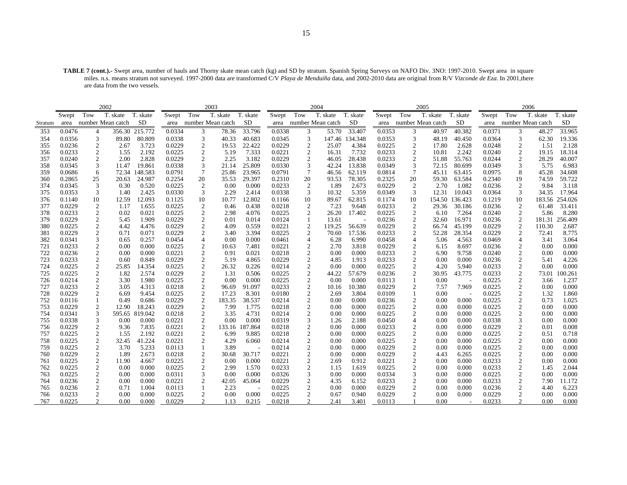**TABLE 7 (cont.).-** Swept area, number of hauls and Thorny skate mean catch (kg) and SD by stratum. Spanish Spring Surveys on NAFO Div. 3NO: 1997-2010. Swept area in square miles. n.s. means stratum not surveyed. 1997-2000 data are transformed C/V *Playa de Menduíña* data, and 2002-2010 data are original from R/V *Vizconde de Eza*. In 2001,there are data from the two vessels.

|            |                  |                     | 2002                   |                 |                  |                                           | 2003              |                |                  |                     | 2004              |                |                  |                                  | 2005              |                |                  |                                    | 2006              |                |
|------------|------------------|---------------------|------------------------|-----------------|------------------|-------------------------------------------|-------------------|----------------|------------------|---------------------|-------------------|----------------|------------------|----------------------------------|-------------------|----------------|------------------|------------------------------------|-------------------|----------------|
|            | Swept            | Tow                 | T. skate               | T. skate        | Swept            | Tow                                       | T. skate          | T. skate       | Swept            | Tow                 | T. skate          | T. skate       | Swept            | Tow                              | T. skate          | T. skate       | Swept            | Tow                                | T. skate          | T. skate       |
| Stratum    |                  |                     | area number Mean catch | SD              | area             |                                           | number Mean catch | SD             | area             |                     | number Mean catch | SD             | area             |                                  | number Mean catch | SD             | area             |                                    | number Mean catch | SD             |
| 353        | 0.0476           | $\overline{4}$      | 356.30                 | 215.772         | 0.0334           | 3                                         | 78.36             | 33.796         | 0.0338           | 3                   | 53.70             | 33.407         | 0.0353           | 3                                | 40.97             | 40.382         | 0.0371           | 3                                  | 48.27             | 33.965         |
| 354        | 0.0356           | 3                   | 89.80                  | 80.809          | 0.0338           | 3                                         | 40.33             | 40.683         | 0.0345           | 3                   |                   | 147.46 134.348 | 0.0353           | 3                                | 48.19             | 40.450         | 0.0364           | 3                                  | 62.30             | 19.336         |
| 355        | 0.0236           | $\mathbf{2}$        | 2.67                   | 3.723           | 0.0229           | $\boldsymbol{2}$                          | 19.53             | 22.422         | 0.0229           | $\overline{2}$      | 25.07             | 4.384          | 0.0225           | $\overline{c}$                   | 17.80             | 2.628          | 0.0248           | 2                                  | 1.51              | 2.128          |
| 356        | 0.0233           | 2                   | 1.55                   | 2.192           | 0.0225           | $\overline{2}$                            | 5.19              | 7.333          | 0.0221           | 2                   | 16.31             | 7.732          | 0.0233           | $\overline{c}$                   | 10.81             | 2.242          | 0.0240           | 2                                  | 19.15             | 18.314         |
| 357        | 0.0240           | 2                   | 2.00                   | 2.828           | 0.0229           | 2                                         | 2.25              | 3.182          | 0.0229           | $\mathbf{2}$        | 46.05             | 28.438         | 0.0233           | 2                                | 51.88             | 55.763         | 0.0244           | 2                                  | 28.29             | 40.007         |
| 358        | 0.0345           | 3                   | 11.47                  | 19.861          | 0.0338           | 3                                         | 21.14             | 25.809         | 0.0330           | 3                   | 42.24             | 13.838         | 0.0349           | 3                                | 72.15             | 80.699         | 0.0349           | 3                                  | 5.75              | 6.983          |
| 359        | 0.0686           | 6                   |                        | 72.34 148.583   | 0.0791           | 7                                         | 25.86             | 23.965         | 0.0791           | $\overline{7}$      | 46.56             | 62.119         | 0.0814           | $\tau$                           | 45.11             | 63.415         | 0.0975           | 8                                  | 45.28             | 34.608         |
| 360        | 0.2865           | 25                  | 20.63                  | 24.987          | 0.2254           | 20                                        | 35.53             | 29.397         | 0.2310           | 20                  | 93.53             | 78.305         | 0.2325           | 20                               | 59.30             | 63.584         | 0.2340           | 19                                 | 74.59             | 59.722         |
| 374        | 0.0345           | 3                   | 0.30                   | 0.520           | 0.0225           | 2                                         | 0.00              | 0.000          | 0.0233           | $\overline{2}$      | 1.89              | 2.673          | 0.0229           | 2                                | 2.70              | 1.082          | 0.0236           | 2                                  | 9.84              | 3.118          |
| 375        | 0.0353           | 3                   | 1.40                   | 2.425           | 0.0330           | 3                                         | 2.29              | 2.414          | 0.0338           | 3                   | 10.32             | 5.359          | 0.0349           | 3                                | 12.31             | 10.043         | 0.0364           | 3                                  | 34.35             | 17.964         |
| 376        | 0.1140           | 10                  | 12.59                  | 12.093          | 0.1125           | 10                                        | 10.77             | 12.802         | 0.1166           | 10                  | 89.67             | 62.815         | 0.1174           | 10                               | 154.50            | 136.423        | 0.1219           | 10                                 | 183.56            | 254.026        |
| 377        | 0.0229           | $\mathbf{2}$        | 1.17                   | 1.655           | 0.0225           | $\boldsymbol{2}$                          | 0.46              | 0.438          | 0.0218           | 2                   | 7.23              | 9.648          | 0.0233           | 2                                | 29.36             | 30.186         | 0.0236           | 2                                  | 61.48             | 33.411         |
| 378        | 0.0233           | $\overline{2}$      | 0.02                   | 0.021           | 0.0225           | $\overline{c}$                            | 2.98              | 4.076          | 0.0225           | 2                   | 26.20             | 17.402         | 0.0225           | $\overline{c}$                   | 6.10              | 7.264          | 0.0240           | 2                                  | 5.86              | 8.280          |
| 379        | 0.0229           | $\mathfrak{2}$      | 5.45                   | 1.909           | 0.0229           | $\overline{c}$                            | 0.01              | 0.014          | 0.0124           |                     | 13.61             |                | 0.0236           | $\overline{2}$                   | 32.60             | 16.971         | 0.0236           | 2                                  | 181.31            | 256.409        |
| 380        | 0.0225           | $\boldsymbol{2}$    | 4.42                   | 4.476           | 0.0229           | $\boldsymbol{2}$                          | 4.09              | 0.559          | 0.0221           | 2                   | 119.25            | 56.639         | 0.0229           | $\overline{c}$                   | 66.74             | 45.199         | 0.0229           | 2                                  | 110.30            | 2.687          |
| 381        | 0.0229           | $\overline{c}$      | 0.71                   | 0.071           | 0.0229           | $\boldsymbol{2}$                          | 3.40              | 3.394          | 0.0225           | 2                   | 70.60             | 17.536         | 0.0233           | $\boldsymbol{2}$                 | 52.28             | 28.354         | 0.0229           | 2                                  | 72.41             | 8.775          |
| 382        | 0.0341           | 3                   | 0.65                   | 0.257           | 0.0454           | $\overline{4}$                            | 0.00              | 0.000          | 0.0461           | $\overline{4}$      | 6.28              | 6.990          | 0.0458           | 4                                | 5.06              | 4.563          | 0.0469           | $\overline{4}$                     | 3.41              | 3.064          |
| 721        | 0.0233           | $\overline{c}$      | 0.00                   | 0.000           | 0.0225           | $\boldsymbol{2}$                          | 10.63             | 7.481          | 0.0221           | $\overline{2}$      | 2.70              | 3.818          | 0.0229           | $\overline{c}$                   | 6.15              | 8.697          | 0.0236           | $\mathfrak{2}$                     | 0.00              | 0.000          |
| 722        | 0.0236           | 2                   | 0.00                   | 0.000           | 0.0221           | $\boldsymbol{2}$                          | 0.91              | 0.021          | 0.0218           | 2                   | 0.00              | 0.000          | 0.0233           | $\overline{c}$                   | 6.90              | 9.758          | 0.0240           | 2                                  | 0.00              | 0.000          |
| 723        | 0.0233           | $\mathfrak{2}$      | 0.60                   | 0.849           | 0.0229           | $\overline{c}$                            | 5.19              | 4.865          | 0.0229           | $\overline{2}$      | 4.85              | 1.913          | 0.0233           | $\overline{c}$                   | 0.00              | 0.000          | 0.0236           | $\overline{2}$                     | 5.41              | 4.226          |
| 724        | 0.0225           | 2                   | 25.85                  | 14.354          | 0.0225           | $\boldsymbol{2}$                          | 26.32             | 0.226          | 0.0214           | 2                   | 0.00              | 0.000          | 0.0225           | 2                                | 4.20              | 5.940          | 0.0233           | 2                                  | 0.00              | 0.000          |
| 725        | 0.0225           | 2                   | 1.82                   | 2.574           | 0.0229           | $\boldsymbol{2}$                          | 1.31              | 0.506          | 0.0225           | $\overline{2}$      | 44.22             | 57.679         | 0.0236           | $\overline{c}$                   | 30.95             | 43.775         | 0.0233           | $\overline{2}$                     | 73.01             | 100.261        |
| 726        | 0.0214           | 2                   | 3.30                   | 1.980           | 0.0225           | $\overline{c}$                            | 0.00              | 0.000          | 0.0225           | $\mathbf{2}$        | 0.00              | 0.000          | 0.0113           |                                  | 0.00              |                | 0.0225           | $\overline{c}$                     | 3.66              | 1.237          |
| 727        | 0.0233           | $\overline{c}$      | 3.05                   | 4.313           | 0.0218           | $\boldsymbol{2}$                          | 96.69             | 91.097         | 0.0233           | 2                   | 10.16             | 10.380         | 0.0229           | 2                                | 7.57              | 7.969          | 0.0225           | $\overline{c}$                     | 0.00              | 0.000          |
| 728        | 0.0229           | 2                   | 6.69                   | 9.454           | 0.0225           | $\overline{c}$                            | 17.23             | 8.301          | 0.0180           | $\boldsymbol{2}$    | 2.69              | 3.804          | 0.0109           |                                  | 0.00              |                | 0.0225           | $\sqrt{2}$                         | 1.32              | 1.860          |
| 752        | 0.0116           |                     | 0.49                   | 0.686           | 0.0229           | $\sqrt{2}$                                | 183.35            | 38.537         | 0.0214           | $\mathbf{2}$        | 0.00              | 0.000          | 0.0236           | $\overline{c}$                   | 0.00              | 0.000          | 0.0225           | $\sqrt{2}$                         | 0.73              | 1.025          |
| 753        | 0.0229           | $\mathbf{2}$        | 12.90                  | 18.243          | 0.0229           | 2                                         | 7.99              | 1.775          | 0.0218           | $\overline{c}$      | 0.00              | 0.000          | 0.0225           | 2                                | 0.00              | 0.000          | 0.0225           | 2                                  | 0.00              | 0.000          |
| 754        | 0.0341           | 3                   |                        | 595.65 819.042  | 0.0218           | $\boldsymbol{2}$                          | 3.35              | 4.731          | 0.0214           | 2                   | 0.00              | 0.000          | 0.0225           | $\overline{c}$                   | 0.00              | 0.000          | 0.0225           | 2                                  | 0.00              | 0.000          |
| 755        | 0.0338           | 3                   | 0.00                   | 0.000           | 0.0221           | $\overline{c}$                            | 0.00              | 0.000          | 0.0319           | 3                   | 1.26              | 2.188          | 0.0450           | $\overline{4}$                   | 0.00              | 0.000          | 0.0338           | 3                                  | 0.00              | 0.000          |
| 756        | 0.0229           | $\overline{2}$      | 9.36                   | 7.835           | 0.0221           | $\boldsymbol{2}$                          | 133.16            | 187.864        | 0.0218           | $\overline{c}$      | 0.00              | 0.000          | 0.0233           | $\overline{c}$                   | 0.00              | 0.000          | 0.0229           | 2                                  | 0.01              | 0.008          |
| 757<br>758 | 0.0225<br>0.0225 | 2<br>$\mathfrak{2}$ | 1.55<br>32.45          | 2.192<br>41.224 | 0.0221<br>0.0221 | $\boldsymbol{2}$                          | 6.99<br>4.29      | 9.885<br>6.060 | 0.0218<br>0.0214 | 2<br>$\overline{2}$ | 0.00<br>0.00      | 0.000<br>0.000 | 0.0225<br>0.0225 | $\overline{c}$<br>$\overline{c}$ | 0.00<br>0.00      | 0.000<br>0.000 | 0.0225<br>0.0225 | $\boldsymbol{2}$<br>$\overline{c}$ | 0.51<br>0.00      | 0.718<br>0.000 |
| 759        | 0.0225           | $\boldsymbol{2}$    | 3.70                   | 5.233           | 0.0113           | $\overline{c}$                            | 3.89              |                | 0.0214           | $\overline{c}$      | 0.00              | 0.000          | 0.0229           | 2                                | 0.00              | 0.000          | 0.0225           | 2                                  | 0.00              | 0.000          |
| 760        | 0.0229           | $\overline{2}$      | 1.89                   | 2.673           | 0.0218           | 1                                         | 30.68             | 30.717         | 0.0221           | 2                   | 0.00              | 0.000          | 0.0229           | $\boldsymbol{2}$                 | 4.43              | 6.265          | 0.0225           | $\overline{c}$                     | 0.00              | 0.000          |
| 761        | 0.0225           | $\overline{c}$      | 11.90                  | 4.667           | 0.0225           | $\overline{\mathbf{c}}$<br>$\mathfrak{2}$ | 0.00              | 0.000          | 0.0221           | $\mathbf{2}$        | 2.69              | 0.912          | 0.0221           | $\overline{c}$                   | 0.00              | 0.000          | 0.0233           | $\mathfrak{2}$                     | 0.00              | 0.000          |
| 762        | 0.0225           | $\overline{c}$      | 0.00                   | 0.000           | 0.0225           | $\overline{c}$                            | 2.99              | 1.570          | 0.0233           | $\overline{2}$      | 1.15              | 1.619          | 0.0225           | 2                                | 0.00              | 0.000          | 0.0233           | 2                                  | 1.45              | 2.044          |
| 763        | 0.0225           | 2                   | 0.00                   | 0.000           | 0.0311           | 3                                         | 0.00              | 0.000          | 0.0326           | 3                   | 0.00              | 0.000          | 0.0334           | 3                                | 0.00              | 0.000          | 0.0225           | $\overline{c}$                     | 0.00              | 0.000          |
| 764        | 0.0236           | $\overline{c}$      | 0.00                   | 0.000           | 0.0221           | $\overline{c}$                            | 42.05             | 45.064         | 0.0229           | $\overline{2}$      | 4.35              | 6.152          | 0.0233           | 2                                | 0.00              | 0.000          | 0.0233           | $\overline{c}$                     | 7.90              | 11.172         |
| 765        | 0.0236           | $\overline{c}$      | 0.71                   | 1.004           | 0.0113           | 1                                         | 2.23              |                | 0.0225           | $\overline{2}$      | 0.00              | 0.000          | 0.0229           | 2                                | 0.00              | 0.000          | 0.0236           | 2                                  | 4.40              | 6.223          |
| 766        | 0.0233           | 2                   | 0.00                   | 0.000           | 0.0225           | $\mathbf{2}$                              | 0.00              | 0.000          | 0.0225           | 2                   | 0.67              | 0.940          | 0.0229           | 2                                | 0.00              | 0.000          | 0.0229           | 2                                  | 0.00              | 0.000          |
| 767        | 0.0225           | 2                   | 0.00                   | 0.000           | 0.0229           |                                           | 1.13              | 0.215          | 0.0218           | 2                   | 2.41              | 3.401          | 0.0113           |                                  | 0.00              | $\sim$         | 0.0233           | 2                                  | 0.00              | 0.000          |
|            |                  |                     |                        |                 |                  |                                           |                   |                |                  |                     |                   |                |                  |                                  |                   |                |                  |                                    |                   |                |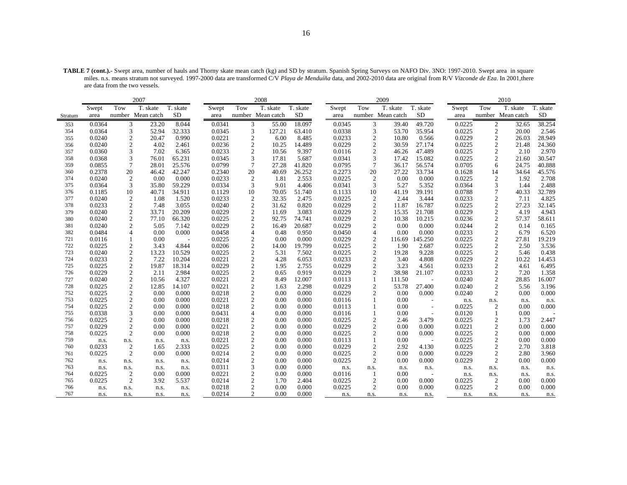**TABLE 7 (cont.).-** Swept area, number of hauls and Thorny skate mean catch (kg) and SD by stratum. Spanish Spring Surveys on NAFO Div. 3NO: 1997-2010. Swept area in square miles. n.s. means stratum not surveyed. 1997-2000 data are transformed C/V *Playa de Menduíña* data, and 2002-2010 data are original from R/V *Vizconde de Eza*. In 2001,there are data from the two vessels.

|         |        |                  | 2007              |           |        |                  | 2008              |           |        |                  | 2009              |           |        |                  | 2010              |           |
|---------|--------|------------------|-------------------|-----------|--------|------------------|-------------------|-----------|--------|------------------|-------------------|-----------|--------|------------------|-------------------|-----------|
|         | Swept  | Tow              | T. skate          | T. skate  | Swept  | Tow              | T. skate          | T. skate  | Swept  | Tow              | T. skate          | T. skate  | Swept  | Tow              | T. skate          | T. skate  |
| Stratum | area   |                  | number Mean catch | <b>SD</b> | area   |                  | number Mean catch | <b>SD</b> | area   |                  | number Mean catch | <b>SD</b> | area   |                  | number Mean catch | <b>SD</b> |
| 353     | 0.0364 | 3                | 23.20             | 8.044     | 0.0341 | 3                | 55.00             | 18.097    | 0.0345 | 3                | 39.40             | 49.720    | 0.0225 | 2                | 32.65             | 38.254    |
| 354     | 0.0364 | 3                | 52.94             | 32.333    | 0.0345 | 3                | 127.21            | 63.410    | 0.0338 | 3                | 53.70             | 35.954    | 0.0225 | $\boldsymbol{2}$ | 20.00             | 2.546     |
| 355     | 0.0240 | $\mathfrak{2}$   | 20.47             | 0.990     | 0.0221 | $\overline{c}$   | 6.00              | 8.485     | 0.0233 | $\mathfrak{2}$   | 10.80             | 0.566     | 0.0229 | $\overline{2}$   | 26.03             | 28.949    |
| 356     | 0.0240 | $\mathfrak{2}$   | 4.02              | 2.461     | 0.0236 | $\mathfrak{2}$   | 10.25             | 14.489    | 0.0229 | $\mathbf{2}$     | 30.59             | 27.174    | 0.0225 | $\overline{2}$   | 21.48             | 24.360    |
| 357     | 0.0360 | 3                | 7.02              | 6.365     | 0.0233 | $\sqrt{2}$       | 10.56             | 9.397     | 0.0116 | $\overline{c}$   | 46.26             | 47.489    | 0.0225 | $\overline{c}$   | 2.10              | 2.970     |
| 358     | 0.0368 | 3                | 76.01             | 65.231    | 0.0345 | 3                | 17.81             | 5.687     | 0.0341 | 3                | 17.42             | 15.082    | 0.0225 | $\overline{2}$   | 21.60             | 30.547    |
| 359     | 0.0855 | $\overline{7}$   | 28.01             | 25.576    | 0.0799 | $\overline{7}$   | 27.28             | 41.820    | 0.0795 | 7                | 36.17             | 56.574    | 0.0705 | 6                | 24.75             | 40.888    |
| 360     | 0.2378 | 20               | 46.42             | 42.247    | 0.2340 | 20               | 40.69             | 26.252    | 0.2273 | 20               | 27.22             | 33.734    | 0.1628 | 14               | 34.64             | 45.576    |
| 374     | 0.0240 | $\overline{c}$   | 0.00              | 0.000     | 0.0233 | $\overline{2}$   | 1.81              | 2.553     | 0.0225 | $\overline{2}$   | 0.00              | 0.000     | 0.0225 | $\overline{2}$   | 1.92              | 2.708     |
| 375     | 0.0364 | 3                | 35.80             | 59.229    | 0.0334 | 3                | 9.01              | 4.406     | 0.0341 | 3                | 5.27              | 5.352     | 0.0364 | 3                | 1.44              | 2.488     |
| 376     | 0.1185 | 10               | 40.71             | 34.911    | 0.1129 | 10               | 70.05             | 51.740    | 0.1133 | 10               | 41.19             | 39.191    | 0.0788 | $\overline{7}$   | 40.33             | 32.789    |
| 377     | 0.0240 | $\mathfrak{2}$   | 1.08              | 1.520     | 0.0233 | $\mathfrak{2}$   | 32.35             | 2.475     | 0.0225 | $\overline{2}$   | 2.44              | 3.444     | 0.0233 | $\overline{2}$   | 7.11              | 4.825     |
| 378     | 0.0233 | $\mathfrak{2}$   | 7.48              | 3.055     | 0.0240 | $\boldsymbol{2}$ | 31.62             | 0.820     | 0.0229 | $\boldsymbol{2}$ | 11.87             | 16.787    | 0.0225 | $\overline{2}$   | 27.23             | 32.145    |
| 379     | 0.0240 | $\boldsymbol{2}$ | 33.71             | 20.209    | 0.0229 | $\sqrt{2}$       | 11.69             | 3.083     | 0.0229 | $\mathbf{2}$     | 15.35             | 21.708    | 0.0229 | $\overline{2}$   | 4.19              | 4.943     |
| 380     | 0.0240 | $\mathfrak{2}$   | 77.10             | 66.320    | 0.0225 | $\overline{2}$   | 92.75             | 74.741    | 0.0229 | $\overline{c}$   | 10.38             | 10.215    | 0.0236 | $\overline{2}$   | 57.37             | 58.611    |
| 381     | 0.0240 | $\mathfrak{2}$   | 5.05              | 7.142     | 0.0229 | $\boldsymbol{2}$ | 16.49             | 20.687    | 0.0229 | $\boldsymbol{2}$ | 0.00              | 0.000     | 0.0244 | $\overline{2}$   | 0.14              | 0.165     |
| 382     | 0.0484 | $\overline{4}$   | 0.00              | 0.000     | 0.0458 | $\overline{4}$   | 0.48              | 0.950     | 0.0450 | 4                | 0.00              | 0.000     | 0.0233 | $\overline{c}$   | 6.79              | 6.520     |
| 721     | 0.0116 |                  | 0.00              |           | 0.0225 | $\overline{2}$   | 0.00              | 0.000     | 0.0229 | $\mathfrak{2}$   | 116.69            | 145.250   | 0.0225 | $\overline{2}$   | 27.81             | 19.219    |
| 722     | 0.0225 | $\mathfrak{2}$   | 3.43              | 4.844     | 0.0206 | $\boldsymbol{2}$ | 14.00             | 19.799    | 0.0225 | $\boldsymbol{2}$ | 1.90              | 2.687     | 0.0225 | $\overline{2}$   | 2.50              | 3.536     |
| 723     | 0.0240 | $\sqrt{2}$       | 13.23             | 10.529    | 0.0225 | $\overline{c}$   | 5.31              | 7.502     | 0.0225 | $\boldsymbol{2}$ | 19.28             | 9.228     | 0.0225 | $\overline{c}$   | 5.46              | 0.438     |
| 724     | 0.0233 | $\overline{c}$   | 7.22              | 10.204    | 0.0221 | $\overline{2}$   | 4.28              | 6.053     | 0.0233 | $\mathfrak{2}$   | 3.40              | 4.808     | 0.0229 | $\overline{c}$   | 10.22             | 14.453    |
| 725     | 0.0225 | $\mathfrak{2}$   | 19.87             | 18.314    | 0.0229 | $\boldsymbol{2}$ | 1.95              | 2.755     | 0.0229 | $\boldsymbol{2}$ | 3.23              | 4.561     | 0.0233 | $\overline{2}$   | 4.61              | 6.495     |
| 726     | 0.0229 | $\boldsymbol{2}$ | 2.11              | 2.984     | 0.0225 | $\sqrt{2}$       | 0.65              | 0.919     | 0.0229 | $\mathfrak{2}$   | 38.98             | 21.107    | 0.0233 | $\overline{c}$   | 7.20              | 1.358     |
| 727     | 0.0240 | $\overline{c}$   | 10.56             | 4.327     | 0.0221 | $\overline{2}$   | 8.49              | 12.007    | 0.0113 |                  | 111.50            |           | 0.0240 | $\overline{2}$   | 28.85             | 16.007    |
| 728     | 0.0225 | $\boldsymbol{2}$ | 12.85             | 14.107    | 0.0221 | $\boldsymbol{2}$ | 1.63              | 2.298     | 0.0229 | $\boldsymbol{2}$ | 53.78             | 27.400    | 0.0240 | $\overline{2}$   | 5.56              | 3.196     |
| 752     | 0.0225 | $\boldsymbol{2}$ | 0.00              | 0.000     | 0.0218 | $\boldsymbol{2}$ | 0.00              | 0.000     | 0.0229 | $\overline{2}$   | 0.00              | 0.000     | 0.0240 | $\overline{2}$   | 0.00              | 0.000     |
| 753     | 0.0225 | $\boldsymbol{2}$ | 0.00              | 0.000     | 0.0221 | $\overline{c}$   | 0.00              | 0.000     | 0.0116 |                  | 0.00              |           | n.s.   | n.s.             | n.s.              | n.s.      |
| 754     | 0.0225 | $\mathfrak{2}$   | 0.00              | 0.000     | 0.0218 | $\overline{c}$   | 0.00              | 0.000     | 0.0113 |                  | 0.00              |           | 0.0225 | $\overline{2}$   | 0.00              | 0.000     |
| 755     | 0.0338 | 3                | 0.00              | 0.000     | 0.0431 | $\overline{4}$   | 0.00              | 0.000     | 0.0116 |                  | 0.00              |           | 0.0120 |                  | 0.00              |           |
| 756     | 0.0225 | $\mathfrak{2}$   | 0.00              | 0.000     | 0.0218 | $\overline{2}$   | 0.00              | 0.000     | 0.0225 | $\mathfrak{2}$   | 2.46              | 3.479     | 0.0225 | $\overline{2}$   | 1.73              | 2.447     |
| 757     | 0.0229 | $\mathfrak{2}$   | 0.00              | 0.000     | 0.0221 | $\overline{c}$   | 0.00              | 0.000     | 0.0229 | $\mathfrak{2}$   | 0.00              | 0.000     | 0.0221 | $\overline{2}$   | 0.00              | 0.000     |
| 758     | 0.0225 | $\mathfrak{2}$   | 0.00              | 0.000     | 0.0218 | $\boldsymbol{2}$ | 0.00              | 0.000     | 0.0225 | $\overline{2}$   | 0.00              | 0.000     | 0.0225 | $\overline{2}$   | 0.00              | 0.000     |
| 759     | n.s.   | n.s.             | n.s.              | n.s.      | 0.0221 | $\overline{2}$   | 0.00              | 0.000     | 0.0113 |                  | 0.00              |           | 0.0225 | $\overline{2}$   | 0.00              | 0.000     |
| 760     | 0.0233 | $\mathfrak{2}$   | 1.65              | 2.333     | 0.0225 | $\mathfrak{2}$   | 0.00              | 0.000     | 0.0229 | $\mathfrak{2}$   | 2.92              | 4.130     | 0.0225 | $\overline{c}$   | 2.70              | 3.818     |
| 761     | 0.0225 | $\mathfrak{2}$   | 0.00              | 0.000     | 0.0214 | $\mathbf{2}$     | 0.00              | 0.000     | 0.0225 | $\mathfrak{2}$   | 0.00              | 0.000     | 0.0229 | $\overline{2}$   | 2.80              | 3.960     |
| 762     | n.s.   | n.s.             | n.s.              | n.s.      | 0.0214 | $\overline{2}$   | 0.00              | 0.000     | 0.0225 | $\overline{2}$   | 0.00              | 0.000     | 0.0229 | $\overline{2}$   | 0.00              | 0.000     |
| 763     | n.s.   | n.s.             | n.s.              | n.s.      | 0.0311 | 3                | 0.00              | 0.000     | n.s.   | n.s.             | n.s.              | n.s.      | n.s.   | n.s.             | n.s.              | n.s.      |
| 764     | 0.0225 | $\overline{c}$   | 0.00              | 0.000     | 0.0221 | $\overline{c}$   | 0.00              | 0.000     | 0.0116 | -1               | 0.00              |           | n.s.   | n.s.             | n.s.              | n.s.      |
| 765     | 0.0225 | $\overline{2}$   | 3.92              | 5.537     | 0.0214 | $\overline{2}$   | 1.70              | 2.404     | 0.0225 | $\overline{2}$   | 0.00              | 0.000     | 0.0225 | $\overline{2}$   | 0.00              | 0.000     |
| 766     | n.s.   | n.s.             | n.s.              | n.s.      | 0.0218 | 2                | 0.00              | 0.000     | 0.0225 | $\overline{2}$   | 0.00              | 0.000     | 0.0225 | $\overline{c}$   | 0.00              | 0.000     |
| 767     | n.s.   | n.s.             | n.s.              | n.s.      | 0.0214 | 2                | 0.00              | 0.000     | n.s.   | n.s.             | n.s.              | n.s.      | n.s.   | n.s.             | n.s.              | n.s.      |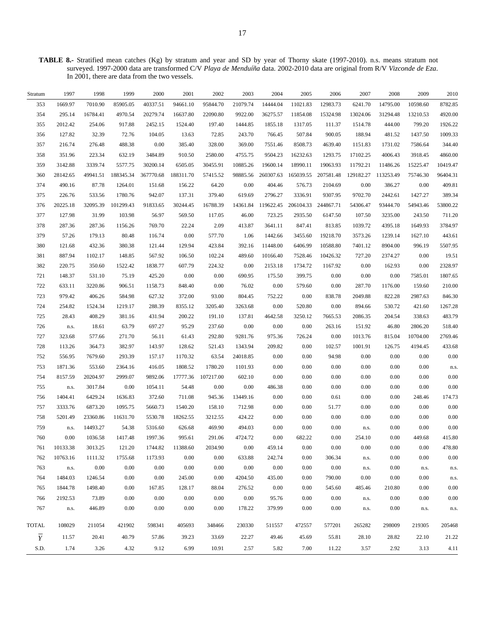**TABLE 8.-** Stratified mean catches (Kg) by stratum and year and SD by year of Thorny skate (1997-2010). n.s. means stratum not surveyed. 1997-2000 data are transformed C/V *Playa de Menduíña* data. 2002-2010 data are original from R/V *Vizconde de Eza*. In 2001, there are data from the two vessels.

| Stratum        | 1997     | 1998     | 1999      | 2000      | 2001      | 2002      | 2003     | 2004      | 2005      | 2006      | 2007      | 2008      | 2009     | 2010     |
|----------------|----------|----------|-----------|-----------|-----------|-----------|----------|-----------|-----------|-----------|-----------|-----------|----------|----------|
| 353            | 1669.97  | 7010.90  | 85905.05  | 40337.51  | 94661.10  | 95844.70  | 21079.74 | 14444.04  | 11021.83  | 12983.73  | 6241.70   | 14795.00  | 10598.60 | 8782.85  |
| 354            | 295.14   | 16784.41 | 4970.54   | 20279.74  | 16637.80  | 22090.80  | 9922.00  | 36275.57  | 11854.08  | 15324.98  | 13024.06  | 31294.48  | 13210.53 | 4920.00  |
| 355            | 2012.42  | 254.06   | 917.88    | 2452.15   | 1524.40   | 197.40    | 1444.85  | 1855.18   | 1317.05   | 111.37    | 1514.78   | 444.00    | 799.20   | 1926.22  |
| 356            | 127.82   | 32.39    | 72.76     | 104.05    | 13.63     | 72.85     | 243.70   | 766.45    | 507.84    | 900.05    | 188.94    | 481.52    | 1437.50  | 1009.33  |
| 357            | 216.74   | 276.48   | 488.38    | $0.00\,$  | 385.40    | 328.00    | 369.00   | 7551.46   | 8508.73   | 4639.40   | 1151.83   | 1731.02   | 7586.64  | 344.40   |
| 358            | 351.96   | 223.34   | 632.19    | 3484.89   | 910.50    | 2580.00   | 4755.75  | 9504.23   | 16232.63  | 1293.75   | 17102.25  | 4006.43   | 3918.45  | 4860.00  |
| 359            | 3142.88  | 3339.74  | 5577.75   | 30200.14  | 6505.05   | 30455.91  | 10885.26 | 19600.14  | 18990.11  | 19063.93  | 11792.21  | 11486.26  | 15225.47 | 10419.47 |
| 360            | 28142.65 | 49941.51 | 188345.34 | 367770.68 | 188311.70 | 57415.52  | 98885.56 | 260307.63 | 165039.55 | 207581.48 | 129182.27 | 113253.49 | 75746.30 | 96404.31 |
| 374            | 490.16   | 87.78    | 1264.01   | 151.68    | 156.22    | 64.20     | 0.00     | 404.46    | 576.73    | 2104.69   | 0.00      | 386.27    | 0.00     | 409.81   |
| 375            | 226.76   | 533.56   | 1780.76   | 942.07    | 137.31    | 379.40    | 619.69   | 2796.27   | 3336.91   | 9307.95   | 9702.70   | 2442.61   | 1427.27  | 389.34   |
| 376            | 20225.18 | 32095.39 | 101299.43 | 91833.65  | 30244.45  | 16788.39  | 14361.84 | 119622.45 | 206104.33 | 244867.71 | 54306.47  | 93444.70  | 54943.46 | 53800.22 |
| 377            | 127.98   | 31.99    | 103.98    | 56.97     | 569.50    | 117.05    | 46.00    | 723.25    | 2935.50   | 6147.50   | 107.50    | 3235.00   | 243.50   | 711.20   |
| 378            | 287.36   | 287.36   | 1156.26   | 769.70    | 22.24     | 2.09      | 413.87   | 3641.11   | 847.41    | 813.85    | 1039.72   | 4395.18   | 1649.93  | 3784.97  |
| 379            | 57.26    | 179.13   | 80.48     | 116.74    | 0.00      | 577.70    | 1.06     | 1442.66   | 3455.60   | 19218.70  | 3573.26   | 1239.14   | 1627.10  | 443.61   |
| 380            | 121.68   | 432.36   | 380.38    | 121.44    | 129.94    | 423.84    | 392.16   | 11448.00  | 6406.99   | 10588.80  | 7401.12   | 8904.00   | 996.19   | 5507.95  |
| 381            | 887.94   | 1102.17  | 148.85    | 567.92    | 106.50    | 102.24    | 489.60   | 10166.40  | 7528.46   | 10426.32  | 727.20    | 2374.27   | 0.00     | 19.51    |
| 382            | 220.75   | 350.60   | 1522.42   | 1838.77   | 607.79    | 224.32    | 0.00     | 2153.18   | 1734.72   | 1167.92   | 0.00      | 162.93    | 0.00     | 2328.97  |
| 721            | 148.37   | 531.10   | 75.19     | 425.20    | 0.00      | $0.00\,$  | 690.95   | 175.50    | 399.75    | 0.00      | 0.00      | 0.00      | 7585.01  | 1807.65  |
| 722            | 633.11   | 3220.86  | 906.51    | 1158.73   | 848.40    | $0.00\,$  | 76.02    | 0.00      | 579.60    | 0.00      | 287.70    | 1176.00   | 159.60   | 210.00   |
| 723            | 979.42   | 406.26   | 584.98    | 627.32    | 372.00    | 93.00     | 804.45   | 752.22    | 0.00      | 838.78    | 2049.88   | 822.28    | 2987.63  | 846.30   |
| 724            | 254.82   | 1524.34  | 1219.17   | 288.39    | 8355.12   | 3205.40   | 3263.68  | $0.00\,$  | 520.80    | $0.00\,$  | 894.66    | 530.72    | 421.60   | 1267.28  |
| 725            | 28.43    | 408.29   | 381.16    | 431.94    | 200.22    | 191.10    | 137.81   | 4642.58   | 3250.12   | 7665.53   | 2086.35   | 204.54    | 338.63   | 483.79   |
| 726            | n.s.     | 18.61    | 63.79     | 697.27    | 95.29     | 237.60    | 0.00     | 0.00      | 0.00      | 263.16    | 151.92    | 46.80     | 2806.20  | 518.40   |
| 727            | 323.68   | 577.66   | 271.70    | 56.11     | 61.43     | 292.80    | 9281.76  | 975.36    | 726.24    | 0.00      | 1013.76   | 815.04    | 10704.00 | 2769.46  |
| 728            | 113.26   | 364.73   | 382.97    | 143.97    | 128.62    | 521.43    | 1343.94  | 209.82    | 0.00      | 102.57    | 1001.91   | 126.75    | 4194.45  | 433.68   |
| 752            | 556.95   | 7679.60  | 293.39    | 157.17    | 1170.32   | 63.54     | 24018.85 | 0.00      | 0.00      | 94.98     | 0.00      | 0.00      | 0.00     | 0.00     |
| 753            | 1871.36  | 553.60   | 2364.16   | 416.05    | 1808.52   | 1780.20   | 1101.93  | 0.00      | 0.00      | 0.00      | 0.00      | 0.00      | 0.00     | n.s.     |
| 754            | 8157.59  | 20204.97 | 2999.07   | 9892.06   | 17777.36  | 107217.00 | 602.10   | 0.00      | 0.00      | 0.00      | 0.00      | 0.00      | 0.00     | 0.00     |
| 755            | n.s.     | 3017.84  | 0.00      | 1054.11   | 54.48     | 0.00      | 0.00     | 486.38    | 0.00      | 0.00      | $0.00\,$  | 0.00      | 0.00     | 0.00     |
| 756            | 1404.41  | 6429.24  | 1636.83   | 372.60    | 711.08    | 945.36    | 13449.16 | 0.00      | 0.00      | 0.61      | 0.00      | 0.00      | 248.46   | 174.73   |
| 757            | 3333.76  | 6873.20  | 1095.75   | 5660.73   | 1540.20   | 158.10    | 712.98   | 0.00      | 0.00      | 51.77     | 0.00      | 0.00      | 0.00     | 0.00     |
| 758            | 5201.49  | 23360.86 | 11631.70  | 5530.78   | 18262.55  | 3212.55   | 424.22   | 0.00      | 0.00      | 0.00      | 0.00      | 0.00      | 0.00     | 0.00     |
| 759            | n.s.     | 14493.27 | 54.38     | 5316.60   | 626.68    | 469.90    | 494.03   | 0.00      | 0.00      | 0.00      | n.s.      | 0.00      | 0.00     | 0.00     |
| 760            | 0.00     | 1036.58  | 1417.48   | 1997.36   | 995.61    | 291.06    | 4724.72  | 0.00      | 682.22    | 0.00      | 254.10    | 0.00      | 449.68   | 415.80   |
| 761            | 10133.38 | 3013.25  | 121.20    | 1744.82   | 11388.60  | 2034.90   | 0.00     | 459.14    | 0.00      | $0.00\,$  | $0.00\,$  | 0.00      | 0.00     | 478.80   |
| 762            | 10763.16 | 1111.32  | 1755.68   | 1173.93   | 0.00      | 0.00      | 633.88   | 242.74    | 0.00      | 306.34    | n.s.      | 0.00      | 0.00     | 0.00     |
| 763            | n.s.     | $0.00\,$ | 0.00      | $0.00\,$  | 0.00      | $0.00\,$  | 0.00     | 0.00      | 0.00      | 0.00      | n.s.      | 0.00      | n.s.     | n.s.     |
| 764            | 1484.03  | 1246.54  | 0.00      | 0.00      | 245.00    | 0.00      | 4204.50  | 435.00    | 0.00      | 790.00    | 0.00      | 0.00      | 0.00     | n.s.     |
| 765            | 1844.78  | 1498.40  | 0.00      | 167.85    | 128.17    | 88.04     | 276.52   | 0.00      | 0.00      | 545.60    | 485.46    | 210.80    | 0.00     | 0.00     |
| 766            | 2192.53  | 73.89    | 0.00      | 0.00      | 0.00      | 0.00      | 0.00     | 95.76     | 0.00      | 0.00      | n.s.      | 0.00      | 0.00     | 0.00     |
| 767            | n.s.     | 446.89   | 0.00      | $0.00\,$  | 0.00      | 0.00      | 178.22   | 379.99    | 0.00      | 0.00      | n.s.      | 0.00      | n.s.     | n.s.     |
| <b>TOTAL</b>   | 108029   | 211054   | 421902    | 598341    | 405693    | 348466    | 230330   | 511557    | 472557    | 577201    | 265282    | 298009    | 219305   | 205468   |
| $\overline{Y}$ | 11.57    | 20.41    | 40.79     | 57.86     | 39.23     | 33.69     | 22.27    | 49.46     | 45.69     | 55.81     | 28.10     | 28.82     | 22.10    | 21.22    |
| S.D.           | 1.74     | 3.26     | 4.32      | 9.12      | 6.99      | 10.91     | 2.57     | 5.82      | 7.00      | 11.22     | 3.57      | 2.92      | 3.13     | 4.11     |
|                |          |          |           |           |           |           |          |           |           |           |           |           |          |          |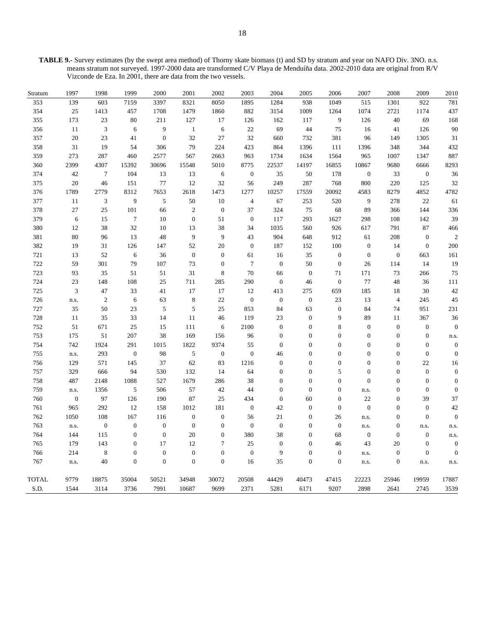**TABLE 9.-** Survey estimates (by the swept area method) of Thorny skate biomass (t) and SD by stratum and year on NAFO Div. 3NO. n.s. means stratum not surveyed. 1997-2000 data are transformed C/V Playa de Menduíña data. 2002-2010 data are original from R/V Vizconde de Eza. In 2001, there are data from the two vessels.

| Stratum      | 1997             | 1998             | 1999             | 2000           | 2001             | 2002             | 2003             | 2004             | 2005             | 2006             | 2007             | 2008             | 2009           | 2010             |
|--------------|------------------|------------------|------------------|----------------|------------------|------------------|------------------|------------------|------------------|------------------|------------------|------------------|----------------|------------------|
| 353          | 139              | 603              | 7159             | 3397           | 8321             | 8050             | 1895             | 1284             | 938              | 1049             | 515              | 1301             | 922            | 781              |
| 354          | 25               | 1413             | 457              | 1708           | 1479             | 1860             | 882              | 3154             | 1009             | 1264             | 1074             | 2721             | 1174           | 437              |
| 355          | 173              | 23               | 80               | 211            | 127              | 17               | 126              | 162              | 117              | 9                | 126              | 40               | 69             | 168              |
| 356          | 11               | $\mathfrak{Z}$   | 6                | 9              | $\mathbf{1}$     | 6                | 22               | 69               | 44               | 75               | 16               | 41               | 126            | 90               |
| 357          | 20               | 23               | 41               | $\overline{0}$ | 32               | 27               | 32               | 660              | 732              | 381              | 96               | 149              | 1305           | 31               |
| 358          | 31               | 19               | 54               | 306            | 79               | 224              | 423              | 864              | 1396             | 111              | 1396             | 348              | 344            | 432              |
| 359          | 273              | 287              | 460              | 2577           | 567              | 2663             | 963              | 1734             | 1634             | 1564             | 965              | 1007             | 1347           | 887              |
| 360          | 2399             | 4307             | 15392            | 30696          | 15548            | 5010             | 8775             | 22537            | 14197            | 16855            | 10867            | 9680             | 6666           | 8293             |
| 374          | 42               | $\overline{7}$   | 104              | 13             | 13               | 6                | $\boldsymbol{0}$ | 35               | 50               | 178              | $\mathbf{0}$     | 33               | $\mathbf{0}$   | 36               |
| 375          | 20               | 46               | 151              | 77             | 12               | 32               | 56               | 249              | 287              | 768              | 800              | 220              | 125            | 32               |
| 376          | 1789             | 2779             | 8312             | 7653           | 2618             | 1473             | 1277             | 10257            | 17559            | 20092            | 4583             | 8279             | 4852           | 4782             |
| 377          | 11               | $\mathfrak{Z}$   | 9                | 5              | 50               | 10               | $\overline{4}$   | 67               | 253              | 520              | 9                | 278              | 22             | 61               |
| 378          | 27               | 25               | 101              | 66             | $\mathfrak{2}$   | $\overline{0}$   | 37               | 324              | 75               | 68               | 89               | 366              | 144            | 336              |
| 379          | 6                | 15               | $\tau$           | 10             | $\mathbf{0}$     | 51               | $\boldsymbol{0}$ | 117              | 293              | 1627             | 298              | 108              | 142            | 39               |
| 380          | 12               | 38               | 32               | 10             | 13               | 38               | 34               | 1035             | 560              | 926              | 617              | 791              | 87             | 466              |
| 381          | 80               | 96               | 13               | 48             | 9                | 9                | 43               | 904              | 648              | 912              | 61               | 208              | $\overline{0}$ | $\overline{2}$   |
| 382          | 19               | 31               | 126              | 147            | 52               | 20               | $\boldsymbol{0}$ | 187              | 152              | 100              | $\mathbf{0}$     | 14               | $\mathbf{0}$   | 200              |
| 721          | 13               | 52               | 6                | 36             | $\mathbf{0}$     | $\boldsymbol{0}$ | 61               | 16               | 35               | $\boldsymbol{0}$ | $\boldsymbol{0}$ | $\boldsymbol{0}$ | 663            | 161              |
| 722          | 59               | 301              | 79               | 107            | 73               | $\overline{0}$   | $\tau$           | $\boldsymbol{0}$ | 50               | $\boldsymbol{0}$ | 26               | 114              | 14             | 19               |
| 723          | 93               | 35               | 51               | 51             | 31               | 8                | 70               | 66               | $\mathbf{0}$     | 71               | 171              | 73               | 266            | 75               |
| 724          | 23               | 148              | 108              | 25             | 711              | 285              | 290              | $\boldsymbol{0}$ | 46               | $\boldsymbol{0}$ | 77               | 48               | 36             | 111              |
| 725          | 3                | 47               | 33               | 41             | 17               | 17               | 12               | 413              | $275\,$          | 659              | 185              | 18               | 30             | 42               |
| 726          | n.s.             | 2                | 6                | 63             | 8                | $22\,$           | $\mathbf{0}$     | $\mathbf{0}$     | $\mathbf{0}$     | 23               | 13               | $\overline{4}$   | 245            | 45               |
| 727          | 35               | 50               | 23               | 5              | 5                | 25               | 853              | 84               | 63               | $\boldsymbol{0}$ | 84               | 74               | 951            | 231              |
| 728          | 11               | 35               | 33               | 14             | 11               | 46               | 119              | 23               | $\mathbf{0}$     | 9                | 89               | 11               | 367            | 36               |
| 752          | 51               | 671              | 25               | 15             | 111              | 6                | 2100             | $\mathbf{0}$     | $\mathbf{0}$     | $\,$ 8 $\,$      | $\mathbf{0}$     | $\boldsymbol{0}$ | $\overline{0}$ | $\overline{0}$   |
| 753          | 175              | 51               | 207              | 38             | 169              | 156              | 96               | $\boldsymbol{0}$ | $\boldsymbol{0}$ | $\boldsymbol{0}$ | $\mathbf{0}$     | $\boldsymbol{0}$ | $\overline{0}$ | n.s.             |
| 754          | 742              | 1924             | 291              | 1015           | 1822             | 9374             | 55               | $\boldsymbol{0}$ | $\mathbf{0}$     | $\boldsymbol{0}$ | $\overline{0}$   | $\boldsymbol{0}$ | $\overline{0}$ | $\mathbf{0}$     |
| 755          | n.s.             | 293              | $\mathbf{0}$     | 98             | 5                | $\mathbf{0}$     | $\boldsymbol{0}$ | 46               | $\mathbf{0}$     | $\boldsymbol{0}$ | $\mathbf{0}$     | $\boldsymbol{0}$ | $\mathbf{0}$   | $\overline{0}$   |
| 756          | 129              | 571              | 145              | 37             | 62               | 83               | 1216             | $\boldsymbol{0}$ | $\boldsymbol{0}$ | $\boldsymbol{0}$ | $\overline{0}$   | $\boldsymbol{0}$ | 22             | 16               |
| 757          | 329              | 666              | 94               | 530            | 132              | 14               | 64               | $\boldsymbol{0}$ | $\theta$         | 5                | $\theta$         | $\boldsymbol{0}$ | $\theta$       | $\mathbf{0}$     |
| 758          | 487              | 2148             | 1088             | 527            | 1679             | 286              | 38               | $\boldsymbol{0}$ | $\mathbf{0}$     | $\boldsymbol{0}$ | $\overline{0}$   | $\boldsymbol{0}$ | $\overline{0}$ | $\overline{0}$   |
| 759          | n.s.             | 1356             | 5                | 506            | 57               | 42               | 44               | $\boldsymbol{0}$ | $\mathbf{0}$     | $\boldsymbol{0}$ | n.s.             | $\boldsymbol{0}$ | $\mathbf{0}$   | $\boldsymbol{0}$ |
| 760          | $\boldsymbol{0}$ | 97               | 126              | 190            | 87               | 25               | 434              | $\boldsymbol{0}$ | 60               | $\overline{0}$   | 22               | $\overline{0}$   | 39             | 37               |
| 761          | 965              | 292              | 12               | 158            | 1012             | 181              | $\boldsymbol{0}$ | 42               | $\overline{0}$   | $\boldsymbol{0}$ | $\mathbf{0}$     | $\boldsymbol{0}$ | $\mathbf{0}$   | 42               |
| 762          | 1050             | 108              | 167              | 116            | $\boldsymbol{0}$ | $\boldsymbol{0}$ | 56               | 21               | $\boldsymbol{0}$ | 26               | n.s.             | $\boldsymbol{0}$ | $\Omega$       | $\boldsymbol{0}$ |
| 763          | n.s.             | $\boldsymbol{0}$ | $\boldsymbol{0}$ | $\overline{0}$ | $\overline{0}$   | $\overline{0}$   | $\overline{0}$   | $\boldsymbol{0}$ | $\theta$         | $\boldsymbol{0}$ | n.s.             | $\boldsymbol{0}$ | n.s.           | n.s.             |
| 764          | 144              | 115              | $\boldsymbol{0}$ | $\mathbf{0}$   | 20               | $\boldsymbol{0}$ | 380              | 38               | $\mathbf{0}$     | 68               | $\mathbf{0}$     | $\boldsymbol{0}$ | $\mathbf{0}$   | n.s.             |
| 765          | 179              | 143              | $\mathbf{0}$     | 17             | 12               | 7                | 25               | $\boldsymbol{0}$ | $\overline{0}$   | 46               | 43               | 20               | $\theta$       | $\boldsymbol{0}$ |
| 766          | 214              | 8                | $\overline{0}$   | $\overline{0}$ | $\overline{0}$   | $\mathbf{0}$     | $\boldsymbol{0}$ | 9                | $\mathbf{0}$     | $\boldsymbol{0}$ | n.s.             | $\boldsymbol{0}$ | $\overline{0}$ | $\mathbf{0}$     |
| 767          | n.s.             | 40               | $\overline{0}$   | $\overline{0}$ | $\mathbf{0}$     | $\boldsymbol{0}$ | 16               | 35               | $\mathbf{0}$     | $\boldsymbol{0}$ | n.s.             | $\boldsymbol{0}$ | n.s.           | n.s.             |
| <b>TOTAL</b> | 9779             | 18875            | 35004            | 50521          | 34948            | 30072            | 20508            | 44429            | 40473            | 47415            | 22223            | 25946            | 19959          | 17887            |
| S.D.         | 1544             | 3114             | 3736             | 7991           | 10687            | 9699             | 2371             | 5281             | 6171             | 9207             | 2898             | 2641             | 2745           | 3539             |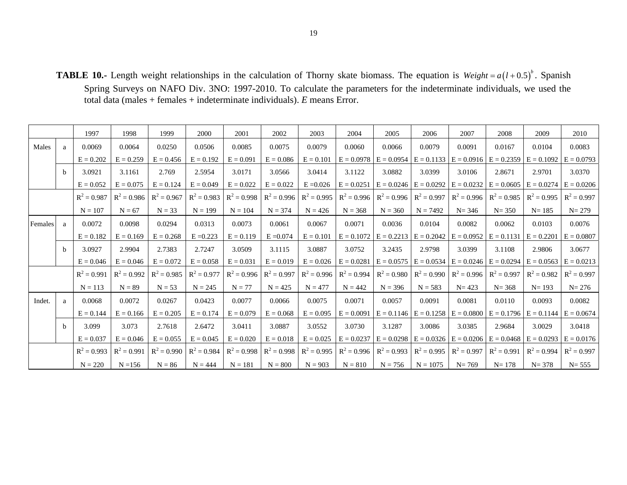**TABLE 10.-** Length weight relationships in the calculation of Thorny skate biomass. The equation is  $Weight = a(l+0.5)^{b}$ . Spanish Spring Surveys on NAFO Div. 3NO: 1997-2010. To calculate the parameters for the indeterminate individuals, we used the total data (males + females + indeterminate individuals). *E* means Error.

|                |              | 1997          | 1998          | 1999          | 2000          | 2001          | 2002          | 2003          | 2004          | 2005                      | 2006                      | 2007          | 2008                                                | 2009                        | 2010          |
|----------------|--------------|---------------|---------------|---------------|---------------|---------------|---------------|---------------|---------------|---------------------------|---------------------------|---------------|-----------------------------------------------------|-----------------------------|---------------|
| Males          | a            | 0.0069        | 0.0064        | 0.0250        | 0.0506        | 0.0085        | 0.0075        | 0.0079        | 0.0060        | 0.0066                    | 0.0079                    | 0.0091        | 0.0167                                              | 0.0104                      | 0.0083        |
|                |              | $E = 0.202$   | $E = 0.259$   | $E = 0.456$   | $E = 0.192$   | $E = 0.091$   | $E = 0.086$   | $E = 0.101$   | $E = 0.0978$  | $E = 0.0954$              | $E = 0.1133$              | $E = 0.0916$  | $E = 0.2359$ $E = 0.1092$                           |                             | $E = 0.0793$  |
|                | <sub>h</sub> | 3.0921        | 3.1161        | 2.769         | 2.5954        | 3.0171        | 3.0566        | 3.0414        | 3.1122        | 3.0882                    | 3.0399                    | 3.0106        | 2.8671                                              | 2.9701                      | 3.0370        |
|                |              | $E = 0.052$   | $E = 0.075$   | $E = 0.124$   | $E = 0.049$   | $E = 0.022$   | $E = 0.022$   | $E = 0.026$   | $E = 0.0251$  |                           | $E = 0.0246$ $E = 0.0292$ |               | $E = 0.0232$ $E = 0.0605$ $E = 0.0274$ $E = 0.0206$ |                             |               |
|                |              | $R^2 = 0.987$ | $R^2 = 0.986$ | $R^2 = 0.967$ | $R^2 = 0.983$ | $R^2 = 0.998$ | $R^2 = 0.996$ | $R^2 = 0.995$ | $R^2 = 0.996$ | $R^2 = 0.996$             | $R^2 = 0.997$             | $R^2 = 0.996$ |                                                     | $R^2 = 0.985$ $R^2 = 0.995$ | $R^2 = 0.997$ |
|                |              | $N = 107$     | $N = 67$      | $N = 33$      | $N = 199$     | $N = 104$     | $N = 374$     | $N = 426$     | $N = 368$     | $N = 360$                 | $N = 7492$                | $N = 346$     | $N = 350$                                           | $N = 185$                   | $N = 279$     |
| <b>Females</b> | a            | 0.0072        | 0.0098        | 0.0294        | 0.0313        | 0.0073        | 0.0061        | 0.0067        | 0.0071        | 0.0036                    | 0.0104                    | 0.0082        | 0.0062                                              | 0.0103                      | 0.0076        |
|                |              | $E = 0.182$   | $E = 0.169$   | $E = 0.268$   | $E = 0.223$   | $E = 0.119$   | $E = 0.074$   | $E = 0.101$   | $E = 0.1072$  |                           | $E = 0.2213$ $E = 0.2042$ |               | $E = 0.0952$ $E = 0.1131$ $E = 0.2201$              |                             | $E = 0.0807$  |
|                | <sub>b</sub> | 3.0927        | 2.9904        | 2.7383        | 2.7247        | 3.0509        | 3.1115        | 3.0887        | 3.0752        | 3.2435                    | 2.9798                    | 3.0399        | 3.1108                                              | 2.9806                      | 3.0677        |
|                |              | $E = 0.046$   | $E = 0.046$   | $E = 0.072$   | $E = 0.058$   | $E = 0.031$   | $E = 0.019$   | $E = 0.026$   | $E = 0.0281$  | $E = 0.0575$ $E = 0.0534$ |                           |               | $E = 0.0246$ $E = 0.0294$ $E = 0.0563$ $E = 0.0213$ |                             |               |
|                |              | $R^2 = 0.991$ | $R^2 = 0.992$ | $R^2 = 0.985$ | $R^2 = 0.977$ | $R^2 = 0.996$ | $R^2 = 0.997$ | $R^2 = 0.996$ | $R^2 = 0.994$ | $R^2 = 0.980$             | $R^2 = 0.990$             | $R^2 = 0.996$ |                                                     | $R^2 = 0.997$ $R^2 = 0.982$ | $R^2 = 0.997$ |
|                |              | $N = 113$     | $N = 89$      | $N = 53$      | $N = 245$     | $N = 77$      | $N = 425$     | $N = 477$     | $N = 442$     | $N = 396$                 | $N = 583$                 | $N = 423$     | $N = 368$                                           | $N = 193$                   | $N = 276$     |
| Indet.         | a            | 0.0068        | 0.0072        | 0.0267        | 0.0423        | 0.0077        | 0.0066        | 0.0075        | 0.0071        | 0.0057                    | 0.0091                    | 0.0081        | 0.0110                                              | 0.0093                      | 0.0082        |
|                |              | $E = 0.144$   | $E = 0.166$   | $E = 0.205$   | $E = 0.174$   | $E = 0.079$   | $E = 0.068$   | $E = 0.095$   | $E = 0.0091$  |                           | $E = 0.1146$ $E = 0.1258$ |               | $E = 0.0800$ $E = 0.1796$ $E = 0.1144$ $E = 0.0674$ |                             |               |
|                | <sub>b</sub> | 3.099         | 3.073         | 2.7618        | 2.6472        | 3.0411        | 3.0887        | 3.0552        | 3.0730        | 3.1287                    | 3.0086                    | 3.0385        | 2.9684                                              | 3.0029                      | 3.0418        |
|                |              | $E = 0.037$   | $E = 0.046$   | $E = 0.055$   | $E = 0.045$   | $E = 0.020$   | $E = 0.018$   | $E = 0.025$   | $E = 0.0237$  |                           | $E = 0.0298$ $E = 0.0326$ |               | $E = 0.0206$ $E = 0.0468$ $E = 0.0293$ $E = 0.0176$ |                             |               |
|                |              | $R^2 = 0.993$ | $R^2 = 0.991$ | $R^2 = 0.990$ | $R^2 = 0.984$ | $R^2 = 0.998$ | $R^2 = 0.998$ | $R^2 = 0.995$ | $R^2 = 0.996$ | $R^2 = 0.993$             | $R^2 = 0.995$             | $R^2 = 0.997$ |                                                     | $R^2 = 0.991$ $R^2 = 0.994$ | $R^2 = 0.997$ |
|                |              | $N = 220$     | $N = 156$     | $N = 86$      | $N = 444$     | $N = 181$     | $N = 800$     | $N = 903$     | $N = 810$     | $N = 756$                 | $N = 1075$                | $N = 769$     | $N = 178$                                           | $N = 378$                   | $N = 555$     |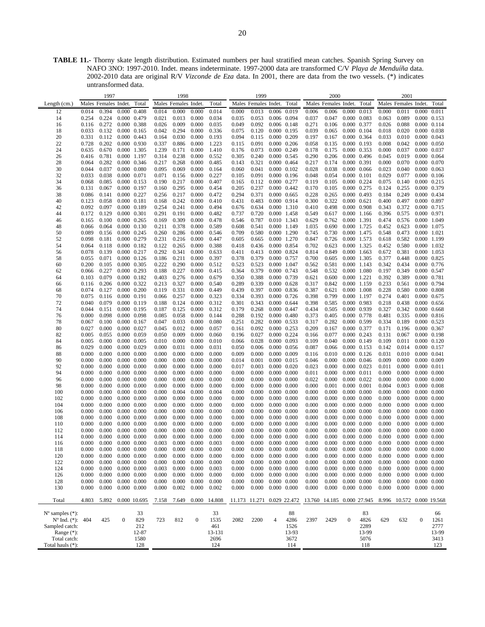**TABLE 11.-** Thorny skate length distribution. Estimated numbers per haul stratified mean catches. Spanish Spring Survey on NAFO 3NO: 1997-2010. Indet. means indeterminate. 1997-2000 data are transformed C/V *Playa de Menduíña* data. 2002-2010 data are original R/V *Vizconde de Eza* data. In 2001, there are data from the two vessels. (\*) indicates untransformed data.

|                             |       | 1997                 |                     |                     |       | 1998                 |                  |              |       | 1999                       |                         |       |                            | 2000                       |                     |       |       | 2001                      |                     |       |
|-----------------------------|-------|----------------------|---------------------|---------------------|-------|----------------------|------------------|--------------|-------|----------------------------|-------------------------|-------|----------------------------|----------------------------|---------------------|-------|-------|---------------------------|---------------------|-------|
| Length $(cm.)$              |       | Males Females Indet. |                     | Total               |       | Males Females Indet. |                  | Total        |       | Males Females Indet. Total |                         |       |                            | Males Females Indet. Total |                     |       |       | Males Females Indet.      |                     | Total |
| 12                          | 0.014 | 0.394                |                     | $0.000 \quad 0.408$ | 0.014 | 0.000                | 0.000            | 0.014        | 0.000 | 0.013                      | 0.006 0.019             |       | 0.006                      | 0.006                      | 0.000               | 0.013 | 0.000 | 0.011                     | 0.000               | 0.011 |
|                             |       |                      |                     |                     |       |                      |                  |              |       |                            |                         |       |                            |                            |                     |       |       |                           |                     |       |
| 14                          | 0.254 | 0.224                |                     | 0.000 0.479         | 0.021 | 0.013                | 0.000            | 0.034        | 0.035 | 0.053                      | 0.006 0.094             |       | 0.037                      | 0.047                      | 0.000 0.083         |       | 0.063 | 0.089                     | 0.000 0.153         |       |
| 16                          | 0.116 | 0.272                |                     | 0.000 0.388         | 0.026 | 0.009                | 0.000            | 0.035        | 0.049 | 0.092                      | 0.006 0.148             |       | 0.271                      | 0.106                      | 0.000 0.377         |       | 0.026 | 0.088                     | 0.000 0.114         |       |
| 18                          | 0.033 | 0.132                |                     | $0.000 \quad 0.165$ | 0.042 | 0.294                | 0.000            | 0.336        | 0.075 | 0.120                      | 0.000 0.195             |       | 0.039                      | 0.065                      | 0.000 0.104         |       | 0.018 | 0.020                     | 0.000 0.038         |       |
| 20                          | 0.331 | 0.112                |                     | $0.000 \quad 0.443$ | 0.164 | 0.030                | 0.000            | 0.193        | 0.094 | 0.115                      | 0.000 0.209             |       | 0.197                      | 0.167                      | 0.000 0.364         |       | 0.033 | 0.010                     | 0.000 0.043         |       |
| 22                          | 0.728 | 0.202                |                     | 0.000 0.930         | 0.337 | 0.886                | 0.000            | 1.223        | 0.115 | 0.091                      | 0.000 0.206             |       | 0.058                      | 0.135                      | 0.000 0.193         |       | 0.008 | 0.042                     | 0.000 0.050         |       |
| 24                          | 0.635 | 0.670                |                     | 0.000 1.305         | 1.239 | 0.171                | 0.000            | 1.410        | 0.176 | 0.073                      | 0.000 0.249             |       | 0.178                      | 0.175                      | 0.000 0.353         |       | 0.000 | 0.037                     | 0.000 0.037         |       |
| 26                          | 0.416 | 0.781                |                     | 0.000 1.197         | 0.314 | 0.238                | 0.000            | 0.552        | 0.305 | 0.240                      | 0.000 0.545             |       | 0.290                      | 0.206                      | 0.000 0.496         |       | 0.045 | 0.019                     | 0.000 0.064         |       |
| 28                          | 0.064 | 0.282                |                     | 0.000 0.346         | 0.217 | 0.268                | 0.000            | 0.485        | 0.143 | 0.321                      | $0.000 \quad 0.464$     |       | 0.217                      | 0.174                      | 0.000 0.391         |       | 0.000 | 0.070                     | 0.000 0.070         |       |
| 30                          | 0.044 | 0.037                |                     | $0.000 \quad 0.080$ | 0.095 | 0.069                | 0.000            | 0.164        | 0.060 | 0.041                      | $0.000 \quad 0.102$     |       | 0.028                      | 0.038                      | 0.000 0.066         |       | 0.023 | 0.040                     | $0.000 \quad 0.063$ |       |
| 32                          | 0.033 | 0.038                | 0.000 0.071         |                     | 0.071 | 0.156                | 0.000            | 0.227        | 0.105 | 0.091                      | $0.000 \quad 0.196$     |       | 0.048                      | 0.054                      | 0.000 0.101         |       | 0.029 | 0.077                     | $0.000 \quad 0.106$ |       |
|                             |       |                      |                     |                     |       |                      |                  |              |       |                            |                         |       |                            |                            |                     |       |       |                           | $0.000 \quad 0.215$ |       |
| 34                          | 0.068 | 0.085                |                     | 0.000 0.153         | 0.190 | 0.217                | 0.000            | 0.407        | 0.165 | 0.112                      | 0.000 0.277             |       | 0.119                      | 0.105                      | 0.000 0.224         |       | 0.075 | 0.140                     |                     |       |
| 36                          | 0.131 | 0.067                |                     | 0.000 0.197         | 0.160 | 0.295                | 0.000            | 0.454        | 0.205 | 0.237                      | 0.000 0.442             |       | 0.170                      | 0.105                      | $0.000 \quad 0.275$ |       | 0.124 | 0.255                     | 0.000 0.379         |       |
| 38                          | 0.086 | 0.141                |                     | 0.000 0.227         | 0.256 | 0.217                | 0.000            | 0.472        | 0.294 | 0.371                      | 0.000 0.665             |       | 0.228                      | 0.265                      | 0.000 0.493         |       | 0.184 | 0.249                     | 0.000 0.434         |       |
| 40                          | 0.123 | 0.058                | 0.000 0.181         |                     | 0.168 | 0.242                | 0.000            | 0.410        | 0.431 | 0.483                      | 0.000 0.914             |       | 0.300                      | 0.322                      | 0.000 0.621         |       | 0.400 | 0.497                     | 0.000 0.897         |       |
| 42                          | 0.092 | 0.097                |                     | 0.000 0.189         | 0.254 | 0.241                | 0.000            | 0.494        | 0.676 | 0.634                      | 0.000 1.310             |       | 0.410                      | 0.498                      | $0.000$ 0.908       |       | 0.343 | 0.372                     | 0.000 0.715         |       |
| 44                          | 0.172 | 0.129                | 0.000 0.301         |                     | 0.291 | 0.191                | 0.000            | 0.482        | 0.737 | 0.720                      | 0.000 1.458             |       | 0.549                      | 0.617                      | 0.000 1.166         |       | 0.396 | 0.575                     | 0.000 0.971         |       |
| 46                          | 0.165 | 0.100                |                     | $0.000 \quad 0.265$ | 0.169 | 0.309                | 0.000            | 0.478        | 0.546 | 0.787                      | 0.010 1.343             |       | 0.629                      | 0.762                      | 0.000 1.391         |       | 0.474 | 0.576                     | 0.000 1.049         |       |
| 48                          | 0.066 | 0.064                |                     | 0.000 0.130         | 0.211 | 0.378                | 0.000            | 0.589        | 0.608 | 0.541                      | 0.000 1.149             |       | 1.035                      | 0.690                      | 0.000               | 1.725 | 0.452 | 0.623                     | 0.000 1.075         |       |
| 50                          | 0.089 | 0.156                |                     | 0.000 0.245         | 0.260 | 0.286                | 0.000            | 0.546        | 0.709 | 0.580                      | 0.000 1.290             |       | 0.745                      | 0.730                      | 0.000 1.475         |       | 0.548 | 0.473                     | $0.000$ 1.021       |       |
| 52                          | 0.098 | 0.181                |                     | 0.000 0.279         | 0.231 | 0.216                | 0.000            | 0.447        | 0.605 | 0.665                      | 0.000 1.270             |       | 0.847                      | 0.726                      | 0.000 1.573         |       | 0.618 | 0.582                     | 0.000 1.199         |       |
|                             |       |                      |                     |                     |       |                      |                  |              |       |                            |                         |       |                            |                            |                     |       |       |                           |                     |       |
| 54                          | 0.064 | 0.118                | $0.000$ $0.182$     |                     | 0.122 | 0.265                | 0.000            | 0.388        | 0.418 | 0.436                      | 0.000 0.854             |       | 0.702                      | 0.623                      | 0.000 1.325         |       | 0.452 | 0.580                     | 0.000 1.032         |       |
| 56                          | 0.078 | 0.139                |                     | 0.000 0.217         | 0.292 | 0.341                | 0.000            | 0.633        | 0.411 | 0.413                      | 0.000 0.824             |       | 0.814                      | 0.849                      | 0.000 1.663         |       | 0.672 | 0.381                     | 0.000 1.053         |       |
| 58                          | 0.055 | 0.071                |                     | $0.000 \quad 0.126$ | 0.186 | 0.211                | 0.000            | 0.397        | 0.378 | 0.379                      | 0.000 0.757             |       | 0.700                      | 0.605                      | 0.000 1.305         |       | 0.377 | 0.448                     | 0.000 0.825         |       |
| 60                          | 0.200 | 0.105                |                     | 0.000 0.305         | 0.222 | 0.290                | 0.000            | 0.512        | 0.523 | 0.523                      | 0.000 1.047             |       | 0.562                      | 0.581                      | 0.000 1.143         |       | 0.342 | 0.434                     | 0.000 0.776         |       |
| 62                          | 0.066 | 0.227                |                     | $0.000 \quad 0.293$ | 0.188 | 0.227                | 0.000            | 0.415        | 0.364 | 0.379                      | 0.000 0.743             |       | 0.548                      | 0.532                      | 0.000 1.080         |       | 0.197 | 0.349                     | 0.000 0.547         |       |
| 64                          | 0.103 | 0.079                |                     | $0.000 \quad 0.182$ | 0.403 | 0.276                | 0.000            | 0.679        | 0.350 | 0.388                      | 0.000 0.739             |       | 0.621                      | 0.600                      | 0.000 1.221         |       | 0.392 | 0.389                     | 0.000 0.781         |       |
| 66                          | 0.116 | 0.206                | 0.000 0.322         |                     | 0.213 | 0.327                | 0.000            | 0.540        | 0.289 | 0.339                      | $0.000 \quad 0.628$     |       | 0.317                      | 0.842                      | 0.000 1.159         |       | 0.233 | 0.561                     | 0.000 0.794         |       |
| 68                          | 0.074 | 0.127                |                     | $0.000 \quad 0.200$ | 0.119 | 0.331                | 0.000            | 0.449        | 0.439 | 0.397                      | 0.000 0.836             |       | 0.387                      | 0.621                      | 0.000 1.008         |       | 0.228 | 0.580                     | 0.000 0.808         |       |
| 70                          | 0.075 | 0.116                |                     | $0.000$ $0.191$     | 0.066 | 0.257                | 0.000            | 0.323        | 0.334 | 0.393                      | $0.000 \quad 0.726$     |       | 0.398                      | 0.799                      | 0.000 1.197         |       | 0.274 | 0.401                     | 0.000 0.675         |       |
| 72                          | 0.040 | 0.079                |                     | 0.000 0.119         | 0.188 | 0.124                | 0.000            | 0.312        | 0.301 | 0.343                      | $0.000 \quad 0.644$     |       | 0.398                      | 0.585                      | 0.000 0.983         |       | 0.218 | 0.438                     | 0.000 0.656         |       |
| 74                          | 0.044 | 0.151                |                     | 0.000 0.195         | 0.187 | 0.125                | 0.000            | 0.312        | 0.179 | 0.268                      | 0.000 0.447             |       | 0.434                      | 0.505                      | 0.000 0.939         |       | 0.327 | 0.342                     | $0.000$ $0.668$     |       |
|                             |       |                      |                     |                     |       |                      |                  |              |       |                            |                         |       |                            |                            |                     |       |       |                           |                     |       |
| 76                          | 0.000 | 0.098                |                     | 0.000 0.098         | 0.085 | 0.058                | 0.000            | 0.144        | 0.288 | 0.192                      | $0.000 \quad 0.480$     |       | 0.373                      | 0.405                      | 0.000 0.778         |       | 0.481 | 0.335                     | $0.000$ $0.816$     |       |
| 78                          | 0.067 | 0.100                |                     | 0.000 0.167         | 0.047 | 0.033                | 0.000            | 0.080        | 0.251 | 0.282                      | 0.000 0.533             |       | 0.317                      | 0.282                      | 0.000 0.599         |       | 0.334 | 0.189                     | 0.000 0.523         |       |
| 80                          | 0.027 | 0.000                |                     | 0.000 0.027         | 0.045 | 0.012                | 0.000            | 0.057        | 0.161 | 0.092                      | 0.000 0.253             |       | 0.209                      | 0.167                      | 0.000 0.377         |       | 0.171 | 0.196                     | 0.000 0.367         |       |
| 82                          | 0.005 | 0.055                |                     | 0.000 0.059         | 0.050 | 0.009                | 0.000            | 0.060        | 0.196 | 0.027                      | 0.000 0.224             |       | 0.166                      | 0.077                      | 0.000 0.243         |       | 0.131 | 0.067                     | $0.000$ $0.198$     |       |
| 84                          | 0.005 | 0.000                |                     | 0.000 0.005         | 0.010 | 0.000                | 0.000            | 0.010        | 0.066 | 0.028                      | 0.000 0.093             |       | 0.109                      | 0.040                      | 0.000 0.149         |       | 0.109 | 0.011                     | $0.000 \quad 0.120$ |       |
| 86                          | 0.029 | 0.000                |                     | 0.000 0.029         | 0.000 | 0.031                | 0.000            | 0.031        | 0.050 | 0.006                      | 0.000 0.056             |       | 0.087                      | 0.066                      | $0.000$ $0.153$     |       | 0.142 | 0.014                     | 0.000 0.157         |       |
| 88                          | 0.000 | 0.000                |                     | $0.000 \quad 0.000$ | 0.000 | 0.000                | 0.000            | 0.000        | 0.009 | 0.000                      | 0.000 0.009             |       | 0.116                      | 0.010                      | $0.000 \quad 0.126$ |       | 0.031 | 0.010                     | 0.000 0.041         |       |
| 90                          | 0.000 | 0.000                |                     | $0.000 \quad 0.000$ | 0.000 | 0.000                | 0.000            | 0.000        | 0.014 | 0.001                      | 0.000 0.015             |       | 0.046                      | 0.000                      | 0.000 0.046         |       | 0.009 | 0.000                     | 0.000 0.009         |       |
| 92                          | 0.000 | 0.000                | $0.000 \quad 0.000$ |                     | 0.000 | 0.000                | 0.000            | 0.000        | 0.017 | 0.003                      | 0.000 0.020             |       | 0.023                      | 0.000                      | $0.000 \quad 0.023$ |       | 0.011 | 0.000                     | 0.000 0.011         |       |
| 94                          | 0.000 | 0.000                |                     | $0.000 \quad 0.000$ | 0.000 | 0.000                | 0.000            | 0.000        |       | 0.000                      | $0.000 \quad 0.000$     |       |                            | 0.000                      | 0.000 0.011         |       | 0.000 | 0.000                     |                     |       |
|                             |       |                      |                     |                     |       |                      |                  |              | 0.000 |                            |                         |       | 0.011                      |                            |                     |       |       |                           | $0.000 \quad 0.000$ |       |
| 96                          | 0.000 | 0.000                |                     | $0.000 \quad 0.000$ | 0.000 | 0.000                | 0.000            | 0.000        | 0.000 | 0.000                      | $0.000 \quad 0.000$     |       | 0.022                      | 0.000                      | $0.000$ $0.022$     |       | 0.000 | 0.000                     | $0.000 \quad 0.000$ |       |
| 98                          | 0.000 | 0.000                |                     | $0.000 \quad 0.000$ | 0.000 | 0.000                | 0.000            | 0.000        | 0.000 | 0.000                      | $0.000 \quad 0.000$     |       | 0.000                      | 0.001                      | $0.000 \quad 0.001$ |       | 0.004 | 0.003                     | $0.000 \quad 0.008$ |       |
| 100                         | 0.000 | 0.000                |                     | $0.000 \quad 0.000$ | 0.000 | 0.004                | 0.000            | 0.004        | 0.000 | 0.000                      | $0.000\ 0.000$          |       | 0.000                      | 0.000                      | $0.000 \quad 0.000$ |       | 0.000 | 0.000                     | $0.000 \quad 0.000$ |       |
| 102                         | 0.000 | 0.000                |                     | $0.000 \quad 0.000$ | 0.000 | 0.000                | 0.000            | 0.000        | 0.000 | 0.000                      | $0.000 \quad 0.000$     |       | 0.000                      | 0.000                      | $0.000 \quad 0.000$ |       | 0.000 | 0.000                     | $0.000 \quad 0.000$ |       |
| 104                         | 0.000 | 0.000                |                     | $0.000 \quad 0.000$ | 0.000 | 0.000                | 0.000            | 0.000        | 0.000 | 0.000                      | $0.000 \quad 0.000$     |       | 0.000                      | 0.000                      | $0.000 \quad 0.000$ |       | 0.000 | 0.000                     | $0.000 \quad 0.000$ |       |
| 106                         | 0.000 | 0.000                |                     | $0.000 \quad 0.000$ | 0.000 | 0.000                | 0.000            | 0.000        | 0.000 | 0.000                      | $0.000 \quad 0.000$     |       | 0.000                      | 0.000                      | $0.000 \quad 0.000$ |       | 0.000 | 0.000                     | $0.000 \quad 0.000$ |       |
| 108                         | 0.000 | 0.000                |                     | $0.000 \quad 0.000$ | 0.000 | 0.000                | 0.000            | 0.000        | 0.000 | 0.000                      | $0.000 \quad 0.000$     |       | 0.000                      | 0.000                      | $0.000 \quad 0.000$ |       | 0.000 | 0.000                     | $0.000 \quad 0.000$ |       |
| 110                         | 0.000 | 0.000                |                     | $0.000 \quad 0.000$ | 0.000 | 0.000                | 0.000            | 0.000        | 0.000 | 0.000                      | $0.000 \quad 0.000$     |       | 0.000                      | 0.000                      | $0.000 \quad 0.000$ |       | 0.000 | 0.000                     | $0.000 \quad 0.000$ |       |
| 112                         | 0.000 | 0.000                |                     | $0.000 \quad 0.000$ | 0.000 | 0.000                | 0.000            | 0.000        | 0.000 | 0.000                      | $0.000 \quad 0.000$     |       | 0.000                      | 0.000                      | 0.000               | 0.000 | 0.000 | 0.000                     | $0.000 \quad 0.000$ |       |
|                             |       |                      |                     |                     |       |                      |                  |              |       |                            |                         |       |                            |                            |                     |       |       |                           |                     |       |
| 114                         | 0.000 | 0.000                |                     | $0.000 \quad 0.000$ | 0.000 | 0.000                | 0.000            | 0.000        | 0.000 | 0.000                      | $0.000 \quad 0.000$     |       | 0.000                      | 0.000                      | $0.000 \quad 0.000$ |       | 0.000 | 0.000                     | $0.000 \quad 0.000$ |       |
| 116                         | 0.000 | 0.000                | $0.000$ $0.000$     |                     | 0.003 | 0.000                | 0.000            | 0.003        | 0.000 | 0.000                      | $0.000 \quad 0.000$     |       | 0.000                      | 0.000                      | $0.000 \quad 0.000$ |       | 0.000 | 0.000                     | $0.000 \quad 0.000$ |       |
| 118                         | 0.000 | 0.000                | $0.000$ $0.000$     |                     | 0.000 | 0.000                | 0.000            | 0.000        | 0.000 |                            | $0.000$ $0.000$ $0.000$ |       | 0.000                      | 0.000                      | $0.000$ $0.000$     |       | 0.000 | 0.000                     | $0.000$ $0.000$     |       |
| 120                         | 0.000 | 0.000                | $0.000$ $0.000$     |                     | 0.000 | 0.000                | 0.000            | 0.000        | 0.000 | 0.000                      | $0.000 \quad 0.000$     |       | 0.000                      | 0.000                      | $0.000 \quad 0.000$ |       | 0.000 | 0.000                     | $0.000 \quad 0.000$ |       |
| 122                         | 0.000 | 0.000                |                     | $0.000$ $0.000$     | 0.000 | 0.000                | 0.000            | 0.000        | 0.000 | 0.000                      | $0.000 \quad 0.000$     |       | 0.000                      | 0.000                      | $0.000 \quad 0.000$ |       | 0.000 | 0.000                     | $0.000 \quad 0.000$ |       |
| 124                         | 0.000 | 0.000                |                     | $0.000 \quad 0.000$ | 0.003 | 0.000                | 0.000            | 0.003        | 0.000 | 0.000                      | $0.000 \quad 0.000$     |       | 0.000                      | 0.000                      | $0.000 \quad 0.000$ |       | 0.000 | 0.000                     | 0.000 0.000         |       |
| 126                         | 0.000 | 0.000                |                     | $0.000 \quad 0.000$ | 0.000 | 0.000                | 0.000            | 0.000        | 0.000 | 0.000                      | $0.000$ $0.000$         |       | 0.000                      | 0.000                      | $0.000 \quad 0.000$ |       | 0.000 | 0.000                     | $0.000 \quad 0.000$ |       |
| 128                         | 0.000 | 0.000                |                     | $0.000 \quad 0.000$ | 0.000 | 0.000                | 0.000            | 0.000        | 0.000 | 0.000                      | $0.000 \quad 0.000$     |       | 0.000                      | 0.000                      | $0.000 \quad 0.000$ |       | 0.000 | 0.000                     | $0.000 \quad 0.000$ |       |
| 130                         | 0.000 | 0.000                | $0.000 \quad 0.000$ |                     | 0.000 | 0.002                | 0.000            | 0.002        | 0.000 | 0.000                      | $0.000\ 0.000$          |       | 0.000                      | 0.000                      | $0.000 \quad 0.000$ |       | 0.000 | 0.000                     | $0.000 \quad 0.000$ |       |
|                             |       |                      |                     |                     |       |                      |                  |              |       |                            |                         |       |                            |                            |                     |       |       |                           |                     |       |
|                             |       |                      |                     |                     |       |                      |                  |              |       |                            |                         |       |                            |                            |                     |       |       |                           |                     |       |
| Total                       | 4.803 | 5.892                |                     | 0.000 10.695        | 7.158 | 7.649                |                  | 0.000 14.808 |       | 11.173 11.271 0.029 22.472 |                         |       | 13.760 14.185 0.000 27.945 |                            |                     |       |       | 8.996 10.572 0.000 19.568 |                     |       |
|                             |       |                      |                     |                     |       |                      |                  |              |       |                            |                         |       |                            |                            |                     |       |       |                           |                     |       |
| $N^{\circ}$ samples $(*)$ : |       |                      |                     | 33                  |       |                      |                  | 33           |       |                            |                         | 88    |                            |                            |                     | 83    |       |                           |                     | 66    |
| $N^{\circ}$ Ind. (*): 404   |       | 425                  | $\boldsymbol{0}$    | 829                 | 723   | 812                  | $\boldsymbol{0}$ | 1535         | 2082  | 2200                       | $\overline{4}$          | 4286  | 2397                       | 2429                       | $\mathbf{0}$        | 4826  | 629   | 632                       | $\boldsymbol{0}$    | 1261  |
| Sampled catch:              |       |                      |                     | 212                 |       |                      |                  | 461          |       |                            |                         | 1526  |                            |                            |                     | 2289  |       |                           |                     | 2777  |
| Range $(*)$ :               |       |                      |                     | 12-87               |       |                      |                  | 13-131       |       |                            |                         | 13-93 |                            |                            |                     | 13-99 |       |                           |                     | 13-99 |
| Total catch:                |       |                      |                     | 1580                |       |                      |                  | 2696         |       |                            |                         | 3672  |                            |                            |                     | 5076  |       |                           |                     | 3413  |
| Total hauls (*):            |       |                      |                     | 128                 |       |                      |                  | 124          |       |                            |                         | 114   |                            |                            |                     | 118   |       |                           |                     | 123   |
|                             |       |                      |                     |                     |       |                      |                  |              |       |                            |                         |       |                            |                            |                     |       |       |                           |                     |       |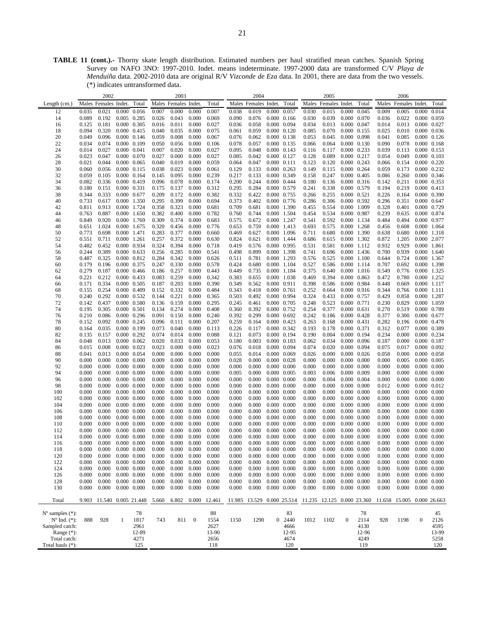**TABLE 11 (cont.).-** Thorny skate length distribution. Estimated numbers per haul stratified mean catches. Spanish Spring Survey on NAFO 3NO: 1997-2010. Indet. means indeterminate. 1997-2000 data are transformed C/V *Playa de Menduíña* data. 2002-2010 data are original R/V *Vizconde de Eza* data. In 2001, there are data from the two vessels. (\*) indicates untransformed data.

|                             |       | 2002                       |             |                     |       | 2003                 |          |        |       | 2004                       |                                            |        |       | 2005                       |                     |       |       | 2006                       |                     |       |
|-----------------------------|-------|----------------------------|-------------|---------------------|-------|----------------------|----------|--------|-------|----------------------------|--------------------------------------------|--------|-------|----------------------------|---------------------|-------|-------|----------------------------|---------------------|-------|
| Length (cm.)                |       | Males Females Indet. Total |             |                     |       | Males Females Indet. |          | Total  |       | Males Females Indet. Total |                                            |        |       | Males Females Indet.       |                     | Total |       | Males Females Indet. Total |                     |       |
| 12                          | 0.035 | 0.021                      |             | $0.000 \quad 0.056$ | 0.007 | 0.000                | 0.000    | 0.007  | 0.038 | 0.019                      | 0.000 0.057                                |        | 0.030 | 0.015                      | 0.000 0.045         |       | 0.009 | 0.005                      | 0.000               | 0.014 |
| 14                          | 0.089 | 0.192                      |             | 0.005 0.285         | 0.026 | 0.043                | 0.000    | 0.069  | 0.090 | 0.076                      | $0.000$ $0.166$                            |        | 0.030 | 0.039                      | 0.000 0.070         |       | 0.036 | 0.022                      | 0.000 0.059         |       |
|                             | 0.125 | 0.181                      |             | 0.000 0.305         | 0.016 |                      | 0.000    | 0.027  | 0.036 | 0.058                      | 0.000 0.094                                |        | 0.034 | 0.013                      |                     |       | 0.014 | 0.013                      | 0.000 0.027         |       |
| 16                          | 0.094 | 0.320                      |             |                     | 0.040 | 0.011                | 0.000    | 0.075  | 0.061 | 0.059                      | $0.000 \quad 0.120$                        |        | 0.085 |                            | 0.000 0.047         |       | 0.025 | 0.010                      | $0.000$ $0.036$     |       |
| 18                          |       |                            |             | $0.000$ $0.415$     |       | 0.035                |          |        |       |                            |                                            |        |       | 0.070                      | 0.000 0.155         |       |       |                            |                     |       |
| 20                          | 0.049 | 0.096                      |             | $0.000 \quad 0.146$ | 0.059 | 0.008                | 0.000    | 0.067  | 0.076 | 0.062                      | 0.000 0.138                                |        | 0.053 | 0.045                      | 0.000 0.098         |       | 0.041 | 0.085                      | $0.000 \quad 0.126$ |       |
| 22                          | 0.034 | 0.074                      |             | 0.000 0.109         | 0.050 | 0.056                | 0.000    | 0.106  | 0.078 | 0.057                      | 0.000 0.135                                |        | 0.066 | 0.064                      | 0.000 0.130         |       | 0.090 | 0.078                      | $0.000 \quad 0.168$ |       |
| 24                          | 0.014 | 0.027                      |             | 0.000 0.041         | 0.007 | 0.020                | 0.000    | 0.027  | 0.095 | 0.048                      | $0.000 \quad 0.143$                        |        | 0.116 | 0.117                      | 0.000 0.233         |       | 0.039 | 0.113                      | 0.000 0.153         |       |
| 26                          | 0.023 | 0.047                      |             | 0.000 0.070         | 0.027 | 0.000                | 0.000    | 0.027  | 0.085 | 0.042                      | $0.000 \quad 0.127$                        |        | 0.128 | 0.089                      | 0.000 0.217         |       | 0.054 | 0.049                      | $0.000 \quad 0.103$ |       |
| 28                          | 0.021 | 0.044                      |             | 0.000 0.065         | 0.040 | 0.019                | 0.000    | 0.059  | 0.064 | 0.047                      | $0.000$ $0.111$                            |        | 0.123 | 0.120                      | $0.000 \quad 0.243$ |       | 0.066 | 0.154                      | 0.000 0.220         |       |
| 30                          | 0.060 | 0.056                      |             | $0.000$ $0.115$     | 0.038 | 0.023                | 0.000    | 0.061  | 0.129 | 0.133                      | $0.000 \quad 0.263$                        |        | 0.149 | 0.115                      | 0.000 0.264         |       | 0.059 | 0.173                      | 0.000 0.232         |       |
| 32                          | 0.059 | 0.105                      |             | 0.000 0.164         | 0.145 | 0.095                | 0.000    | 0.239  | 0.217 | 0.133                      | 0.000 0.349                                |        | 0.158 | 0.247                      | $0.000 \quad 0.405$ |       | 0.086 | 0.260                      | 0.000 0.346         |       |
| 34                          | 0.082 | 0.336                      |             | 0.000 0.419         | 0.096 | 0.078                | 0.000    | 0.174  | 0.200 | 0.244                      | 0.000 0.444                                |        | 0.180 | 0.136                      | $0.000$ $0.316$     |       | 0.142 | 0.211                      | 0.000 0.353         |       |
| 36                          | 0.180 | 0.151                      |             | 0.000 0.331         | 0.175 | 0.137                | 0.000    | 0.312  | 0.295 | 0.284                      | 0.000 0.579                                |        | 0.241 | 0.338                      | 0.000 0.579         |       | 0.194 | 0.219                      | 0.000 0.413         |       |
| 38                          | 0.344 | 0.333                      |             | 0.000 0.677         | 0.209 | 0.172                | 0.000    | 0.382  | 0.332 | 0.422                      | 0.000 0.755                                |        | 0.266 | 0.255                      | $0.000 \quad 0.521$ |       | 0.226 | 0.164                      | 0.000 0.390         |       |
| 40                          | 0.733 | 0.617                      |             | 0.000 1.350         | 0.295 | 0.399                | 0.000    | 0.694  | 0.373 | 0.402                      | 0.000 0.776                                |        | 0.286 | 0.306                      | 0.000 0.592         |       | 0.296 | 0.351                      | 0.000 0.647         |       |
| 42                          | 0.811 | 0.913                      |             | 0.000 1.724         | 0.358 | 0.323                | 0.000    | 0.681  | 0.709 | 0.681                      | 0.000 1.390                                |        | 0.455 | 0.554                      | 0.000 1.009         |       | 0.328 | 0.401                      | 0.000 0.729         |       |
| 44                          | 0.763 | 0.887                      |             | 0.000 1.650         | 0.382 | 0.400                | 0.000    | 0.782  | 0.760 | 0.744                      | 0.000 1.504                                |        | 0.454 | 0.534                      | 0.000 0.987         |       | 0.239 | 0.635                      | 0.000 0.874         |       |
| 46                          | 0.849 | 0.920                      |             | 0.000 1.769         | 0.309 | 0.374                | 0.000    | 0.683  | 0.575 | 0.672                      | 0.000 1.247                                |        | 0.541 | 0.592                      | 0.000 1.134         |       | 0.484 | 0.494                      | 0.000 0.977         |       |
| 48                          | 0.651 | 1.024                      |             | 0.000 1.675         | 0.320 | 0.456                | 0.000    | 0.776  | 0.653 | 0.759                      | 0.000 1.413                                |        | 0.693 | 0.575                      | 0.000 1.268         |       | 0.456 | 0.608                      | 0.000 1.064         |       |
| 50                          | 0.773 | 0.698                      |             | 0.000 1.471         | 0.283 | 0.377                | 0.000    | 0.660  | 0.469 | 0.627                      | 0.000 1.096                                |        | 0.711 | 0.680                      | 0.000 1.390         |       | 0.638 | 0.680                      | 0.000 1.318         |       |
| 52                          | 0.551 |                            |             |                     | 0.257 | 0.372                | 0.000    | 0.630  | 0.824 | 0.621                      | 0.000 1.444                                |        | 0.686 | 0.615                      |                     |       | 0.872 | 1.205                      | 0.000 2.077         |       |
|                             |       | 0.711                      |             | 0.000 1.261         |       |                      |          |        |       |                            |                                            |        |       |                            | 0.000 1.302         |       |       |                            |                     |       |
| 54                          | 0.482 | 0.452                      |             | 0.000 0.934         | 0.324 | 0.394                | 0.000    | 0.718  | 0.419 | 0.576                      | 0.000 0.995                                |        | 0.531 | 0.581                      | 0.000 1.112         |       | 0.932 | 0.929                      | 0.000 1.861         |       |
| 56                          | 0.244 | 0.389                      |             | $0.000 \quad 0.633$ | 0.256 | 0.285                | 0.000    | 0.541  | 0.498 | 0.899                      | 0.000 1.398                                |        | 0.741 | 0.696                      | 0.000 1.436         |       | 0.700 | 0.939                      | 0.000 1.640         |       |
| 58                          | 0.487 | 0.325                      |             | 0.000 0.812         | 0.284 | 0.342                | 0.000    | 0.626  | 0.511 | 0.781                      | 0.000 1.293                                |        | 0.576 | 0.525                      | 0.000 1.100         |       | 0.644 | 0.724                      | 0.000 1.367         |       |
| 60                          | 0.179 | 0.196                      |             | 0.000 0.375         | 0.247 | 0.330                | 0.000    | 0.578  | 0.424 | 0.680                      | 0.000 1.104                                |        | 0.527 | 0.586                      | 0.000 1.114         |       | 0.707 | 0.692                      | 0.000 1.398         |       |
| 62                          | 0.279 | 0.187                      |             | $0.000 \quad 0.466$ | 0.186 | 0.257                | 0.000    | 0.443  | 0.449 | 0.735                      | 0.000 1.184                                |        | 0.375 | 0.640                      | 0.000 1.016         |       | 0.549 | 0.776                      | 0.000 1.325         |       |
| 64                          | 0.221 | 0.212                      |             | $0.000 \quad 0.433$ | 0.083 | 0.259                | 0.000    | 0.342  | 0.383 | 0.655                      | 0.000 1.038                                |        | 0.469 | 0.394                      | $0.000 \quad 0.863$ |       | 0.472 | 0.780                      | 0.000 1.252         |       |
| 66                          | 0.171 | 0.334                      |             | $0.000$ $0.505$     | 0.187 | 0.203                | 0.000    | 0.390  | 0.349 | 0.562                      | 0.000 0.911                                |        | 0.398 | 0.586                      | 0.000 0.984         |       | 0.448 | 0.669                      | 0.000 1.117         |       |
| 68                          | 0.155 | 0.254                      |             | 0.000 0.409         | 0.152 | 0.332                | 0.000    | 0.484  | 0.343 | 0.418                      | 0.000 0.761                                |        | 0.252 | 0.664                      | $0.000$ $0.916$     |       | 0.344 | 0.766                      | 0.000 1.111         |       |
| 70                          | 0.240 | 0.292                      |             | $0.000 \quad 0.532$ | 0.144 | 0.221                | 0.000    | 0.365  | 0.503 | 0.492                      | 0.000 0.994                                |        | 0.324 | 0.433                      | 0.000 0.757         |       | 0.429 | 0.858                      | 0.000 1.287         |       |
| 72                          | 0.142 | 0.437                      |             | 0.000 0.580         | 0.136 | 0.159                | 0.000    | 0.295  | 0.245 | 0.461                      | 0.000 0.705                                |        | 0.248 | 0.523                      | 0.000 0.771         |       | 0.230 | 0.829                      | 0.000 1.059         |       |
| 74                          | 0.195 | 0.305                      |             | 0.000 0.501         | 0.134 | 0.274                | 0.000    | 0.408  | 0.360 | 0.392                      | 0.000 0.752                                |        | 0.254 | 0.377                      | $0.000 \quad 0.631$ |       | 0.270 | 0.519                      | 0.000 0.789         |       |
| 76                          | 0.210 | 0.086                      |             | $0.000$ 0.296       | 0.091 | 0.150                | 0.000    | 0.240  | 0.392 | 0.299                      | $0.000 \quad 0.692$                        |        | 0.242 | 0.186                      | 0.000 0.428         |       | 0.377 | 0.300                      | 0.000 0.677         |       |
| 78                          | 0.152 | 0.092                      |             | 0.000 0.245         | 0.096 | 0.111                | 0.000    | 0.207  | 0.259 | 0.164                      | 0.000 0.423                                |        | 0.263 | 0.168                      | $0.000 \quad 0.431$ |       | 0.282 | 0.196                      | 0.000 0.478         |       |
| 80                          | 0.164 | 0.035                      |             | 0.000 0.199         | 0.073 | 0.040                | 0.000    | 0.113  | 0.226 | 0.117                      | 0.000 0.342                                |        | 0.193 | 0.178                      | 0.000 0.371         |       | 0.312 | 0.077                      | 0.000 0.389         |       |
| 82                          | 0.135 | 0.157                      |             | $0.000$ $0.292$     | 0.074 | 0.014                | 0.000    | 0.088  | 0.121 | 0.073                      | 0.000 0.194                                |        | 0.190 | 0.004                      | 0.000 0.194         |       | 0.234 | 0.000                      | 0.000 0.234         |       |
| 84                          | 0.048 | 0.013                      |             | 0.000 0.062         | 0.020 | 0.033                | 0.000    | 0.053  | 0.180 | 0.003                      | 0.000 0.183                                |        | 0.062 | 0.034                      | 0.000 0.096         |       | 0.187 | 0.000                      | 0.000 0.187         |       |
| 86                          | 0.015 | 0.008                      |             | 0.000 0.023         | 0.023 | 0.000                | 0.000    | 0.023  | 0.076 | 0.018                      | 0.000 0.094                                |        | 0.074 | 0.020                      | 0.000 0.094         |       | 0.075 | 0.017                      | 0.000 0.092         |       |
| 88                          | 0.041 | 0.013                      |             | $0.000$ $0.054$     | 0.000 | 0.000                | 0.000    | 0.000  | 0.055 | 0.014                      | 0.000 0.069                                |        | 0.026 | 0.000                      | $0.000 \quad 0.026$ |       | 0.058 | 0.000                      | 0.000 0.058         |       |
| 90                          | 0.000 | 0.000                      |             | $0.000 \quad 0.000$ | 0.009 | 0.000                | 0.000    | 0.009  | 0.028 | 0.000                      | $0.000 \quad 0.028$                        |        | 0.000 | 0.000                      | $0.000 \quad 0.000$ |       | 0.000 | 0.005                      | $0.000 \quad 0.005$ |       |
|                             |       |                            |             |                     |       |                      |          |        |       | 0.000                      |                                            |        |       |                            |                     |       |       |                            |                     |       |
| 92                          | 0.000 | 0.000                      |             | $0.000$ $0.000$     | 0.000 | 0.000                | 0.000    | 0.000  | 0.000 |                            | $0.000 \quad 0.000$                        |        | 0.000 | 0.000                      | $0.000 \quad 0.000$ |       | 0.000 | 0.000                      | $0.000 \quad 0.000$ |       |
| 94                          | 0.000 | 0.000                      |             | $0.000$ $0.000$     | 0.000 | 0.000                | 0.000    | 0.000  | 0.005 | 0.000                      | $0.000 \quad 0.005$                        |        | 0.003 | 0.006                      | 0.000 0.009         |       | 0.000 | 0.000                      | $0.000 \quad 0.000$ |       |
| 96                          | 0.000 | 0.000                      |             | $0.000$ $0.000$     | 0.000 | 0.000                | 0.000    | 0.000  | 0.000 | 0.000                      | $0.000 \quad 0.000$                        |        | 0.000 | 0.004                      | $0.000 \quad 0.004$ |       | 0.000 | 0.000                      | $0.000 \quad 0.000$ |       |
| 98                          | 0.000 | 0.000                      |             | $0.000 \quad 0.000$ | 0.000 | 0.000                | 0.000    | 0.000  | 0.000 | 0.000                      | $0.000 \quad 0.000$                        |        | 0.000 | 0.000                      | $0.000 \quad 0.000$ |       | 0.012 | 0.000                      | 0.000 0.012         |       |
| 100                         | 0.000 | 0.000                      |             | $0.000$ $0.000$     | 0.000 | 0.000                | 0.000    | 0.000  | 0.000 | 0.000                      | $0.000 \quad 0.000$                        |        | 0.000 | 0.000                      | $0.000 \quad 0.000$ |       | 0.000 | 0.000                      | $0.000 \quad 0.000$ |       |
| 102                         | 0.000 | 0.000                      |             | $0.000 \quad 0.000$ | 0.000 | 0.000                | 0.000    | 0.000  | 0.000 | 0.000                      | $0.000 \quad 0.000$                        |        | 0.000 | 0.000                      | $0.000 \quad 0.000$ |       | 0.000 | 0.000                      | $0.000 \quad 0.000$ |       |
| 104                         | 0.000 | 0.000                      |             | $0.000$ $0.000$     | 0.000 | 0.000                | 0.000    | 0.000  | 0.000 | 0.000                      | $0.000 \quad 0.000$                        |        | 0.000 | 0.000                      | $0.000 \quad 0.000$ |       | 0.000 | 0.000                      | $0.000 \quad 0.000$ |       |
| 106                         | 0.000 | 0.000                      |             | $0.000 \quad 0.000$ | 0.000 | 0.000                | 0.000    | 0.000  | 0.000 | 0.000                      | $0.000 \quad 0.000$                        |        | 0.000 | 0.000                      | $0.000 \quad 0.000$ |       | 0.000 | 0.000                      | 0.000 0.000         |       |
| 108                         | 0.000 | 0.000                      |             | $0.000$ $0.000$     | 0.000 | 0.000                | 0.000    | 0.000  | 0.000 | 0.000                      | $0.000 \quad 0.000$                        |        | 0.000 | 0.000                      | $0.000 \quad 0.000$ |       | 0.000 | 0.000                      | $0.000 \quad 0.000$ |       |
| 110                         | 0.000 | 0.000                      |             | $0.000 \quad 0.000$ | 0.000 | 0.000                | 0.000    | 0.000  | 0.000 | 0.000                      | $0.000 \quad 0.000$                        |        | 0.000 | 0.000                      | $0.000 \quad 0.000$ |       | 0.000 | 0.000                      | $0.000 \quad 0.000$ |       |
| 112                         | 0.000 | 0.000                      |             | $0.000$ $0.000$     | 0.000 | 0.000                | 0.000    | 0.000  | 0.000 | 0.000                      | $0.000 \quad 0.000$                        |        | 0.000 | 0.000                      | $0.000 \quad 0.000$ |       | 0.000 | 0.000                      | $0.000 \quad 0.000$ |       |
| 114                         | 0.000 | 0.000                      |             | $0.000 \quad 0.000$ | 0.000 | 0.000                | 0.000    | 0.000  | 0.000 | 0.000                      | $0.000 \quad 0.000$                        |        | 0.000 | 0.000                      | $0.000 \quad 0.000$ |       | 0.000 | 0.000                      | $0.000 \quad 0.000$ |       |
| 116                         | 0.000 | 0.000                      |             | $0.000 \quad 0.000$ | 0.000 | 0.000                | 0.000    | 0.000  | 0.000 | 0.000                      | 0.000 0.000                                |        | 0.000 | 0.000                      | $0.000$ $0.000$     |       | 0.000 | 0.000                      | $0.000 \quad 0.000$ |       |
| 118                         | 0.000 | 0.000                      |             | $0.000 \quad 0.000$ | 0.000 | 0.000                | 0.000    | 0.000  | 0.000 | 0.000                      | $0.000 \quad 0.000$                        |        | 0.000 | 0.000                      | $0.000$ $0.000$     |       | 0.000 | 0.000                      | 0.000 0.000         |       |
| 120                         | 0.000 | 0.000                      |             | $0.000$ $0.000$     | 0.000 | 0.000                | 0.000    | 0.000  | 0.000 | 0.000                      | $0.000$ $0.000$                            |        | 0.000 | 0.000                      | $0.000$ $0.000$     |       | 0.000 | 0.000                      | $0.000 \quad 0.000$ |       |
| 122                         | 0.000 | 0.000                      |             | $0.000 \quad 0.000$ | 0.000 | 0.000                | 0.000    | 0.000  | 0.000 | 0.000                      | $0.000 \quad 0.000$                        |        | 0.000 | 0.000                      | $0.000 \quad 0.000$ |       | 0.000 | 0.000                      | $0.000 \quad 0.000$ |       |
| 124                         | 0.000 | 0.000                      |             | $0.000 \quad 0.000$ | 0.000 | 0.000                | 0.000    | 0.000  | 0.000 | 0.000                      | $0.000 \quad 0.000$                        |        | 0.000 | 0.000                      | $0.000 \quad 0.000$ |       | 0.000 | 0.000                      | $0.000 \quad 0.000$ |       |
| 126                         | 0.000 | 0.000                      |             | $0.000 \quad 0.000$ | 0.000 | 0.000                | 0.000    | 0.000  | 0.000 | 0.000                      | $0.000$ $0.000$                            |        | 0.000 | 0.000                      | $0.000 \quad 0.000$ |       | 0.000 | 0.000                      | $0.000 \quad 0.000$ |       |
|                             |       |                            |             |                     |       |                      |          |        |       |                            |                                            |        |       |                            |                     |       |       |                            |                     |       |
| 128                         | 0.000 | 0.000                      |             | $0.000 \quad 0.000$ | 0.000 | 0.000                | 0.000    | 0.000  | 0.000 | 0.000                      | $0.000 \quad 0.000$<br>$0.000 \quad 0.000$ |        | 0.000 | 0.000                      | $0.000 \quad 0.000$ |       | 0.000 | 0.000                      | $0.000 \quad 0.000$ |       |
| 130                         | 0.000 | 0.000                      | 0.000 0.000 |                     | 0.000 | 0.000                | 0.000    | 0.000  | 0.000 | 0.000                      |                                            |        | 0.000 | 0.000                      | $0.000 \quad 0.000$ |       | 0.000 | 0.000                      | $0.000$ $0.000$     |       |
|                             |       |                            |             |                     |       |                      |          |        |       |                            |                                            |        |       |                            |                     |       |       |                            |                     |       |
| Total                       | 9.903 |                            |             | 11.540 0.005 21.448 | 5.660 | 6.802                | 0.000    | 12.461 |       | 11.985 13.529 0.000 25.514 |                                            |        |       | 11.235 12.125 0.000 23.360 |                     |       |       | 11.658 15.005 0.000 26.663 |                     |       |
|                             |       |                            |             |                     |       |                      |          |        |       |                            |                                            |        |       |                            |                     |       |       |                            |                     |       |
| $N^{\circ}$ samples $(*)$ : |       |                            |             | 78                  |       |                      |          | 88     |       |                            |                                            | 83     |       |                            |                     | 78    |       |                            |                     | 45    |
| $N^{\circ}$ Ind. $(*)$ :    | 888   | 928                        | 1           | 1817                | 743   | 811                  | $\bf{0}$ | 1554   | 1150  | 1290                       |                                            | 0 2440 | 1012  | 1102                       | $\boldsymbol{0}$    | 2114  | 928   | 1198                       | $\boldsymbol{0}$    | 2126  |
| Sampled catch:              |       |                            |             | 2961                |       |                      |          | 2627   |       |                            |                                            | 4666   |       |                            |                     | 4130  |       |                            |                     | 4595  |
| Range $(*)$ :               |       |                            |             | 12-89               |       |                      |          | 13-90  |       |                            |                                            | 12-95  |       |                            |                     | 12-96 |       |                            |                     | 13-99 |
| Total catch:                |       |                            |             | 4271                |       |                      |          | 2656   |       |                            |                                            | 4674   |       |                            |                     | 4249  |       |                            |                     | 5258  |
| Total hauls (*):            |       |                            |             | 125                 |       |                      |          | 118    |       |                            |                                            | 120    |       |                            |                     | 119   |       |                            |                     | 120   |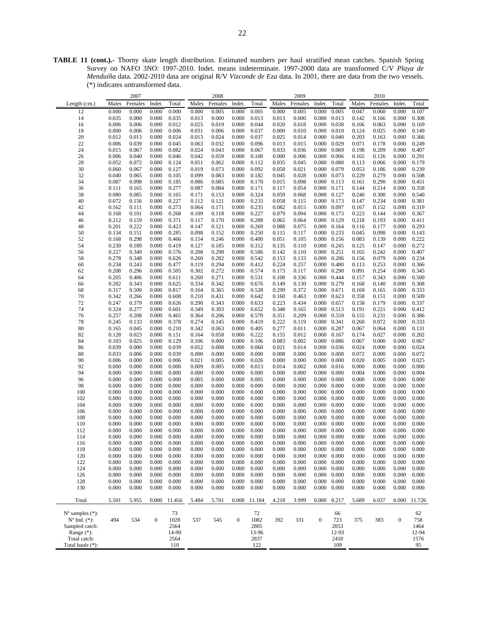**TABLE 11 (cont.).-** Thorny skate length distribution. Estimated numbers per haul stratified mean catches. Spanish Spring Survey on NAFO 3NO: 1997-2010. Indet. means indeterminate. 1997-2000 data are transformed C/V *Playa de Menduíña* data. 2002-2010 data are original R/V *Vizconde de Eza* data. In 2001, there are data from the two vessels. (\*) indicates untransformed data.

|                                                         |       | 2007    |                  |            |           | 2008    |                  |            |       | 2009    |                     |           |       | 2010    |                  |           |
|---------------------------------------------------------|-------|---------|------------------|------------|-----------|---------|------------------|------------|-------|---------|---------------------|-----------|-------|---------|------------------|-----------|
| Length (cm.)                                            | Males | Females | Indet.           | Total      | Males     | Females | Indet.           | Total      | Males | Females | Indet.              | Total     | Males | Females | Indet.           | Total     |
| 12                                                      | 0.000 | 0.000   | 0.000            | 0.000      | 0.000     | 0.005   | 0.000            | 0.005      | 0.000 | 0.005   | 0.000               | 0.005     | 0.047 | 0.060   | 0.000            | 0.107     |
|                                                         |       |         |                  |            |           |         |                  |            |       |         |                     |           |       |         |                  |           |
| 14                                                      | 0.035 | 0.000   | 0.000            | 0.035      | 0.013     | 0.000   | 0.000            | 0.013      | 0.013 | 0.000   | 0.000               | 0.013     | 0.142 | 0.166   | 0.000            | 0.308     |
| 16                                                      | 0.006 | 0.006   | 0.000            | 0.012      | 0.025     | 0.019   | 0.000            | 0.044      | 0.020 | 0.018   | 0.000               | 0.038     | 0.106 | 0.063   | 0.000            | 0.169     |
| 18                                                      | 0.000 | 0.006   | 0.000            | 0.006      | 0.031     | 0.006   | 0.000            | 0.037      | 0.000 | 0.010   | 0.000               | 0.010     | 0.124 | 0.025   | 0.000            | 0.149     |
| $20\,$                                                  | 0.012 | 0.013   | 0.000            | 0.024      | 0.013     | 0.024   | 0.000            | 0.037      | 0.025 | 0.014   | 0.000               | 0.040     | 0.203 | 0.163   | 0.000            | 0.366     |
| 22                                                      | 0.006 | 0.039   | 0.000            | 0.045      | 0.063     | 0.032   | 0.000            | 0.096      | 0.013 | 0.015   | 0.000               | 0.029     | 0.071 | 0.178   | 0.000            | 0.249     |
| 24                                                      | 0.015 | 0.067   | 0.000            | 0.082      | 0.024     | 0.043   | 0.000            | 0.067      | 0.033 | 0.036   | 0.000               | 0.069     | 0.198 | 0.209   | 0.000            | 0.407     |
| 26                                                      | 0.006 | 0.040   | 0.000            | 0.046      | 0.042     | 0.059   | 0.000            | 0.100      | 0.000 | 0.006   | 0.000               | 0.006     | 0.165 | 0.126   | 0.000            | 0.291     |
| 28                                                      | 0.052 | 0.072   | 0.000            | 0.124      | 0.051     | 0.062   | 0.000            | 0.112      | 0.035 | 0.045   | 0.000               | 0.080     | 0.113 | 0.066   | 0.000            | 0.179     |
| 30                                                      | 0.060 | 0.067   | 0.000            | 0.127      | 0.019     | 0.073   | 0.000            | 0.092      | 0.058 | 0.021   | 0.000               | 0.079     | 0.053 | 0.186   | 0.000            | 0.239     |
| 32                                                      | 0.040 | 0.065   | 0.000            | 0.105      | 0.099     | 0.083   | 0.000            | 0.182      | 0.045 | 0.028   | 0.000               | 0.073     | 0.229 | 0.279   | 0.000            | 0.508     |
| 34                                                      | 0.087 | 0.098   | 0.000            | 0.185      | 0.086     | 0.085   | 0.000            | 0.170      | 0.015 | 0.098   | 0.000               | 0.113     | 0.161 | 0.290   | 0.000            | 0.451     |
| 36                                                      | 0.111 | 0.165   | 0.000            | 0.277      | 0.087     | 0.084   | 0.000            | 0.171      | 0.117 | 0.054   | 0.000               | 0.171     | 0.144 | 0.214   | 0.000            | 0.358     |
| 38                                                      | 0.080 | 0.085   | 0.000            | 0.165      | 0.171     | 0.153   | 0.000            | 0.324      | 0.059 | 0.068   | 0.000               | 0.127     | 0.240 | 0.300   | 0.000            | 0.540     |
| 40                                                      | 0.072 | 0.156   | 0.000            | 0.227      | 0.112     | 0.121   | 0.000            | 0.233      | 0.058 | 0.115   | 0.000               | 0.173     | 0.147 | 0.234   | 0.000            | 0.381     |
| 42                                                      | 0.162 | 0.111   | 0.000            | 0.273      | 0.064     | 0.171   | 0.000            | 0.235      | 0.082 | 0.015   | 0.000               | 0.097     | 0.167 | 0.152   | 0.000            | 0.319     |
| 44                                                      | 0.168 | 0.101   | 0.000            | 0.268      | 0.109     | 0.118   | 0.000            | 0.227      | 0.079 | 0.094   | 0.000               | 0.173     | 0.223 | 0.144   | 0.000            | 0.367     |
|                                                         |       |         |                  |            |           |         |                  |            |       |         |                     |           |       |         |                  |           |
| 46                                                      | 0.212 | 0.159   | 0.000            | 0.371      | 0.117     | 0.170   | 0.000            | 0.288      | 0.065 | 0.064   | 0.000               | 0.129     | 0.218 | 0.193   | 0.000            | 0.411     |
| 48                                                      | 0.201 | 0.222   | 0.000            | 0.423      | 0.147     | 0.121   | 0.000            | 0.269      | 0.088 | 0.075   | 0.000               | 0.164     | 0.116 | 0.177   | 0.000            | 0.293     |
| 50                                                      | 0.134 | 0.151   | 0.000            | 0.285      | 0.098     | 0.152   | 0.000            | 0.250      | 0.115 | 0.117   | 0.000               | 0.233     | 0.045 | 0.098   | 0.000            | 0.143     |
| 52                                                      | 0.168 | 0.298   | 0.000            | 0.466      | 0.154     | 0.246   | 0.000            | 0.400      | 0.051 | 0.105   | 0.000               | 0.156     | 0.083 | 0.139   | 0.000            | 0.222     |
| 54                                                      | 0.230 | 0.189   | 0.000            | 0.419      | 0.127     | 0.185   | 0.000            | 0.312      | 0.135 | 0.110   | 0.000               | 0.245     | 0.125 | 0.147   | 0.000            | 0.272     |
| 56                                                      | 0.227 | 0.349   | 0.000            | 0.576      | 0.208     | 0.298   | 0.000            | 0.506      | 0.142 | 0.110   | 0.000               | 0.251     | 0.165 | 0.242   | 0.000            | 0.407     |
| 58                                                      | 0.278 | 0.348   | 0.000            | 0.626      | 0.260     | 0.282   | 0.000            | 0.542      | 0.153 | 0.133   | 0.000               | 0.286     | 0.156 | 0.079   | 0.000            | 0.234     |
| 60                                                      | 0.234 | 0.243   | 0.000            | 0.477      | 0.119     | 0.294   | 0.000            | 0.412      | 0.224 | 0.257   | 0.000               | 0.480     | 0.113 | 0.253   | 0.000            | 0.366     |
| 62                                                      | 0.208 | 0.296   | 0.000            | 0.505      | 0.302     | 0.272   | 0.000            | 0.574      | 0.173 | 0.117   | 0.000               | 0.290     | 0.091 | 0.254   | 0.000            | 0.345     |
| 64                                                      | 0.205 | 0.406   | 0.000            | 0.611      | 0.260     | 0.271   | 0.000            | 0.531      | 0.108 | 0.336   | 0.000               | 0.444     | 0.157 | 0.343   | 0.000            | 0.500     |
| 66                                                      | 0.282 | 0.343   | 0.000            | 0.625      | 0.334     | 0.342   | 0.000            | 0.676      | 0.149 | 0.130   | 0.000               | 0.279     | 0.168 | 0.140   | 0.000            | 0.308     |
| 68                                                      | 0.317 | 0.500   | 0.000            | 0.817      | 0.164     | 0.365   | 0.000            | 0.528      | 0.299 | 0.372   | 0.000               | 0.671     | 0.169 | 0.165   | 0.000            | 0.333     |
| 70                                                      | 0.342 | 0.266   | 0.000            | 0.608      | 0.210     | 0.431   | 0.000            | 0.642      | 0.160 | 0.463   | 0.000               | 0.623     | 0.358 | 0.151   | 0.000            | 0.509     |
| 72                                                      | 0.247 | 0.379   | 0.000            | 0.626      | 0.290     | 0.343   | 0.000            | 0.633      | 0.223 | 0.434   | 0.000               | 0.657     | 0.158 | 0.179   | 0.000            | 0.337     |
| 74                                                      | 0.324 | 0.277   | 0.000            | 0.601      | 0.349     | 0.303   | 0.000            | 0.652      | 0.348 | 0.165   | 0.000               | 0.513     | 0.191 | 0.221   | 0.000            | 0.412     |
| 76                                                      | 0.257 | 0.208   | 0.000            | 0.465      | 0.364     | 0.206   | 0.000            | 0.570      | 0.351 | 0.209   | 0.000               | 0.559     | 0.155 | 0.231   | 0.000            | 0.386     |
| 78                                                      | 0.245 | 0.133   | 0.000            | 0.378      | 0.274     | 0.145   | 0.000            | 0.419      | 0.222 | 0.119   | 0.000               | 0.341     | 0.260 | 0.072   | 0.000            | 0.333     |
|                                                         |       |         |                  |            |           |         |                  |            |       |         |                     |           |       |         |                  |           |
| 80                                                      | 0.165 | 0.045   | 0.000            | 0.210      | 0.342     | 0.063   | 0.000            | 0.405      | 0.277 | 0.011   | 0.000               | 0.287     | 0.067 | 0.064   | 0.000            | 0.131     |
| 82                                                      | 0.128 | 0.023   | 0.000            | 0.151      | 0.164     | 0.058   | 0.000            | 0.222      | 0.155 | 0.012   | 0.000               | 0.167     | 0.174 | 0.027   | 0.000            | 0.202     |
| 84                                                      | 0.103 | 0.025   | 0.000            | 0.129      | 0.106     | 0.000   | 0.000            | 0.106      | 0.083 | 0.002   | 0.000               | 0.086     | 0.067 | 0.000   | 0.000            | 0.067     |
| 86                                                      | 0.039 | 0.000   | 0.000            | 0.039      | 0.052     | 0.008   | 0.000            | 0.060      | 0.021 | 0.014   | 0.000               | 0.036     | 0.024 | 0.000   | 0.000            | 0.024     |
| 88                                                      | 0.033 | 0.006   | 0.000            | 0.039      | 0.000     | 0.000   | 0.000            | 0.000      | 0.008 | 0.000   | 0.000               | 0.008     | 0.072 | 0.000   | 0.000            | 0.072     |
| 90                                                      | 0.006 | 0.000   | 0.000            | 0.006      | 0.021     | 0.005   | 0.000            | 0.026      | 0.000 | 0.000   | 0.000               | 0.000     | 0.020 | 0.005   | 0.000            | 0.025     |
| 92                                                      | 0.000 | 0.000   | 0.000            | 0.000      | 0.009     | 0.005   | 0.000            | 0.013      | 0.014 | 0.002   | 0.000               | 0.016     | 0.000 | 0.000   | 0.000            | 0.000     |
| 94                                                      | 0.000 | 0.000   | 0.000            | 0.000      | 0.000     | 0.000   | 0.000            | 0.000      | 0.000 | 0.000   | 0.000               | 0.000     | 0.004 | 0.000   | 0.000            | 0.004     |
| 96                                                      | 0.000 | 0.000   | 0.000            | 0.000      | 0.005     | 0.000   | 0.000            | 0.005      | 0.000 | 0.000   | 0.000               | 0.000     | 0.000 | 0.000   | 0.000            | 0.000     |
| 98                                                      | 0.000 | 0.000   | 0.000            | 0.000      | 0.000     | 0.000   | 0.000            | 0.000      | 0.000 | 0.000   | 0.000               | 0.000     | 0.000 | 0.000   | 0.000            | 0.000     |
| 100                                                     | 0.000 | 0.000   | 0.000            | 0.000      | 0.000     | 0.000   | 0.000            | 0.000      | 0.000 | 0.000   | 0.000               | 0.000     | 0.000 | 0.000   | 0.000            | 0.000     |
| 102                                                     | 0.000 | 0.000   | 0.000            | 0.000      | 0.000     | 0.000   | 0.000            | 0.000      | 0.000 | 0.000   | 0.000               | 0.000     | 0.000 | 0.000   | 0.000            | 0.000     |
| 104                                                     | 0.000 | 0.000   | 0.000            | 0.000      | 0.000     | 0.000   | 0.000            | 0.000      | 0.000 | 0.000   | 0.000               | 0.000     | 0.000 | 0.000   | 0.000            | 0.000     |
| 106                                                     | 0.000 | 0.000   | 0.000            | 0.000      | 0.000     | 0.000   | 0.000            | 0.000      | 0.000 | 0.000   | 0.000               | 0.000     | 0.000 | 0.000   | 0.000            | 0.000     |
| 108                                                     | 0.000 | 0.000   | 0.000            | 0.000      | 0.000     | 0.000   | 0.000            | 0.000      | 0.000 | 0.000   | 0.000               | 0.000     | 0.000 | 0.000   | 0.000            | 0.000     |
| 110                                                     | 0.000 | 0.000   | 0.000            | 0.000      | 0.000     | 0.000   | 0.000            | 0.000      | 0.000 | 0.000   | 0.000               | 0.000     | 0.000 | 0.000   | 0.000            | 0.000     |
| 112                                                     | 0.000 | 0.000   | 0.000            | 0.000      | 0.000     | 0.000   | 0.000            | 0.000      | 0.000 | 0.000   | 0.000               | 0.000     | 0.000 | 0.000   | 0.000            | 0.000     |
| 114                                                     | 0.000 | 0.000   | 0.000            | 0.000      | 0.000     | 0.000   | 0.000            | 0.000      | 0.000 | 0.000   | 0.000               | 0.000     | 0.000 | 0.000   | 0.000            | 0.000     |
| 116                                                     | 0.000 | 0.000   | 0.000            | 0.000      | 0.000     | 0.000   | 0.000            | 0.000      | 0.000 | 0.000   | 0.000               | 0.000     | 0.000 | 0.000   | 0.000            | 0.000     |
| 118                                                     | 0.000 | 0.000   | 0.000            | 0.000      | $0.000\,$ | 0.000   | 0.000            | 0.000      | 0.000 | 0.000   | $0.000 \quad 0.000$ |           | 0.000 | 0.000   | 0.000            | 0.000     |
|                                                         |       |         |                  |            |           |         |                  |            |       |         |                     |           |       |         |                  |           |
| 120                                                     | 0.000 | 0.000   | 0.000            | 0.000      | 0.000     | 0.000   | 0.000            | 0.000      | 0.000 | 0.000   | $0.000 \quad 0.000$ |           | 0.000 | 0.000   | 0.000            | 0.000     |
| 122                                                     | 0.000 | 0.000   | 0.000            | 0.000      | 0.000     | 0.000   | 0.000            | 0.000      | 0.000 | 0.000   | $0.000 \quad 0.000$ |           | 0.000 | 0.000   | 0.000            | 0.000     |
| 124                                                     | 0.000 | 0.000   | 0.000            | 0.000      | 0.000     | 0.000   | 0.000            | 0.000      | 0.000 | 0.000   | 0.000               | 0.000     | 0.000 | 0.000   | 0.000            | 0.000     |
| 126                                                     | 0.000 | 0.000   | 0.000            | 0.000      | 0.000     | 0.000   | 0.000            | 0.000      | 0.000 | 0.000   | $0.000 \quad 0.000$ |           | 0.000 | 0.000   | 0.000            | 0.000     |
| 128                                                     | 0.000 | 0.000   | 0.000            | 0.000      | 0.000     | 0.000   | 0.000            | 0.000      | 0.000 | 0.000   | 0.000               | 0.000     | 0.000 | 0.000   | 0.000            | 0.000     |
| 130                                                     | 0.000 | 0.000   | 0.000            | 0.000      | 0.000     | 0.000   | 0.000            | 0.000      | 0.000 | 0.000   | 0.000               | 0.000     | 0.000 | 0.000   | 0.000            | 0.000     |
|                                                         |       |         |                  |            |           |         |                  |            |       |         |                     |           |       |         |                  |           |
| Total                                                   | 5.501 | 5.955   | 0.000            | 11.456     | 5.484     | 5.701   | 0.000            | 11.184     | 4.218 | 3.999   | 0.000               | 8.217     | 5.689 | 6.037   | 0.000            | 11.726    |
| $N^{\circ}$ samples $(*)$ :<br>$N^{\circ}$ Ind. $(*)$ : | 494   | 534     | $\boldsymbol{0}$ | 73<br>1028 | 537       | 545     | $\boldsymbol{0}$ | 72<br>1082 | 392   | 331     | $\boldsymbol{0}$    | 66<br>723 | 375   | 383     | $\boldsymbol{0}$ | 62<br>758 |
| Sampled catch:                                          |       |         |                  | 2564       |           |         |                  | 2805       |       |         |                     | 2053      |       |         |                  | 1464      |
| Range (*):                                              |       |         |                  | 14-90      |           |         |                  | 13-96      |       |         |                     | 12-93     |       |         |                  | 12-94     |
| Total catch:                                            |       |         |                  | 2564       |           |         |                  | 2837       |       |         |                     | 2410      |       |         |                  | 1576      |
| Total hauls (*):                                        |       |         |                  | 110        |           |         |                  | 122        |       |         |                     | 109       |       |         |                  | 95        |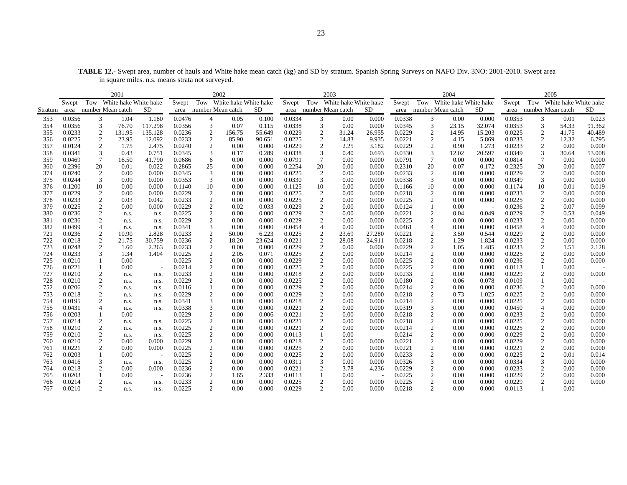|         |        |                   | 2001                      |         |        |                   | 2002                      |        |        |                 | 2003                  |        |        |                           | 2004  |        |        | 2005                   |                       |        |
|---------|--------|-------------------|---------------------------|---------|--------|-------------------|---------------------------|--------|--------|-----------------|-----------------------|--------|--------|---------------------------|-------|--------|--------|------------------------|-----------------------|--------|
|         | Swept  |                   | Tow White hake White hake |         | Swept  |                   | Tow White hake White hake |        | Swept  | Tow             | White hake White hake |        | Swept  | Tow White hake White hake |       |        | Swept  | Tow                    | White hake White hake |        |
| Stratum | area   | number Mean catch |                           | SD      | area   | number Mean catch |                           | SD.    | area   |                 | number Mean catch     | SD.    | area   | number Mean catch         |       | SD     |        | area number Mean catch |                       | SD     |
| 353     | 0.0356 | 3                 | 1.04                      | 1.180   | 0.0476 | $\overline{4}$    | 0.05                      | 0.100  | 0.0334 | 3               | 0.00                  | 0.000  | 0.0338 | 3                         | 0.00  | 0.000  | 0.0353 | 3                      | 0.01                  | 0.023  |
| 354     | 0.0356 | 3                 | 76.70                     | 117.298 | 0.0356 | 3                 | 0.07                      | 0.115  | 0.0338 | 3               | 0.00                  | 0.000  | 0.0345 | 3                         | 23.15 | 32.074 | 0.0353 | 3                      | 54.33                 | 91.362 |
| 355     | 0.0233 | $\mathfrak{2}$    | 131.95                    | 135.128 | 0.0236 | 2                 | 156.75                    | 55.649 | 0.0229 | $\overline{2}$  | 31.24                 | 26.955 | 0.0229 | 2                         | 14.95 | 15.203 | 0.0225 | 2                      | 41.75                 | 40.489 |
| 356     | 0.0225 | $\mathfrak{2}$    | 23.95                     | 12.092  | 0.0233 | $\overline{2}$    | 85.90                     | 90.651 | 0.0225 | 2               | 14.83                 | 9.935  | 0.0221 | $\mathfrak{2}$            | 4.15  | 5.869  | 0.0233 | 2                      | 12.32                 | 6.795  |
| 357     | 0.0124 | $\overline{2}$    | 1.75                      | 2.475   | 0.0240 | $\overline{2}$    | 0.00                      | 0.000  | 0.0229 | $\overline{2}$  | 2.25                  | 3.182  | 0.0229 | $\overline{2}$            | 0.90  | 1.273  | 0.0233 | 2                      | 0.00                  | 0.000  |
| 358     | 0.0341 | 3                 | 0.43                      | 0.751   | 0.0345 | 3                 | 0.17                      | 0.289  | 0.0338 | 3               | 0.40                  | 0.693  | 0.0330 | 3                         | 12.02 | 20.597 | 0.0349 | 3                      | 30.64                 | 53.008 |
| 359     | 0.0469 | 7                 | 16.50                     | 41.790  | 0.0686 | 6                 | 0.00                      | 0.000  | 0.0791 | $7\phantom{.0}$ | 0.00                  | 0.000  | 0.0791 | 7                         | 0.00  | 0.000  | 0.0814 | 7                      | 0.00                  | 0.000  |
| 360     | 0.2396 | 20                | 0.01                      | 0.022   | 0.2865 | 25                | 0.00                      | 0.000  | 0.2254 | 20              | 0.00                  | 0.000  | 0.2310 | 20                        | 0.07  | 0.172  | 0.2325 | 20                     | 0.00                  | 0.007  |
| 374     | 0.0240 | 2                 | 0.00                      | 0.000   | 0.0345 | 3                 | 0.00                      | 0.000  | 0.0225 | 2               | 0.00                  | 0.000  | 0.0233 | $\overline{2}$            | 0.00  | 0.000  | 0.0229 | 2                      | 0.00                  | 0.000  |
| 375     | 0.0244 | 3                 | 0.00                      | 0.000   | 0.0353 | 3                 | 0.00                      | 0.000  | 0.0330 | 3               | 0.00                  | 0.000  | 0.0338 | 3                         | 0.00  | 0.000  | 0.0349 | 3                      | 0.00                  | 0.000  |
| 376     | 0.1200 | 10                | 0.00                      | 0.000   | 0.1140 | 10                | 0.00                      | 0.000  | 0.1125 | 10              | 0.00                  | 0.000  | 0.1166 | 10                        | 0.00  | 0.000  | 0.1174 | 10                     | 0.01                  | 0.019  |
| 377     | 0.0229 | $\boldsymbol{2}$  | 0.00                      | 0.000   | 0.0229 | $\overline{2}$    | 0.00                      | 0.000  | 0.0225 | $\overline{2}$  | 0.00                  | 0.000  | 0.0218 | $\overline{2}$            | 0.00  | 0.000  | 0.0233 | $\boldsymbol{2}$       | 0.00                  | 0.000  |
| 378     | 0.0233 | $\mathfrak{2}$    | 0.03                      | 0.042   | 0.0233 | $\overline{2}$    | 0.00                      | 0.000  | 0.0225 | $\overline{2}$  | 0.00                  | 0.000  | 0.0225 | 2                         | 0.00  | 0.000  | 0.0225 | 2                      | 0.00                  | 0.000  |
| 379     | 0.0225 | $\overline{2}$    | 0.00                      | 0.000   | 0.0229 | $\overline{2}$    | 0.02                      | 0.033  | 0.0229 | $\overline{2}$  | 0.00                  | 0.000  | 0.0124 |                           | 0.00  |        | 0.0236 | $\boldsymbol{2}$       | 0.07                  | 0.099  |
| 380     | 0.0236 | $\mathfrak{2}$    | n.s.                      | n.s.    | 0.0225 | $\overline{2}$    | 0.00                      | 0.000  | 0.0229 | $\overline{2}$  | 0.00                  | 0.000  | 0.0221 | $\mathfrak{2}$            | 0.04  | 0.049  | 0.0229 | 2                      | 0.53                  | 0.049  |
| 381     | 0.0236 | $\mathfrak{2}$    | n.s.                      | n.s.    | 0.0229 | $\sqrt{2}$        | 0.00                      | 0.000  | 0.0229 | $\overline{2}$  | 0.00                  | 0.000  | 0.0225 | $\overline{2}$            | 0.00  | 0.000  | 0.0233 | 2                      | 0.00                  | 0.000  |
| 382     | 0.0499 | 4                 | n.s.                      | n.s.    | 0.0341 | 3                 | 0.00                      | 0.000  | 0.0454 | $\overline{4}$  | 0.00                  | 0.000  | 0.0461 | $\overline{4}$            | 0.00  | 0.000  | 0.0458 |                        | 0.00                  | 0.000  |
| 721     | 0.0236 | $\boldsymbol{2}$  | 10.90                     | 2.828   | 0.0233 | $\overline{2}$    | 50.00                     | 6.223  | 0.0225 | $\overline{c}$  | 23.69                 | 27.280 | 0.0221 | $\boldsymbol{2}$          | 3.50  | 0.544  | 0.0229 | 2                      | 0.00                  | 0.000  |
| 722     | 0.0218 | $\overline{2}$    | 21.75                     | 30.759  | 0.0236 | $\overline{2}$    | 18.20                     | 23.624 | 0.0221 | $\overline{2}$  | 28.08                 | 24.911 | 0.0218 | $\mathfrak{2}$            | 1.29  | 1.824  | 0.0233 |                        | 0.00                  | 0.000  |
| 723     | 0.0248 | $\mathfrak{2}$    | 1.60                      | 2.263   | 0.0233 | $\sqrt{2}$        | 0.00                      | 0.000  | 0.0229 | $\overline{2}$  | 0.00                  | 0.000  | 0.0229 | $\overline{c}$            | 1.05  | 1.485  | 0.0233 |                        | 1.51                  | 2.128  |
| 724     | 0.0233 | 3                 | 1.34                      | 1.404   | 0.0225 | $\overline{2}$    | 2.05                      | 0.071  | 0.0225 | $\overline{2}$  | 0.00                  | 0.000  | 0.0214 |                           | 0.00  | 0.000  | 0.0225 |                        | 0.00                  | 0.000  |
| 725     | 0.0210 |                   | 0.00                      |         | 0.0225 | $\overline{2}$    | 0.00                      | 0.000  | 0.0229 | $\overline{2}$  | 0.00                  | 0.000  | 0.0225 | $\overline{2}$            | 0.00  | 0.000  | 0.0236 | 2                      | 0.00                  | 0.000  |
| 726     | 0.0221 |                   | 0.00                      |         | 0.0214 | $\overline{2}$    | 0.00                      | 0.000  | 0.0225 | $\overline{2}$  | 0.00                  | 0.000  | 0.0225 | 2                         | 0.00  | 0.000  | 0.0113 |                        | 0.00                  |        |
| 727     | 0.0210 |                   | n.s.                      | n.s.    | 0.0233 | $\overline{2}$    | 0.00                      | 0.000  | 0.0218 | $\overline{2}$  | 0.00                  | 0.000  | 0.0233 | $\mathfrak{2}$            | 0.00  | 0.000  | 0.0229 |                        | 0.00                  | 0.000  |
| 728     | 0.0210 | $\overline{2}$    | n.s.                      | n.s.    | 0.0229 | $\overline{2}$    | 0.00                      | 0.000  | 0.0225 | $\overline{2}$  | 0.00                  | 0.000  | 0.0180 | $\overline{2}$            | 0.06  | 0.078  | 0.0109 |                        | 0.00                  |        |
| 752     | 0.0206 | $\mathfrak{2}$    | n.s.                      | n.s.    | 0.0116 |                   | 0.00                      | 0.000  | 0.0229 | $\overline{2}$  | 0.00                  | 0.000  | 0.0214 | $\overline{2}$            | 0.00  | 0.000  | 0.0236 | 2                      | 0.00                  | 0.000  |
| 753     | 0.0218 | $\boldsymbol{2}$  | n.s.                      | n.s.    | 0.0229 | $\overline{c}$    | 0.00                      | 0.000  | 0.0229 | $\overline{2}$  | 0.00                  | 0.000  | 0.0218 | $\overline{c}$            | 0.73  | 1.025  | 0.0225 | $\overline{c}$         | 0.00                  | 0.000  |
| 754     | 0.0195 | $\overline{2}$    | n.s.                      | n.s.    | 0.0341 | 3                 | 0.00                      | 0.000  | 0.0218 | $\overline{2}$  | 0.00                  | 0.000  | 0.0214 | $\boldsymbol{2}$          | 0.00  | 0.000  | 0.0225 | 2                      | 0.00                  | 0.000  |
| 755     | 0.0431 |                   | n.s.                      | n.s.    | 0.0338 | 3                 | 0.00                      | 0.000  | 0.0221 | $\overline{2}$  | 0.00                  | 0.000  | 0.0319 | 3                         | 0.00  | 0.000  | 0.0450 |                        | 0.00                  | 0.000  |
| 756     | 0.0203 |                   | 0.00                      |         | 0.0229 | $\overline{2}$    | 0.00                      | 0.006  | 0.0221 | $\overline{2}$  | 0.00                  | 0.000  | 0.0218 |                           | 0.00  | 0.000  | 0.0233 |                        | 0.00                  | 0.000  |
| 757     | 0.0214 | $\Omega$          | n.s.                      | n.s.    | 0.0225 | $\mathcal{D}$     | 0.00                      | 0.000  | 0.0221 | $\Omega$        | 0.00                  | 0.000  | 0.0218 |                           | 0.00  | 0.000  | 0.0225 |                        | 0.00                  | 0.000  |

758 0.0210 2 n.s. n.s. 0.0225 2 0.00 0.000 0.0221 2 0.00 0.000 0.0214 2 0.00 0.000 0.0225 2 0.00 0.000

759 0.0210 2 n.s. n.s. 0.0225 2 0.00 0.000 0.0113 1 0.00 - 0.0214 2 0.00 0.000 0.0229 2 0.00 0.000760 0.0210 2 0.00 0.000 0.0229 2 0.00 0.000 0.0218 2 0.00 0.000 0.0221 2 0.00 0.000 0.0229 2 0.00 0.000761 0.0221 2 0.00 0.000 0.0225 2 0.00 0.000 0.0225 2 0.00 0.000 0.0221 2 0.00 0.000 0.0221 2 0.00 0.000

762 0.0203 1 0.00 - 0.0225 2 0.00 0.000 0.0225 2 0.00 0.000 0.0233 2 0.00 0.000 0.0225 2 0.01 0.014763 0.0416 3 n.s. n.s. 0.0225 2 0.00 0.000 0.0311 3 0.00 0.000 0.0326 3 0.00 0.000 0.0334 3 0.00 0.000764 0.0218 2 0.00 0.000 0.0236 2 0.00 0.000 0.0221 2 3.78 4.236 0.0229 2 0.00 0.000 0.0233 2 0.00 0.000

765 0.0203 1 0.00 - 0.0236 2 1.65 2.333 0.0113 1 0.00 - 0.0225 2 0.00 0.000 0.0229 2 0.00 0.000766 0.0214 2 n.s. n.s. 0.0233 2 0.00 0.000 0.0225 2 0.00 0.000 0.0225 2 0.00 0.000 0.0229 2 0.00 0.000767 0.0210 2 n.s. n.s. 0.0225 2 0.00 0.000 0.0229 2 0.00 0.000 0.0218 2 0.00 0.000 0.0113 1 0.00 -

0.000

 $0.000$ 

 $\begin{array}{c} 0.000 \\ 0.014 \end{array}$ 

 $\begin{array}{c} 0.000 \\ 0.000 \end{array}$ 

**TABLE 12.-** Swept area, number of hauls and White hake mean catch (kg) and SD by stratum. Spanish Spring Surveys on NAFO Div. 3NO: 2001-2010. Swept area in square miles. n.s. means strata not surveyed.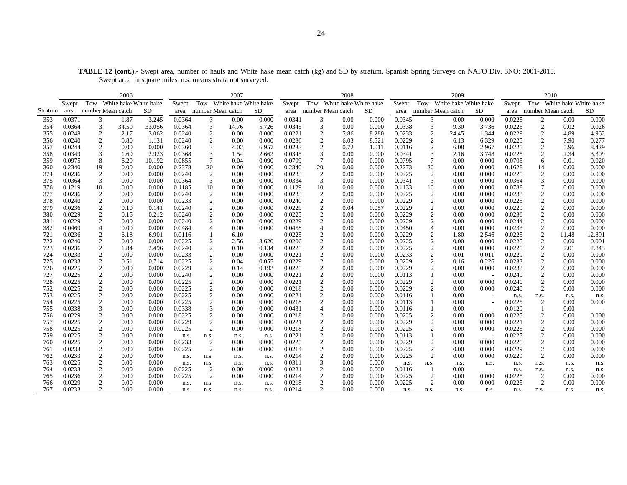**TABLE 12 (cont.).-** Swept area, number of hauls and White hake mean catch (kg) and SD by stratum. Spanish Spring Surveys on NAFO Div. 3NO: 2001-2010. Swept area in square miles. n.s. means strata not surveyed.

|         |                  |                   | 2006                      |        |        |                             | 2007                      |       |        |                         | 2008                      |           |        |                   | 2009                      |       |        |                  | 2010                      |        |
|---------|------------------|-------------------|---------------------------|--------|--------|-----------------------------|---------------------------|-------|--------|-------------------------|---------------------------|-----------|--------|-------------------|---------------------------|-------|--------|------------------|---------------------------|--------|
|         | Swept            |                   | Tow White hake White hake |        | Swept  |                             | Tow White hake White hake |       | Swept  |                         | Tow White hake White hake |           | Swept  |                   | Tow White hake White hake |       | Swept  |                  | Tow White hake White hake |        |
| Stratum | area             | number Mean catch |                           | SD.    | area   | number Mean catch           |                           | SD.   | area   | number Mean catch       |                           | <b>SD</b> | area   | number Mean catch |                           | SD    | area   |                  | number Mean catch         | SD     |
| 353     | 0.0371           | 3                 | 1.87                      | 3.245  | 0.0364 | $\mathfrak{Z}$              | 0.00                      | 0.000 | 0.0341 | $\mathfrak{Z}$          | 0.00                      | 0.000     | 0.0345 | 3                 | 0.00                      | 0.000 | 0.0225 | $\overline{c}$   | 0.00                      | 0.000  |
| 354     | 0.0364           | 3                 | 34.59                     | 33.056 | 0.0364 | $\mathfrak{Z}$              | 14.76                     | 5.726 | 0.0345 | 3                       | 0.00                      | 0.000     | 0.0338 | 3                 | 9.30                      | 3.736 | 0.0225 | $\overline{c}$   | 0.02                      | 0.026  |
| 355     | 0.0248           | $\overline{2}$    | 2.17                      | 3.062  | 0.0240 | $\sqrt{2}$                  | 0.00                      | 0.000 | 0.0221 | $\overline{\mathbf{c}}$ | 5.86                      | 8.280     | 0.0233 | $\overline{2}$    | 24.45                     | 1.344 | 0.0229 | $\overline{2}$   | 4.89                      | 4.962  |
| 356     | 0.0240           | $\sqrt{2}$        | 0.80                      | 1.131  | 0.0240 | $\sqrt{2}$                  | 0.00                      | 0.000 | 0.0236 | $\boldsymbol{2}$        | 6.03                      | 8.521     | 0.0229 | $\overline{c}$    | 6.13                      | 6.329 | 0.0225 | $\sqrt{2}$       | 7.90                      | 0.277  |
| 357     | 0.0244           | $\overline{2}$    | 0.00                      | 0.000  | 0.0360 | $\ensuremath{\mathfrak{Z}}$ | 4.02                      | 6.957 | 0.0233 | $\boldsymbol{2}$        | 0.72                      | 1.011     | 0.0116 | $\sqrt{2}$        | 6.08                      | 2.967 | 0.0225 | $\boldsymbol{2}$ | 5.96                      | 8.429  |
| 358     | 0.0349           | 3                 | 1.69                      | 2.923  | 0.0368 | $\ensuremath{\mathfrak{Z}}$ | 1.54                      | 2.662 | 0.0345 | 3                       | 0.00                      | 0.000     | 0.0341 | 3                 | 2.16                      | 3.748 | 0.0225 | $\boldsymbol{2}$ | 2.34                      | 3.309  |
| 359     | 0.0975           | $\,$ 8 $\,$       | 6.29                      | 10.192 | 0.0855 | $\boldsymbol{7}$            | 0.04                      | 0.090 | 0.0799 | $\boldsymbol{7}$        | 0.00                      | 0.000     | 0.0795 | $\boldsymbol{7}$  | 0.00                      | 0.000 | 0.0705 | 6                | 0.01                      | 0.020  |
| 360     | 0.2340           | 19                | 0.00                      | 0.000  | 0.2378 | 20                          | 0.00                      | 0.000 | 0.2340 | 20                      | 0.00                      | 0.000     | 0.2273 | 20                | 0.00                      | 0.000 | 0.1628 | 14               | 0.00                      | 0.000  |
| 374     | 0.0236           | $\overline{c}$    | 0.00                      | 0.000  | 0.0240 | $\sqrt{2}$                  | 0.00                      | 0.000 | 0.0233 | $\boldsymbol{2}$        | 0.00                      | 0.000     | 0.0225 | $\overline{2}$    | 0.00                      | 0.000 | 0.0225 | $\overline{2}$   | 0.00                      | 0.000  |
| 375     | 0.0364           | 3                 | 0.00                      | 0.000  | 0.0364 | $\sqrt{3}$                  | 0.00                      | 0.000 | 0.0334 | $\mathfrak{Z}$          | 0.00                      | 0.000     | 0.0341 | $\mathfrak{Z}$    | 0.00                      | 0.000 | 0.0364 | 3                | 0.00                      | 0.000  |
| 376     | 0.1219           | 10                | 0.00                      | 0.000  | 0.1185 | $10\,$                      | 0.00                      | 0.000 | 0.1129 | 10                      | 0.00                      | 0.000     | 0.1133 | 10                | 0.00                      | 0.000 | 0.0788 | 7                | 0.00                      | 0.000  |
| 377     | 0.0236           | 2                 | 0.00                      | 0.000  | 0.0240 | $\sqrt{2}$                  | 0.00                      | 0.000 | 0.0233 | $\overline{c}$          | 0.00                      | 0.000     | 0.0225 | 2                 | 0.00                      | 0.000 | 0.0233 | $\overline{c}$   | 0.00                      | 0.000  |
| 378     | 0.0240           | $\sqrt{2}$        | 0.00                      | 0.000  | 0.0233 | $\sqrt{2}$                  | 0.00                      | 0.000 | 0.0240 | $\boldsymbol{2}$        | 0.00                      | 0.000     | 0.0229 | $\sqrt{2}$        | 0.00                      | 0.000 | 0.0225 | $\overline{c}$   | 0.00                      | 0.000  |
| 379     | 0.0236           | 2                 | 0.10                      | 0.141  | 0.0240 | $\overline{c}$              | 0.00                      | 0.000 | 0.0229 | $\boldsymbol{2}$        | 0.04                      | 0.057     | 0.0229 | $\mathfrak{2}$    | 0.00                      | 0.000 | 0.0229 | $\overline{c}$   | 0.00                      | 0.000  |
| 380     | 0.0229           | $\overline{c}$    | 0.15                      | 0.212  | 0.0240 | $\boldsymbol{2}$            | 0.00                      | 0.000 | 0.0225 | $\sqrt{2}$              | 0.00                      | 0.000     | 0.0229 | $\sqrt{2}$        | 0.00                      | 0.000 | 0.0236 | $\boldsymbol{2}$ | 0.00                      | 0.000  |
| 381     | 0.0229           | $\overline{2}$    | 0.00                      | 0.000  | 0.0240 | $\sqrt{2}$                  | 0.00                      | 0.000 | 0.0229 | $\sqrt{2}$              | 0.00                      | 0.000     | 0.0229 | $\sqrt{2}$        | 0.00                      | 0.000 | 0.0244 | $\overline{c}$   | 0.00                      | 0.000  |
| 382     | 0.0469           | 4                 | 0.00                      | 0.000  | 0.0484 | $\overline{4}$              | 0.00                      | 0.000 | 0.0458 | $\overline{4}$          | 0.00                      | 0.000     | 0.0450 | $\overline{4}$    | 0.00                      | 0.000 | 0.0233 | $\mathfrak{2}$   | 0.00                      | 0.000  |
| 721     | 0.0236           | 2                 | 6.18                      | 6.901  | 0.0116 |                             | 6.10                      |       | 0.0225 | $\boldsymbol{2}$        | 0.00                      | 0.000     | 0.0229 | $\mathfrak{2}$    | 1.80                      | 2.546 | 0.0225 | $\overline{c}$   | 11.48                     | 12.891 |
| 722     | 0.0240           | $\sqrt{2}$        | 0.00                      | 0.000  | 0.0225 | $\sqrt{2}$                  | 2.56                      | 3.620 | 0.0206 | $\overline{c}$          | 0.00                      | 0.000     | 0.0225 | $\sqrt{2}$        | 0.00                      | 0.000 | 0.0225 | $\overline{c}$   | 0.00                      | 0.001  |
| 723     | 0.0236           | 2                 | 1.84                      | 2.496  | 0.0240 | $\overline{c}$              | 0.10                      | 0.134 | 0.0225 | $\mathfrak{2}$          | 0.00                      | 0.000     | 0.0225 | $\mathfrak{2}$    | 0.00                      | 0.000 | 0.0225 | $\overline{c}$   | 2.01                      | 2.843  |
| 724     | 0.0233           | $\overline{2}$    | 0.00                      | 0.000  | 0.0233 | $\sqrt{2}$                  | 0.00                      | 0.000 | 0.0221 | $\overline{c}$          | 0.00                      | 0.000     | 0.0233 | $\sqrt{2}$        | 0.01                      | 0.011 | 0.0229 | $\overline{c}$   | 0.00                      | 0.000  |
| 725     | 0.0233           | $\sqrt{2}$        | 0.51                      | 0.714  | 0.0225 | $\sqrt{2}$                  | 0.04                      | 0.055 | 0.0229 | $\sqrt{2}$              | 0.00                      | 0.000     | 0.0229 | $\sqrt{2}$        | 0.16                      | 0.226 | 0.0233 | $\boldsymbol{2}$ | 0.00                      | 0.000  |
| 726     | 0.0225           | 2                 | 0.00                      | 0.000  | 0.0229 | 2                           | 0.14                      | 0.193 | 0.0225 | $\boldsymbol{2}$        | 0.00                      | 0.000     | 0.0229 | $\overline{2}$    | 0.00                      | 0.000 | 0.0233 | 2                | 0.00                      | 0.000  |
| 727     | 0.0225           | $\overline{2}$    | 0.00                      | 0.000  | 0.0240 | 2                           | 0.00                      | 0.000 | 0.0221 | $\boldsymbol{2}$        | 0.00                      | 0.000     | 0.0113 |                   | 0.00                      |       | 0.0240 | $\overline{c}$   | 0.00                      | 0.000  |
| 728     | 0.0225           | $\sqrt{2}$        | 0.00                      | 0.000  | 0.0225 | $\sqrt{2}$                  | 0.00                      | 0.000 | 0.0221 | $\boldsymbol{2}$        | 0.00                      | 0.000     | 0.0229 | $\sqrt{2}$        | 0.00                      | 0.000 | 0.0240 | $\overline{c}$   | 0.00                      | 0.000  |
| 752     | 0.0225           | $\overline{c}$    | 0.00                      | 0.000  | 0.0225 | $\overline{c}$              | 0.00                      | 0.000 | 0.0218 | $\mathfrak{2}$          | 0.00                      | 0.000     | 0.0229 | $\overline{2}$    | 0.00                      | 0.000 | 0.0240 | 2                | 0.00                      | 0.000  |
| 753     | 0.0225           | $\overline{2}$    | 0.00                      | 0.000  | 0.0225 | $\sqrt{2}$                  | 0.00                      | 0.000 | 0.0221 | $\overline{c}$          | 0.00                      | 0.000     | 0.0116 |                   | 0.00                      |       | n.s.   | n.s.             | n.s.                      | n.s.   |
| 754     | 0.0225           | $\overline{c}$    | 0.00                      | 0.000  | 0.0225 | $\sqrt{2}$                  | 0.00                      | 0.000 | 0.0218 | $\mathfrak{2}$          | 0.00                      | 0.000     | 0.0113 |                   | 0.00                      |       | 0.0225 | $\overline{2}$   | 0.00                      | 0.000  |
| 755     | 0.0338           | 3                 | 0.00                      | 0.000  | 0.0338 | 3                           | 0.00                      | 0.000 | 0.0431 | $\overline{4}$          | 0.00                      | 0.000     | 0.0116 |                   | 0.00                      |       | 0.0120 |                  | 0.00                      |        |
| 756     | 0.0229           | $\overline{2}$    | 0.00                      | 0.000  | 0.0225 | 2                           | 0.00                      | 0.000 | 0.0218 | $\overline{c}$          | 0.00                      | 0.000     | 0.0225 | $\boldsymbol{2}$  | 0.00                      | 0.000 | 0.0225 | $\overline{c}$   | 0.00                      | 0.000  |
| 757     | 0.0225           | $\sqrt{2}$        | 0.00                      | 0.000  | 0.0229 | $\sqrt{2}$                  | 0.00                      | 0.000 | 0.0221 | $\sqrt{2}$              | 0.00                      | 0.000     | 0.0229 | $\sqrt{2}$        | 0.00                      | 0.000 | 0.0221 | $\boldsymbol{2}$ | 0.00                      | 0.000  |
| 758     | 0.0225           | $\boldsymbol{2}$  | 0.00                      | 0.000  | 0.0225 | 2                           | 0.00                      | 0.000 | 0.0218 | $\sqrt{2}$              | 0.00                      | 0.000     | 0.0225 | $\overline{2}$    | 0.00                      | 0.000 | 0.0225 | $\overline{c}$   | 0.00                      | 0.000  |
| 759     | 0.0225           | $\boldsymbol{2}$  | 0.00                      | 0.000  | n.s.   | n.s.                        | n.s.                      | n.s.  | 0.0221 | $\sqrt{2}$              | 0.00                      | 0.000     | 0.0113 |                   | 0.00                      |       | 0.0225 | $\overline{c}$   | 0.00                      | 0.000  |
| 760     | 0.0225           | $\sqrt{2}$        | 0.00                      | 0.000  | 0.0233 | $\sqrt{2}$                  | 0.00                      | 0.000 | 0.0225 | $\overline{\mathbf{c}}$ | 0.00                      | 0.000     | 0.0229 | $\sqrt{2}$        | 0.00                      | 0.000 | 0.0225 | $\overline{c}$   | 0.00                      | 0.000  |
| 761     | 0.0233           | 2                 | 0.00                      | 0.000  | 0.0225 | 2                           | 0.00                      | 0.000 | 0.0214 | $\sqrt{2}$              | 0.00                      | 0.000     | 0.0225 | $\mathfrak{2}$    | 0.00                      | 0.000 | 0.0229 | 2                | 0.00                      | 0.000  |
| 762     | 0.0233           | $\boldsymbol{2}$  | 0.00                      | 0.000  | n.s.   | n.s.                        | n.s.                      | n.s.  | 0.0214 | $\sqrt{2}$              | 0.00                      | 0.000     | 0.0225 | 2                 | 0.00                      | 0.000 | 0.0229 | $\overline{2}$   | 0.00                      | 0.000  |
| 763     | 0.0225           | $\sqrt{2}$        | 0.00                      | 0.000  | n.s.   | n.s.                        | n.s.                      | n.s.  | 0.0311 | 3                       | 0.00                      | 0.000     | n.s.   | n.s.              | n.s.                      | n.s.  | n.s.   | n.s.             | n.s.                      | n.s.   |
| 764     | 0.0233           | $\overline{2}$    | 0.00                      | 0.000  | 0.0225 | 2                           | 0.00                      | 0.000 | 0.0221 | $\boldsymbol{2}$        | 0.00                      | 0.000     | 0.0116 |                   | 0.00                      |       | n.s.   | n.s.             | n.s.<br>0.00              | n.s.   |
| 765     | 0.0236<br>0.0229 | $\overline{2}$    | 0.00<br>0.00              | 0.000  | 0.0225 | 2                           | 0.00                      | 0.000 | 0.0214 | $\sqrt{2}$              | 0.00                      | 0.000     | 0.0225 | $\overline{2}$    | 0.00<br>0.00              | 0.000 | 0.0225 | 2                | 0.00                      | 0.000  |
| 766     |                  | $\boldsymbol{2}$  |                           | 0.000  | n.s.   | n.s.                        | n.s.                      | n.s.  | 0.0218 | $\sqrt{2}$<br>2         | 0.00                      | 0.000     | 0.0225 | $\mathfrak{2}$    |                           | 0.000 | 0.0225 | $\overline{c}$   |                           | 0.000  |
| 767     | 0.0233           |                   | 0.00                      | 0.000  | n.s.   | n.s.                        | n.s.                      | n.s.  | 0.0214 |                         | 0.00                      | 0.000     | n.s.   | n.s.              | n.s.                      | n.s.  | n.s.   | n.s.             | n.s.                      | n.s.   |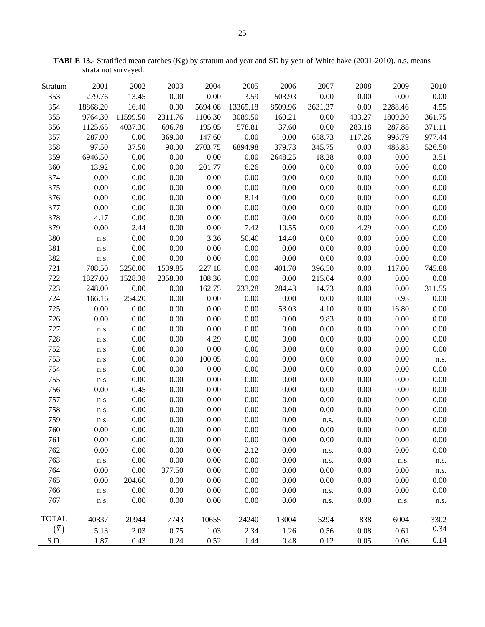| Stratum      | 2001     | 2002     | 2003     | 2004     | 2005     | 2006     | 2007     | 2008     | 2009     | 2010     |
|--------------|----------|----------|----------|----------|----------|----------|----------|----------|----------|----------|
| 353          | 279.76   | 13.45    | 0.00     | 0.00     | 3.59     | 503.93   | 0.00     | 0.00     | 0.00     | 0.00     |
| 354          | 18868.20 | 16.40    | 0.00     | 5694.08  | 13365.18 | 8509.96  | 3631.37  | 0.00     | 2288.46  | 4.55     |
| 355          | 9764.30  | 11599.50 | 2311.76  | 1106.30  | 3089.50  | 160.21   | 0.00     | 433.27   | 1809.30  | 361.75   |
| 356          | 1125.65  | 4037.30  | 696.78   | 195.05   | 578.81   | 37.60    | $0.00\,$ | 283.18   | 287.88   | 371.11   |
| 357          | 287.00   | 0.00     | 369.00   | 147.60   | $0.00\,$ | 0.00     | 658.73   | 117.26   | 996.79   | 977.44   |
| 358          | 97.50    | 37.50    | 90.00    | 2703.75  | 6894.98  | 379.73   | 345.75   | 0.00     | 486.83   | 526.50   |
| 359          | 6946.50  | 0.00     | 0.00     | 0.00     | 0.00     | 2648.25  | 18.28    | 0.00     | 0.00     | 3.51     |
| 360          | 13.92    | 0.00     | 0.00     | 201.77   | 6.26     | 0.00     | 0.00     | 0.00     | 0.00     | $0.00\,$ |
| 374          | 0.00     | 0.00     | 0.00     | 0.00     | $0.00\,$ | 0.00     | 0.00     | 0.00     | 0.00     | 0.00     |
| 375          | 0.00     | 0.00     | 0.00     | 0.00     | $0.00\,$ | 0.00     | 0.00     | 0.00     | 0.00     | 0.00     |
| 376          | 0.00     | 0.00     | 0.00     | 0.00     | 8.14     | 0.00     | 0.00     | 0.00     | 0.00     | 0.00     |
| 377          | 0.00     | 0.00     | $0.00\,$ | 0.00     | $0.00\,$ | $0.00\,$ | $0.00\,$ | 0.00     | 0.00     | 0.00     |
| 378          | 4.17     | $0.00\,$ | $0.00\,$ | 0.00     | $0.00\,$ | $0.00\,$ | $0.00\,$ | 0.00     | 0.00     | 0.00     |
| 379          | 0.00     | 2.44     | $0.00\,$ | 0.00     | 7.42     | 10.55    | $0.00\,$ | 4.29     | $0.00\,$ | $0.00\,$ |
| 380          | n.s.     | 0.00     | 0.00     | 3.36     | 50.40    | 14.40    | 0.00     | 0.00     | 0.00     | 0.00     |
| 381          | n.s.     | 0.00     | 0.00     | 0.00     | $0.00\,$ | 0.00     | 0.00     | 0.00     | 0.00     | 0.00     |
| 382          | n.s.     | 0.00     | 0.00     | 0.00     | 0.00     | 0.00     | 0.00     | 0.00     | 0.00     | $0.00\,$ |
| 721          | 708.50   | 3250.00  | 1539.85  | 227.18   | 0.00     | 401.70   | 396.50   | 0.00     | 117.00   | 745.88   |
| 722          | 1827.00  | 1528.38  | 2358.30  | 108.36   | $0.00\,$ | 0.00     | 215.04   | 0.00     | 0.00     | $0.08\,$ |
| 723          | 248.00   | 0.00     | 0.00     | 162.75   | 233.28   | 284.43   | 14.73    | 0.00     | 0.00     | 311.55   |
| 724          | 166.16   | 254.20   | 0.00     | 0.00     | 0.00     | 0.00     | $0.00\,$ | 0.00     | 0.93     | 0.00     |
| 725          | 0.00     | $0.00\,$ | $0.00\,$ | 0.00     | $0.00\,$ | 53.03    | 4.10     | 0.00     | 16.80    | 0.00     |
| 726          | 0.00     | 0.00     | 0.00     | 0.00     | 0.00     | 0.00     | 9.83     | 0.00     | 0.00     | 0.00     |
| 727          | n.s.     | 0.00     | 0.00     | 0.00     | 0.00     | 0.00     | 0.00     | 0.00     | 0.00     | 0.00     |
| 728          | n.s.     | 0.00     | 0.00     | 4.29     | 0.00     | 0.00     | 0.00     | 0.00     | 0.00     | 0.00     |
| 752          | n.s.     | 0.00     | 0.00     | 0.00     | $0.00\,$ | 0.00     | 0.00     | 0.00     | 0.00     | $0.00\,$ |
| 753          | n.s.     | 0.00     | 0.00     | 100.05   | 0.00     | $0.00\,$ | 0.00     | 0.00     | 0.00     | n.s.     |
| 754          | n.s.     | 0.00     | 0.00     | 0.00     | $0.00\,$ | $0.00\,$ | $0.00\,$ | 0.00     | 0.00     | $0.00\,$ |
| 755          | n.s.     | 0.00     | 0.00     | 0.00     | $0.00\,$ | $0.00\,$ | 0.00     | 0.00     | 0.00     | 0.00     |
| 756          | 0.00     | 0.45     | 0.00     | 0.00     | $0.00\,$ | $0.00\,$ | $0.00\,$ | $0.00\,$ | $0.00\,$ | $0.00\,$ |
| 757          | n.s.     | 0.00     | 0.00     | 0.00     | 0.00     | 0.00     | 0.00     | 0.00     | 0.00     | 0.00     |
| 758          | n.s.     | 0.00     | 0.00     | 0.00     | $0.00\,$ | 0.00     | 0.00     | 0.00     | 0.00     | 0.00     |
| 759          | n.s.     | 0.00     | 0.00     | 0.00     | 0.00     | 0.00     | n.s.     | 0.00     | 0.00     | 0.00     |
| 760          | 0.00     | 0.00     | 0.00     | 0.00     | 0.00     | 0.00     | 0.00     | 0.00     | 0.00     | 0.00     |
| 761          | 0.00     | 0.00     | 0.00     | 0.00     | $0.00\,$ | 0.00     | 0.00     | 0.00     | 0.00     | 0.00     |
| 762          | 0.00     | $0.00\,$ | 0.00     | 0.00     | 2.12     | 0.00     | n.s.     | 0.00     | 0.00     | 0.00     |
| 763          | n.s.     | 0.00     | 0.00     | 0.00     | 0.00     | 0.00     | n.s.     | 0.00     | n.s.     | n.s.     |
| 764          | 0.00     | 0.00     | 377.50   | 0.00     | $0.00\,$ | 0.00     | 0.00     | 0.00     | 0.00     | n.s.     |
| 765          | 0.00     | 204.60   | 0.00     | 0.00     | 0.00     | 0.00     | 0.00     | 0.00     | 0.00     | 0.00     |
| 766          | n.s.     | 0.00     | 0.00     | $0.00\,$ | 0.00     | 0.00     | n.s.     | 0.00     | 0.00     | 0.00     |
| 767          | n.s.     | 0.00     | 0.00     | 0.00     | 0.00     | 0.00     | n.s.     | 0.00     | n.s.     | n.s.     |
| <b>TOTAL</b> | 40337    | 20944    | 7743     | 10655    | 24240    | 13004    | 5294     | 838      | 6004     | 3302     |
| $(\bar{Y})$  | 5.13     | 2.03     | 0.75     | 1.03     | 2.34     | 1.26     | 0.56     | 0.08     | 0.61     | 0.34     |
| S.D.         | 1.87     | 0.43     | 0.24     | 0.52     | 1.44     | 0.48     | 0.12     | 0.05     | 0.08     | 0.14     |

**TABLE 13.-** Stratified mean catches (Kg) by stratum and year and SD by year of White hake (2001-2010). n.s. means strata not surveyed.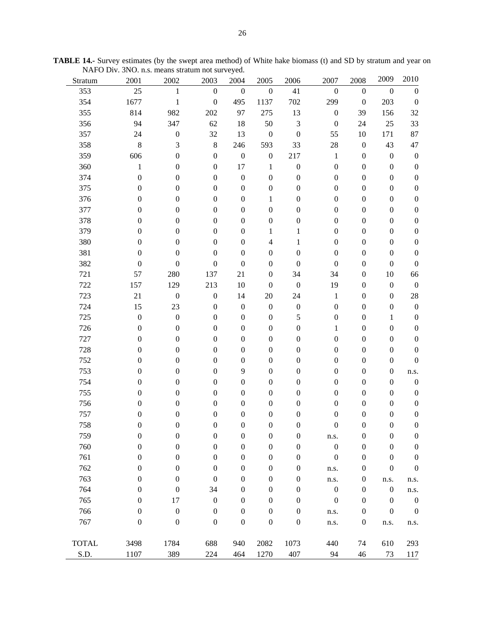| Stratum      | 2001             | 2002             | 2003             | 2004             | 2005                     | 2006             | 2007             | 2008             | 2009             | 2010             |
|--------------|------------------|------------------|------------------|------------------|--------------------------|------------------|------------------|------------------|------------------|------------------|
| 353          | 25               | $\mathbf{1}$     | $\boldsymbol{0}$ | $\boldsymbol{0}$ | $\boldsymbol{0}$         | 41               | $\boldsymbol{0}$ | $\boldsymbol{0}$ | $\boldsymbol{0}$ | $\boldsymbol{0}$ |
| 354          | 1677             | $\,1\,$          | $\boldsymbol{0}$ | 495              | 1137                     | 702              | 299              | $\boldsymbol{0}$ | 203              | $\boldsymbol{0}$ |
| 355          | 814              | 982              | 202              | 97               | 275                      | 13               | $\boldsymbol{0}$ | 39               | 156              | 32               |
| 356          | 94               | 347              | 62               | 18               | 50                       | $\mathfrak{Z}$   | $\boldsymbol{0}$ | 24               | $25\,$           | 33               |
| 357          | 24               | $\boldsymbol{0}$ | 32               | 13               | $\boldsymbol{0}$         | $\boldsymbol{0}$ | 55               | 10               | 171              | 87               |
| 358          | $\,$ 8 $\,$      | 3                | $\,8\,$          | 246              | 593                      | 33               | 28               | $\boldsymbol{0}$ | 43               | 47               |
| 359          | 606              | $\boldsymbol{0}$ | $\boldsymbol{0}$ | $\boldsymbol{0}$ | $\boldsymbol{0}$         | 217              | $\mathbf{1}$     | $\boldsymbol{0}$ | $\boldsymbol{0}$ | $\boldsymbol{0}$ |
| 360          | $\mathbf{1}$     | $\boldsymbol{0}$ | $\boldsymbol{0}$ | 17               | $\mathbf{1}$             | $\boldsymbol{0}$ | $\boldsymbol{0}$ | $\boldsymbol{0}$ | $\boldsymbol{0}$ | $\boldsymbol{0}$ |
| 374          | $\boldsymbol{0}$ | $\boldsymbol{0}$ | $\boldsymbol{0}$ | $\boldsymbol{0}$ | $\boldsymbol{0}$         | $\boldsymbol{0}$ | $\boldsymbol{0}$ | $\boldsymbol{0}$ | $\boldsymbol{0}$ | $\boldsymbol{0}$ |
| 375          | $\boldsymbol{0}$ | $\boldsymbol{0}$ | $\boldsymbol{0}$ | $\boldsymbol{0}$ | $\boldsymbol{0}$         | $\boldsymbol{0}$ | $\boldsymbol{0}$ | $\boldsymbol{0}$ | $\boldsymbol{0}$ | $\boldsymbol{0}$ |
| 376          | $\boldsymbol{0}$ | $\boldsymbol{0}$ | $\boldsymbol{0}$ | $\boldsymbol{0}$ | 1                        | $\boldsymbol{0}$ | $\boldsymbol{0}$ | $\boldsymbol{0}$ | $\boldsymbol{0}$ | $\boldsymbol{0}$ |
| 377          | $\boldsymbol{0}$ | $\boldsymbol{0}$ | $\boldsymbol{0}$ | $\boldsymbol{0}$ | $\boldsymbol{0}$         | $\boldsymbol{0}$ | $\boldsymbol{0}$ | $\boldsymbol{0}$ | $\boldsymbol{0}$ | $\boldsymbol{0}$ |
| 378          | $\boldsymbol{0}$ | $\boldsymbol{0}$ | $\boldsymbol{0}$ | $\boldsymbol{0}$ | $\boldsymbol{0}$         | $\boldsymbol{0}$ | $\boldsymbol{0}$ | $\boldsymbol{0}$ | $\boldsymbol{0}$ | $\boldsymbol{0}$ |
| 379          | $\boldsymbol{0}$ | $\boldsymbol{0}$ | $\boldsymbol{0}$ | $\boldsymbol{0}$ | 1                        | 1                | $\boldsymbol{0}$ | $\boldsymbol{0}$ | $\boldsymbol{0}$ | $\boldsymbol{0}$ |
| 380          | $\boldsymbol{0}$ | $\boldsymbol{0}$ | $\boldsymbol{0}$ | $\boldsymbol{0}$ | $\overline{\mathcal{L}}$ | 1                | $\boldsymbol{0}$ | $\boldsymbol{0}$ | $\boldsymbol{0}$ | $\boldsymbol{0}$ |
| 381          | $\boldsymbol{0}$ | $\boldsymbol{0}$ | $\boldsymbol{0}$ | $\boldsymbol{0}$ | $\boldsymbol{0}$         | $\boldsymbol{0}$ | $\boldsymbol{0}$ | $\boldsymbol{0}$ | $\boldsymbol{0}$ | $\boldsymbol{0}$ |
| 382          | $\boldsymbol{0}$ | $\boldsymbol{0}$ | $\boldsymbol{0}$ | $\boldsymbol{0}$ | $\boldsymbol{0}$         | $\boldsymbol{0}$ | $\boldsymbol{0}$ | $\boldsymbol{0}$ | $\boldsymbol{0}$ | $\boldsymbol{0}$ |
| 721          | 57               | 280              | 137              | 21               | $\boldsymbol{0}$         | 34               | 34               | $\boldsymbol{0}$ | 10               | 66               |
| 722          | 157              | 129              | 213              | $10\,$           | $\boldsymbol{0}$         | $\boldsymbol{0}$ | 19               | $\boldsymbol{0}$ | $\boldsymbol{0}$ | $\boldsymbol{0}$ |
| 723          | 21               | $\boldsymbol{0}$ | $\boldsymbol{0}$ | 14               | $20\,$                   | 24               | $\mathbf{1}$     | $\boldsymbol{0}$ | $\boldsymbol{0}$ | 28               |
| 724          | 15               | 23               | $\boldsymbol{0}$ | $\boldsymbol{0}$ | $\boldsymbol{0}$         | $\boldsymbol{0}$ | $\boldsymbol{0}$ | $\boldsymbol{0}$ | $\boldsymbol{0}$ | $\boldsymbol{0}$ |
| 725          | $\boldsymbol{0}$ | $\boldsymbol{0}$ | $\boldsymbol{0}$ | $\boldsymbol{0}$ | $\boldsymbol{0}$         | 5                | $\boldsymbol{0}$ | $\boldsymbol{0}$ | 1                | $\boldsymbol{0}$ |
| 726          | $\boldsymbol{0}$ | $\boldsymbol{0}$ | $\boldsymbol{0}$ | $\boldsymbol{0}$ | $\boldsymbol{0}$         | $\boldsymbol{0}$ | 1                | $\boldsymbol{0}$ | $\boldsymbol{0}$ | $\boldsymbol{0}$ |
| 727          | $\boldsymbol{0}$ | $\boldsymbol{0}$ | $\boldsymbol{0}$ | $\boldsymbol{0}$ | $\boldsymbol{0}$         | $\boldsymbol{0}$ | $\boldsymbol{0}$ | $\boldsymbol{0}$ | $\boldsymbol{0}$ | $\boldsymbol{0}$ |
| 728          | $\boldsymbol{0}$ | $\boldsymbol{0}$ | $\boldsymbol{0}$ | $\boldsymbol{0}$ | $\boldsymbol{0}$         | $\boldsymbol{0}$ | $\boldsymbol{0}$ | $\boldsymbol{0}$ | $\boldsymbol{0}$ | $\boldsymbol{0}$ |
| 752          | $\boldsymbol{0}$ | $\boldsymbol{0}$ | $\boldsymbol{0}$ | $\boldsymbol{0}$ | $\boldsymbol{0}$         | $\boldsymbol{0}$ | $\boldsymbol{0}$ | $\boldsymbol{0}$ | $\boldsymbol{0}$ | $\boldsymbol{0}$ |
| 753          | $\boldsymbol{0}$ | $\boldsymbol{0}$ | $\boldsymbol{0}$ | 9                | $\boldsymbol{0}$         | $\boldsymbol{0}$ | $\boldsymbol{0}$ | $\boldsymbol{0}$ | $\boldsymbol{0}$ | n.s.             |
| 754          | $\boldsymbol{0}$ | $\boldsymbol{0}$ | $\boldsymbol{0}$ | $\boldsymbol{0}$ | $\boldsymbol{0}$         | $\boldsymbol{0}$ | $\boldsymbol{0}$ | $\boldsymbol{0}$ | $\boldsymbol{0}$ | $\boldsymbol{0}$ |
| 755          | $\boldsymbol{0}$ | $\boldsymbol{0}$ | $\boldsymbol{0}$ | $\boldsymbol{0}$ | $\boldsymbol{0}$         | $\boldsymbol{0}$ | $\boldsymbol{0}$ | $\boldsymbol{0}$ | $\boldsymbol{0}$ | $\boldsymbol{0}$ |
| 756          | $\boldsymbol{0}$ | $\boldsymbol{0}$ | $\boldsymbol{0}$ | $\boldsymbol{0}$ | $\boldsymbol{0}$         | $\boldsymbol{0}$ | $\boldsymbol{0}$ | $\boldsymbol{0}$ | $\boldsymbol{0}$ | $\boldsymbol{0}$ |
| 757          | $\boldsymbol{0}$ | $\boldsymbol{0}$ | $\boldsymbol{0}$ | $\boldsymbol{0}$ | $\boldsymbol{0}$         | $\boldsymbol{0}$ | $\boldsymbol{0}$ | $\boldsymbol{0}$ | $\boldsymbol{0}$ | $\boldsymbol{0}$ |
| 758          | $\overline{0}$   | $\boldsymbol{0}$ | $\boldsymbol{0}$ | $\boldsymbol{0}$ | $\boldsymbol{0}$         | $\boldsymbol{0}$ | $\boldsymbol{0}$ | $\boldsymbol{0}$ | $\boldsymbol{0}$ | $\boldsymbol{0}$ |
| 759          | $\boldsymbol{0}$ | $\boldsymbol{0}$ | $\boldsymbol{0}$ | $\boldsymbol{0}$ | $\boldsymbol{0}$         | $\boldsymbol{0}$ | n.s.             | $\boldsymbol{0}$ | $\boldsymbol{0}$ | $\boldsymbol{0}$ |
| 760          | $\boldsymbol{0}$ | $\boldsymbol{0}$ | $\boldsymbol{0}$ | $\boldsymbol{0}$ | $\boldsymbol{0}$         | $\boldsymbol{0}$ | $\boldsymbol{0}$ | $\boldsymbol{0}$ | $\boldsymbol{0}$ | $\boldsymbol{0}$ |
| 761          | $\boldsymbol{0}$ | $\boldsymbol{0}$ | $\boldsymbol{0}$ | $\boldsymbol{0}$ | $\boldsymbol{0}$         | $\boldsymbol{0}$ | $\boldsymbol{0}$ | $\boldsymbol{0}$ | $\boldsymbol{0}$ | $\boldsymbol{0}$ |
| 762          | $\boldsymbol{0}$ | $\boldsymbol{0}$ | $\boldsymbol{0}$ | $\boldsymbol{0}$ | $\boldsymbol{0}$         | $\boldsymbol{0}$ | n.s.             | $\boldsymbol{0}$ | $\boldsymbol{0}$ | $\boldsymbol{0}$ |
| 763          | $\boldsymbol{0}$ | $\boldsymbol{0}$ | $\boldsymbol{0}$ | $\boldsymbol{0}$ | $\boldsymbol{0}$         | $\boldsymbol{0}$ | n.s.             | $\boldsymbol{0}$ | n.s.             | n.s.             |
| 764          | $\boldsymbol{0}$ | $\boldsymbol{0}$ | 34               | $\boldsymbol{0}$ | $\boldsymbol{0}$         | $\boldsymbol{0}$ | $\boldsymbol{0}$ | $\boldsymbol{0}$ | $\boldsymbol{0}$ | n.s.             |
| 765          | $\boldsymbol{0}$ | 17               | $\boldsymbol{0}$ | $\boldsymbol{0}$ | $\boldsymbol{0}$         | $\boldsymbol{0}$ | $\boldsymbol{0}$ | $\boldsymbol{0}$ | $\boldsymbol{0}$ | $\boldsymbol{0}$ |
| 766          | $\boldsymbol{0}$ | $\boldsymbol{0}$ | $\boldsymbol{0}$ | $\boldsymbol{0}$ | $\boldsymbol{0}$         | $\boldsymbol{0}$ | n.s.             | $\boldsymbol{0}$ | $\boldsymbol{0}$ | $\boldsymbol{0}$ |
| 767          | $\boldsymbol{0}$ | $\boldsymbol{0}$ | $\boldsymbol{0}$ | $\boldsymbol{0}$ | $\boldsymbol{0}$         | $\boldsymbol{0}$ | n.s.             | $\boldsymbol{0}$ | n.s.             | n.s.             |
|              |                  |                  |                  |                  |                          |                  |                  |                  |                  |                  |
| <b>TOTAL</b> | 3498             | 1784             | 688              | 940              | 2082                     | 1073             | 440              | 74               | 610              | 293              |
| S.D.         | 1107             | 389              | 224              | 464              | 1270                     | 407              | 94               | 46               | 73               | 117              |

**TABLE 14.-** Survey estimates (by the swept area method) of White hake biomass (t) and SD by stratum and year on NAFO Div. 3NO. n.s. means stratum not surveyed.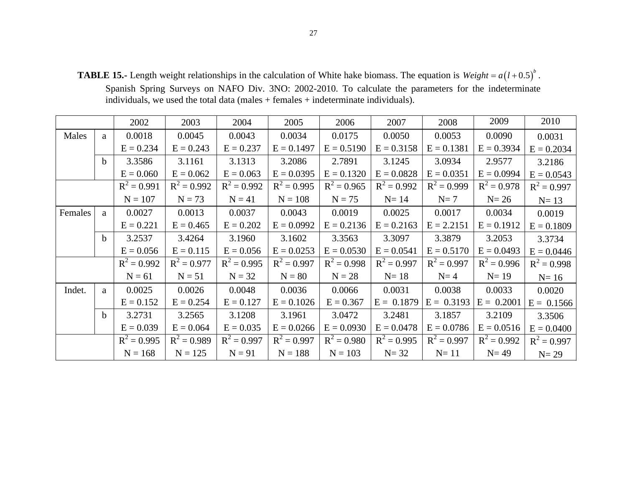**TABLE 15.-** Length weight relationships in the calculation of White hake biomass. The equation is  $Weight = a(l+0.5)^{b}$ .

Spanish Spring Surveys on NAFO Div. 3NO: 2002-2010. To calculate the parameters for the indeterminate individuals, we used the total data (males + females + indeterminate individuals).

|         |              | 2002          | 2003          | 2004          | 2005          | 2006          | 2007          | 2008          | 2009          | 2010          |
|---------|--------------|---------------|---------------|---------------|---------------|---------------|---------------|---------------|---------------|---------------|
| Males   | a            | 0.0018        | 0.0045        | 0.0043        | 0.0034        | 0.0175        | 0.0050        | 0.0053        | 0.0090        | 0.0031        |
|         |              | $E = 0.234$   | $E = 0.243$   | $E = 0.237$   | $E = 0.1497$  | $E = 0.5190$  | $E = 0.3158$  | $E = 0.1381$  | $E = 0.3934$  | $E = 0.2034$  |
|         | $\mathbf{h}$ | 3.3586        | 3.1161        | 3.1313        | 3.2086        | 2.7891        | 3.1245        | 3.0934        | 2.9577        | 3.2186        |
|         |              | $E = 0.060$   | $E = 0.062$   | $E = 0.063$   | $E = 0.0395$  | $E = 0.1320$  | $E = 0.0828$  | $E = 0.0351$  | $E = 0.0994$  | $E = 0.0543$  |
|         |              | $R^2 = 0.991$ | $R^2 = 0.992$ | $R^2 = 0.992$ | $R^2 = 0.995$ | $R^2 = 0.965$ | $R^2 = 0.992$ | $R^2 = 0.999$ | $R^2 = 0.978$ | $R^2 = 0.997$ |
|         |              | $N = 107$     | $N = 73$      | $N = 41$      | $N = 108$     | $N = 75$      | $N=14$        | $N=7$         | $N=26$        | $N=13$        |
| Females | a            | 0.0027        | 0.0013        | 0.0037        | 0.0043        | 0.0019        | 0.0025        | 0.0017        | 0.0034        | 0.0019        |
|         |              | $E = 0.221$   | $E = 0.465$   | $E = 0.202$   | $E = 0.0992$  | $E = 0.2136$  | $E = 0.2163$  | $E = 2.2151$  | $E = 0.1912$  | $E = 0.1809$  |
|         | $\mathbf{h}$ | 3.2537        | 3.4264        | 3.1960        | 3.1602        | 3.3563        | 3.3097        | 3.3879        | 3.2053        | 3.3734        |
|         |              | $E = 0.056$   | $E = 0.115$   | $E = 0.056$   | $E = 0.0253$  | $E = 0.0530$  | $E = 0.0541$  | $E = 0.5170$  | $E = 0.0493$  | $E = 0.0446$  |
|         |              | $R^2 = 0.992$ | $R^2 = 0.977$ | $R^2 = 0.995$ | $R^2 = 0.997$ | $R^2 = 0.998$ | $R^2 = 0.997$ | $R^2 = 0.997$ | $R^2 = 0.996$ | $R^2 = 0.998$ |
|         |              | $N = 61$      | $N = 51$      | $N = 32$      | $N = 80$      | $N = 28$      | $N=18$        | $N=4$         | $N=19$        | $N=16$        |
| Indet.  | a            | 0.0025        | 0.0026        | 0.0048        | 0.0036        | 0.0066        | 0.0031        | 0.0038        | 0.0033        | 0.0020        |
|         |              | $E = 0.152$   | $E = 0.254$   | $E = 0.127$   | $E = 0.1026$  | $E = 0.367$   | $E = 0.1879$  | $E = 0.3193$  | $E = 0.2001$  | $E = 0.1566$  |
|         | $\mathbf{h}$ | 3.2731        | 3.2565        | 3.1208        | 3.1961        | 3.0472        | 3.2481        | 3.1857        | 3.2109        | 3.3506        |
|         |              | $E = 0.039$   | $E = 0.064$   | $E = 0.035$   | $E = 0.0266$  | $E = 0.0930$  | $E = 0.0478$  | $E = 0.0786$  | $E = 0.0516$  | $E = 0.0400$  |
|         |              | $R^2 = 0.995$ | $R^2 = 0.989$ | $R^2 = 0.997$ | $R^2 = 0.997$ | $R^2 = 0.980$ | $R^2 = 0.995$ | $R^2 = 0.997$ | $R^2 = 0.992$ | $R^2 = 0.997$ |
|         |              | $N = 168$     | $N = 125$     | $N = 91$      | $N = 188$     | $N = 103$     | $N=32$        | $N=11$        | $N=49$        | $N=29$        |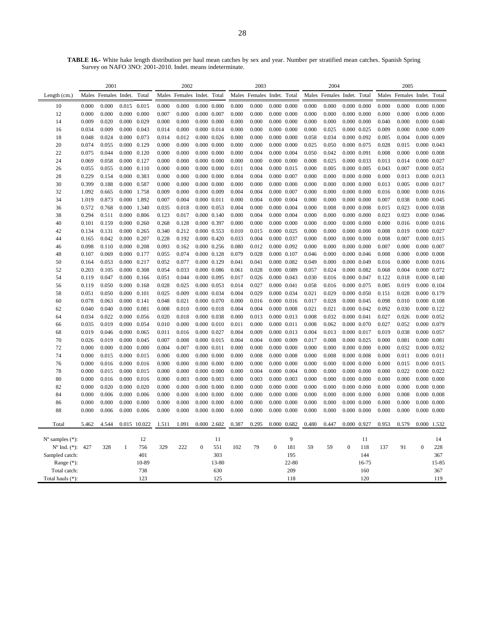|                             | 2001           |                      |                |                | 2002           |                            |                                |               | 2003           |                            |                     |                     |                | 2004                 |                     |                     | 2005           |                      |                            |       |
|-----------------------------|----------------|----------------------|----------------|----------------|----------------|----------------------------|--------------------------------|---------------|----------------|----------------------------|---------------------|---------------------|----------------|----------------------|---------------------|---------------------|----------------|----------------------|----------------------------|-------|
| Length (cm.)                |                | Males Females Indet. |                | Total          |                | Males Females Indet. Total |                                |               |                | Males Females Indet. Total |                     |                     |                | Males Females Indet. |                     | Total               |                | Males Females Indet. |                            | Total |
| 10                          | 0.000          | 0.000                | 0.015          | 0.015          | 0.000          | 0.000                      | $0.000$ $0.000$                |               | 0.000          | 0.000                      |                     | $0.000 \quad 0.000$ | 0.000          | 0.000                |                     | $0.000 \quad 0.000$ | 0.000          | 0.000                | $0.000\ 0.000$             |       |
| 12                          | 0.000          | 0.000                | 0.000          | 0.000          | 0.007          | 0.000                      | $0.000$ $0.007$                |               | 0.000          | 0.000                      |                     | $0.000$ $0.000$     | 0.000          | 0.000                |                     | $0.000 \quad 0.000$ | 0.000          | 0.000                | $0.000\ 0.000$             |       |
| 14                          | 0.009          | 0.020                | 0.000          | 0.029          | 0.000          | 0.000                      | $0.000$ $0.000$                |               | 0.000          | 0.000                      |                     | $0.000$ $0.000$     | 0.000          | 0.000                |                     | $0.000 \quad 0.000$ | 0.040          | 0.000                | $0.000 \quad 0.040$        |       |
| 16                          | 0.034          | 0.009                | 0.000          | 0.043          | 0.014          | 0.000                      | $0.000$ $0.014$                |               | 0.000          | 0.000                      |                     | $0.000 \quad 0.000$ | 0.000          | 0.025                | 0.000 0.025         |                     | 0.009          | 0.000                | 0.000 0.009                |       |
| 18                          | 0.048          | 0.024                | 0.000          | 0.073          | 0.014          | 0.012                      | $0.000$ $0.026$                |               | 0.000          | 0.000                      |                     | $0.000 \quad 0.000$ | 0.058          | 0.034                |                     | 0.000 0.092         | 0.005          | 0.004                | 0.000 0.009                |       |
| 20                          | 0.074          | 0.055                | 0.000          | 0.129          | 0.000          | 0.000                      | $0.000$ $0.000$                |               | 0.000          | 0.000                      |                     | $0.000 \quad 0.000$ | 0.025          | 0.050                | 0.000 0.075         |                     | 0.028          | 0.015                | $0.000 \quad 0.043$        |       |
| 22                          | 0.075          | 0.044                | 0.000          | 0.120          | 0.000          | 0.000                      | 0.000 0.000                    |               | 0.000          | 0.004                      |                     | $0.000$ $0.004$     | 0.050          | 0.042                | 0.000 0.091         |                     | 0.008          | 0.000                | $0.000$ $0.008$            |       |
| 24                          | 0.069          | 0.058                | 0.000          | 0.127          | 0.000          | 0.000                      | $0.000$ $0.000$                |               | 0.000          | 0.000                      |                     | $0.000$ $0.000$     | 0.008          | 0.025                | 0.000 0.033         |                     | 0.013          | 0.014                | 0.000 0.027                |       |
| 26                          | 0.055          | 0.055                | 0.000          | 0.110          | 0.000          | 0.000                      | $0.000$ $0.000$                |               | 0.011          | 0.004                      |                     | $0.000$ $0.015$     | 0.000          | 0.005                | $0.000$ $0.005$     |                     | 0.043          | 0.007                | $0.000$ $0.051$            |       |
| 28                          | 0.229          | 0.154                | 0.000          | 0.383          | 0.000          | 0.000                      | $0.000$ $0.000$                |               | 0.004          | 0.004                      | 0.000 0.007         |                     | 0.000          | 0.000                |                     | $0.000$ $0.000$     | 0.000          | 0.013                | $0.000$ $0.013$            |       |
| 30                          | 0.399          | 0.188                | 0.000          | 0.587          | 0.000          | 0.000                      | $0.000$ $0.000$                |               | 0.000          | 0.000                      |                     | $0.000$ $0.000$     | 0.000          | 0.000                |                     | $0.000 \quad 0.000$ | 0.013          | 0.005                | 0.000 0.017                |       |
| 32                          | 1.092          | 0.665                | 0.000          | 1.758          | 0.009          | 0.000                      | 0.000 0.009                    |               | 0.004          | 0.004                      | 0.000 0.007         |                     | 0.000          | 0.000                |                     | $0.000 \quad 0.000$ | 0.016          | 0.000                | $0.000$ $0.016$            |       |
| 34                          | 1.019          | 0.873                | 0.000          | 1.892          | 0.007          | 0.004                      | $0.000$ $0.011$                |               | 0.000          | 0.004                      |                     | $0.000$ $0.004$     | 0.000          | 0.000                |                     | $0.000 \quad 0.000$ | 0.007          | 0.038                | 0.000 0.045                |       |
| 36                          | 0.572          | 0.768                | 0.000          | 1.340          | 0.035          | 0.018                      | $0.000$ $0.053$                |               | 0.004          | 0.000                      |                     | $0.000 \quad 0.004$ | 0.000          | 0.008                |                     | $0.000 \quad 0.008$ | 0.015          | 0.023                | $0.000 \quad 0.038$        |       |
| 38                          | 0.294          | 0.511                | 0.000          | 0.806          | 0.123          | 0.017                      | 0.000 0.140                    |               | 0.000          | 0.004                      |                     | $0.000 \quad 0.004$ | 0.000          | 0.000                | $0.000 \quad 0.000$ |                     | 0.023          | 0.023                | $0.000$ $0.046$            |       |
| 40                          | 0.101          | 0.159                | 0.000          | 0.260          | 0.268          | 0.128                      | 0.000 0.397                    |               | 0.000          | 0.000                      |                     | $0.000$ $0.000$     | 0.000          | 0.000                |                     | $0.000 \quad 0.000$ | 0.000          | 0.016                | $0.000$ $0.016$            |       |
| 42                          | 0.134          | 0.131                | 0.000          | 0.265          | 0.340          | 0.212                      | 0.000 0.553                    |               | 0.010          | 0.015                      |                     | 0.000 0.025         | 0.000          | 0.000                |                     | 0.000 0.000         | 0.008          | 0.019                | 0.000 0.027                |       |
| 44                          | 0.165          | 0.042                | 0.000          | 0.207          | 0.228          | 0.192                      | $0.000$ $0.420$                |               | 0.033          | 0.004                      | 0.000 0.037         |                     | 0.000          | 0.000                |                     | $0.000$ $0.000$     | 0.008          | 0.007                | $0.000$ $0.015$            |       |
| 46                          | 0.098          | 0.110                | 0.000          | 0.208          | 0.093          | 0.162                      | $0.000$ $0.256$                |               | 0.080          | 0.012                      |                     | 0.000 0.092         | 0.000          | 0.000                |                     | $0.000 \quad 0.000$ | 0.007          | 0.000                | $0.000 \quad 0.007$        |       |
| 48                          | 0.107          | 0.069                | 0.000          | 0.177          | 0.055          | 0.074                      | $0.000$ $0.128$                |               | 0.079          | 0.028                      |                     | $0.000$ $0.107$     | 0.046          | 0.000                |                     | $0.000$ $0.046$     | 0.008          | 0.000                | $0.000$ $0.008$            |       |
| 50                          | 0.164          | 0.053                | 0.000          | 0.217          | 0.052          | 0.077                      | 0.000 0.129                    |               | 0.041          | 0.041                      |                     | $0.000$ $0.082$     | 0.049          | 0.000                | 0.000 0.049         |                     | 0.016          | 0.000                | $0.000$ $0.016$            |       |
| 52                          | 0.203          | 0.105                | 0.000          | 0.308          | 0.054          | 0.033                      |                                | 0.000 0.086   | 0.061          | 0.028                      |                     | 0.000 0.089         | 0.057          | 0.024                |                     | 0.000 0.082         | 0.068          | 0.004                | 0.000 0.072                |       |
| 54                          | 0.119          | 0.047                | 0.000          | 0.166          | 0.051          | 0.044                      | 0.000 0.095                    |               | 0.017          | 0.026                      | $0.000 \quad 0.043$ |                     | 0.030          | 0.016                | 0.000 0.047         |                     | 0.122          | 0.018                | $0.000 \quad 0.140$        |       |
| 56<br>58                    | 0.119<br>0.051 | 0.050<br>0.050       | 0.000<br>0.000 | 0.168<br>0.101 | 0.028<br>0.025 | 0.025<br>0.009             | $0.000$ $0.053$<br>0.000 0.034 |               | 0.014<br>0.004 | 0.027<br>0.029             | 0.000 0.041         | 0.000 0.034         | 0.058<br>0.021 | 0.016<br>0.029       | 0.000 0.075         | $0.000 \quad 0.050$ | 0.085<br>0.151 | 0.019<br>0.028       | 0.000 0.104<br>0.000 0.179 |       |
| 60                          | 0.078          | 0.063                | 0.000          | 0.141          | 0.048          | 0.021                      | 0.000 0.070                    |               | 0.000          | 0.016                      |                     | 0.000 0.016         | 0.017          | 0.028                | 0.000 0.045         |                     | 0.098          | 0.010                | 0.000 0.108                |       |
| 62                          | 0.040          | 0.040                | 0.000          | 0.081          | 0.008          | 0.010                      | $0.000$ $0.018$                |               | 0.004          | 0.004                      |                     | 0.000 0.008         | 0.021          | 0.021                |                     | 0.000 0.042         | 0.092          | 0.030                | 0.000 0.122                |       |
| 64                          | 0.034          | 0.022                | 0.000          | 0.056          | 0.020          | 0.018                      | $0.000$ $0.038$                |               | 0.000          | 0.013                      |                     | 0.000 0.013         | 0.008          | 0.032                | 0.000 0.041         |                     | 0.027          | 0.026                | 0.000 0.052                |       |
| 66                          | 0.035          | 0.019                | 0.000          | 0.054          | 0.010          | 0.000                      | $0.000$ $0.010$                |               | 0.011          | 0.000                      | 0.000 0.011         |                     | 0.008          | 0.062                |                     | 0.000 0.070         | 0.027          | 0.052                | 0.000 0.079                |       |
| 68                          | 0.019          | 0.046                | 0.000          | 0.065          | 0.011          | 0.016                      | 0.000 0.027                    |               | 0.004          | 0.009                      |                     | $0.000 \quad 0.013$ | 0.004          | 0.013                | 0.000 0.017         |                     | 0.019          | 0.038                | 0.000 0.057                |       |
| 70                          | 0.026          | 0.019                | 0.000          | 0.045          | 0.007          | 0.008                      | $0.000$ $0.015$                |               | 0.004          | 0.004                      |                     | $0.000$ $0.009$     | 0.017          | 0.008                | 0.000 0.025         |                     | 0.000          | 0.081                | 0.000 0.081                |       |
| 72                          | 0.000          | 0.000                | 0.000          | 0.000          | 0.004          | 0.007                      | $0.000$ $0.011$                |               | 0.000          | 0.000                      |                     | $0.000 \quad 0.000$ | 0.000          | 0.000                |                     | $0.000 \quad 0.000$ | 0.000          | 0.032                | 0.000 0.032                |       |
| 74                          | 0.000          | 0.015                | 0.000          | 0.015          | 0.000          | 0.000                      | $0.000\ 0.000$                 |               | 0.000          | 0.008                      |                     | $0.000 \quad 0.008$ | 0.000          | 0.008                |                     | $0.000 \quad 0.008$ | 0.000          | 0.011                | $0.000$ $0.011$            |       |
| 76                          | 0.000          | 0.016                | 0.000          | 0.016          | 0.000          | 0.000                      | $0.000$ $0.000$                |               | 0.000          | 0.000                      |                     | $0.000$ $0.000$     | 0.000          | 0.000                | $0.000$ $0.000$     |                     | 0.000          | 0.015                | $0.000$ $0.015$            |       |
| 78                          | 0.000          | 0.015                | 0.000          | 0.015          | 0.000          | 0.000                      | 0.000 0.000                    |               | 0.000          | 0.004                      |                     | $0.000$ $0.004$     | 0.000          | 0.000                |                     | $0.000 \quad 0.000$ | 0.000          | 0.022                | 0.000 0.022                |       |
| 80                          | 0.000          | 0.016                | 0.000          | 0.016          | 0.000          | 0.003                      | $0.000 \quad 0.003$            |               | 0.000          | 0.003                      |                     | $0.000$ $0.003$     | 0.000          | 0.000                |                     | $0.000$ $0.000$     | 0.000          | 0.000                | $0.000$ $0.000$            |       |
| 82                          | 0.000          | 0.020                | 0.000          | 0.020          | 0.000          | 0.000                      | $0.000$ $0.000$                |               | 0.000          | 0.000                      |                     | $0.000$ $0.000$     | 0.000          | 0.000                |                     | $0.000 \quad 0.000$ | 0.000          | 0.000                | $0.000$ $0.000$            |       |
| 84                          | 0.000          | 0.006                | 0.000          | 0.006          | 0.000          | 0.000                      | $0.000$ $0.000$                |               | 0.000          | 0.000                      |                     | $0.000$ $0.000$     | 0.000          | 0.000                |                     | $0.000$ $0.000$     | 0.000          | 0.008                | $0.000$ $0.008$            |       |
| 86                          | 0.000          | 0.000                | 0.000          | 0.000          | 0.000          | 0.000                      | $0.000$ $0.000$                |               | 0.000          | 0.000                      |                     | $0.000$ $0.000$     | 0.000          | 0.000                | 0.000               | 0.000               | 0.000          | 0.000                | $0.000$ $0.000$            |       |
| 88                          | 0.000          | 0.006                | 0.000          | 0.006          | 0.000          | 0.000                      | $0.000$ $0.000$                |               | 0.000          | 0.000                      |                     | $0.000$ $0.000$     | 0.000          | 0.000                |                     | $0.000$ $0.000$     | 0.000          | 0.000                | $0.000$ $0.000$            |       |
| Total                       | 5.462          | 4.544                |                | 0.015 10.022   | 1.511          | 1.091                      |                                | $0.000$ 2.602 | 0.387          | 0.295                      | $0.000$ $0.682$     |                     | 0.480          | 0.447                | 0.000 0.927         |                     | 0.953          | 0.579                | 0.000 1.532                |       |
|                             |                |                      |                |                |                |                            |                                |               |                |                            |                     |                     |                |                      |                     |                     |                |                      |                            |       |
| $N^{\circ}$ samples $(*)$ : |                |                      |                | 12             |                |                            |                                | 11            |                |                            |                     | 9                   |                |                      |                     | 11                  |                |                      |                            | 14    |
| $N^{\circ}$ Ind. $(*)$ :    | 427            | 328                  | 1              | 756            | 329            | 222                        | $\mathbf{0}$                   | 551           | 102            | 79                         | $\overline{0}$      | 181                 | 59             | 59                   | $\boldsymbol{0}$    | 118                 | 137            | 91                   | $\boldsymbol{0}$           | 228   |
| Sampled catch:              |                |                      |                | 401            |                |                            |                                | 303           |                |                            |                     | 195                 |                |                      |                     | 144                 |                |                      |                            | 367   |
| Range (*):                  |                |                      | 10-89<br>738   |                |                |                            | 13-80<br>630                   |               |                |                            | 22-80<br>209        |                     |                |                      | 16-75<br>160        |                     |                |                      | 15-85<br>367               |       |
| Total catch:                |                |                      |                | 123            |                |                            |                                |               |                |                            |                     | 118                 |                |                      |                     | 120                 |                |                      |                            | 119   |
| Total hauls (*):            |                |                      |                |                |                |                            |                                | 125           |                |                            |                     |                     |                |                      |                     |                     |                |                      |                            |       |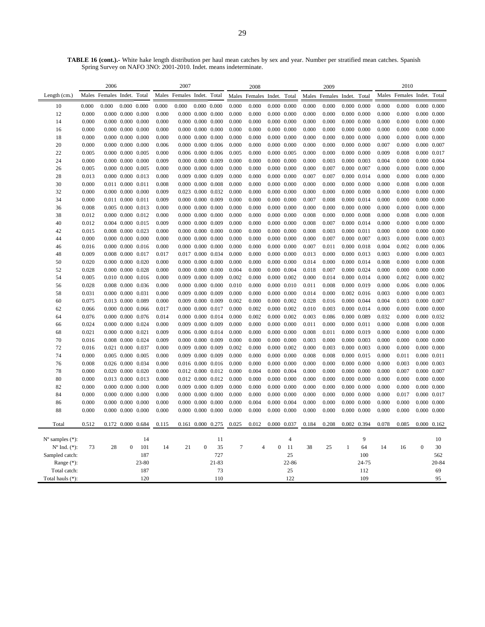**TABLE 16 (cont.).-** White hake length distribution per haul mean catches by sex and year. Number per stratified mean catches. Spanish Spring Survey on NAFO 3NO: 2001-2010. Indet. means indeterminate.

|                             | 2006  |                            |                         | 2007              |       |                      |                               | 2008  |        |                      |                     | 2009        |                |                      | 2010                |                     |       |                            |                     |       |
|-----------------------------|-------|----------------------------|-------------------------|-------------------|-------|----------------------|-------------------------------|-------|--------|----------------------|---------------------|-------------|----------------|----------------------|---------------------|---------------------|-------|----------------------------|---------------------|-------|
| Length $(cm.)$              |       | Males Females Indet. Total |                         |                   | Males | Females Indet. Total |                               |       |        | Males Females Indet. |                     | Total       |                | Males Females Indet. |                     | Total               |       | Males Females Indet. Total |                     |       |
| 10                          | 0.000 | 0.000                      | $0.000 \quad 0.000$     |                   | 0.000 | 0.000                | $0.000 \quad 0.000$           |       | 0.000  | 0.000                | $0.000 \quad 0.000$ |             | 0.000          | 0.000                |                     | $0.000 \quad 0.000$ | 0.000 | 0.000                      | $0.000 \quad 0.000$ |       |
| 12                          | 0.000 |                            | $0.000$ $0.000$ $0.000$ |                   | 0.000 |                      | $0.000$ $0.000$ $0.000$       |       | 0.000  | 0.000                | $0.000 \quad 0.000$ |             | 0.000          | 0.000                |                     | $0.000 \quad 0.000$ | 0.000 | 0.000                      | $0.000 \quad 0.000$ |       |
| 14                          | 0.000 |                            | $0.000$ $0.000$ $0.000$ |                   | 0.000 |                      | $0.000$ $0.000$ $0.000$       |       | 0.000  | 0.000                | $0.000 \quad 0.000$ |             | 0.000          | 0.000                |                     | $0.000 \quad 0.000$ | 0.000 | 0.000                      | $0.000 \quad 0.000$ |       |
| 16                          | 0.000 |                            | 0.000 0.000 0.000       |                   | 0.000 |                      | $0.000$ $0.000$ $0.000$       |       | 0.000  | 0.000                | $0.000$ $0.000$     |             | 0.000          | 0.000                |                     | $0.000 \quad 0.000$ | 0.000 | 0.000                      | $0.000$ $0.000$     |       |
| 18                          | 0.000 |                            | $0.000$ $0.000$ $0.000$ |                   | 0.000 |                      | $0.000$ $0.000$ $0.000$       |       | 0.000  | 0.000                | $0.000$ $0.000$     |             | 0.000          | 0.000                |                     | $0.000 \quad 0.000$ | 0.000 | 0.000                      | $0.000$ $0.000$     |       |
| 20                          | 0.000 |                            | $0.000$ $0.000$ $0.000$ |                   | 0.006 |                      | $0.000$ $0.000$ $0.006$       |       | 0.000  | 0.000                | $0.000 \quad 0.000$ |             | 0.000          | 0.000                |                     | $0.000\ 0.000$      | 0.007 | 0.000                      | $0.000$ $0.007$     |       |
| 22                          | 0.005 |                            | $0.000$ $0.000$ $0.005$ |                   | 0.000 |                      | $0.006$ $0.000$ $0.006$       |       | 0.005  | 0.000                | $0.000$ $0.005$     |             | 0.000          | 0.000                |                     | $0.000 \quad 0.000$ | 0.009 | 0.008                      | 0.000 0.017         |       |
| 24                          | 0.000 |                            | $0.000$ $0.000$ $0.000$ |                   | 0.009 |                      | $0.000$ $0.000$ $0.009$       |       | 0.000  | 0.000                | $0.000$ $0.000$     |             | 0.000          | 0.003                |                     | $0.000 \quad 0.003$ | 0.004 | 0.000                      | $0.000$ $0.004$     |       |
| 26                          | 0.005 |                            | $0.000$ $0.000$ $0.005$ |                   | 0.000 |                      | $0.000$ $0.000$ $0.000$       |       | 0.000  | 0.000                | $0.000$ $0.000$     |             | 0.000          | 0.007                |                     | 0.000 0.007         | 0.000 | 0.000                      | $0.000$ $0.000$     |       |
| 28                          | 0.013 |                            | 0.000 0.000 0.013       |                   | 0.000 |                      | 0.009 0.000 0.009             |       | 0.000  | 0.000                | $0.000$ $0.000$     |             | 0.007          | 0.007                |                     | 0.000 0.014         | 0.000 | 0.000                      | $0.000 \quad 0.000$ |       |
| 30                          | 0.000 |                            | 0.011 0.000 0.011       |                   | 0.008 |                      | $0.000$ $0.000$ $0.008$       |       | 0.000  | 0.000                | $0.000 \quad 0.000$ |             | 0.000          | 0.000                |                     | $0.000 \quad 0.000$ | 0.000 | 0.008                      | $0.000 \quad 0.008$ |       |
| 32                          | 0.000 |                            | $0.000$ $0.000$ $0.000$ |                   | 0.009 |                      | 0.023 0.000 0.032             |       | 0.000  | 0.000                | $0.000 \quad 0.000$ |             | 0.000          | 0.000                |                     | $0.000 \quad 0.000$ | 0.000 | 0.000                      | $0.000\ 0.000$      |       |
| 34                          | 0.000 |                            | 0.011 0.000 0.011       |                   | 0.009 |                      | 0.000 0.000 0.009             |       | 0.000  | 0.000                | $0.000 \quad 0.000$ |             | 0.007          | 0.008                |                     | $0.000$ $0.014$     | 0.000 | 0.000                      | $0.000\ 0.000$      |       |
| 36                          | 0.008 |                            | 0.005 0.000 0.013       |                   | 0.000 |                      | $0.000$ $0.000$ $0.000$       |       | 0.000  | 0.000                | $0.000$ $0.000$     |             | 0.000          | 0.000                |                     | $0.000 \quad 0.000$ | 0.000 | 0.000                      | $0.000$ $0.000$     |       |
| 38                          | 0.012 |                            | 0.000 0.000 0.012       |                   | 0.000 |                      | $0.000$ $0.000$ $0.000$       |       | 0.000  | 0.000                | $0.000 \quad 0.000$ |             | 0.008          | 0.000                |                     | $0.000 \quad 0.008$ | 0.000 | 0.008                      | $0.000 \quad 0.008$ |       |
| 40                          | 0.012 |                            | 0.004 0.000 0.015       |                   | 0.009 |                      | $0.000$ $0.000$ $0.009$       |       | 0.000  | 0.000                | $0.000 \quad 0.000$ |             | 0.008          | 0.007                |                     | 0.000 0.014         | 0.000 | 0.000                      | $0.000 \quad 0.000$ |       |
| 42                          | 0.015 |                            | 0.008 0.000 0.023       |                   | 0.000 |                      | $0.000$ $0.000$ $0.000$       |       | 0.000  | 0.000                | $0.000 \quad 0.000$ |             | 0.008          | 0.003                | $0.000 \quad 0.011$ |                     | 0.000 | 0.000                      | $0.000 \quad 0.000$ |       |
| 44                          | 0.000 |                            | $0.000$ $0.000$ $0.000$ |                   | 0.000 |                      | $0.000$ $0.000$ $0.000$       |       | 0.000  | 0.000                | $0.000 \quad 0.000$ |             | 0.000          | 0.007                |                     | 0.000 0.007         | 0.003 | 0.000                      | $0.000 \quad 0.003$ |       |
| 46                          | 0.016 |                            | 0.000 0.000 0.016       |                   | 0.000 |                      | $0.000$ $0.000$ $0.000$       |       | 0.000  | 0.000                | $0.000 \quad 0.000$ |             | 0.007          | 0.011                |                     | $0.000 \quad 0.018$ | 0.004 | 0.002                      | $0.000 \quad 0.006$ |       |
| 48                          | 0.009 |                            | 0.008 0.000 0.017       |                   | 0.017 |                      | 0.017 0.000 0.034             |       | 0.000  | 0.000                | $0.000 \quad 0.000$ |             | 0.013          | 0.000                |                     | 0.000 0.013         | 0.003 | 0.000                      | $0.000 \quad 0.003$ |       |
| 50                          | 0.020 |                            | 0.000 0.000 0.020       |                   | 0.000 |                      | $0.000$ $0.000$ $0.000$       |       | 0.000  | 0.000                | $0.000 \quad 0.000$ |             | 0.014          | 0.000                |                     | 0.000 0.014         | 0.008 | 0.000                      | $0.000 \quad 0.008$ |       |
| 52                          | 0.028 |                            | $0.000$ $0.000$ $0.028$ |                   | 0.000 |                      | $0.000$ $0.000$ $0.000$       |       | 0.004  | 0.000                | $0.000 \quad 0.004$ |             | 0.018          | 0.007                |                     | 0.000 0.024         | 0.000 | 0.000                      | 0.000 0.000         |       |
| 54                          | 0.005 |                            | 0.010 0.000 0.016       |                   | 0.000 |                      | 0.009 0.000 0.009             |       | 0.002  | 0.000                | $0.000 \quad 0.002$ |             | 0.000          | 0.014                |                     | 0.000 0.014         | 0.000 | 0.002                      | $0.000 \quad 0.002$ |       |
| 56                          | 0.028 |                            | 0.008 0.000 0.036       |                   | 0.000 |                      | 0.000 0.000 0.000             |       | 0.010  | 0.000                | $0.000$ $0.010$     |             | 0.011          | 0.008                |                     | 0.000 0.019         | 0.000 | 0.006                      | $0.000$ $0.006$     |       |
| 58                          | 0.031 |                            | 0.000 0.000 0.031       |                   | 0.000 |                      | 0.009 0.000 0.009             |       | 0.000  | 0.000                | $0.000$ $0.000$     |             | 0.014          | 0.000                |                     | $0.002$ $0.016$     | 0.003 | 0.000                      | $0.000 \quad 0.003$ |       |
| 60                          | 0.075 |                            | 0.013 0.000 0.089       |                   | 0.000 |                      | 0.009 0.000 0.009             |       | 0.002  | 0.000                | $0.000 \quad 0.002$ |             | 0.028          | 0.016                |                     | 0.000 0.044         | 0.004 | 0.003                      | $0.000 \quad 0.007$ |       |
| 62                          | 0.066 |                            | $0.000$ $0.000$ $0.066$ |                   | 0.017 |                      | 0.000 0.000 0.017             |       | 0.000  | 0.002                | $0.000 \quad 0.002$ |             | 0.010          | 0.003                |                     | 0.000 0.014         | 0.000 | 0.000                      | $0.000 \quad 0.000$ |       |
| 64                          | 0.076 |                            | 0.000 0.000 0.076       |                   | 0.014 |                      | 0.000 0.000 0.014             |       | 0.000  | 0.002                | $0.000 \quad 0.002$ |             | 0.003          | 0.086                |                     | 0.000 0.089         | 0.032 | 0.000                      | 0.000 0.032         |       |
| 66                          | 0.024 |                            | 0.000 0.000 0.024       |                   | 0.000 |                      | 0.009 0.000 0.009             |       | 0.000  | 0.000                | $0.000 \quad 0.000$ |             | 0.011          | 0.000                | $0.000$ $0.011$     |                     | 0.000 | 0.008                      | $0.000 \quad 0.008$ |       |
| 68                          | 0.021 |                            | 0.000 0.000 0.021       |                   | 0.009 |                      | 0.006 0.000 0.014             |       | 0.000  | 0.000                | $0.000 \quad 0.000$ |             | 0.008          | 0.011                |                     | 0.000 0.019         | 0.000 | 0.000                      | $0.000 \quad 0.000$ |       |
| 70                          | 0.016 |                            | 0.008 0.000 0.024       |                   | 0.009 |                      | 0.000 0.000 0.009             |       | 0.000  | 0.000                | $0.000 \quad 0.000$ |             | 0.003          | 0.000                |                     | 0.000 0.003         | 0.000 | 0.000                      | $0.000 \quad 0.000$ |       |
| 72                          | 0.016 |                            | 0.021 0.000 0.037       |                   | 0.000 |                      | 0.009 0.000 0.009             |       | 0.002  | 0.000                | $0.000 \quad 0.002$ |             | 0.000          | 0.003                | $0.000 \quad 0.003$ |                     | 0.000 | 0.000                      | $0.000\ 0.000$      |       |
| 74                          | 0.000 |                            | 0.005 0.000 0.005       |                   | 0.000 |                      | 0.009 0.000 0.009             |       | 0.000  | 0.000                | $0.000 \quad 0.000$ |             | 0.008          | 0.008                |                     | $0.000$ $0.015$     | 0.000 | 0.011                      | $0.000$ $0.011$     |       |
| 76                          | 0.008 |                            | 0.026 0.000 0.034       |                   | 0.000 |                      | 0.016 0.000 0.016             |       | 0.000  | 0.000                | $0.000 \quad 0.000$ |             | 0.000          | 0.000                |                     | $0.000 \quad 0.000$ | 0.000 | 0.003                      | $0.000 \quad 0.003$ |       |
| 78                          | 0.000 |                            | 0.020 0.000 0.020       |                   | 0.000 |                      | 0.012 0.000 0.012             |       | 0.000  | 0.004                | 0.000 0.004         |             | 0.000          | 0.000                |                     | $0.000\ 0.000$      | 0.000 | 0.007                      | $0.000 \quad 0.007$ |       |
| 80                          | 0.000 |                            | 0.013 0.000 0.013       |                   | 0.000 |                      | 0.012 0.000 0.012             |       | 0.000  | 0.000                | $0.000 \quad 0.000$ |             | 0.000          | 0.000                |                     | $0.000\ 0.000$      | 0.000 | 0.000                      | $0.000 \quad 0.000$ |       |
| 82                          | 0.000 |                            | $0.000$ $0.000$ $0.000$ |                   | 0.000 |                      | 0.009 0.000 0.009             |       | 0.000  | 0.000                | $0.000 \quad 0.000$ |             | 0.000          | 0.000                |                     | $0.000 \quad 0.000$ | 0.000 | 0.000                      | $0.000 \quad 0.000$ |       |
| 84                          | 0.000 |                            | $0.000$ $0.000$ $0.000$ |                   | 0.000 |                      | $0.000$ $0.000$ $0.000$       |       | 0.000  | 0.000<br>0.004       | $0.000 \quad 0.000$ |             | 0.000<br>0.000 | 0.000<br>0.000       |                     | $0.000 \quad 0.000$ | 0.000 | 0.017                      | 0.000 0.017         |       |
| 86<br>88                    | 0.000 |                            | $0.000$ $0.000$ $0.000$ |                   | 0.000 |                      | $0.000$ $0.000$ $0.000$       |       | 0.000  |                      | 0.000 0.004         |             |                |                      |                     | $0.000 \quad 0.000$ | 0.000 | 0.000                      | $0.000 \quad 0.000$ |       |
|                             | 0.000 |                            | $0.000$ $0.000$ $0.000$ |                   | 0.000 |                      | $0.000\  \  0.000\  \  0.000$ |       | 0.000  | 0.000                | $0.000 \quad 0.000$ |             | 0.000          | 0.000                |                     | $0.000 \quad 0.000$ | 0.000 | 0.000                      | $0.000$ $0.000$     |       |
| Total                       | 0.512 |                            |                         | 0.172 0.000 0.684 | 0.115 |                      | 0.161 0.000 0.275             |       | 0.025  | 0.012                |                     | 0.000 0.037 | 0.184          | 0.208                |                     | 0.002 0.394         | 0.078 | 0.085                      | $0.000 \quad 0.162$ |       |
|                             |       |                            |                         |                   |       |                      |                               |       |        |                      |                     |             |                |                      |                     |                     |       |                            |                     |       |
| $N^{\circ}$ samples $(*)$ : |       |                            |                         | 14                |       |                      |                               | 11    |        |                      |                     | 4           |                |                      |                     | 9                   |       |                            |                     | 10    |
| $N^{\circ}$ Ind. $(*)$ :    | 73    | 28                         | $\boldsymbol{0}$        | 101               | 14    | 21                   | $\boldsymbol{0}$              | 35    | $\tau$ | $\overline{4}$       | $\boldsymbol{0}$    | 11          | 38             | 25                   | $\mathbf{1}$        | 64                  | 14    | 16                         | $\boldsymbol{0}$    | 30    |
| Sampled catch:              |       |                            |                         | 187               |       |                      |                               | 727   |        |                      |                     | 25          |                |                      |                     | 100                 |       |                            |                     | 562   |
| Range (*):                  |       |                            |                         | 23-80             |       |                      |                               | 21-83 |        |                      |                     | 22-86       |                |                      |                     | 24-75               |       |                            |                     | 20-84 |
| Total catch:                |       |                            |                         | 187               |       |                      |                               | 73    |        |                      |                     | 25          |                |                      |                     | 112                 |       |                            |                     | 69    |
| Total hauls (*):            |       |                            |                         | 120               |       |                      |                               | 110   |        |                      |                     | 122         |                |                      |                     | 109                 |       |                            |                     | 95    |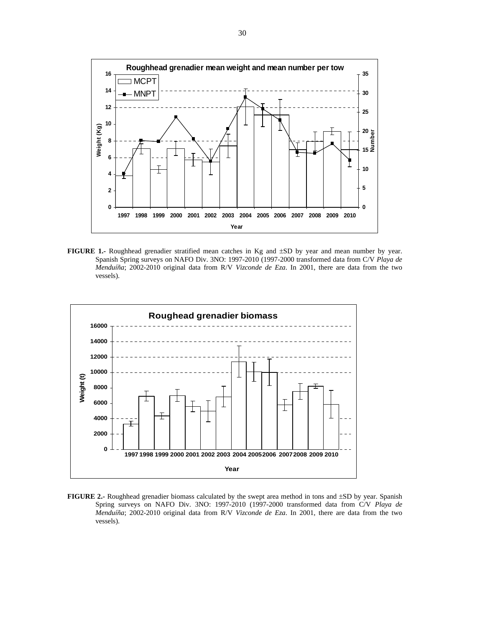

**FIGURE 1.-** Roughhead grenadier stratified mean catches in Kg and ±SD by year and mean number by year. Spanish Spring surveys on NAFO Div. 3NO: 1997-2010 (1997-2000 transformed data from C/V *Playa de Menduíña*; 2002-2010 original data from R/V *Vizconde de Eza*. In 2001, there are data from the two vessels).



**FIGURE 2.-** Roughhead grenadier biomass calculated by the swept area method in tons and ±SD by year. Spanish Spring surveys on NAFO Div. 3NO: 1997-2010 (1997-2000 transformed data from C/V *Playa de Menduíña*; 2002-2010 original data from R/V *Vizconde de Eza*. In 2001, there are data from the two vessels).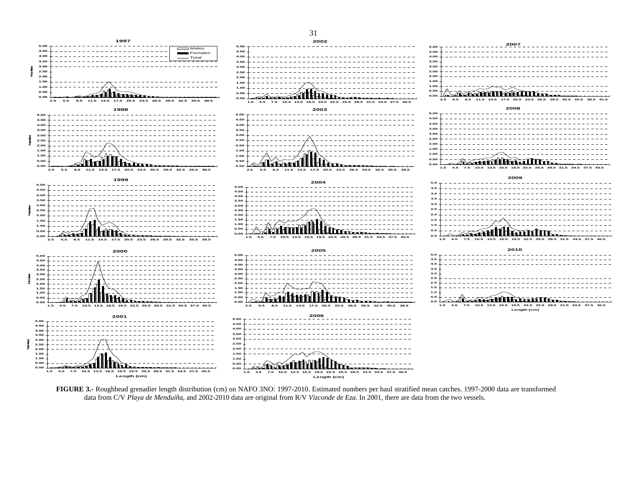

**FIGURE 3.-** Roughhead grenadier length distribution (cm) on NAFO 3NO: 1997-2010. Estimated numbers per haul stratified mean catches. 1997-2000 data are transformed data from C/V *Playa de Menduíña*, and 2002-2010 data are original from R/V *Vizconde de Eza*. In 2001, there are data from the two vessels.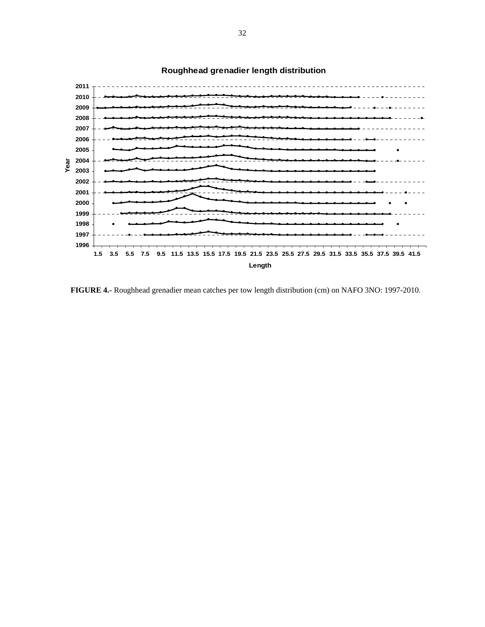

# **Roughhead grenadier length distribution**

**FIGURE 4.-** Roughhead grenadier mean catches per tow length distribution (cm) on NAFO 3NO: 1997-2010.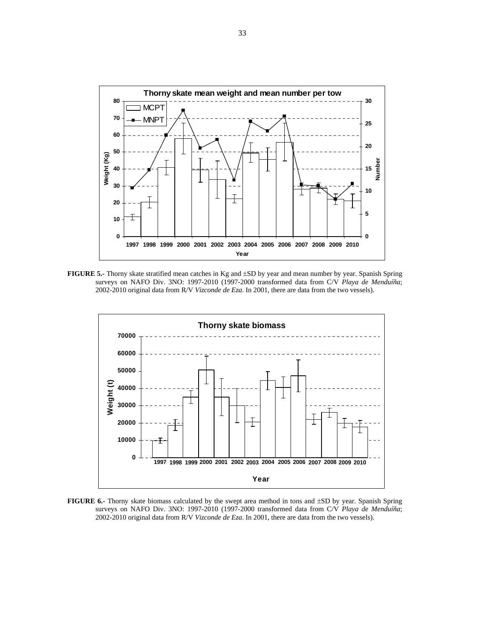

**FIGURE 5.-** Thorny skate stratified mean catches in Kg and ±SD by year and mean number by year. Spanish Spring surveys on NAFO Div. 3NO: 1997-2010 (1997-2000 transformed data from C/V *Playa de Menduíña*; 2002-2010 original data from R/V *Vizconde de Eza*. In 2001, there are data from the two vessels).



**FIGURE 6.-** Thorny skate biomass calculated by the swept area method in tons and ±SD by year. Spanish Spring surveys on NAFO Div. 3NO: 1997-2010 (1997-2000 transformed data from C/V *Playa de Menduíña*; 2002-2010 original data from R/V *Vizconde de Eza*. In 2001, there are data from the two vessels).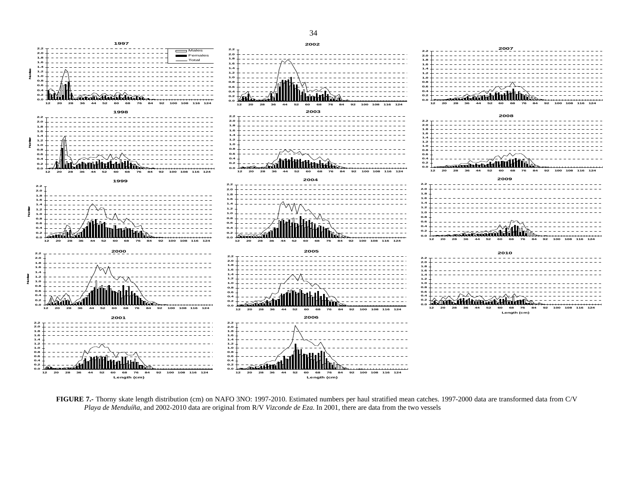

**FIGURE 7.-** Thorny skate length distribution (cm) on NAFO 3NO: 1997-2010. Estimated numbers per haul stratified mean catches. 1997-2000 data are transformed data from C/V *Playa de Menduíña*, and 2002-2010 data are original from R/V *Vizconde de Eza*. In 2001, there are data from the two vessels

34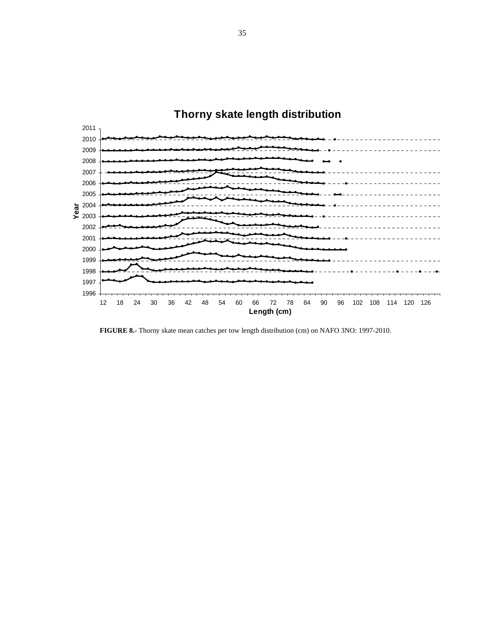

**FIGURE 8.-** Thorny skate mean catches per tow length distribution (cm) on NAFO 3NO: 1997-2010.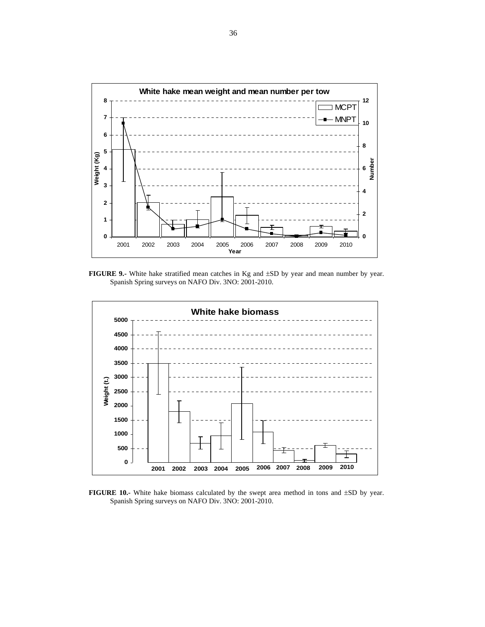

**FIGURE 9.-** White hake stratified mean catches in Kg and ±SD by year and mean number by year. Spanish Spring surveys on NAFO Div. 3NO: 2001-2010.



**FIGURE 10.-** White hake biomass calculated by the swept area method in tons and  $\pm SD$  by year. Spanish Spring surveys on NAFO Div. 3NO: 2001-2010.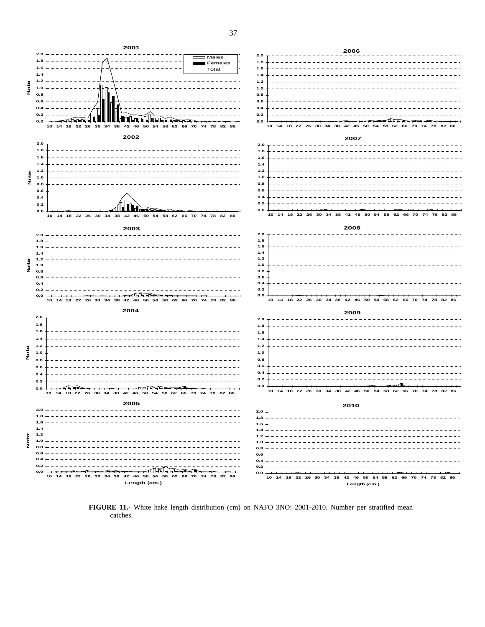

**FIGURE 11.-** White hake length distribution (cm) on NAFO 3NO: 2001-2010. Number per stratified mean catches.